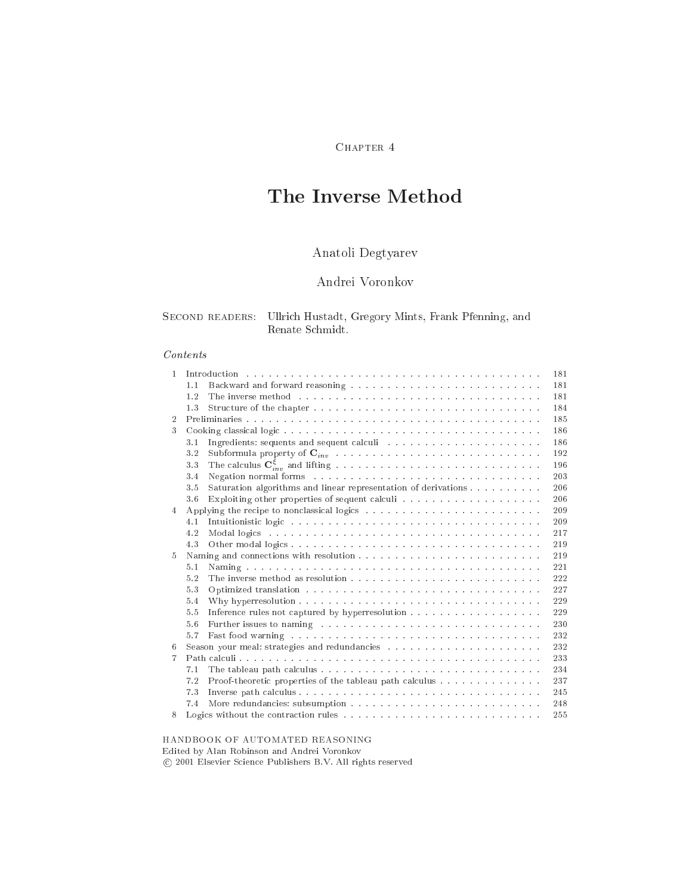# CHAPTER 4

# The Inverse Method

# Anatoli Degtyarev

# Andrei Voronkov

## SECOND READERS: Ullrich Hustadt, Gregory Mints, Frank Pfenning, and Renate S
hmidt.

# Contents

| $\mathbf{1}$   |                                                                                                                                                                                                                                       | 181 |
|----------------|---------------------------------------------------------------------------------------------------------------------------------------------------------------------------------------------------------------------------------------|-----|
|                | 1.1                                                                                                                                                                                                                                   | 181 |
|                | The inverse method responses in the contract of the intervention of the intervention of the intervention of the intervention of the intervention of the intervention of the intervention of the intervention of the interventi<br>1.2 | 181 |
|                | 1.3                                                                                                                                                                                                                                   | 184 |
| $\mathcal{D}$  |                                                                                                                                                                                                                                       | 185 |
| 3              |                                                                                                                                                                                                                                       | 186 |
|                | 3.1                                                                                                                                                                                                                                   | 186 |
|                | 3.2                                                                                                                                                                                                                                   | 192 |
|                | 3.3                                                                                                                                                                                                                                   | 196 |
|                | Negation normal forms resources in the contract of the set of the set of the set of the set of the set of the set of the set of the set of the set of the set of the set of the set of the set of the set of the set of the se<br>3.4 | 203 |
|                | Saturation algorithms and linear representation of derivations<br>3.5                                                                                                                                                                 | 206 |
|                | 3.6                                                                                                                                                                                                                                   | 206 |
| $\overline{4}$ |                                                                                                                                                                                                                                       | 209 |
|                | 4.1                                                                                                                                                                                                                                   | 209 |
|                | 4.2<br>Modal logics because in the contract of the contract of the contract of the contract of the contract of the contract of the contract of the contract of the contract of the contract of the contract of the contract of the co | 217 |
|                | 4.3                                                                                                                                                                                                                                   | 219 |
| $\frac{5}{2}$  |                                                                                                                                                                                                                                       | 219 |
|                | 5.1                                                                                                                                                                                                                                   | 221 |
|                | 5.2                                                                                                                                                                                                                                   | 222 |
|                | 5.3                                                                                                                                                                                                                                   | 227 |
|                |                                                                                                                                                                                                                                       |     |
|                | 5.4                                                                                                                                                                                                                                   | 229 |
|                | 5.5                                                                                                                                                                                                                                   | 229 |
|                | Further issues to naming respectively respectively respectively.<br>5.6                                                                                                                                                               | 230 |
|                | 5.7                                                                                                                                                                                                                                   | 232 |
| 6              |                                                                                                                                                                                                                                       | 232 |
| 7              |                                                                                                                                                                                                                                       | 233 |
|                | 7.1                                                                                                                                                                                                                                   | 234 |
|                | Proof-theoretic properties of the tableau path calculus<br>7.2                                                                                                                                                                        | 237 |
|                | 7.3                                                                                                                                                                                                                                   | 245 |
|                | 7.4                                                                                                                                                                                                                                   | 248 |
| 8              |                                                                                                                                                                                                                                       | 255 |

## HANDBOOK OF AUTOMATED REASONING

Edited by Alan Robinson and Andrei Voronkov

2001 Elsevier S
ien
e Publishers B.V. All rights reserved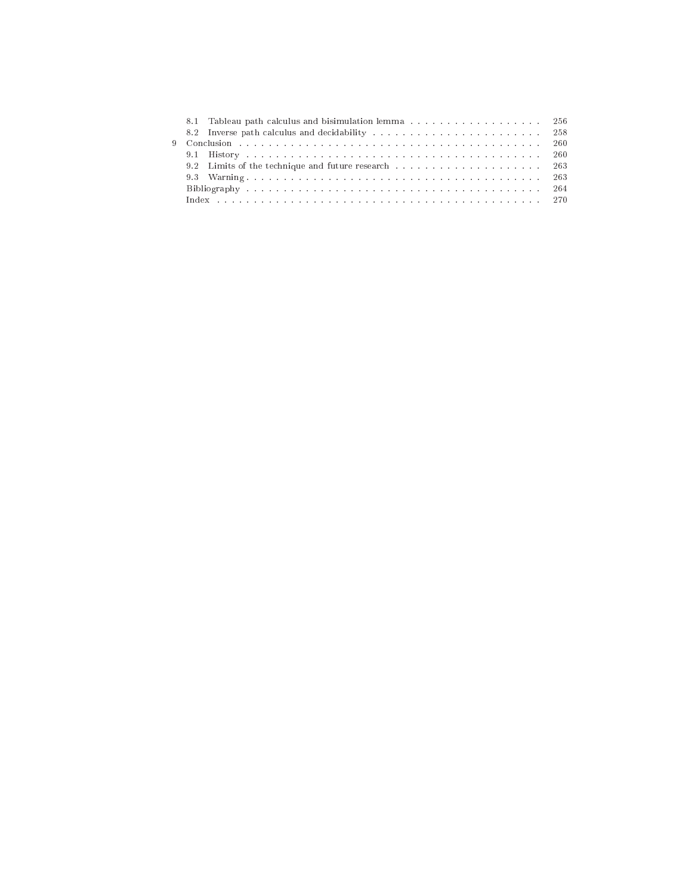| 8.1 Tableau path calculus and bisimulation lemma 256 |  |
|------------------------------------------------------|--|
|                                                      |  |
|                                                      |  |
|                                                      |  |
|                                                      |  |
|                                                      |  |
|                                                      |  |
|                                                      |  |
|                                                      |  |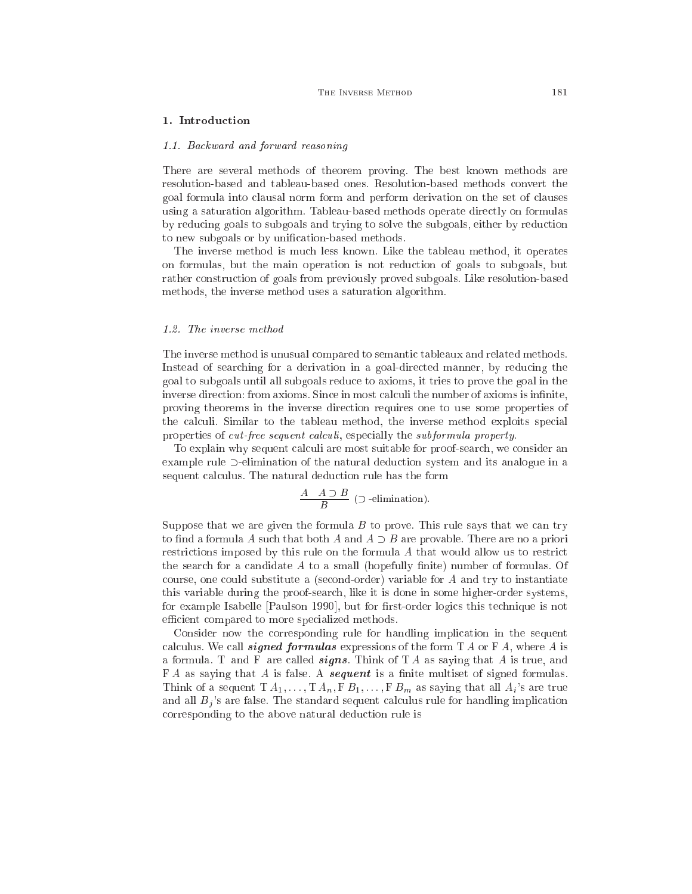### 1. Introdu
tion

#### 1.1. Ba
kward and forward reasoning

There are several methods of theorem proving. The best known methods are resolution-based and tableau-based ones. Resolution-based methods onvert the goal formula into lausal norm form and perform derivation on the set of lauses using a saturation algorithm. Tableau-based methods operate directly on formulas by redu
ing goals to subgoals and trying to solve the subgoals, either by redu
tion to new subgoals or by unification-based methods.

The inverse method is mu
h less known. Like the tableau method, it operates on formulas, but the main operation is not redu
tion of goals to subgoals, but rather onstru
tion of goals from previously proved subgoals. Like resolution-based methods, the inverse method uses a saturation algorithm.

#### 1.2. The inverse method

The inverse method is unusual ompared to semanti tableaux and related methods. Instead of sear
hing for a derivation in a goal-dire
ted manner, by redu
ing the goal to subgoals until all subgoals redu
e to axioms, it tries to prove the goal in the inverse direction: from axioms. Since in most calculi the number of axioms is infinite, proving theorems in the inverse dire
tion requires one to use some properties of the calculi. Similar to the tableau method, the inverse method exploits special properties of *cut-free sequent calculi*, especially the *subformula property*.

To explain why sequent calculi are most suitable for proof-search, we consider an example rule  $\supset$ -elimination of the natural deduction system and its analogue in a sequent calculus. The natural deduction rule has the form

$$
\frac{A-A\supset B}{B}\text{ }(\supset\text{-elimination}).
$$

Suppose that we are given the formula  $B$  to prove. This rule says that we can try to find a formula A such that both A and  $A \supset B$  are provable. There are no a priori restrictions imposed by this rule on the formula A that would allow us to restrict the search for a candidate  $A$  to a small (hopefully finite) number of formulas. Of course, one could substitute a (second-order) variable for A and try to instantiate this variable during the proof-sear
h, like it is done in some higher-order systems, for example Isabelle [Paulson 1990], but for first-order logics this technique is not efficient compared to more specialized methods.

Consider now the corresponding rule for handling implication in the sequent calculus. We call **signed formulas** expressions of the form  $T A$  or  $F A$ , where A is a formula. T and F are called **signs**. Think of T A as saying that A is true, and  $FA$  as saying that A is false. A **sequent** is a finite multiset of signed formulas. Think of a sequent  $T A_1, \ldots, T A_n, F B_1, \ldots, F B_m$  as saying that all  $A_i$ 's are true and all  $B_i$ 's are false. The standard sequent calculus rule for handling implication orresponding to the above natural dedu
tion rule is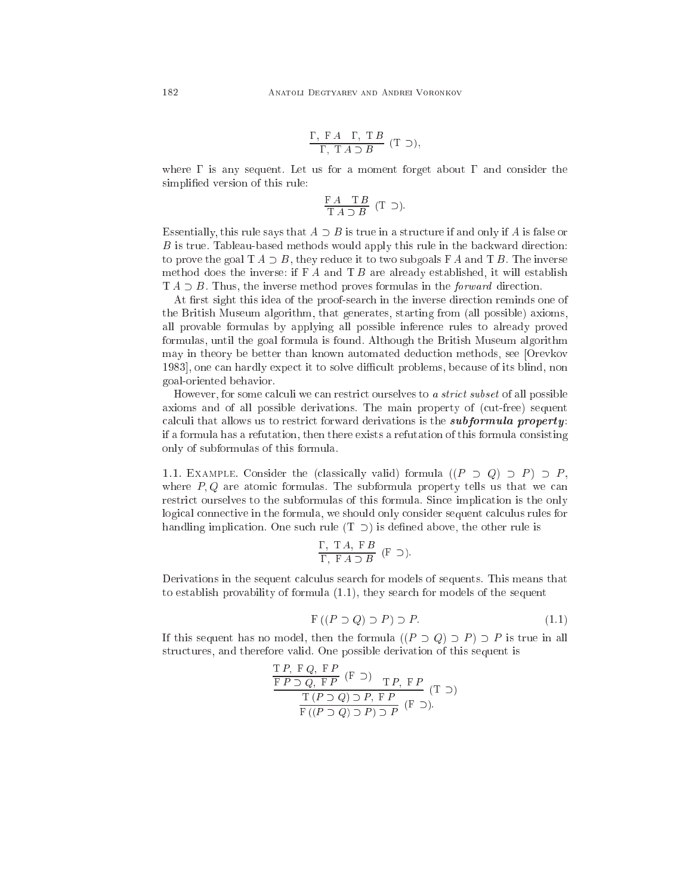$$
\frac{\Gamma, \ F \ A \quad \Gamma, \ T \ B}{\Gamma, \ T \ A \supset B} \ (T \supset),
$$

where  $\Gamma$  is any sequent. Let us for a moment forget about  $\Gamma$  and consider the simplied version of this rule:

$$
\frac{\mathrm{F}\;A\quad \mathrm{T}\;B}{\mathrm{T}\;A\supset B}\ (\mathrm{T}\supset).
$$

Essentially, this rule says that  $A \supset B$  is true in a structure if and only if A is false or  $\boldsymbol{B}$  is true. Tableau-based methods would apply this rule in the backward direction: to prove the goal  $T A \supset B$ , they reduce it to two subgoals  $F A$  and  $T B$ . The inverse method does the inverse: if  $FA$  and  $TB$  are already established, it will establish  $T A \supset B$ . Thus, the inverse method proves formulas in the *forward* direction.

At first sight this idea of the proof-search in the inverse direction reminds one of the British Museum algorithm, that generates, starting from (all possible) axioms, all provable formulas by applying all possible inferen
e rules to already proved formulas, until the goal formula is found. Although the British Museum algorithm may in theory be better than known automated dedu
tion methods, see [Orevkov 1983, one can hardly expect it to solve difficult problems, because of its blind, non goal-oriented behavior.

However, for some calculi we can restrict ourselves to a strict subset of all possible axioms and of all possible derivations. The main property of (
ut-free) sequent calculi that allows us to restrict forward derivations is the *subformula property*: if a formula has a refutation, then there exists a refutation of this formula onsisting only of subformulas of this formula.

1.1. EXAMPLE. Consider the (classically valid) formula  $((P \supset Q) \supset P) \supset P$ , where  $P, Q$  are atomic formulas. The subformula property tells us that we can restrict ourselves to the subformulas of this formula. Since implication is the only logical connective in the formula, we should only consider sequent calculus rules for handling implication. One such rule  $(T \supset)$  is defined above, the other rule is

$$
\frac{\Gamma,~\mathrm{T}\,A,~\mathrm{F}\,B}{\Gamma,~\mathrm{F}\,A \supset B}~(\mathrm{F}~\supset).
$$

Derivations in the sequent calculus search for models of sequents. This means that to establish provability of formula (1.1), they sear
h for models of the sequent

$$
F((P \supset Q) \supset P) \supset P. \tag{1.1}
$$

If this sequent has no model, then the formula  $((P \supset Q) \supset P) \supset P$  is true in all structures, and therefore valid. One possible derivation of this sequent is

$$
\frac{\text{TP, FQ, FP}}{\text{FP} \supset Q, \text{FP}} \text{ (F)} \quad \text{TP, FP}
$$
\n
$$
\frac{\text{TP, FP}}{\text{F} \left( P \supset Q \right) \supset P, \text{FP}} \text{ (T)} \supset (\text{FP, F})
$$
\n
$$
\frac{\text{TP, FP}}{\text{F} \left( (P \supset Q) \supset P \right) \supset P} \text{ (F)} \text{ (T)}
$$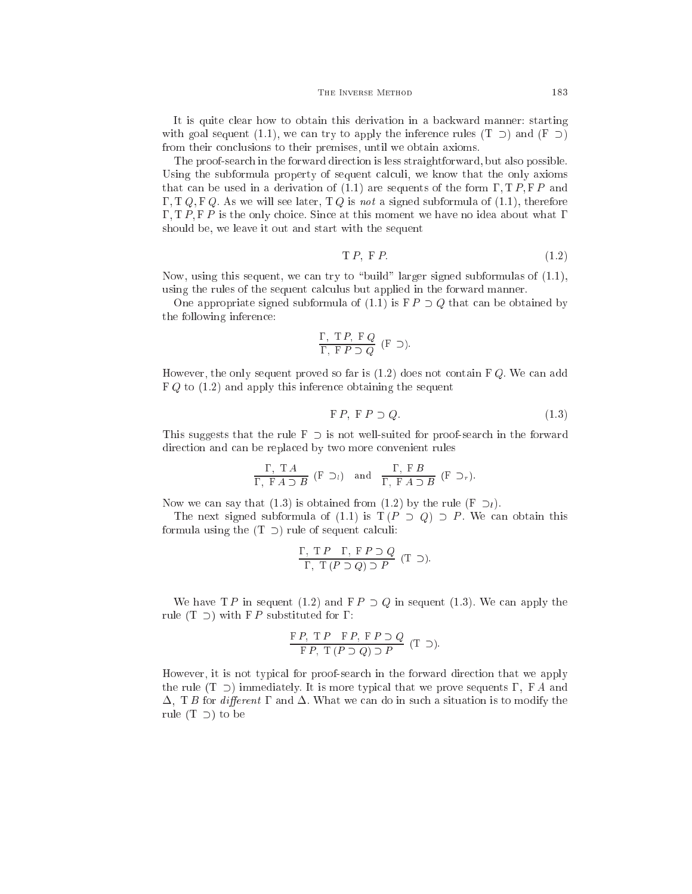It is quite lear how to obtain this derivation in a ba
kward manner: starting with goal sequent (1.1), we can try to apply the inference rules  $(T \supset)$  and  $(F \supset)$ from their conclusions to their premises, until we obtain axioms.

The proof-sear
h in the forward dire
tion is less straightforward, but also possible. Using the subformula property of sequent calculi, we know that the only axioms that can be used in a derivation of  $(1.1)$  are sequents of the form  $\Gamma$ ,  $\Gamma P$ ,  $\Gamma P$  and  $\Gamma$ , T Q, F Q. As we will see later, T Q is not a signed subformula of (1.1), therefore  $\Gamma$ ,  $\Gamma$   $P$ ,  $\Gamma$   $P$  is the only choice. Since at this moment we have no idea about what  $\Gamma$ should be, we leave it out and start with the sequent

$$
TP, FP. \t(1.2)
$$

Now, using this sequent, we can try to "build" larger signed subformulas of  $(1.1)$ , using the rules of the sequent calculus but applied in the forward manner.

One appropriate signed subformula of  $(1.1)$  is  $\overline{F}P \supset Q$  that can be obtained by the following inferen
e:

$$
\frac{\Gamma,~\mathrm{T}\,P,~\mathrm{F}\,Q}{\Gamma,~\mathrm{F}\,P\supset Q}~(\mathrm{F}~\supset).
$$

However, the only sequent proved so far is  $(1.2)$  does not contain FQ. We can add  $FQ$  to  $(1.2)$  and apply this inference obtaining the sequent

$$
F P, F P \supset Q. \tag{1.3}
$$

This suggests that the rule  $F \supset$  is not well-suited for proof-search in the forward direction and can be replaced by two more convenient rules

$$
\frac{\Gamma, T A}{\Gamma, F A \supset B} (F \supset_l) \text{ and } \frac{\Gamma, F B}{\Gamma, F A \supset B} (F \supset_r).
$$

Now we can say that (1.3) is obtained from (1.2) by the rule (F  $\supset_l$ ).

The next signed subformula of  $(1.1)$  is  $T(P \supset Q) \supset P$ . We can obtain this formula using the  $(T \supset)$  rule of sequent calculi:

$$
\frac{\Gamma, \ T P \ \Gamma, \ F P \supset Q}{\Gamma, \ T (P \supset Q) \supset P} (\top \supset).
$$

We have T P in sequent (1.2) and  $F P \supset Q$  in sequent (1.3). We can apply the rule (T  $\supset$ ) with F P substituted for  $\Gamma$ :

$$
\frac{F P, T P \quad F P, F P \supset Q}{F P, T (P \supset Q) \supset P} (T \supset).
$$

However, it is not typical for proof-search in the forward direction that we apply the rule  $(T \supset)$  immediately. It is more typical that we prove sequents  $\Gamma$ ,  $FA$  and  $\Delta$ , T B for different  $\Gamma$  and  $\Delta$ . What we can do in such a situation is to modify the rule  $(T \supset)$  to be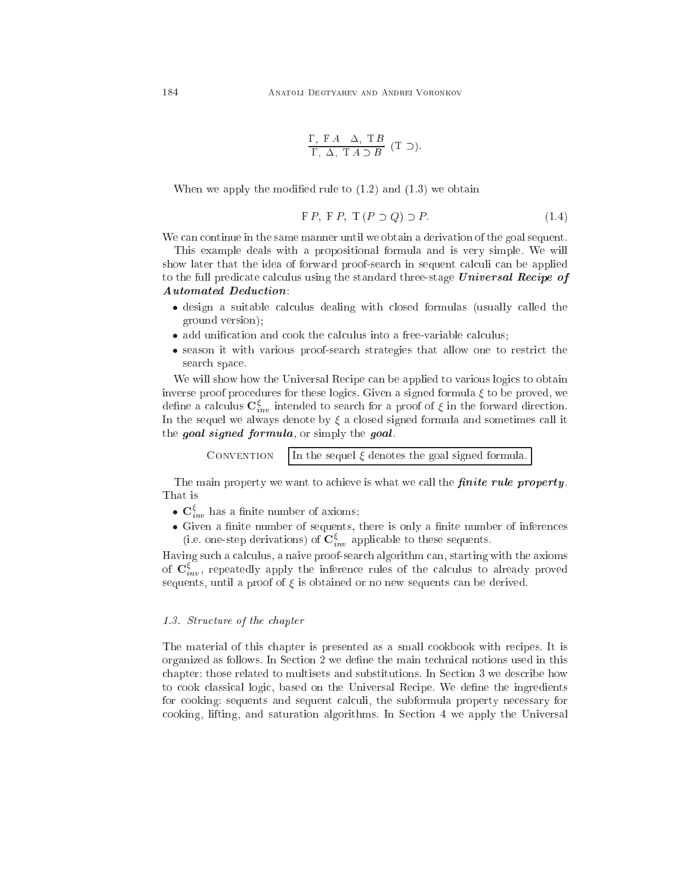$$
\frac{\Gamma,~\mathrm{F}\,A~~\Delta,~\mathrm{T}\,B}{\Gamma,~\Delta,~\mathrm{T}\,A~\supset B}~(\mathrm{T}~\supset).
$$

When we apply the modified rule to  $(1.2)$  and  $(1.3)$  we obtain

$$
FP, FP, T (P \supset Q) \supset P. \tag{1.4}
$$

We can continue in the same manner until we obtain a derivation of the goal sequent.

This example deals with a propositional formula and is very simple. We will show later that the idea of forward proof-search in sequent calculi can be applied to the full predicate calculus using the standard three-stage Universal Recipe of Automated Dedu
tion:

- design a suitable continues with  $\alpha$  continues the suitable formulas (usually continues the continues) ground version);
- 
- season it with various proof-search allow one to restrict the strategies that all the restrict the sear
h spa
e.

We will show how the Universal Recipe can be applied to various logics to obtain inverse proof procedures for these logics. Given a signed formula  $\xi$  to be proved, we define a calculus  $\mathbf{C}_{inv}^{\xi}$  intended to search for a proof of  $\xi$  in the forward direction. In the sequel we always denote by  $\xi$  a closed signed formula and sometimes call it the goal signed formula, or simply the goal.

> **CONVENTION** In the sequel  $\xi$  denotes the goal signed formula.

The main property we want to achieve is what we call the *finite rule property*. That is

- $\mathbf{C}_{inv}^{\xi}$  has a finite number of axioms;
- Given a nite number of sequents, there is only a nite number of inferen
es (i.e. one-step derivations) of  $\mathbf{C}_{inv}^{\xi}$  applicable to these sequents.

Having such a calculus, a naive proof-search algorithm can, starting with the axioms of  $\mathbf{C}_{inv}^{\xi}$ , repeatedly apply the inference rules of the calculus to already proved sequents, until a proof of  $\xi$  is obtained or no new sequents can be derived.

#### 1.3. Stru
ture of the hapter

The material of this hapter is presented as a small ookbook with re
ipes. It is organized as follows. In Section 2 we define the main technical notions used in this chapter: those related to multisets and substitutions. In Section 3 we describe how to cook classical logic, based on the Universal Recipe. We define the ingredients for cooking: sequents and sequent calculi, the subformula property necessary for cooking, lifting, and saturation algorithms. In Section 4 we apply the Universal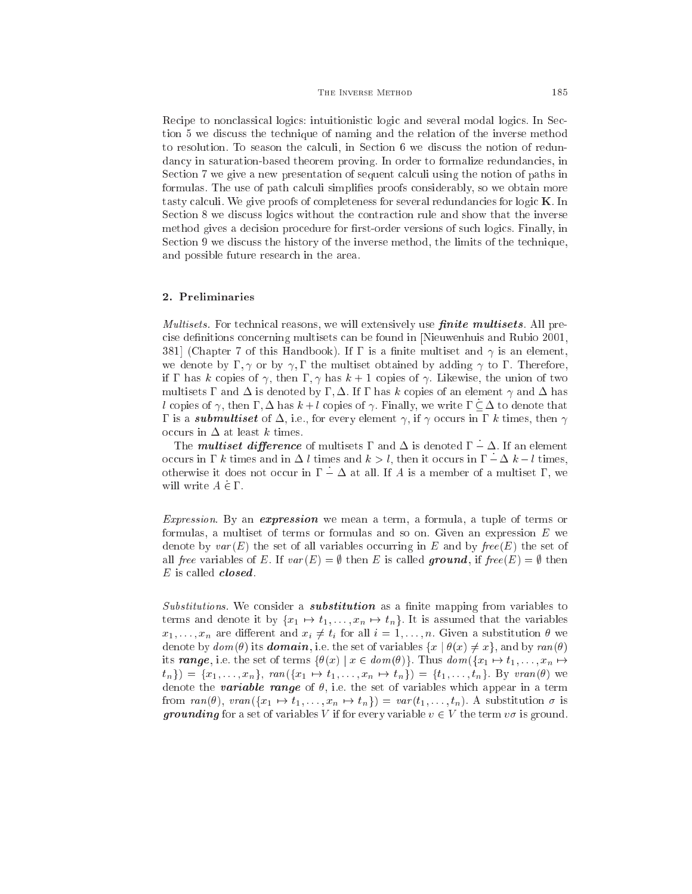#### THE INVERSE METHOD 185

Recipe to nonclassical logics: intuitionistic logic and several modal logics. In Section 5 we dis
uss the te
hnique of naming and the relation of the inverse method to resolution. To season the calculi, in Section 6 we discuss the notion of redundancy in saturation-based theorem proving. In order to formalize redundancies, in Section 7 we give a new presentation of sequent calculi using the notion of paths in formulas. The use of path calculi simplifies proofs considerably, so we obtain more tasty calculi. We give proofs of completeness for several redundancies for logic **K**. In Section 8 we discuss logics without the contraction rule and show that the inverse method gives a decision procedure for first-order versions of such logics. Finally, in Section 9 we discuss the history of the inverse method, the limits of the technique, and possible future resear
h in the area.

## 2. Preliminaries

*Multisets*. For technical reasons, we will extensively use *finite multisets*. All precise definitions concerning multisets can be found in [Nieuwenhuis and Rubio 2001, 381 (Chapter 7 of this Handbook). If  $\Gamma$  is a finite multiset and  $\gamma$  is an element, we denote by  $\Gamma, \gamma$  or by  $\gamma, \Gamma$  the multiset obtained by adding  $\gamma$  to  $\Gamma$ . Therefore, if  $\Gamma$  has k copies of  $\gamma$ , then  $\Gamma$ ,  $\gamma$  has  $k+1$  copies of  $\gamma$ . Likewise, the union of two multisets  $\Gamma$  and  $\Delta$  is denoted by  $\Gamma$ ,  $\Delta$ . If  $\Gamma$  has k copies of an element  $\gamma$  and  $\Delta$  has l copies of  $\gamma$ , then  $\Gamma$ ,  $\Delta$  has  $k+l$  copies of  $\gamma$ . Finally, we write  $\Gamma \subseteq \Delta$  to denote that  $\Gamma$  is a *submultiset* of  $\Delta$ , i.e., for every element  $\gamma$ , if  $\gamma$  occurs in  $\Gamma$  k times, then  $\gamma$ occurs in  $\Delta$  at least k times.

The *multiset difference* of multisets  $\Gamma$  and  $\Delta$  is denoted  $\Gamma - \Delta$ . If an element occurs in  $\Gamma$  k times and in  $\Delta$  l times and  $k > l$ , then it occurs in  $\Gamma - \Delta k - l$  times, otherwise it does not occur in  $\Gamma - \Delta$  at all. If A is a member of a multiset  $\Gamma$ , we will write  $A \in \Gamma$ .

Expression. By an expression we mean a term, a formula, a tuple of terms or formulas, a multiset of terms or formulas and so on. Given an expression E we denote by  $var(E)$  the set of all variables occurring in E and by  $free(E)$  the set of all free variables of E. If  $var(E) = \emptyset$  then E is called **ground**, if free  $(E) = \emptyset$  then  $E$  is called *closed*.

 $Substitutions$ . We consider a *substitution* as a finite mapping from variables to terms and denote it by  $\{x_1 \mapsto t_1, \ldots, x_n \mapsto t_n\}$ . It is assumed that the variables  $x_1, \ldots, x_n$  are different and  $x_i \neq t_i$  for all  $i = 1, \ldots, n$ . Given a substitution  $\theta$  we denote by  $dom(\theta)$  its **domain**, i.e. the set of variables  $\{x \mid \theta(x) \neq x\}$ , and by ran( $\theta$ ) its range, i.e. the set of terms  $\{\theta(x) \mid x \in dom(\theta)\}\)$ . Thus  $dom(\{x_1 \mapsto t_1, \ldots, x_n \mapsto t_n\})$  $t_n$ }) = { $x_1, \ldots, x_n$ }, ran({ $x_1 \mapsto t_1, \ldots, x_n \mapsto t_n$ }) = { $t_1, \ldots, t_n$ }. By vran( $\theta$ ) we denote the **variable range** of  $\theta$ , i.e. the set of variables which appear in a term from  $ran(\theta)$ ,  $tran({x_1 \mapsto t_1, \ldots, x_n \mapsto t_n}) = var(t_1, \ldots, t_n)$ . A substitution  $\sigma$  is **grounding** for a set of variables V if for every variable  $v \in V$  the term  $v\sigma$  is ground.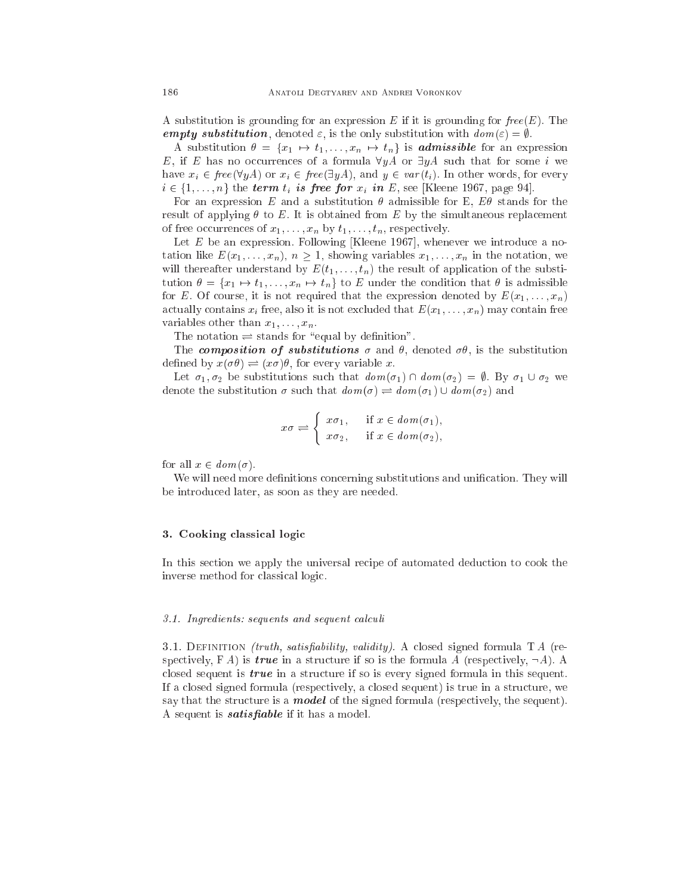A substitution is grounding for an expression E if it is grounding for  $free(E)$ . The empty substitution, denoted  $\varepsilon$ , is the only substitution with  $dom(\varepsilon) = \emptyset$ .

A substitution  $\theta = \{x_1 \mapsto t_1, \ldots, x_n \mapsto t_n\}$  is **admissible** for an expression E, if E has no occurrences of a formula  $\forall yA$  or  $\exists yA$  such that for some i we have  $x_i \in \text{free}(\forall yA)$  or  $x_i \in \text{free}(\exists yA)$ , and  $y \in \text{var}(t_i)$ . In other words, for every  $i \in \{1, \ldots, n\}$  the term  $t_i$  is free for  $x_i$  in E, see [Kleene 1967, page 94].

For an expression E and a substitution  $\theta$  admissible for E,  $E\theta$  stands for the result of applying  $\theta$  to E. It is obtained from E by the simultaneous replacement of free occurrences of  $x_1, \ldots, x_n$  by  $t_1, \ldots, t_n$ , respectively.

Let  $E$  be an expression. Following [Kleene 1967], whenever we introduce a notation like  $E(x_1, \ldots, x_n)$ ,  $n \geq 1$ , showing variables  $x_1, \ldots, x_n$  in the notation, we will thereafter understand by  $E(t_1, \ldots, t_n)$  the result of application of the substitution  $\theta = \{x_1 \mapsto t_1, \ldots, x_n \mapsto t_n\}$  to E under the condition that  $\theta$  is admissible for E. Of course, it is not required that the expression denoted by  $E(x_1, \ldots, x_n)$ actually contains  $x_i$  free, also it is not excluded that  $E(x_1, \ldots, x_n)$  may contain free variables other than  $x_1, \ldots, x_n$ .

The notation of the notation of the standard contribution of the state of the state of the state of the state o

The composition of substitutions  $\sigma$  and  $\theta$ , denoted  $\sigma\theta$ , is the substitution defined by  $x(\sigma \theta) \rightleftharpoons (x \sigma) \theta$ , for every variable x.

Let  $\sigma_1, \sigma_2$  be substitutions such that  $dom(\sigma_1) \cap dom(\sigma_2) = \emptyset$ . By  $\sigma_1 \cup \sigma_2$  we denote the substitution  $\sigma$  such that  $\mathit{aom}(\sigma) \rightleftharpoons \mathit{aom}(\sigma_1) \cup \mathit{aom}(\sigma_2)$  and

$$
x\sigma \rightleftharpoons \begin{cases} x\sigma_1, & \text{if } x \in dom(\sigma_1), \\ x\sigma_2, & \text{if } x \in dom(\sigma_2), \end{cases}
$$

for all  $x \in dom(\sigma)$ .

We will need more definitions concerning substitutions and unification. They will be introdu
ed later, as soon as they are needed.

## 3. Cooking lassi
al logi

In this section we apply the universal recipe of automated deduction to cook the inverse method for lassi
al logi
.

#### 3.1. Ingredients: sequents and sequent calculi

3.1. DEFINITION *(truth, satisfiability, validity)*. A closed signed formula  $TA$  (respectively,  $FA$ ) is *true* in a structure if so is the formula A (respectively,  $\neg A$ ). A closed sequent is  $true$  in a structure if so is every signed formula in this sequent. If a losed signed formula (respe
tively, a losed sequent) is true in a stru
ture, we say that the structure is a **model** of the signed formula (respectively, the sequent). A sequent is *satisfiable* if it has a model.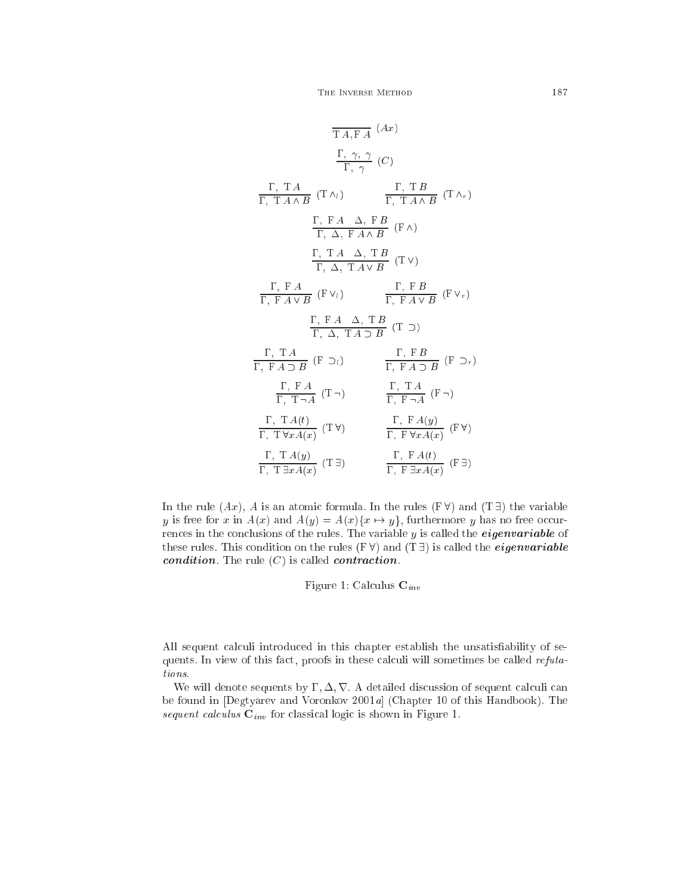$$
\frac{\Gamma, \gamma, \gamma}{T A, F A} (Ax)
$$
\n
$$
\frac{\Gamma, \gamma, \gamma}{\Gamma, \gamma} (C)
$$
\n
$$
\frac{\Gamma, T A}{\Gamma, T A \land B} (T \land i) \qquad \frac{\Gamma, T B}{\Gamma, T A \land B} (T \land r)
$$
\n
$$
\frac{\Gamma, F A \Delta, F B}{\Gamma, \Delta, F A \land B} (F \land)
$$
\n
$$
\frac{\Gamma, T A \Delta, T B}{\Gamma, \Delta, T A \lor B} (T \lor)
$$
\n
$$
\frac{\Gamma, F A}{\Gamma, F A \lor B} (F \lor i) \qquad \frac{\Gamma, F B}{\Gamma, F A \lor B} (F \lor r)
$$
\n
$$
\frac{\Gamma, F A \Delta, T B}{\Gamma, \Delta, T A \supset B} (T \supset)
$$
\n
$$
\frac{\Gamma, T A}{\Gamma, F A \supset B} (F \supset_i) \qquad \frac{\Gamma, F B}{\Gamma, F A \supset B} (F \supset_r)
$$
\n
$$
\frac{\Gamma, F A}{\Gamma, T \neg A} (T \neg) \qquad \frac{\Gamma, T A}{\Gamma, F \neg A} (F \neg)
$$
\n
$$
\frac{\Gamma, T A(t)}{\Gamma, T \forall x A(x)} (T \forall) \qquad \frac{\Gamma, F A(y)}{\Gamma, F \forall x A(x)} (F \forall)
$$
\n
$$
\frac{\Gamma, T A(y)}{\Gamma, T \exists x A(x)} (T \exists) \qquad \frac{\Gamma, F A(t)}{\Gamma, F \exists x A(x)} (F \exists)
$$

In the rule  $(Ax)$ , A is an atomic formula. In the rules  $(F \forall)$  and  $(T \exists)$  the variable y is free for x in  $A(x)$  and  $A(y) = A(x) \{x \mapsto y\}$ , furthermore y has no free occurrences in the conclusions of the rules. The variable y is called the *eigenvariable* of these rules. This condition on the rules  $(F \forall)$  and  $(T \exists)$  is called the *eigenvariable* condition. The rule  $(C)$  is called contraction.

Figure 1: Calculus  $\mathbf{C}_{inv}$ 

All sequent calculi introduced in this chapter establish the unsatisfiability of sequents. In view of this fact, proofs in these calculi will sometimes be called refutations.

We will denote sequents by  $\Gamma, \Delta, \nabla$ . A detailed discussion of sequent calculi can be found in [Degtyarev and Voronkov 2001a] (Chapter 10 of this Handbook). The sequent calculus  $C_{inv}$  for classical logic is shown in Figure 1.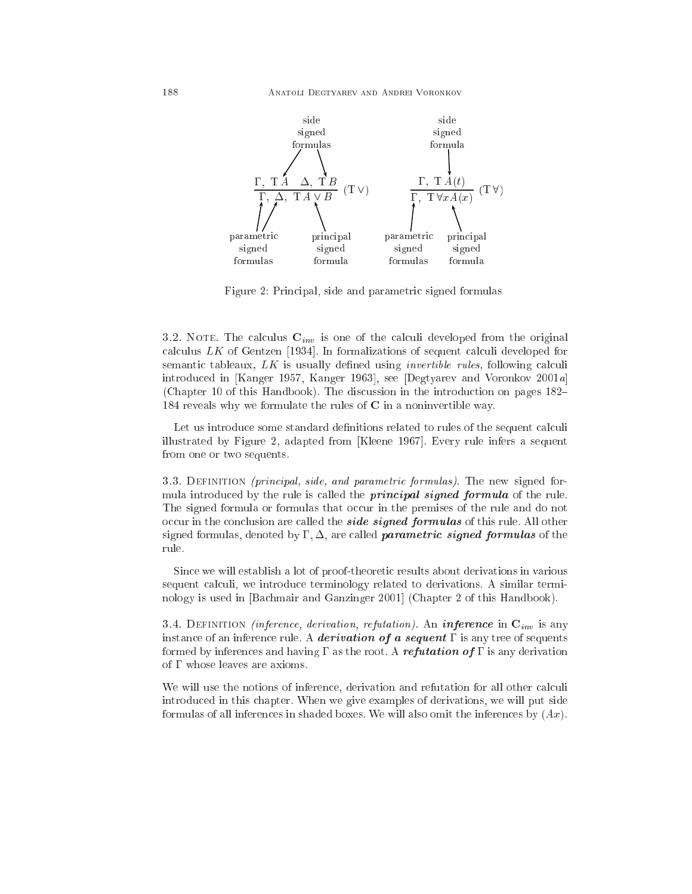

Figure 2: Principal, side and parametric signed formulas

3.2. NOTE. The calculus  $\mathbf{C}_{inv}$  is one of the calculi developed from the original calculus  $LK$  of Gentzen [1934]. In formalizations of sequent calculi developed for semantic tableaux,  $LK$  is usually defined using *invertible rules*, following calculi introduced in [Kanger 1957, Kanger 1963], see [Degtyarev and Voronkov 2001a] (Chapter 10 of this Handbook). The discussion in the introduction on pages 182– 184 reveals why we formulate the rules of  $C$  in a noninvertible way.

Let us introduce some standard definitions related to rules of the sequent calculi illustrated by Figure 2, adapted from [Kleene 1967]. Every rule infers a sequent from one or two sequents.

3.3. DEFINITION (principal, side, and parametric formulas). The new signed formula introduced by the rule is called the **principal signed formula** of the rule. The signed formula or formulas that occur in the premises of the rule and do not occur in the conclusion are called the **side signed formulas** of this rule. All other signed formulas, denoted by  $\Gamma, \Delta$ , are called *parametric signed formulas* of the rule.

Since we will establish a lot of proof-theoretic results about derivations in various sequent calculi, we introduce terminology related to derivations. A similar terminology is used in [Bachmair and Ganzinger 2001] (Chapter 2 of this Handbook).

3.4. DEFINITION (inference, derivation, refutation). An inference in  $\mathbf{C}_{inv}$  is any instance of an inference rule. A *derivation of a sequent*  $\Gamma$  is any tree of sequents formed by inferences and having  $\Gamma$  as the root. A refutation of  $\Gamma$  is any derivation of  $\Gamma$  whose leaves are axioms.

We will use the notions of inference, derivation and refutation for all other calculi introdu
ed in this hapter. When we give examples of derivations, we will put side formulas of all inferences in shaded boxes. We will also omit the inferences by  $(Ax)$ .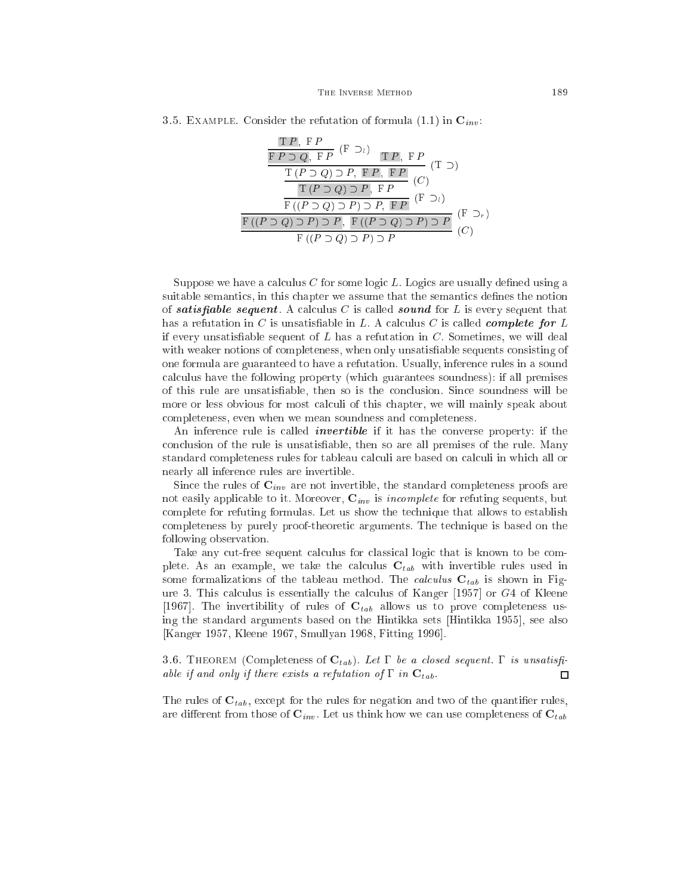| 3.5. EXAMPLE. Consider the refutation of formula (1.1) in $\mathbf{C}_{inv}$ . |  |  |  |  |  |  |
|--------------------------------------------------------------------------------|--|--|--|--|--|--|
|--------------------------------------------------------------------------------|--|--|--|--|--|--|

$$
\frac{\Gamma P, F P}{\Gamma P \supset Q, F P} (\Gamma \supset_{l}) \frac{\Gamma P, F P}{\Gamma P, F P} (\Gamma \supset)
$$
\n
$$
\frac{\Gamma(P \supset Q) \supset P, F P, F P}{\Gamma(P \supset Q) \supset P, F P} (\Gamma)
$$
\n
$$
\frac{\Gamma(P \supset Q) \supset P, F P}{\Gamma((P \supset Q) \supset P) \supset P, F (P \supset_{l})} (\Gamma \supset_{r})
$$
\n
$$
\frac{\Gamma((P \supset Q) \supset P) \supset P}{\Gamma((P \supset Q) \supset P) \supset P} (\Gamma \supset_{r})
$$

Suppose we have a calculus C for some logic L. Logics are usually defined using a suitable semantics, in this chapter we assume that the semantics defines the notion of satisfiable sequent. A calculus C is called sound for L is every sequent that has a refutation in C is unsatisfiable in L. A calculus C is called *complete for* L if every unsatisfiable sequent of  $L$  has a refutation in  $C$ . Sometimes, we will deal with weaker notions of completeness, when only unsatisfiable sequents consisting of one formula are guaranteed to have a refutation. Usually, inferen
e rules in a sound al
ulus have the following property (whi
h guarantees soundness): if all premises of this rule are unsatisable, then so is the on
lusion. Sin
e soundness will be more or less obvious for most calculi of this chapter, we will mainly speak about ompleteness, even when we mean soundness and ompleteness.

An inference rule is called *invertible* if it has the converse property: if the on
lusion of the rule is unsatisable, then so are all premises of the rule. Many standard completeness rules for tableau calculi are based on calculi in which all or nearly all inferen
e rules are invertible.

Since the rules of  $\mathbf{C}_{inv}$  are not invertible, the standard completeness proofs are not easily applicable to it. Moreover,  $C_{inv}$  is *incomplete* for refuting sequents, but omplete for refuting formulas. Let us show the te
hnique that allows to establish ompleteness by purely proof-theoreti arguments. The te
hnique is based on the following observation.

Take any cut-free sequent calculus for classical logic that is known to be complete. As an example, we take the calculus  $C_{tab}$  with invertible rules used in some formalizations of the tableau method. The *calculus*  $C_{tab}$  is shown in Figure 3. This calculus is essentially the calculus of Kanger  $[1957]$  or  $G4$  of Kleene [1967]. The invertibility of rules of  $C_{tab}$  allows us to prove completeness using the standard arguments based on the Hintikka sets [Hintikka 1955], see also [Kanger 1957, Kleene 1967, Smullyan 1968, Fitting 1996].

3.6. THEOREM (Completeness of  $C_{tab}$ ). Let  $\Gamma$  be a closed sequent.  $\Gamma$  is unsatisfiable if and only if there exists a refutation of  $\Gamma$  in  $\mathbf{C}_{tab}$ .  $\Box$ 

The rules of  $C_{tab}$ , except for the rules for negation and two of the quantifier rules, are different from those of  $\mathbf{C}_{inv}$ . Let us think how we can use completeness of  $\mathbf{C}_{tab}$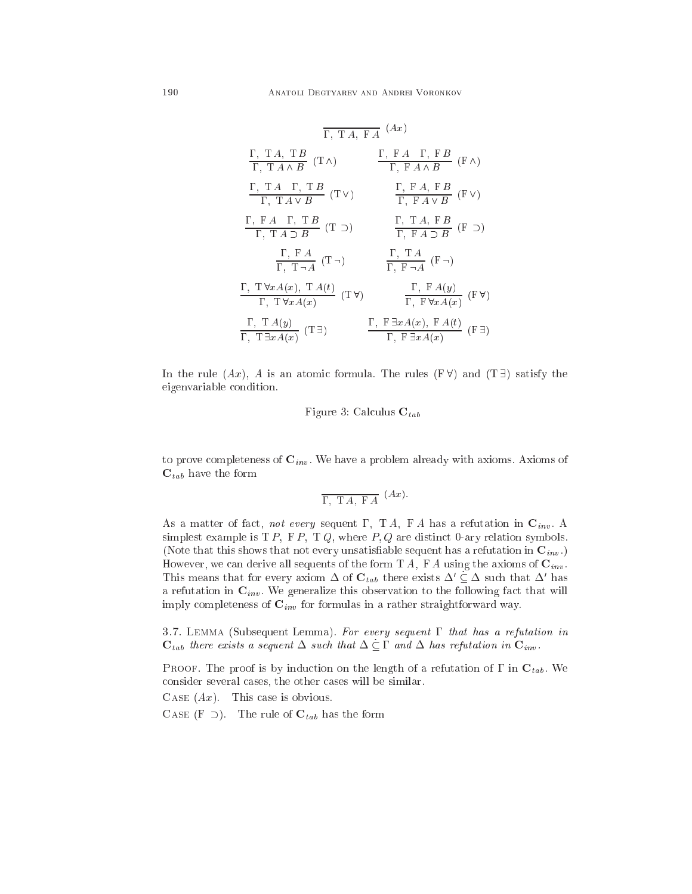$$
\frac{\Gamma, TA, FA}(Ax)
$$
\n
$$
\frac{\Gamma, TA, TB}{\Gamma, TA \land B} (T \land ) \qquad \frac{\Gamma, FA \Gamma, FB}{\Gamma, FA \land B} (F \land )
$$
\n
$$
\frac{\Gamma, TA \Gamma, TB}{\Gamma, TA \lor B} (T \lor ) \qquad \frac{\Gamma, FA, FB}{\Gamma, FA \lor B} (F \lor )
$$
\n
$$
\frac{\Gamma, FA \Gamma, TB}{\Gamma, TA \lor B} (T \lor ) \qquad \frac{\Gamma, TA, FB}{\Gamma, FA \lor B} (F \lor )
$$
\n
$$
\frac{\Gamma, FA \Gamma}{\Gamma, TA \supseteq B} (T \supseteq ) \qquad \frac{\Gamma, TA, FB}{\Gamma, FA \supseteq B} (F \supseteq)
$$
\n
$$
\frac{\Gamma, FA}{\Gamma, T \land A} (T \neg ) \qquad \frac{\Gamma, TA}{\Gamma, FA \land B} (F \neg )
$$
\n
$$
\frac{\Gamma, TA(y)}{\Gamma, T \lor xA(x)} (T \lor ) \qquad \frac{\Gamma, FA(y)}{\Gamma, F \lor xA(x)} (F \lor )
$$
\n
$$
\frac{\Gamma, TA(y)}{\Gamma, T \exists xA(x)} (T \exists ) \qquad \frac{\Gamma, FA(x), FA(t)}{\Gamma, FA(x)} (F \exists )
$$

In the rule  $(Ax)$ , A is an atomic formula. The rules  $(F \forall)$  and  $(T \exists)$  satisfy the eigenvariable ondition.

## Figure 3: Calculus  $C_{tab}$

to prove completeness of  $\mathbf{C}_{inv}$ . We have a problem already with axioms. Axioms of  $C_{tab}$  have the form

$$
\overline{\Gamma, T A, F A} (Ax).
$$

As a matter of fact, not every sequent  $\Gamma$ , T A, F A has a refutation in  $\mathbf{C}_{inv}$ . A simplest example is  $T P$ ,  $F P$ ,  $T Q$ , where  $P$ ,  $Q$  are distinct 0-ary relation symbols. (Note that this shows that not every unsatisfiable sequent has a refutation in  $\mathbf{C}_{inv}$ .) However, we can derive all sequents of the form T A, F A using the axioms of  $\mathbf{C}_{inv}$ . This means that for every axiom  $\Delta$  or  $\mathbf{U}_{tab}$  there exists  $\Delta \subset \Delta$  such that  $\Delta$  has a refutation in  $\mathbf{C}_{inv}$ . We generalize this observation to the following fact that will imply completeness of  $\mathbf{C}_{inv}$  for formulas in a rather straightforward way.

3.7. LEMMA (Subsequent Lemma). For every sequent  $\Gamma$  that has a refutation in  $\mathbf{C}_{tab}$  there exists a sequent  $\Delta$  such that  $\Delta \subseteq \Gamma$  and  $\Delta$  has refutation in  $\mathbf{C}_{inv}$ .

PROOF. The proof is by induction on the length of a refutation of  $\Gamma$  in  $\mathbf{C}_{tab}$ . We consider several cases, the other cases will be similar.

CASE  $(Ax)$ . This case is obvious.

CASE (F  $\supset$ ). The rule of  $C_{tab}$  has the form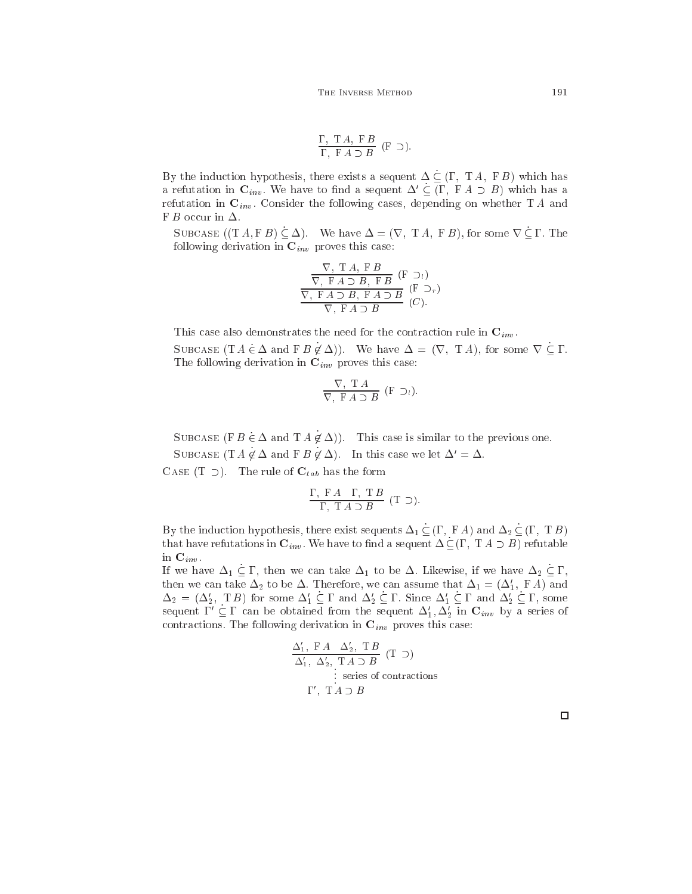$$
\frac{\Gamma, T A, F B}{\Gamma, F A \supset B} (F \supset).
$$

By the induction hypothesis, there exists a sequent  $\Delta \subseteq (\Gamma, T, A, F, B)$  which has a refutation in  $\mathbf{C}_{inv}$ . We have to find a sequent  $\Delta' \subseteq (\Gamma, F A \supset B)$  which has a refutation in  $\mathbf{C}_{inv}$ . Consider the following cases, depending on whether TA and F B occur in  $\Delta$ .

SUBCASE  $((T A, F B) \subseteq \Delta)$ . We have  $\Delta = (\nabla, T A, F B)$ , for some  $\nabla \subseteq \Gamma$ . The following derivation in  $\mathbf{C}_{inv}$  proves this case:

$$
\frac{\nabla, T A, F B}{\nabla, F A \supset B, F B} (F \supset_l)
$$
\n
$$
\frac{\nabla, F A \supset B, F B}{\nabla, F A \supset B} (F \supset_r)
$$
\n
$$
(C).
$$

This case also demonstrates the need for the contraction rule in  $\mathbf{C}_{inv}$ .

SUBCASE  $(T A \in \Delta \text{ and } F B \notin \Delta)$ . We have  $\Delta = (\nabla, T A)$ , for some  $\nabla \subseteq \Gamma$ . The following derivation in  $\mathbf{C}_{inv}$  proves this case:

$$
\frac{\nabla, T A}{\nabla, F A \supset B} (F \supset_l).
$$

SUBCASE (F  $B \in \Delta$  and T  $A \notin \Delta$ ). This case is similar to the previous one.

SUBCASE (T  $A \notin \Delta$  and F  $B \notin \Delta$ ). In this case we let  $\Delta' = \Delta$ .

CASE  $(T \supset)$ . The rule of  $C_{tab}$  has the form

$$
\frac{\Gamma, \ F \ A \quad \Gamma, \ T \ B}{\Gamma, \ T \ A \supset B} \ (T \supset).
$$

By the induction hypothesis, there exist sequents  $\Delta_1 \subseteq (\Gamma, F A)$  and  $\Delta_2 \subseteq (\Gamma, T B)$ that have refutations in  ${\bf C}_{inv.}$  We have to find a sequent  $\Delta \subseteq (\Gamma, \; \mathrm{T}\; A \supset B)$  refutable in  $\mathbf{C}_{inv}$ .

If we have  $\Delta_1 \subseteq \Gamma$ , then we can take  $\Delta_1$  to be  $\Delta$ . Likewise, if we have  $\Delta_2 \subseteq \Gamma$ , then we can take  $\Delta_2$  to be  $\Delta$ . Therefore, we can assume that  $\Delta_1 = (\Delta'_1, F A)$  and  $\Delta_2 = (\Delta'_2, T B)$  for some  $\Delta'_1 \subseteq \Gamma$  and  $\Delta'_2 \subseteq \Gamma$ . Since  $\Delta'_1 \subseteq \Gamma$  and  $\Delta'_2 \subseteq \Gamma$ , some sequent  $1 \subseteq 1$  can be obtained from the sequent  $\Delta_1, \Delta_2$  in  $\mathbf{C}_{inv}$  by a series of contractions. The following derivation in  ${\bf C}_{inv}$  proves this case:

$$
\frac{\Delta'_1, \text{ F } A \quad \Delta'_2, \text{ T } B}{\Delta'_1, \text{ } \Delta'_2, \text{ } \text{T } A \supset B} \text{ (T } \supset)
$$
\n
$$
\vdots \text{ series of contractions}
$$
\n
$$
\Gamma', \text{ } \text{T } A \supset B
$$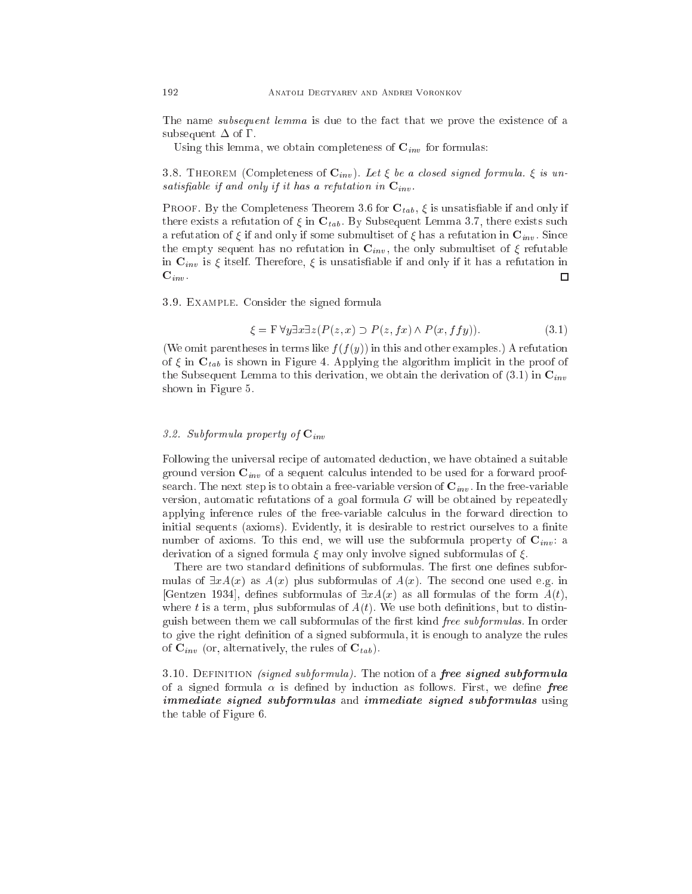The name *subsequent lemma* is due to the fact that we prove the existence of a subsequent  $\Delta$  of  $\Gamma$ .

Using this lemma, we obtain completeness of  $\mathbf{C}_{inv}$  for formulas:

3.8. THEOREM (Completeness of  $\mathbf{C}_{inv}$ ). Let  $\xi$  be a closed signed formula.  $\xi$  is unsatisfiable if and only if it has a refutation in  $\mathbf{C}_{inv}$ .

**PROOF.** By the Completeness Theorem 3.6 for  $\mathbf{C}_{tab}$ ,  $\xi$  is unsatisfiable if and only if there exists a refutation of  $\xi$  in  $\mathbf{C}_{tab}$ . By Subsequent Lemma 3.7, there exists such a refutation of  $\xi$  if and only if some submultiset of  $\xi$  has a refutation in  $\mathbf{C}_{inv}$ . Since the empty sequent has no refutation in  $\mathbf{C}_{inv}$ , the only submultiset of  $\xi$  refutable in  $\mathbf{C}_{inv}$  is  $\xi$  itself. Therefore,  $\xi$  is unsatisfiable if and only if it has a refutation in  ${\bf C}_{inv}$  .  $\Box$ 

3.9. Example. Consider the signed formula

$$
\xi = \mathbf{F} \forall y \exists x \exists z (P(z, x) \supset P(z, fx) \land P(x, ffy)). \tag{3.1}
$$

(We omit parentheses in terms like  $f(f(y))$  in this and other examples.) A refutation of  $\xi$  in  $\mathbf{C}_{tab}$  is shown in Figure 4. Applying the algorithm implicit in the proof of the Subsequent Lemma to this derivation, we obtain the derivation of  $(3.1)$  in  $\mathbf{C}_{inv}$ shown in Figure 5.

## 3.2. Subformula property of  $\mathbf{C}_{inv}$

Following the universal recipe of automated deduction, we have obtained a suitable ground version  $\mathbf{C}_{inv}$  of a sequent calculus intended to be used for a forward proofsearch. The next step is to obtain a free-variable version of  $\mathbf{C}_{inv}$ . In the free-variable version, automatic refutations of a goal formula  $G$  will be obtained by repeatedly applying inference rules of the free-variable calculus in the forward direction to initial sequents (axioms). Evidently, it is desirable to restrict ourselves to a finite number of axioms. To this end, we will use the subformula property of  $C_{inv}$ : a derivation of a signed formula  $\xi$  may only involve signed subformulas of  $\xi$ .

There are two standard definitions of subformulas. The first one defines subformulas of  $\exists x A(x)$  as  $A(x)$  plus subformulas of  $A(x)$ . The second one used e.g. in [Gentzen 1934], defines subformulas of  $\exists x A(x)$  as all formulas of the form  $A(t)$ , where t is a term, plus subformulas of  $A(t)$ . We use both definitions, but to distinguish between them we call subformulas of the first kind free subformulas. In order to give the right definition of a signed subformula, it is enough to analyze the rules of  $\mathbf{C}_{inv}$  (or, alternatively, the rules of  $\mathbf{C}_{tab}$ ).

3.10. DEFINITION *(signed subformula)*. The notion of a *free signed subformula* of a signed formula  $\alpha$  is defined by induction as follows. First, we define free immediate signed subformulas and immediate signed subformulas using the table of Figure 6.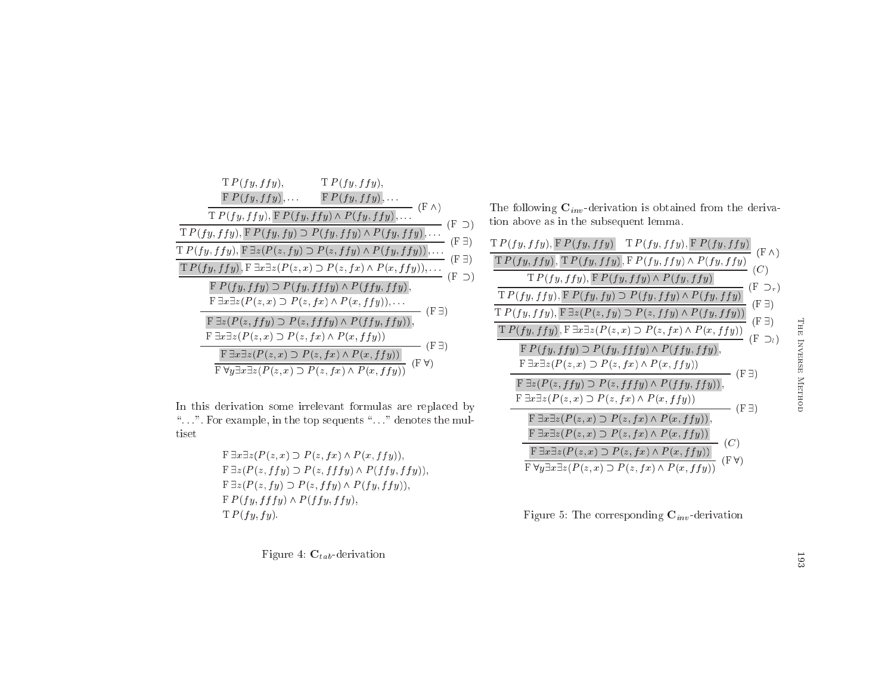| T P(fy, ffy),<br>T P(fy, ffy),                                                                                                                             |
|------------------------------------------------------------------------------------------------------------------------------------------------------------|
| $F P(fy, ffy), \ldots$ $F P(fy, ffy), \ldots$<br>$(F \wedge)$                                                                                              |
| $T P(fy, ffy), F P(fy, ffy) \wedge P(fy, ffy), \ldots$<br>$(F \supset)$                                                                                    |
| T $P(fy, ffy)$ , $\overline{F} P(fy, fy) \supset P(fy, ffy) \wedge P(fy, ffy)$ ,<br>(F <sup>3</sup> )                                                      |
| $T P(fy, ffy), F \exists z (P(z, fy) \supset P(z, ffy) \wedge P(fy, ffy)), \ldots$<br>$(F\exists)$                                                         |
| $T P(fy, ffy), F \exists x \exists z (P(z,x) \supset P(z, fx) \wedge P(x, ffy)), \ldots$<br>$(F \supset)$                                                  |
| $F P(fy, ffy) \supset P(fy, fffy) \wedge P(ffy, ffy),$<br>F $\exists x \exists z (P(z, x) \supset P(z, fx) \wedge P(x, ffy)), \ldots$<br>(F <sup>3</sup> ) |
| $F \exists z (P(z, ffy) \supset P(z, fffy) \wedge P(ffy, ffy)),$                                                                                           |
| $F \exists x \exists z (P(z, x) \supset P(z, fx) \wedge P(x, ffy))$<br>(F <sup>3</sup> )                                                                   |
| $F \exists x \exists z (P(z,x) \supset P(z,fx) \wedge P(x,ffy))$<br>(FV)                                                                                   |
| $\overline{\mathrm{F}\,\forall y\exists x}\exists z(P(z,x)\supset P(z,fx)\wedge P(x,ffy))$                                                                 |

In this derivation some irrelevant formulas are repla
ed by" $\ldots$ ". For example, in the top sequents " $\ldots$ " denotes the multiset

> $\mathrm{F}\ \exists x \exists z (P(z,x) \supset P(z,fx) \wedge P(x,ffy)),$  $\mathrm{F}\, \exists z (P(z, f f y) \supset P(z, f f f y) \wedge P(f f y, f f y)),$  $\mathrm{F}\, \exists z (P(z,fy) \supset P(z,ffy) \wedge P(fy,ffy)),$  $\textbf{F} \ P(f \ y, f f f y) \land P(f f y, f f y),$  $T P(f y, fy)$ .

> > Figure 4:  $\mathbf{C}_{\textit{tab}}$ -derivation

The following  $\mathbf{C}_{inv}$ -derivation is obtained from the derivation abo ve as in the subsequent lemma.

Figure 5: The corresponding  $\mathbf{C}_{inv}\text{-}\text{derivation}$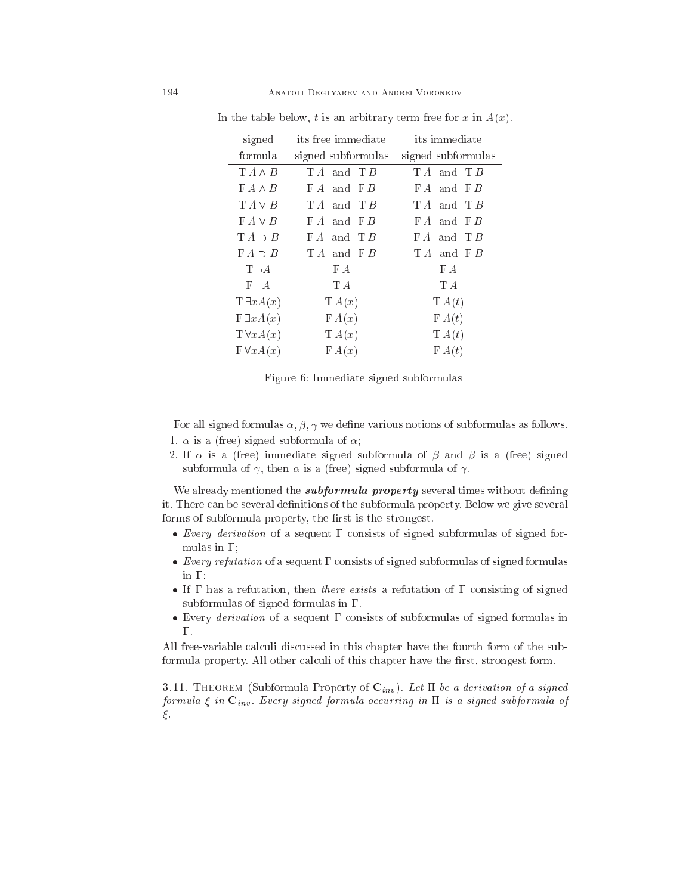| signed             | its free immediate | its immediate      |
|--------------------|--------------------|--------------------|
| formula            | signed subformulas | signed subformulas |
| $T A \wedge B$     | $TA$ and $TB$      | $TA$ and $TB$      |
| $FA \wedge B$      | $FA$ and $FB$      | FA and FB          |
| $TA \vee B$        | $TA$ and $TB$      | $TA$ and $TB$      |
| $FA \vee B$        | $FA$ and $FB$      | $FA$ and $FB$      |
| $TA \supset B$     | $FA$ and $TB$      | and $T B$<br>FA    |
| $FA \supset B$     | TA and FB          | $TA$ and $FB$      |
| $T \neg A$         | FA                 | FA                 |
| $F\neg A$          | T A                | ТA                 |
| $T \exists x A(x)$ | T A(x)             | T A(t)             |
| $F \exists x A(x)$ | FA(x)              | FA(t)              |
| $T \forall x A(x)$ | T A(x)             | T A(t)             |
| $F \forall x A(x)$ | FA(x)              | FA(t)              |

In the table below, t is an arbitrary term free for x in  $A(x)$ .

Figure 6: Immediate signed subformulas

For all signed formulas  $\alpha, \beta, \gamma$  we define various notions of subformulas as follows. 1.  $\alpha$  is a (free) signed subformula of  $\alpha$ ;

2. If  $\alpha$  is a (free) immediate signed subformula of  $\beta$  and  $\beta$  is a (free) signed subformula of  $\gamma$ , then  $\alpha$  is a (free) signed subformula of  $\gamma$ .

We already mentioned the *subformula property* several times without defining it. There can be several definitions of the subformula property. Below we give several forms of subformula property, the first is the strongest.

- Every derivation of a sequent onsists of signed subformulas of signed formulas in  $\Gamma$ ;
- $\mathcal{O}$  sequent of a sequent of signed formulas of signed formulas of signed formulas of signed formulas of signed formulas of  $\mathcal{O}$ in  $\Gamma$ ;
- If has a refutation, then there exists a refutation of onsisting of signed subformulas of signed formulas in  $\Gamma$ .
- Every derivation of a sequent onsists of subformulas of signed formulas in Γ.

All free-variable calculi discussed in this chapter have the fourth form of the subformula property. All other calculi of this chapter have the first, strongest form.

3.11. THEOREM (Subformula Property of  $\mathbf{C}_{inv}$ ). Let  $\Pi$  be a derivation of a signed formula  $\xi$  in  $\mathbf{C}_{inv}$ . Every signed formula occurring in  $\Pi$  is a signed subformula of  $\xi$ .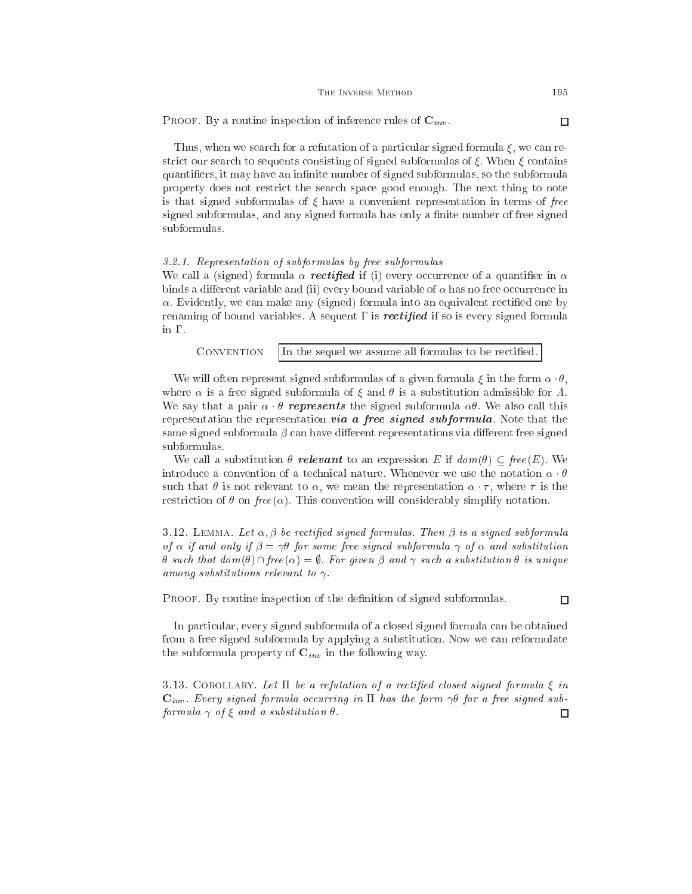| THE INVERSE METHOD |  |
|--------------------|--|
|--------------------|--|

PROOF. By a routine inspection of inference rules of  $\mathbf{C}_{inv}$ . □

Thus, when we search for a refutation of a particular signed formula  $\xi$ , we can restrict our search to sequents consisting of signed subformulas of  $\xi$ . When  $\xi$  contains quantifiers, it may have an infinite number of signed subformulas, so the subformula property does not restri
t the sear
h spa
e good enough. The next thing to note is that signed subformulas of  $\xi$  have a convenient representation in terms of free signed subformulas, and any signed formula has only a finite number of free signed subformulas.

## 3.2.1. Representation of subformulas by free subformulas

We call a (signed) formula  $\alpha$  rectified if (i) every occurrence of a quantifier in  $\alpha$ binds a different variable and (ii) every bound variable of  $\alpha$  has no free occurrence in  $\alpha$ . Evidently, we can make any (signed) formula into an equivalent rectified one by renaming of bound variables. A sequent  $\Gamma$  is *rectified* if so is every signed formula in  $\Gamma$ .

| CONVENTION $\parallel$ In the sequel we assume all formulas to be rectified. |
|------------------------------------------------------------------------------|
|------------------------------------------------------------------------------|

We will often represent signed subformulas of a given formula  $\xi$  in the form  $\alpha \cdot \theta$ , where  $\alpha$  is a free signed subformula of  $\xi$  and  $\theta$  is a substitution admissible for A. We say that a pair  $\alpha \cdot \theta$  represents the signed subformula  $\alpha \theta$ . We also call this representation the representation via a free signed subformula. Note that the same signed subformula  $\beta$  can have different representations via different free signed subformulas.

We call a substitution  $\theta$  relevant to an expression E if  $dom(\theta) \subseteq free(E)$ . We introduce a convention of a technical nature. Whenever we use the notation  $\alpha \cdot \theta$ such that  $\theta$  is not relevant to  $\alpha$ , we mean the representation  $\alpha \cdot \tau$ , where  $\tau$  is the restriction of  $\theta$  on free( $\alpha$ ). This convention will considerably simplify notation.

3.12. LEMMA. Let  $\alpha, \beta$  be rectified signed formulas. Then  $\beta$  is a signed subformula of  $\alpha$  if and only if  $\beta = \gamma \theta$  for some free signed subformula  $\gamma$  of  $\alpha$  and substitution  $\theta$  such that  $dom(\theta) \cap free(\alpha) = \emptyset$ . For given  $\beta$  and  $\gamma$  such a substitution  $\theta$  is unique among substitutions relevant to  $\gamma$ .

PROOF. By routine inspection of the definition of signed subformulas.

In particular, every signed subformula of a closed signed formula can be obtained from a free signed subformula by applying a substitution. Now we an reformulate the subformula property of  $\mathbf{C}_{inv}$  in the following way.

3.13. COROLLARY. Let  $\Pi$  be a refutation of a rectified closed signed formula  $\xi$  in  $\mathbf{C}_{inv}$ . Every signed formula occurring in  $\Pi$  has the form  $\gamma\theta$  for a free signed subformula  $\gamma$  of  $\xi$  and a substitution  $\theta$ .  $\Box$ 

 $\Box$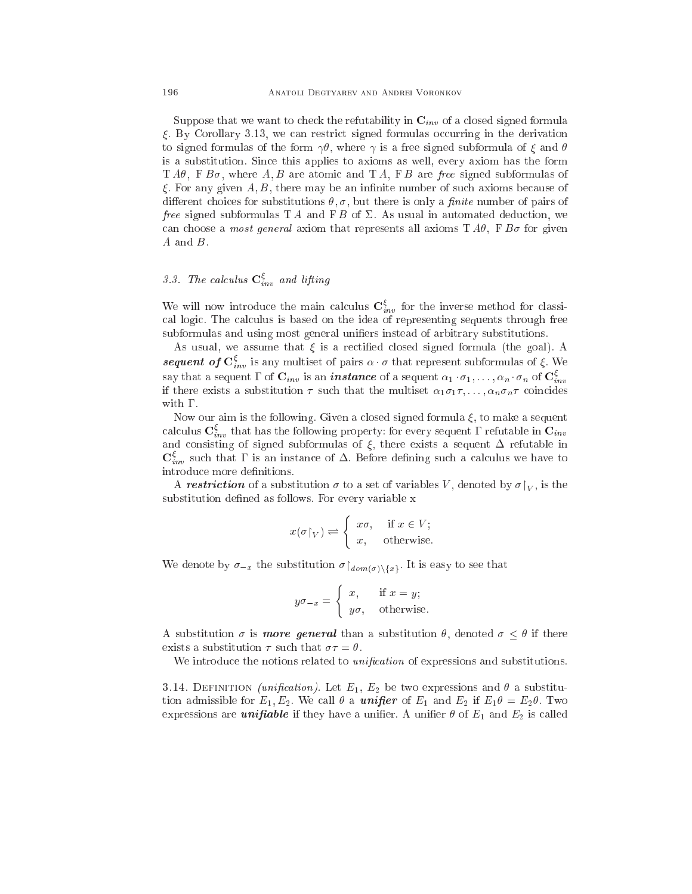Suppose that we want to check the refutability in  $\mathbf{C}_{inv}$  of a closed signed formula  $\xi$ . By Corollary 3.13, we can restrict signed formulas occurring in the derivation to signed formulas of the form  $\gamma\theta$ , where  $\gamma$  is a free signed subformula of  $\xi$  and  $\theta$ is a substitution. Sin
e this applies to axioms as well, every axiom has the form  $T A\theta$ ,  $F B\sigma$ , where A, B are atomic and T A, F B are free signed subformulas of  $\xi$ . For any given A, B, there may be an infinite number of such axioms because of different choices for substitutions  $\theta$ ,  $\sigma$ , but there is only a *finite* number of pairs of free signed subformulas T A and F B of  $\Sigma$ . As usual in automated deduction, we can choose a *most general* axiom that represents all axioms  $T A\theta$ ,  $F B\sigma$  for given A and B.

# 3.3. The calculus  $\mathbf{C}_{inv}^{\xi}$  and lifting

We will now introduce the main calculus  $\mathbf{C}^{\xi}_{inv}$  for the inverse method for classical logic. The calculus is based on the idea of representing sequents through free subformulas and using most general unifiers instead of arbitrary substitutions.

As usual, we assume that  $\xi$  is a rectified closed signed formula (the goal). A sequent of  $\mathbf{C}^{\xi}_{inv}$  is any multiset of pairs  $\alpha \cdot \sigma$  that represent subformulas of  $\xi$ . We say that a sequent  $\Gamma$  of  $\mathbf{C}_{inv}$  is an *instance* of a sequent  $\alpha_1 \cdot \sigma_1, \ldots, \alpha_n \cdot \sigma_n$  of  $\mathbf{C}_{inv}^{\xi}$ if there exists a substitution  $\tau$  such that the multiset  $\alpha_1 \sigma_1 \tau, \ldots, \alpha_n \sigma_n \tau$  coincides with  $\Gamma$ .

Now our aim is the following. Given a closed signed formula  $\xi$ , to make a sequent calculus  $\mathbf{C}^\xi_{inv}$  that has the following property: for every sequent  $\Gamma$  refutable in  $\mathbf{C}_{inv}$ and consisting of signed subformulas of  $\xi$ , there exists a sequent  $\Delta$  refutable in  $\mathbf{C}^{\xi}_{inv}$  such that  $\Gamma$  is an instance of  $\Delta$ . Before defining such a calculus we have to introduce more definitions.

A restriction of a substitution  $\sigma$  to a set of variables V, denoted by  $\sigma|_V$ , is the substitution defined as follows. For every variable x

$$
x(\sigma \upharpoonright_V) \rightleftharpoons \begin{cases} x\sigma, & \text{if } x \in V; \\ x, & \text{otherwise.} \end{cases}
$$

We denote by  $\sigma_{-x}$  the substitution  $\sigma|_{dom(\sigma)\setminus\{x\}}$ . It is easy to see that

$$
y\sigma_{-x} = \begin{cases} x, & \text{if } x = y; \\ y\sigma, & \text{otherwise.} \end{cases}
$$

A substitution  $\sigma$  is more general than a substitution  $\theta$ , denoted  $\sigma \leq \theta$  if there exists a substitution  $\tau$  such that  $\sigma \tau = \theta$ .

We introduce the notions related to *unification* of expressions and substitutions.

3.14. DEFINITION (unification). Let  $E_1, E_2$  be two expressions and  $\theta$  a substitution admissible for  $E_1, E_2$ . We call  $\theta$  a **unifier** of  $E_1$  and  $E_2$  if  $E_1 \theta = E_2 \theta$ . Two expressions are *unifiable* if they have a unifier. A unifier  $\theta$  of  $E_1$  and  $E_2$  is called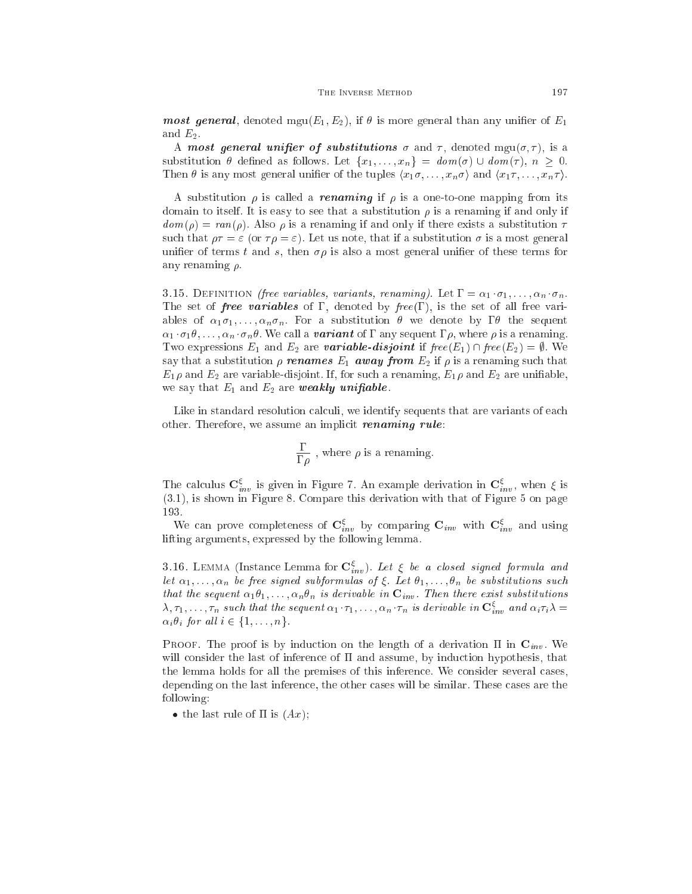**most general**, denoted mgu $(E_1, E_2)$ , if  $\theta$  is more general than any unifier of  $E_1$ and  $E_2$ .

A most general unifier of substitutions  $\sigma$  and  $\tau$ , denoted mgu $(\sigma, \tau)$ , is a substitution  $\theta$  defined as follows. Let  $\{x_1, \ldots, x_n\} = \text{dom}(\sigma) \cup \text{dom}(\tau), n \geq 0.$ Then  $\theta$  is any most general unifier of the tuples  $\langle x_1\sigma, \ldots, x_n\sigma \rangle$  and  $\langle x_1\tau, \ldots, x_n\tau \rangle$ .

A substitution  $\rho$  is called a *renaming* if  $\rho$  is a one-to-one mapping from its domain to itself. It is easy to see that a substitution  $\rho$  is a renaming if and only if  $dom(\rho) = ran(\rho)$ . Also  $\rho$  is a renaming if and only if there exists a substitution  $\tau$ such that  $\rho \tau = \varepsilon$  (or  $\tau \rho = \varepsilon$ ). Let us note, that if a substitution  $\sigma$  is a most general unifier of terms t and s, then  $\sigma \rho$  is also a most general unifier of these terms for any renaming  $\rho$ .

3.15. DEFINITION *(free variables, variants, renaming)*. Let  $\Gamma = \alpha_1 \cdot \sigma_1, \ldots, \alpha_n \cdot \sigma_n$ . The set of *free variables* of  $\Gamma$ , denoted by *free*  $(\Gamma)$ , is the set of all free variables of  $\alpha_1\sigma_1,\ldots,\alpha_n\sigma_n$ . For a substitution  $\theta$  we denote by  $\Gamma\theta$  the sequent  $\alpha_1 \cdot \sigma_1 \theta, \ldots, \alpha_n \cdot \sigma_n \theta$ . We call a **variant** of  $\Gamma$  any sequent  $\Gamma \rho$ , where  $\rho$  is a renaming. Two expressions  $E_1$  and  $E_2$  are **variable-disjoint** if  $free(E_1) \cap free(E_2) = \emptyset$ . We say that a substitution  $\rho$  renames  $E_1$  away from  $E_2$  if  $\rho$  is a renaming such that  $E_1 \rho$  and  $E_2$  are variable-disjoint. If, for such a renaming,  $E_1 \rho$  and  $E_2$  are unifiable, we say that  $E_1$  and  $E_2$  are weakly unifiable.

Like in standard resolution calculi, we identify sequents that are variants of each other. Therefore, we assume an implicit *renaming rule*:

$$
\frac{\Gamma}{\Gamma\rho}
$$
 , where  $\rho$  is a renaming.

The calculus  $\mathbf{C}^{\xi}_{inv}$  is given in Figure 7. An example derivation in  $\mathbf{C}^{\xi}_{inv}$ , when  $\xi$  is (3.1), is shown in Figure 8. Compare this derivation with that of Figure 5 on page 193.

We can prove completeness of  $\mathbf{C}_{inv}^{\xi}$  by comparing  $\mathbf{C}_{inv}$  with  $\mathbf{C}_{inv}^{\xi}$  and using lifting arguments, expressed by the following lemma.

3.16. LEMMA (Instance Lemma for  $\mathbf{C}_{inv}^{\xi}$ ). Let  $\xi$  be a closed signed formula and let  $\alpha_1, \ldots, \alpha_n$  be free signed subformulas of  $\xi$ . Let  $\theta_1, \ldots, \theta_n$  be substitutions such that the sequent  $\alpha_1\theta_1,\ldots,\alpha_n\theta_n$  is derivable in  $\mathbf{C}_{inv}$ . Then there exist substitutions  $\lambda, \tau_1, \ldots, \tau_n$  such that the sequent  $\alpha_1 \cdot \tau_1, \ldots, \alpha_n \cdot \tau_n$  is derivable in  $\mathbf{C}_{inv}^\xi$  and  $\alpha_i \tau_i \lambda = \tau$  $\alpha_i \theta_i$  for all  $i \in \{1, \ldots, n\}.$ 

PROOF. The proof is by induction on the length of a derivation  $\Pi$  in  $\mathbf{C}_{inv}$ . We will consider the last of inference of  $\Pi$  and assume, by induction hypothesis, that the lemma holds for all the premises of this inferen
e. We onsider several ases, depending on the last inferen
e, the other ases will be similar. These ases are the following:

• the last rule of  $\Pi$  is  $(Ax)$ ;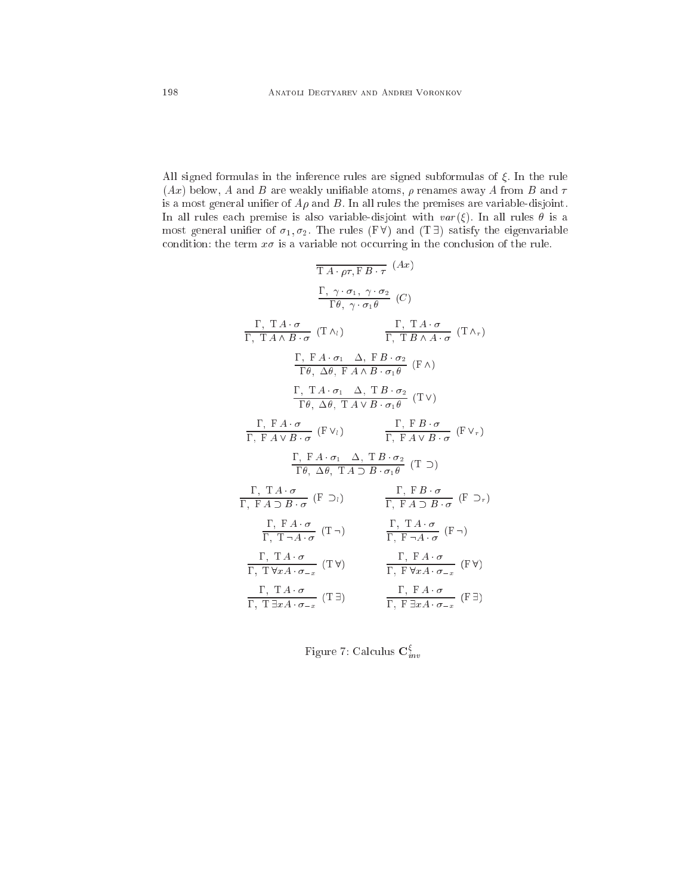All signed formulas in the inference rules are signed subformulas of  $\xi$ . In the rule  $(Ax)$  below, A and B are weakly unifiable atoms,  $\rho$  renames away A from B and  $\tau$ is a most general unifier of  $A\rho$  and  $B$ . In all rules the premises are variable-disjoint. In all rules each premise is also variable-disjoint with  $var(\xi)$ . In all rules  $\theta$  is a most general unifier of  $\sigma_1, \sigma_2$ . The rules (FV) and (T = ) satisfy the eigenvariable condition: the term  $x\sigma$  is a variable not occurring in the conclusion of the rule.

$$
\frac{\Gamma}{\Gamma A \cdot \rho \tau, F B \cdot \tau} (Ax)
$$
\n
$$
\frac{\Gamma, \gamma \cdot \sigma_1, \gamma \cdot \sigma_2}{\Gamma \theta, \gamma \cdot \sigma_1 \theta} (C)
$$
\n
$$
\frac{\Gamma, T A \cdot \sigma}{\Gamma, T A \wedge B \cdot \sigma} (T \wedge_i) \qquad \frac{\Gamma, T A \cdot \sigma}{\Gamma, T B \wedge A \cdot \sigma} (T \wedge_r)
$$
\n
$$
\frac{\Gamma, F A \cdot \sigma_1}{\Gamma \theta, \Delta \theta, F A \wedge B \cdot \sigma_1 \theta} (F \wedge)
$$
\n
$$
\frac{\Gamma, T A \cdot \sigma_1}{\Gamma \theta, \Delta \theta, T A \vee B \cdot \sigma_1 \theta} (T \vee)
$$
\n
$$
\frac{\Gamma, F A \cdot \sigma}{\Gamma, F A \vee B \cdot \sigma} (F \vee_i) \qquad \frac{\Gamma, F B \cdot \sigma}{\Gamma, F A \vee B \cdot \sigma_1 \theta} (T \vee_r)
$$
\n
$$
\frac{\Gamma, F A \cdot \sigma}{\Gamma \theta, \Delta \theta, T A \supset B \cdot \sigma_1 \theta} (T \supset)
$$
\n
$$
\frac{\Gamma, T A \cdot \sigma}{\Gamma \theta, \Delta \theta, T A \supset B \cdot \sigma_1 \theta} (T \supset)
$$
\n
$$
\frac{\Gamma, T A \cdot \sigma}{\Gamma, F A \supset B \cdot \sigma} (F \supset_i) \qquad \frac{\Gamma, F B \cdot \sigma}{\Gamma, F A \supset B \cdot \sigma} (F \supset_r)
$$
\n
$$
\frac{\Gamma, F A \cdot \sigma}{\Gamma, T \neg A \cdot \sigma} (T \neg) \qquad \frac{\Gamma, T A \cdot \sigma}{\Gamma, F \neg A \cdot \sigma} (F \neg)
$$
\n
$$
\frac{\Gamma, T A \cdot \sigma}{\Gamma, T \neg A \cdot \sigma \cdot \sigma_{-x}} (T \neg) \qquad \frac{\Gamma, F A \cdot \sigma}{\Gamma, F \neg A \cdot \sigma \cdot \sigma_{-x}} (F \neg)
$$
\n
$$
\frac{\Gamma, T A \cdot \sigma}{\Gamma, T \exists x A \cdot \sigma_{-x}} (T \exists) \qquad \frac{\Gamma, F A \cdot \sigma}{\Gamma, F \exists x A \cdot \sigma_{-x}} (F \exists)
$$

Figure 7: Calculus  $\mathbf{C}^{\xi}_{inv}$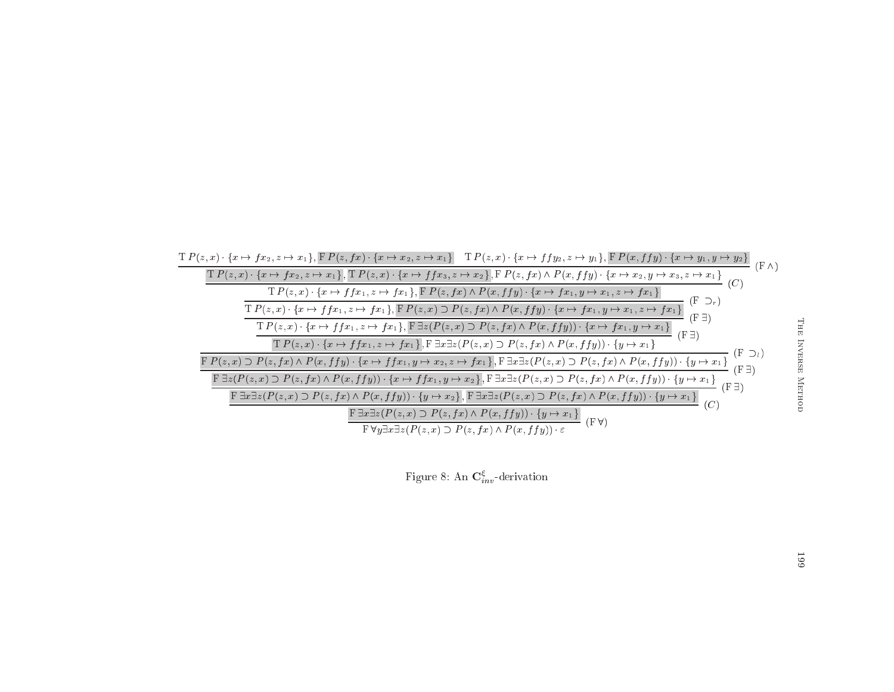

Figure 8: An  $\mathbf{C}^{\xi}_{inv}$ -derivation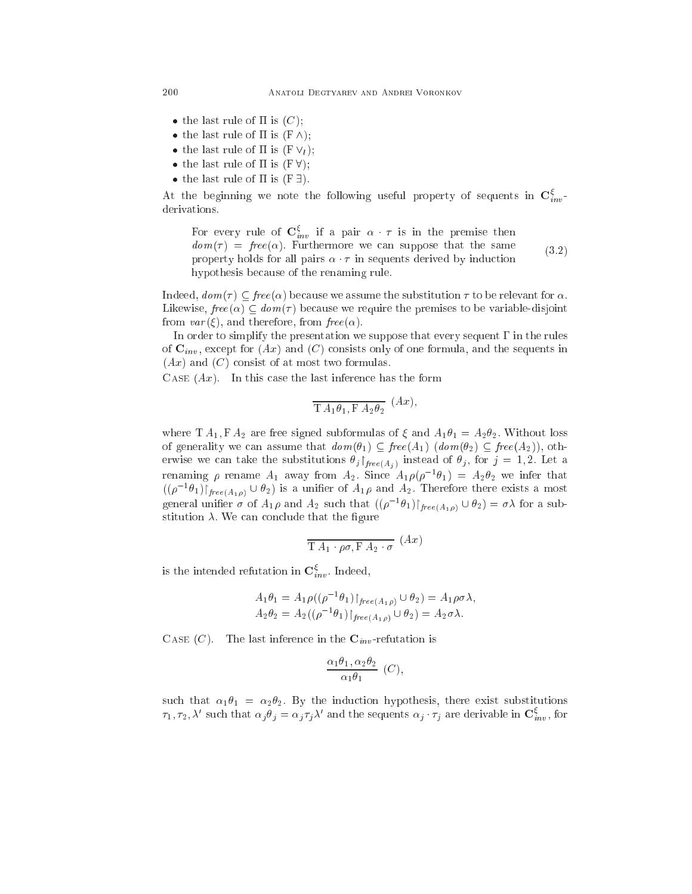- the last rule of  $\Pi$  is  $(C)$ ;
- the last rule of is (F ^);
- $\bullet$  the last rule of  $\pi$  is (F  $\vee$ 1);
- $t = 1$  . The last rule of  $\alpha$  is  $\alpha$  is  $\alpha$  is (Fig. 1);
- the last rule of is (F 9).

At the beginning we note the following useful property of sequents in  $\mathbf{C}_{inv}^{\xi}$ derivations.

For every rule of  $\mathbf{C}_{inv}^{\xi}$  if a pair  $\alpha \cdot \tau$  is in the premise then  $dom(\tau) = free(\alpha)$ . Furthermore we can suppose that the same property holds for all pairs  $\alpha \cdot \tau$  in sequents derived by induction hypothesis be
ause of the renaming rule. (3.2)

Indeed,  $dom(\tau) \subseteq free(\alpha)$  because we assume the substitution  $\tau$  to be relevant for  $\alpha$ . Likewise,  $free(\alpha) \subseteq dom(\tau)$  because we require the premises to be variable-disjoint from  $var(\xi)$ , and therefore, from  $free(\alpha)$ .

In order to simplify the presentation we suppose that every sequent  $\Gamma$  in the rules of  $\mathbf{C}_{inv}$ , except for  $(Ax)$  and  $(C)$  consists only of one formula, and the sequents in  $(Ax)$  and  $(C)$  consist of at most two formulas.

CASE  $(Ax)$ . In this case the last inference has the form

$$
\overline{\mathrm{T} A_1 \theta_1, \mathrm{F} A_2 \theta_2} \ (Ax),
$$

where T  $A_1$ , F  $A_2$  are free signed subformulas of  $\xi$  and  $A_1 \theta_1 = A_2 \theta_2$ . Without loss of generality we can assume that  $dom(\theta_1) \subseteq free(A_1)$   $(dom(\theta_2) \subseteq free(A_2))$ , otherwise we can take the substitutions  $\theta_j|_{free(A_i)}$  instead of  $\theta_j$ , for  $j=1,2$ . Let a renaming  $\rho$  rename  $A_1$  away from  $A_2$ . Since  $A_1\rho(\rho^{-1}\theta_1) = A_2\theta_2$  we infer that  $((\rho^{-1}\theta_1)\upharpoonright_{free(A_1\rho)} \cup \theta_2)$  is a unifier of  $A_1\rho$  and  $A_2$ . Therefore there exists a most general unifier  $\sigma$  of  $A_1\rho$  and  $A_2$  such that  $((\rho^{-1}\theta_1)\upharpoonright_{free(A_1\rho)} \cup \theta_2) = \sigma\lambda$  for a substitution  $\lambda$ . We can conclude that the figure

$$
\overline{\mathrm{T} A_1 \cdot \rho \sigma, \mathrm{F} A_2 \cdot \sigma} \ (Ax)
$$

is the intended refutation in  $\mathbf{C}_{inv}^{\xi}$ . Indeed,

$$
A_1 \theta_1 = A_1 \rho((\rho^{-1} \theta_1) \upharpoonright_{free(A_1 \rho)} \cup \theta_2) = A_1 \rho \sigma \lambda,
$$
  
\n
$$
A_2 \theta_2 = A_2((\rho^{-1} \theta_1) \upharpoonright_{free(A_1 \rho)} \cup \theta_2) = A_2 \sigma \lambda.
$$

CASE  $(C)$ . The last inference in the  $\mathbf{C}_{inv}$ -refutation is

$$
\frac{\alpha_1 \theta_1, \alpha_2 \theta_2}{\alpha_1 \theta_1} (C),
$$

such that  $\alpha_1 \theta_1 = \alpha_2 \theta_2$ . By the induction hypothesis, there exist substitutions  $\tau_1, \tau_2, \lambda'$  such that  $\alpha_j \theta_j = \alpha_j \tau_j \lambda'$  and the sequents  $\alpha_j \cdot \tau_j$  are derivable in  $\mathbf{C}_{inv}^{\xi}$ , for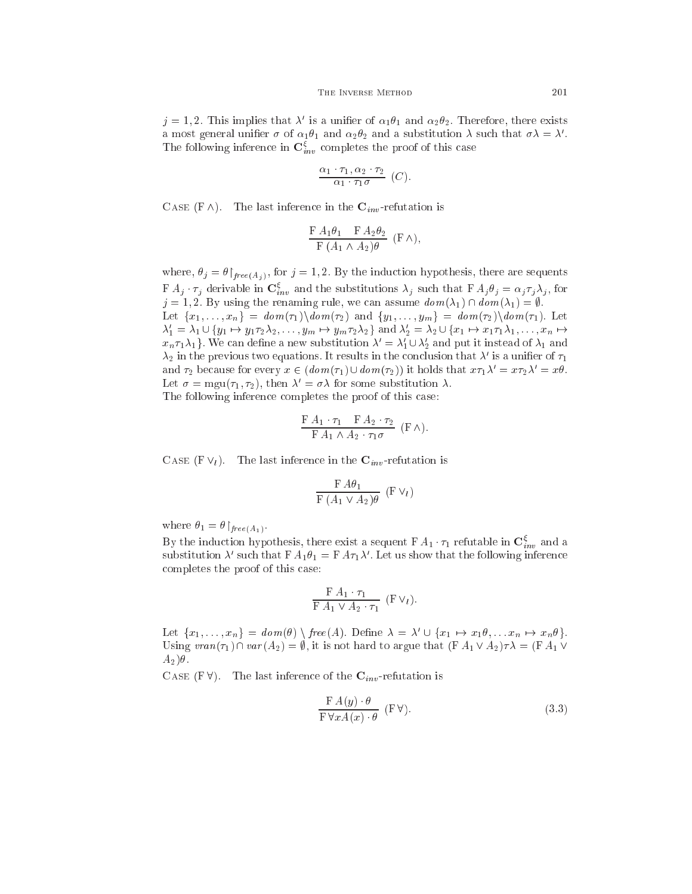$j = 1, 2$ . This implies that  $\lambda'$  is a unifier of  $\alpha_1 \theta_1$  and  $\alpha_2 \theta_2$ . Therefore, there exists a most general unifier  $\sigma$  of  $\alpha_1\theta_1$  and  $\alpha_2\theta_2$  and a substitution  $\lambda$  such that  $\sigma\lambda = \lambda'$ . The following inference in  $\mathbf{C}^{\xi}_{inv}$  completes the proof of this case

$$
\frac{\alpha_1 \cdot \tau_1, \alpha_2 \cdot \tau_2}{\alpha_1 \cdot \tau_1 \sigma} (C).
$$

CASE  $(F \wedge)$ . The last inference in the  $C_{inv}$ -refutation is

$$
\frac{\mathrm{F}\,A_1\theta_1 \quad \mathrm{F}\,A_2\theta_2}{\mathrm{F}\,(A_1 \wedge A_2)\theta} \,(\mathrm{F}\,\wedge),
$$

where,  $\theta_j = \theta|_{free(A_i)}$ , for  $j = 1, 2$ . By the induction hypothesis, there are sequents  $\mathbf{F} A_j \cdot \tau_j$  derivable in  $\mathbf{C}_{inv}^{\xi}$  and the substitutions  $\lambda_j$  such that  $\mathbf{F} A_j \theta_j = \alpha_j \tau_j \lambda_j$ , for  $j = 1, 2$ . By using the renaming rule, we can assume  $dom(\lambda_1) \cap dom(\lambda_1) = \emptyset$ . Let  ${x_1, \ldots, x_n} = dom(\tau_1) \cdot dom(\tau_2)$  and  ${y_1, \ldots, y_m} = dom(\tau_2) \cdot dom(\tau_1)$ . Let  $\lambda'_1 = \lambda_1 \cup \{y_1 \mapsto y_1\tau_2\lambda_2,\ldots,y_m \mapsto y_m\tau_2\lambda_2\}$  and  $\lambda'_2 = \lambda_2 \cup \{x_1 \mapsto x_1\tau_1\lambda_1,\ldots,x_n \mapsto y_m\tau_m\lambda_2\}$  $x_n \tau_1 \lambda_1$ . We can define a new substitution  $\lambda' = \lambda'_1 \cup \lambda'_2$  and put it instead of  $\lambda_1$  and  $\lambda_2$  in the previous two equations. It results in the conclusion that  $\lambda'$  is a unifier of  $\tau_1$ and  $\tau_2$  because for every  $x \in (dom(\tau_1) \cup dom(\tau_2))$  it holds that  $x\tau_1\lambda' = x\tau_2\lambda' = x\theta$ . Let  $\sigma = \text{mgu}(\tau_1, \tau_2)$ , then  $\lambda' = \sigma \lambda$  for some substitution  $\lambda$ . The following inferen
e ompletes the proof of this ase:

$$
\frac{\mathrm{F}\,A_1\cdot\tau_1\quad \mathrm{F}\,A_2\cdot\tau_2}{\mathrm{F}\,A_1\wedge A_2\cdot\tau_1\sigma}\;\;(\mathrm{F}\,\wedge).
$$

CASE (F $V_l$ ). The last inference in the  $C_{inv}$ -refutation is

$$
\frac{\mathrm{F}\,A\theta_1}{\mathrm{F}\,(A_1\vee A_2)\theta}\,(\mathrm{F}\,\vee_{l})
$$

where  $\theta_1 = \theta \upharpoonright_{free(A_1)}$ .

By the induction hypothesis, there exist a sequent  $FA_1 \cdot \tau_1$  refutable in  $\mathbf{C}^{\xi}_{inv}$  and a substitution  $\lambda'$  such that  $FA_1\theta_1 = FA\tau_1\lambda'$ . Let us show that the following inference ompletes the proof of this ase:

$$
\frac{\mathrm{F}\,A_1\cdot\tau_1}{\mathrm{F}\,A_1\vee A_2\cdot\tau_1}\,\,(\mathrm{F}\,\vee_l).
$$

Let  $\{x_1, \ldots, x_n\} = dom(\theta) \setminus free(A)$ . Define  $\lambda = \lambda' \cup \{x_1 \mapsto x_1\theta, \ldots x_n \mapsto x_n\theta\}$ . Using  $\nu ran(\tau_1) \cap var(A_2) = \emptyset$ , it is not hard to argue that  $(FA_1 \vee A_2) \tau \lambda = (FA_1 \vee$  $A_2$  $\theta$ .

CASE (F  $\forall$ ). The last inference of the  $\mathbf{C}_{inv}$ -refutation is

$$
\frac{\mathbf{F}\,A(y)\cdot\theta}{\mathbf{F}\,\forall xA(x)\cdot\theta} \quad (\mathbf{F}\,\forall).
$$
\n(3.3)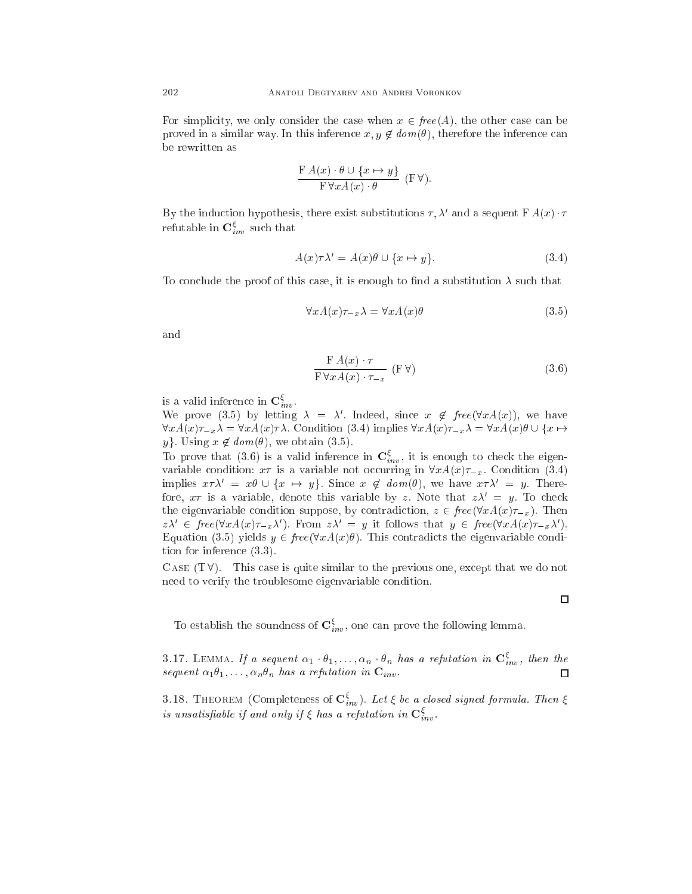For simplicity, we only consider the case when  $x \in free(A)$ , the other case can be proved in a similar way. In this inference  $x, y \notin dom(\theta)$ , therefore the inference can be rewritten as

$$
\frac{\mathrm{F}\,A(x)\cdot\theta\cup\{x\mapsto y\}}{\mathrm{F}\,\forall xA(x)\cdot\theta}\;\;(\mathrm{F}\,\forall).
$$

By the induction hypothesis, there exist substitutions  $\tau, \lambda'$  and a sequent F  $A(x) \cdot \tau$ refutable in  $\mathbf{C}^{\xi}_{inv}$  such that

$$
A(x)\tau\lambda' = A(x)\theta \cup \{x \mapsto y\}.
$$
\n(3.4)

To conclude the proof of this case, it is enough to find a substitution  $\lambda$  such that

$$
\forall x A(x) \tau_{-x} \lambda = \forall x A(x) \theta \tag{3.5}
$$

and

$$
\frac{\mathrm{F}\,A(x)\cdot\tau}{\mathrm{F}\,\forall xA(x)\cdot\tau_{-x}}\,\left(\mathrm{F}\,\forall\right)\tag{3.6}
$$

is a valid inference in  $\mathbf{C}_{inv}^{\xi}$ .

We prove (3.5) by letting  $\lambda = \lambda'$ . Indeed, since  $x \notin free(\forall x A(x))$ , we have  $\forall xA(x)\tau_{-x}\lambda = \forall xA(x)\tau\lambda$ . Condition (3.4) implies  $\forall xA(x)\tau_{-x}\lambda = \forall xA(x)\theta \cup \{x \mapsto \theta\}$ y. Using  $x \notin dom(\theta)$ , we obtain (3.5).

To prove that (3.6) is a valid inference in  $\mathbf{C}_{inv}^{\xi}$ , it is enough to check the eigenvariable condition:  $x\tau$  is a variable not occurring in  $\forall x A(x)\tau_{-x}$ . Condition (3.4) implies  $x \tau \lambda' = x \theta \cup \{x \mapsto y\}$ . Since  $x \notin dom(\theta)$ , we have  $x \tau \lambda' = y$ . Therefore,  $x\tau$  is a variable, denote this variable by z. Note that  $z\lambda' = y$ . To check the eigenvariable condition suppose, by contradiction,  $z \in free(\forall x A(x) \tau_{-x})$ . Then  $z\lambda' \in \text{free}(\forall x A(x)\tau_{-x}\lambda')$ . From  $z\lambda' = y$  it follows that  $y \in \text{free}(\forall x A(x)\tau_{-x}\lambda')$ . Equation (3.5) yields  $y \in free(\forall x A(x)\theta)$ . This contradicts the eigenvariable condition for inferen
e (3.3).

CASE  $(T \forall)$ . This case is quite similar to the previous one, except that we do not need to verify the troublesome eigenvariable ondition.

To establish the soundness of  $\mathbf{C}_{inv}^{\xi}$ , one can prove the following lemma.

3.17. LEMMA. If a sequent  $\alpha_1 \cdot \theta_1, \ldots, \alpha_n \cdot \theta_n$  has a refutation in  $\mathbf{C}^{\xi}_{inv}$ , then the sequent  $\alpha_1\theta_1,\ldots,\alpha_n\theta_n$  has a refutation in  $\mathbf{C}_{inv}$ .  $\Box$ 

3.18. THEOREM (Completeness of  $\mathbf{C}_{inv}^{\xi}$ ). Let  $\xi$  be a closed signed formula. Then  $\xi$ is unsatisfiable if and only if  $\xi$  has a refutation in  $\mathbf{C}^\xi_{inv}$ .

 $\Box$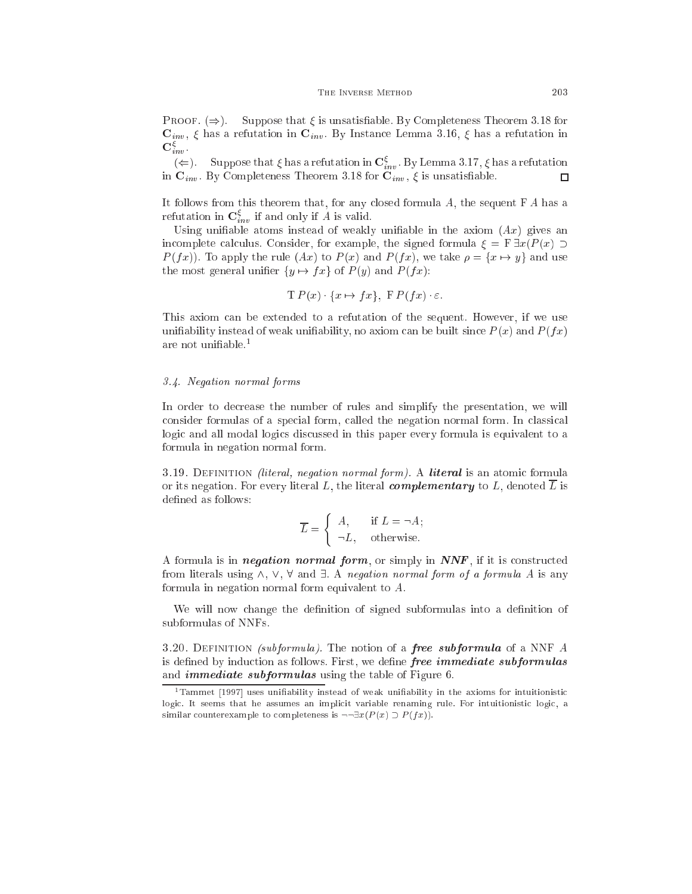**PROOF.**  $(\Rightarrow)$ . Suppose that  $\xi$  is unsatisfiable. By Completeness Theorem 3.18 for  $\mathbf{C}_{inv}$ ,  $\xi$  has a refutation in  $\mathbf{C}_{inv}$ . By Instance Lemma 3.16,  $\xi$  has a refutation in  $\mathbf{C}^\xi_{inv}$  .

( $\Leftarrow$ ). Suppose that  $\xi$  has a refutation in  $\mathbf{C}_{inv}^{\xi}$ . By Lemma 3.17,  $\xi$  has a refutation in  $\mathbf{C}_{inv}$ . By Completeness Theorem 3.18 for  $\mathbf{C}_{inv}$ ,  $\xi$  is unsatisfiable. □

It follows from this theorem that, for any closed formula  $A$ , the sequent  $FA$  has a refutation in  $\mathbf{C}_{inv}^{\xi}$  if and only if A is valid.

Using unifiable atoms instead of weakly unifiable in the axiom  $(Ax)$  gives an incomplete calculus. Consider, for example, the signed formula  $\xi = \mathbb{F} \exists x (P(x) \supset$  $P(f x)$ . To apply the rule  $(Ax)$  to  $P(x)$  and  $P(f x)$ , we take  $\rho = \{x \mapsto y\}$  and use the most general unifier  $\{y \mapsto fx\}$  of  $P(y)$  and  $P(fx)$ :

$$
\mathrm{T} P(x) \quad \{x \mapsto fx\}, \ \mathrm{F} P(fx) \cdot \varepsilon.
$$

This axiom an be extended to a refutation of the sequent. However, if we use unifiability instead of weak unifiability, no axiom can be built since  $P(x)$  and  $P(f(x))$ are not unifiable. $1$ 

#### 3.4. Negation normal forms

In order to decrease the number of rules and simplify the presentation, we will consider formulas of a special form, called the negation normal form. In classical logic and all modal logics discussed in this paper every formula is equivalent to a formula in negation normal form.

3.19. DEFINITION *(literal, negation normal form)*. A *literal* is an atomic formula or its negation. For every literal L, the literal complementary to L, denoted  $\overline{L}$  is defined as follows:

$$
\overline{L} = \begin{cases} A, & \text{if } L = \neg A; \\ \neg L, & \text{otherwise.} \end{cases}
$$

A formula is in *negation normal form*, or simply in  $\textit{NNF}$ , if it is constructed from literals using  $\wedge$ ,  $\vee$ ,  $\forall$  and  $\exists$ . A negation normal form of a formula A is any formula in negation normal form equivalent to A.

We will now change the definition of signed subformulas into a definition of subformulas of NNFs.

3.20. DEFINITION *(subformula)*. The notion of a *free subformula* of a NNF  $\vec{A}$ is defined by induction as follows. First, we define *free immediate subformulas* and immediate subformulas using the table of Figure 6.

 $1$ Tammet [1997] uses unifiability instead of weak unifiability in the axioms for intuitionistic logic. It seems that he assumes an implicit variable renaming rule. For intuitionistic logic, a similar counterexample to completeness is  $\neg \exists x (P(x) \supset P(fx)).$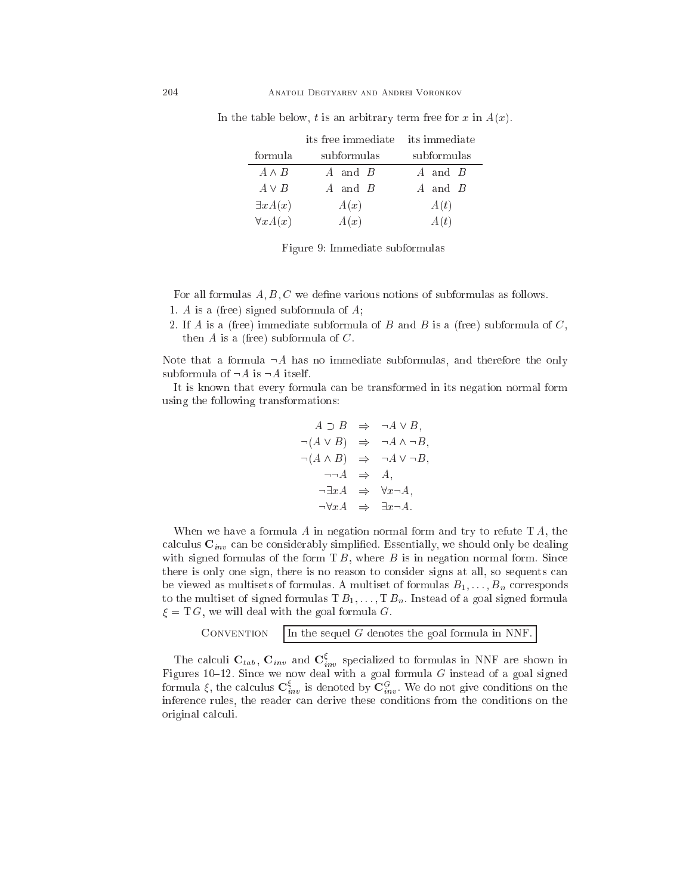|                  | its free immediate | its immediate |  |  |
|------------------|--------------------|---------------|--|--|
| formula          | subformulas        | subformulas   |  |  |
| $A \wedge B$     | A and B            | $A$ and $B$   |  |  |
| $A \vee B$       | A and B            | A and B       |  |  |
| $\exists x A(x)$ | A(x)               | A(t)          |  |  |
| $\forall x A(x)$ | A(x)               | A(t)          |  |  |

In the table below, t is an arbitrary term free for x in  $A(x)$ .

Figure 9: Immediate subformulas

For all formulas  $A, B, C$  we define various notions of subformulas as follows. 1. A is a (free) signed subformula of A;

2. If A is a (free) immediate subformula of B and B is a (free) subformula of  $C$ , then  $A$  is a (free) subformula of  $C$ .

Note that a formula  $\neg A$  has no immediate subformulas, and therefore the only subformula of  $\neg A$  is  $\neg A$  itself.

It is known that every formula an be transformed in its negation normal form using the following transformations:

$$
A \supset B \Rightarrow \neg A \vee B,
$$
  
\n
$$
\neg(A \vee B) \Rightarrow \neg A \wedge \neg B,
$$
  
\n
$$
\neg(A \wedge B) \Rightarrow \neg A \vee \neg B,
$$
  
\n
$$
\neg A \Rightarrow A,
$$
  
\n
$$
\neg \exists xA \Rightarrow \forall x \neg A,
$$
  
\n
$$
\neg \forall xA \Rightarrow \exists x \neg A.
$$

When we have a formula  $A$  in negation normal form and try to refute  $T A$ , the calculus  $\mathbf{C}_{inv}$  can be considerably simplified. Essentially, we should only be dealing with signed formulas of the form  $T B$ , where  $B$  is in negation normal form. Since there is only one sign, there is no reason to consider signs at all, so sequents can be viewed as multisets of formulas. A multiset of formulas  $B_1, \ldots, B_n$  corresponds to the multiset of signed formulas  $T B_1, \ldots, T B_n$ . Instead of a goal signed formula  $\xi = T G$ , we will deal with the goal formula G.

> CONVENTION In the sequel  $G$  denotes the goal formula in NNF.

The calculi  $C_{tab}$ ,  $C_{inv}$  and  $C_{inv}^{\xi}$  specialized to formulas in NNF are shown in Figures 10-12. Since we now deal with a goal formula  $G$  instead of a goal signed formula  $\xi$ , the calculus  $\mathbf{C}^{\xi}_{inv}$  is denoted by  $\mathbf{C}^G_{inv}$ . We do not give conditions on the inference rules, the reader can derive these conditions from the conditions on the original al
uli.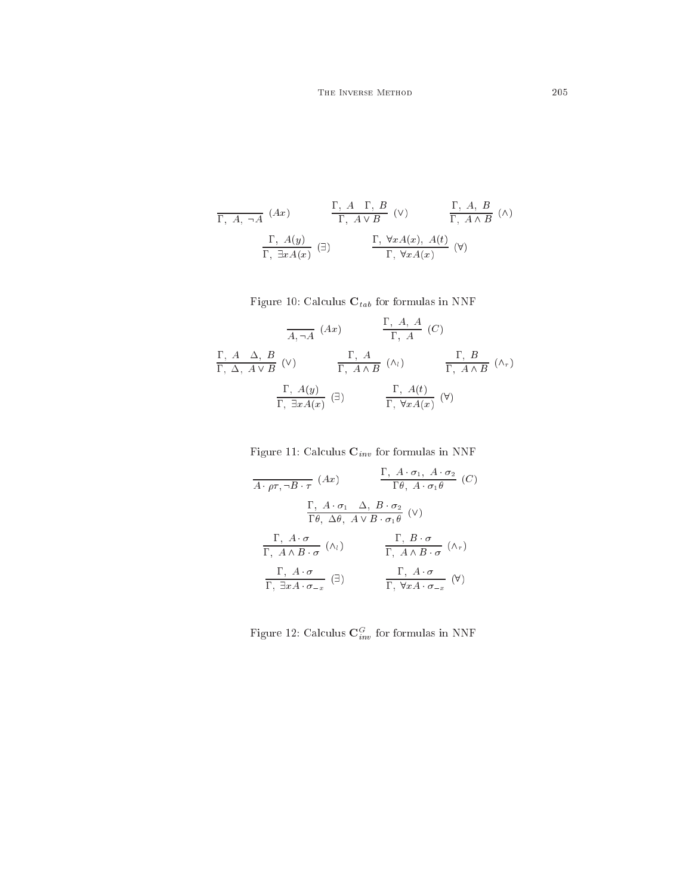$$
\frac{\Gamma, A, \neg A \quad (Ax)}{\Gamma, A \lor B} \quad (\vee) \qquad \frac{\Gamma, A, B}{\Gamma, A \land B} \quad (\wedge)
$$
\n
$$
\frac{\Gamma, A(y)}{\Gamma, \exists x A(x)} \quad (\exists) \qquad \frac{\Gamma, \forall x A(x), A(t)}{\Gamma, \forall x A(x)} \quad (\forall)
$$

Figure 10: Calculus  $\mathbf{C}_{tab}$  for formulas in NNF

$$
\frac{\Gamma, A, A}{\Gamma, A} (Ax) \qquad \frac{\Gamma, A, A}{\Gamma, A} (C)
$$
\n
$$
\frac{\Gamma, A \Delta, B}{\Gamma, \Delta, A \vee B} (V) \qquad \frac{\Gamma, A}{\Gamma, A \wedge B} (\wedge_{l}) \qquad \frac{\Gamma, B}{\Gamma, A \wedge B} (\wedge_{r})
$$
\n
$$
\frac{\Gamma, A(y)}{\Gamma, \exists x A(x)} (\exists) \qquad \frac{\Gamma, A(t)}{\Gamma, \forall x A(x)} (V)
$$

Figure 11: Calculus  $\mathbf{C}_{inv}$  for formulas in NNF

$$
\frac{\Gamma, A \cdot \sigma_1, A \cdot \sigma_2}{\Gamma \theta, A \cdot \sigma_1 \theta} (C)
$$
\n
$$
\frac{\Gamma, A \cdot \sigma_1, A \cdot \sigma_2}{\Gamma \theta, A \cdot \sigma_1 \theta} (C)
$$
\n
$$
\frac{\Gamma, A \cdot \sigma_1, \Delta, B \cdot \sigma_2}{\Gamma \theta, \Delta \theta, A \vee B \cdot \sigma_1 \theta} (V)
$$
\n
$$
\frac{\Gamma, A \cdot \sigma}{\Gamma, A \wedge B \cdot \sigma} (\wedge_i) \qquad \frac{\Gamma, B \cdot \sigma}{\Gamma, A \wedge B \cdot \sigma} (\wedge_r)
$$
\n
$$
\frac{\Gamma, A \cdot \sigma}{\Gamma, \exists x A \cdot \sigma_{-x}} (\exists) \qquad \frac{\Gamma, A \cdot \sigma}{\Gamma, \forall x A \cdot \sigma_{-x}} (V)
$$

Figure 12: Calculus  $\mathbf{C}_{inv}^G$  for formulas in NNF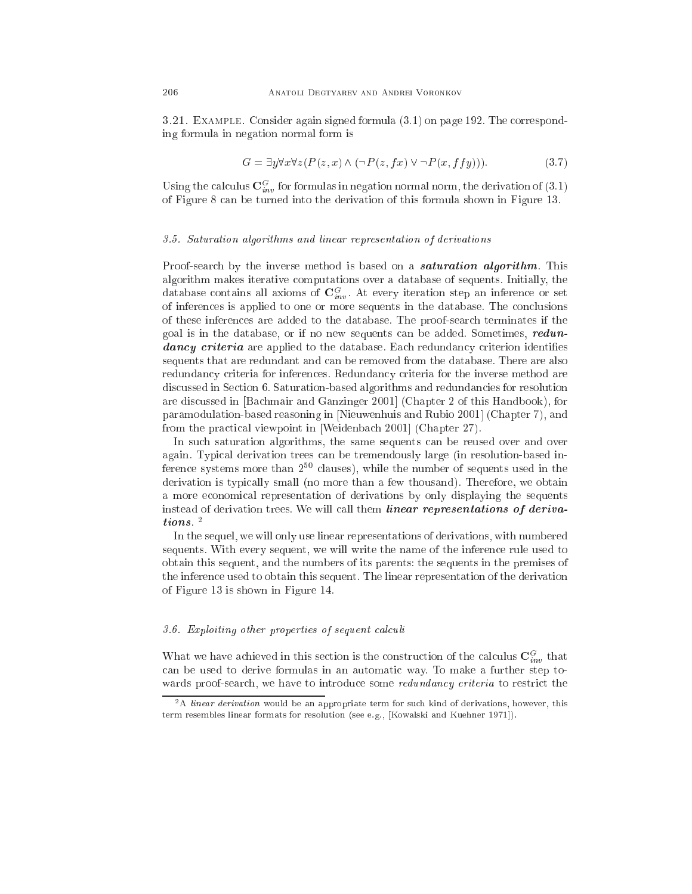3.21. Example. Consider again signed formula (3.1) on page 192. The orresponding formula in negation normal form is

$$
G = \exists y \forall x \forall z (P(z, x) \land (\neg P(z, fx) \lor \neg P(x, ffy))). \tag{3.7}
$$

Using the calculus  $\mathbf{C}^G_{inv}$  for formulas in negation normal norm, the derivation of (3.1) of Figure 8 an be turned into the derivation of this formula shown in Figure 13.

#### 3.5. Saturation algorithms and linear representation of derivations

Proof-search by the inverse method is based on a **saturation algorithm**. This algorithm makes iterative omputations over a database of sequents. Initially, the database contains all axioms of  $\mathbf{C}_{inv}^G$ . At every iteration step an inference or set of inferen
es is applied to one or more sequents in the database. The on
lusions of these inferen
es are added to the database. The proof-sear
h terminates if the goal is in the database, or if no new sequents an be added. Sometimes, redundancy criteria are applied to the database. Each redundancy criterion identifies sequents that are redundant and an be removed from the database. There are also redundancy criteria for inferences. Redundancy criteria for the inverse method are dis
ussed in Se
tion 6. Saturation-based algorithms and redundan
ies for resolution are discussed in [Bachmair and Ganzinger 2001] (Chapter 2 of this Handbook), for paramodulation-based reasoning in [Nieuwenhuis and Rubio 2001] (Chapter 7), and from the practical viewpoint in [Weidenbach 2001] (Chapter 27).

In such saturation algorithms, the same sequents can be reused over and over again. Typi
al derivation trees an be tremendously large (in resolution-based inference systems more than  $2^{50}$  clauses), while the number of sequents used in the derivation is typically small (no more than a few thousand). Therefore, we obtain a more e
onomi
al representation of derivations by only displaying the sequents instead of derivation trees. We will call them *linear representations of deriva*tions . <sup>2</sup>

In the sequel, we will only use linear representations of derivations, with numbered sequents. With every sequent, we will write the name of the inferen
e rule used to obtain this sequent, and the numbers of its parents: the sequents in the premises of the inferen
e used to obtain this sequent. The linear representation of the derivation of Figure 13 is shown in Figure 14.

## 3.6. Exploiting other properties of sequent calculi

What we have achieved in this section is the construction of the calculus  $\mathbf{C}_{inv}^G$  that can be used to derive formulas in an automatic way. To make a further step towards proof-search, we have to introduce some *redundancy criteria* to restrict the

 $2A$  linear derivation would be an appropriate term for such kind of derivations, however, this term resembles linear formats for resolution (see e.g., [Kowalski and Kuehner 1971]).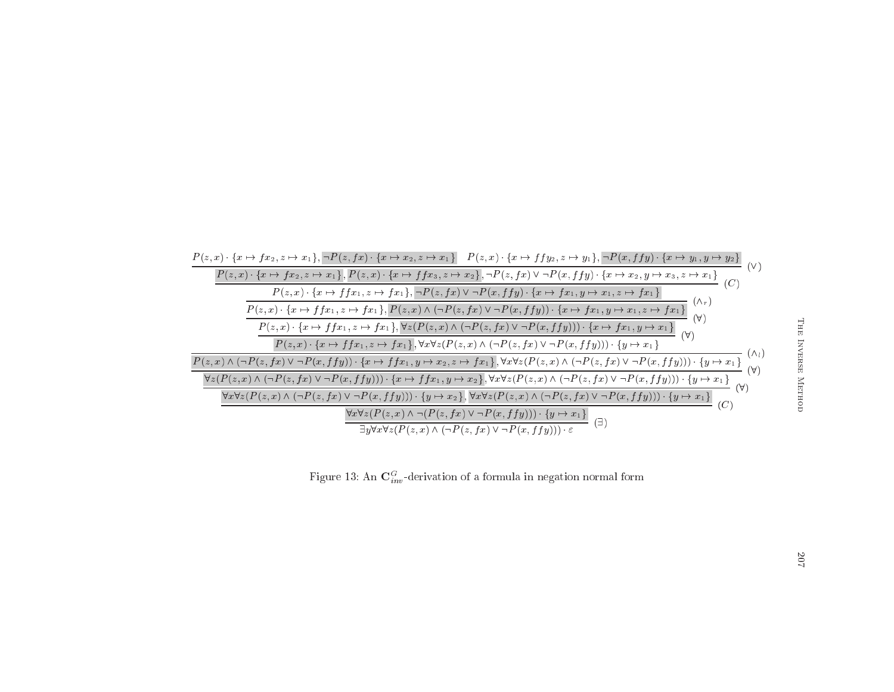

Figure 13: An  $\mathbf{C}^G_{inv}$ -derivation of a formula in negation normal form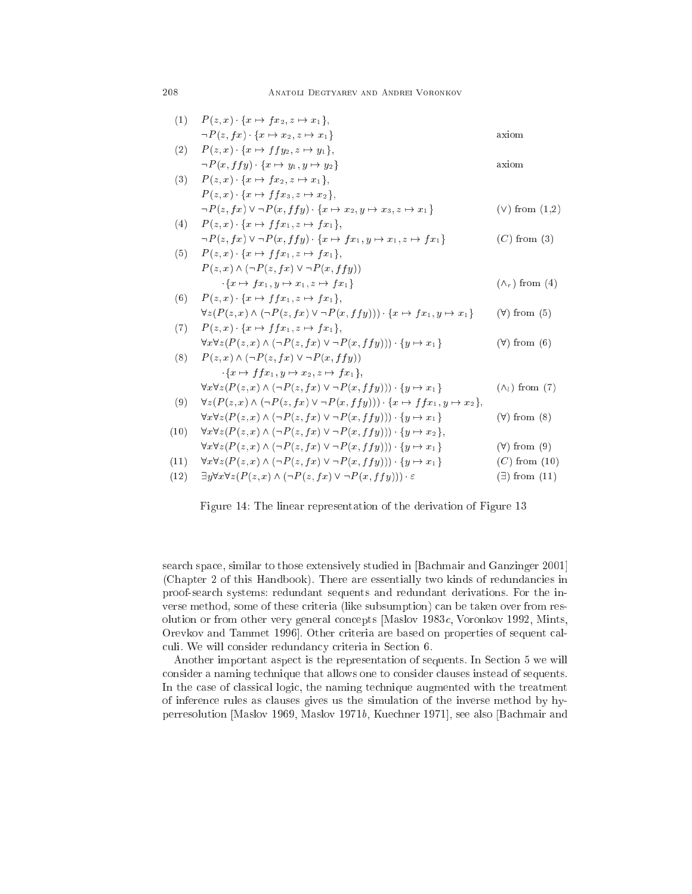| (1)  | $P(z, x) \cdot \{x \mapsto fx_2, z \mapsto x_1\},\$                                                        |                         |
|------|------------------------------------------------------------------------------------------------------------|-------------------------|
|      | $\neg P(z, fx) \cdot \{x \mapsto x_2, z \mapsto x_1\}$                                                     | axiom                   |
| (2)  | $P(z, x)$ $\{x \mapsto f\,f\,y_2, z \mapsto y_1\},\$                                                       |                         |
|      | $\neg P(x, f f y) \cdot \{x \mapsto y_1, y \mapsto y_2\}$                                                  | axiom                   |
| (3)  | $P(z, x)$ $\{x \mapsto fx_2, z \mapsto x_1\},\$                                                            |                         |
|      | $P(z, x) \cdot \{x \mapsto f f x_3, z \mapsto x_2\},\$                                                     |                         |
|      | $\neg P(z, fx) \vee \neg P(x, ffy) \cdot \{x \mapsto x_2, y \mapsto x_3, z \mapsto x_1\}$                  | $(V)$ from $(1,2)$      |
| (4)  | $P(z, x) \cdot \{x \mapsto f f x_1, z \mapsto f x_1\},\$                                                   |                         |
|      | $\neg P(z, fx) \vee \neg P(x, ffy) \cdot \{x \mapsto fx_1, y \mapsto x_1, z \mapsto fx_1\}$                | $(C)$ from $(3)$        |
| (5)  | $P(z, x) \cdot \{x \mapsto f f x_1, z \mapsto f x_1\},\$                                                   |                         |
|      | $P(z, x) \wedge (\neg P(z, fx) \vee \neg P(x, ffy))$                                                       |                         |
|      | $\cdot \{x \mapsto fx_1, y \mapsto x_1, z \mapsto fx_1\}$                                                  | $(\wedge_r)$ from (4)   |
| (6)  | $P(z, x) \cdot \{x \mapsto f f x_1, z \mapsto f x_1\},\$                                                   |                         |
|      | $\forall z (P(z, x) \land (\neg P(z, fx) \lor \neg P(x, ffy))) \cdot \{x \mapsto fx_1, y \mapsto x_1\}$    | $(\forall)$ from $(5)$  |
| (7)  | $P(z, x) \cdot \{x \mapsto f f x_1, z \mapsto f x_1\},\$                                                   |                         |
|      | $\forall x \forall z (P(z, x) \land (\neg P(z, fx) \lor \neg P(x, ffy))) \cdot \{y \mapsto x_1\}$          | $(\forall)$ from $(6)$  |
| (8)  | $P(z, x) \wedge (\neg P(z, fx) \vee \neg P(x, ffy))$                                                       |                         |
|      | $f: \{x \mapsto f(x_1, y \mapsto x_2, z \mapsto fx_1\}.$                                                   |                         |
|      | $\forall x \forall z (P(z, x) \land (\neg P(z, fx) \lor \neg P(x, ffy))) \cdot \{y \mapsto x_1\}$          | $(\wedge_i)$ from (7)   |
| (9)  | $\forall z (P(z, x) \land (\neg P(z, fx) \lor \neg P(x, ffy))) \cdot \{x \mapsto ffx_1, y \mapsto x_2\},\$ |                         |
|      | $\forall x \forall z (P(z, x) \land (\neg P(z, fx) \lor \neg P(x, ffy))) \cdot \{y \mapsto x_1\}$          | $(\forall)$ from $(8)$  |
| (10) | $\forall x \forall z (P(z, x) \land (\neg P(z, fx) \lor \neg P(x, ffy))) \cdot \{y \mapsto x_2\},\$        |                         |
|      | $\forall x \forall z (P(z, x) \land (\neg P(z, fx) \lor \neg P(x, ffy))) \cdot \{y \mapsto x_1\}$          | $(\forall)$ from $(9)$  |
| (11) | $\forall x \forall z (P(z, x) \land (\neg P(z, fx) \lor \neg P(x, ffy))) \cdot \{y \mapsto x_1\}$          | $(C)$ from $(10)$       |
| (12) | $\exists y \forall x \forall z (P(z,x) \land (\neg P(z,fx) \lor \neg P(x,ffy))) \cdot \varepsilon$         | $(\exists)$ from $(11)$ |
|      |                                                                                                            |                         |

Figure 14: The linear representation of the derivation of Figure 13

search space, similar to those extensively studied in [Bachmair and Ganzinger 2001] (Chapter 2 of this Handbook). There are essentially two kinds of redundancies in proof-sear
h systems: redundant sequents and redundant derivations. For the inverse method, some of these riteria (like subsumption) an be taken over from resolution or from other very general concepts [Maslov 1983c, Voronkov 1992, Mints, Orevkov and Tammet 1996]. Other criteria are based on properties of sequent calculi. We will consider redundancy criteria in Section 6.

Another important aspect is the representation of sequents. In Section 5 we will onsider a naming te
hnique that allows one to onsider lauses instead of sequents. In the case of classical logic, the naming technique augmented with the treatment of inferen
e rules as lauses gives us the simulation of the inverse method by hyperresolution [Maslov 1969, Maslov 1971 $b$ , Kuechner 1971], see also [Bachmair and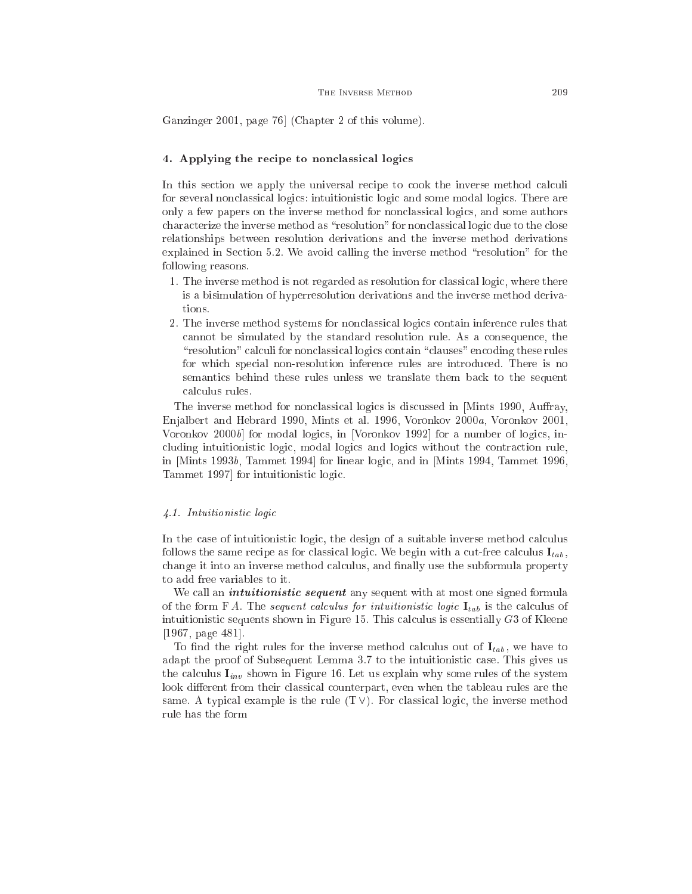Ganzinger 2001, page 76 (Chapter 2 of this volume).

#### 4. Applying the recipe to nonclassical logics

In this section we apply the universal recipe to cook the inverse method calculi for several non
lassi
al logi
s: intuitionisti logi and some modal logi
s. There are only a few papers on the inverse method for non
lassi
al logi
s, and some authors characterize the inverse method as "resolution" for nonclassical logic due to the close relationships between resolution derivations and the inverse method derivations explained in Section 5.2. We avoid calling the inverse method "resolution" for the following reasons.

- 1. The inverse method is not regarded as resolution for lassi
al logi
, where there is a bisimulation of hyperresolution derivations and the inverse method derivations.
- 2. The inverse method systems for non
lassi
al logi
s ontain inferen
e rules that annot be simulated by the standard resolution rule. As a onsequen
e, the "resolution" calculi for nonclassical logics contain "clauses" encoding these rules for whi
h spe
ial non-resolution inferen
e rules are introdu
ed. There is no semantics behind these rules unless we translate them back to the sequent calculus rules.

The inverse method for nonclassical logics is discussed in [Mints 1990, Auffray, Enjalbert and Hebrard 1990, Mints et al. 1996, Voronkov 2000a, Voronkov 2001, Voronkov 2000b for modal logics, in [Voronkov 1992] for a number of logics, including intuitionistic logic, modal logics and logics without the contraction rule, in  $[Mints\ 1993b, Tammet\ 1994]$  for linear logic, and in  $[Mints\ 1994, Tammet\ 1996,$ Tammet 1997 for intuitionistic logic.

#### 4.1 Intuitionistic logic

In the case of intuitionistic logic, the design of a suitable inverse method calculus follows the same recipe as for classical logic. We begin with a cut-free calculus  $I_{tab}$ , change it into an inverse method calculus, and finally use the subformula property to add free variables to it.

We call an *intuitionistic sequent* any sequent with at most one signed formula of the form F A. The sequent calculus for intuitionistic logic  $I_{tab}$  is the calculus of intuitionistic sequents shown in Figure 15. This calculus is essentially  $G3$  of Kleene  $[1967, \text{page } 481].$ 

To find the right rules for the inverse method calculus out of  $I_{tab}$ , we have to adapt the proof of Subsequent Lemma 3.7 to the intuitionistic case. This gives us the calculus  $I_{inv}$  shown in Figure 16. Let us explain why some rules of the system look different from their classical counterpart, even when the tableau rules are the same. A typical example is the rule  $(T \vee)$ . For classical logic, the inverse method rule has the form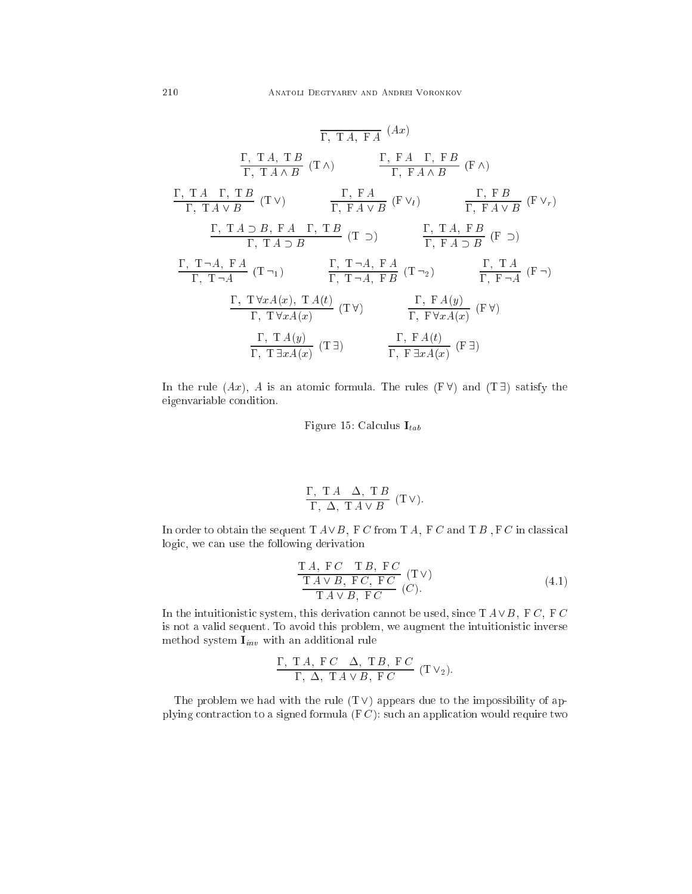$$
\frac{\Gamma, TA, FA}{\Gamma, TA \land B} (Ax)
$$
\n
$$
\frac{\Gamma, TA, TA}{\Gamma, TA \land B} (T \land )
$$
\n
$$
\frac{\Gamma, FA \Gamma, FB}{\Gamma, FA \land B} (F \land )
$$
\n
$$
\frac{\Gamma, TA \Gamma, TB}{\Gamma, TA \lor B} (T \lor )
$$
\n
$$
\frac{\Gamma, FA}{\Gamma, FA \lor B} (F \lor_l)
$$
\n
$$
\frac{\Gamma, FA \lor B}{\Gamma, FA \lor B} (F \lor_l)
$$
\n
$$
\frac{\Gamma, TA \supset B, FA \Gamma, TB}{\Gamma, TA \supset B} (T \supset)
$$
\n
$$
\frac{\Gamma, TA, FB}{\Gamma, FA \lor B} (F \supset)
$$
\n
$$
\frac{\Gamma, TA, FB}{\Gamma, FA \supset B} (F \supset)
$$
\n
$$
\frac{\Gamma, TA, FA}{\Gamma, TA, FA} (T \neg_l)
$$
\n
$$
\frac{\Gamma, TA, FA}{\Gamma, TA, FB} (T \neg_l)
$$
\n
$$
\frac{\Gamma, TA(y)}{\Gamma, TVxA(x)} (T \lor )
$$
\n
$$
\frac{\Gamma, FA(y)}{\Gamma, F \lor xA(x)} (F \lor )
$$
\n
$$
\frac{\Gamma, FA(t)}{\Gamma, T \exists xA(x)} (T \exists)
$$
\n
$$
\frac{\Gamma, FA(t)}{\Gamma, FA \lor xA(x)} (F \exists )
$$

In the rule  $(Ax)$ , A is an atomic formula. The rules  $(F \forall)$  and  $(T \exists)$  satisfy the eigenvariable ondition.

Figure 15: Calculus  $I_{tab}$ 

$$
\frac{\Gamma, T A \quad \Delta, T B}{\Gamma, \ \Delta, T A \vee B} (T \vee).
$$

In order to obtain the sequent  $T A \vee B$ , F C from T A, F C and T B , F C in classical logic, we can use the following derivation

$$
\frac{\text{T }A, \text{ }F C \quad \text{T }B, \text{ }F C}{\text{T }A \lor B, \text{ }F C, \text{ }F C} \quad (\text{T } \lor)
$$
\n
$$
\frac{\text{T }A \lor B, \text{ }F C, \text{ }F C}{\text{T }A \lor B, \text{ }F C} \quad (C).
$$
\n(4.1)

In the intuitionistic system, this derivation cannot be used, since  $T A \vee B$ , FC, FC is not a valid sequent. To avoid this problem, we augment the intuitionistic inverse method system  $\mathbf{I}_{inv}$  with an additional rule

$$
\frac{\Gamma, T A, F C \Delta, T B, F C}{\Gamma, \Delta, T A \vee B, F C} (T V_2).
$$

The problem we had with the rule  $(T \vee)$  appears due to the impossibility of applying contraction to a signed formula  $(FC)$ : such an application would require two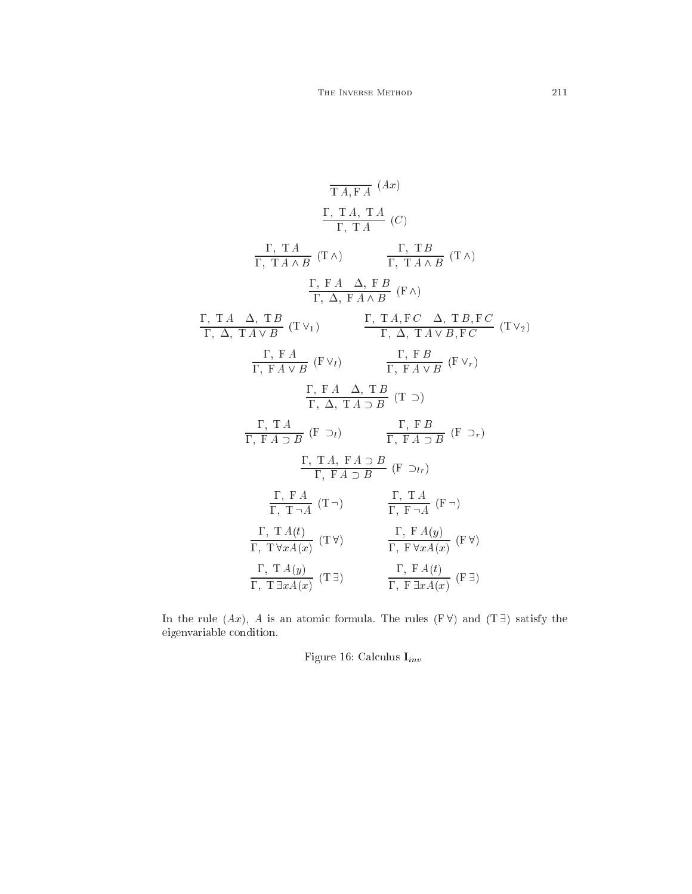$$
\frac{\Gamma, T A, T A}{T A, F A} (A x)
$$
\n
$$
\frac{\Gamma, T A, T A}{\Gamma, T A \land B} (C)
$$
\n
$$
\frac{\Gamma, T A}{\Gamma, T A \land B} (T \land) \qquad \frac{\Gamma, T B}{\Gamma, T A \land B} (T \land)
$$
\n
$$
\frac{\Gamma, F A}{\Gamma, \Delta, F A \land B} (F \land)
$$
\n
$$
\frac{\Gamma, T A \Delta, T B}{\Gamma, \Delta, T A \lor B} (T \lor_1) \qquad \frac{\Gamma, T A, F C \Delta, T B, F C}{\Gamma, \Delta, T A \lor B, F C} (T \lor_2)
$$
\n
$$
\frac{\Gamma, F A}{\Gamma, F A \lor B} (F \lor_i) \qquad \frac{\Gamma, F B}{\Gamma, F A \lor B} (F \lor_r)
$$
\n
$$
\frac{\Gamma, F A \Delta, T B}{\Gamma, \Delta, T A \supseteq B} (T \supset)
$$
\n
$$
\frac{\Gamma, T A}{\Gamma, F A \supseteq B} (F \supset_i)
$$
\n
$$
\frac{\Gamma, T A}{\Gamma, F A \supseteq B} (F \supset_i)
$$
\n
$$
\frac{\Gamma, T A, F A \supseteq B}{\Gamma, F A \supseteq B} (F \supset_i)
$$
\n
$$
\frac{\Gamma, T A}{\Gamma, T \neg A} (T \neg) \qquad \frac{\Gamma, T A}{\Gamma, F \neg A} (F \neg)
$$
\n
$$
\frac{\Gamma, T A(t)}{\Gamma, T \forall x A(x)} (T \forall) \qquad \frac{\Gamma, F A(y)}{\Gamma, F \forall x A(x)} (F \forall)
$$
\n
$$
\frac{\Gamma, T A(y)}{\Gamma, T \exists x A(x)} (T \exists) \qquad \frac{\Gamma, F A(t)}{\Gamma, F \exists x A(x)} (F \exists)
$$

In the rule  $(Ax)$ , A is an atomic formula. The rules  $(F \forall)$  and  $(T \exists)$  satisfy the eigenvariable ondition.

Figure 16: Calculus  $\mathbf{I}_{inv}$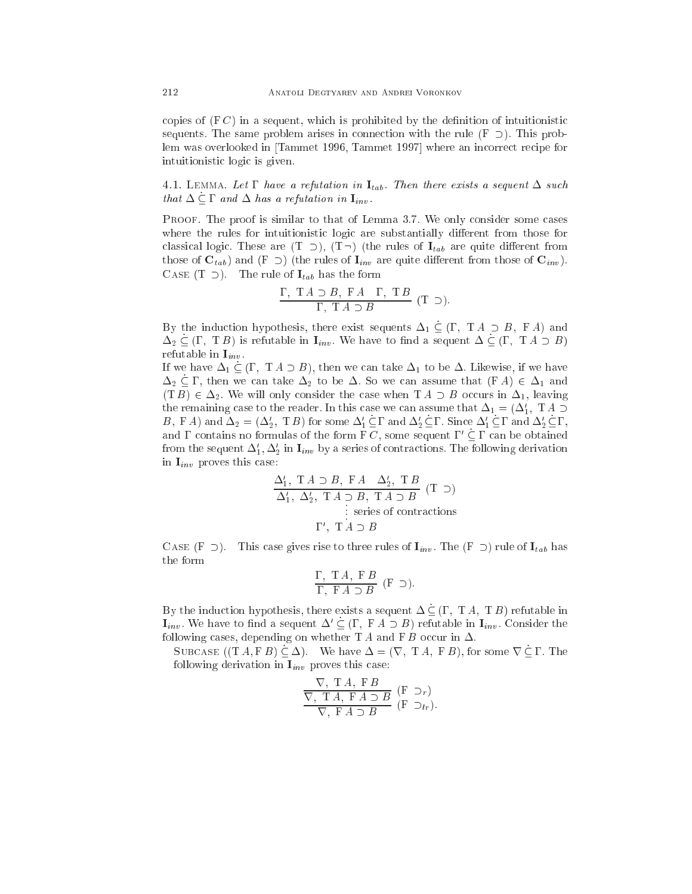copies of  $(F C)$  in a sequent, which is prohibited by the definition of intuitionistic sequents. The same problem arises in connection with the rule  $(F \supset)$ . This problem was overlooked in [Tammet 1996, Tammet 1997] where an incorrect recipe for intuitionisti logi is given.

4.1. LEMMA. Let  $\Gamma$  have a refutation in  $\mathbf{I}_{tab}$ . Then there exists a sequent  $\Delta$  such that  $\Delta \subseteq \Gamma$  and  $\Delta$  has a refutation in  $\mathbf{I}_{inv}$ .

PROOF. The proof is similar to that of Lemma 3.7. We only consider some cases where the rules for intuitionistic logic are substantially different from those for classical logic. These are  $(T \supset), (T \supset)$  (the rules of  $I_{tab}$  are quite different from those of  $C_{tab}$ ) and  $(F \supset )$  (the rules of  $I_{inv}$  are quite different from those of  $C_{inv}$ ). CASE (T  $\supset$ ). The rule of  $I_{tab}$  has the form

$$
\frac{\Gamma, T A \supset B, F A \Gamma, T B}{\Gamma, T A \supset B} (T \supset).
$$

By the induction hypothesis, there exist sequents  $\Delta_1 \subseteq (\Gamma, T A \supset B, F A)$  and  $\Delta_2 \subseteq (\Gamma, T B)$  is refutable in  $\mathbf{I}_{inv}$ . We have to find a sequent  $\Delta \subseteq (\Gamma, T A \supset B)$ refutable in  $I_{inv}$ .

If we have  $\Delta_1 \subseteq (\Gamma, T A \supset B)$ , then we can take  $\Delta_1$  to be  $\Delta$ . Likewise, if we have  $\Delta_2 \subseteq \Gamma$ , then we can take  $\Delta_2$  to be  $\Delta$ . So we can assume that  $(F A) \in \Delta_1$  and  $(T B) \in \Delta_2$ . We will only consider the case when  $T A \supset B$  occurs in  $\Delta_1$ , leaving the remaining case to the reader. In this case we can assume that  $\Delta_1 = (\Delta_1', \; \mathrm{T}\, A \supset$ B, F A) and  $\Delta_2 = (\Delta_2', TB)$  for some  $\Delta_1' \subseteq \Gamma$  and  $\Delta_2' \subseteq \Gamma$ . Since  $\Delta_1' \subseteq \Gamma$  and  $\Delta_2' \subseteq \Gamma$ , and  $\Gamma$  contains no formulas of the form  $\Gamma C$ , some sequent  $\Gamma' \subseteq \Gamma$  can be obtained from the sequent  $\Delta_1, \Delta_2$  in  $1_{inv}$  by a series of contractions. The following derivation in  $I_{inv}$  proves this case:

$$
\frac{\Delta'_1, T A \supset B, F A \quad \Delta'_2, T B}{\Delta'_1, \Delta'_2, T A \supset B, T A \supset B} (T \supset)
$$
  
 := series of contractions  
 
$$
\Gamma', T A \supset B
$$

CASE (F  $\supset$ ). This case gives rise to three rules of  $I_{inv}$ . The (F  $\supset$ ) rule of  $I_{tab}$  has the form

$$
\frac{\Gamma, T A, F B}{\Gamma, F A \supset B} (F \supset).
$$

By the induction hypothesis, there exists a sequent  $\Delta \subseteq (\Gamma, T A, T B)$  refutable in  $\mathbf{I}_{inv}$ . We have to find a sequent  $\Delta' \subseteq (\Gamma, F A \supset B)$  refutable in  $\mathbf{I}_{inv}$ . Consider the following cases, depending on whether  $TA$  and  $FB$  occur in  $\Delta$ .

SUBCASE  $((T A, F B) \subseteq \Delta)$ . We have  $\Delta = (\nabla, T A, F B)$ , for some  $\nabla \subseteq \Gamma$ . The following derivation in  $I_{inv}$  proves this case:

$$
\frac{\nabla, T A, F B}{\nabla, T A, F A \supset B} \quad (\text{F } \supset_r)
$$
\n
$$
\frac{\nabla, T A, F A \supset B}{\nabla, F A \supset B} \quad (\text{F } \supset_{lr}).
$$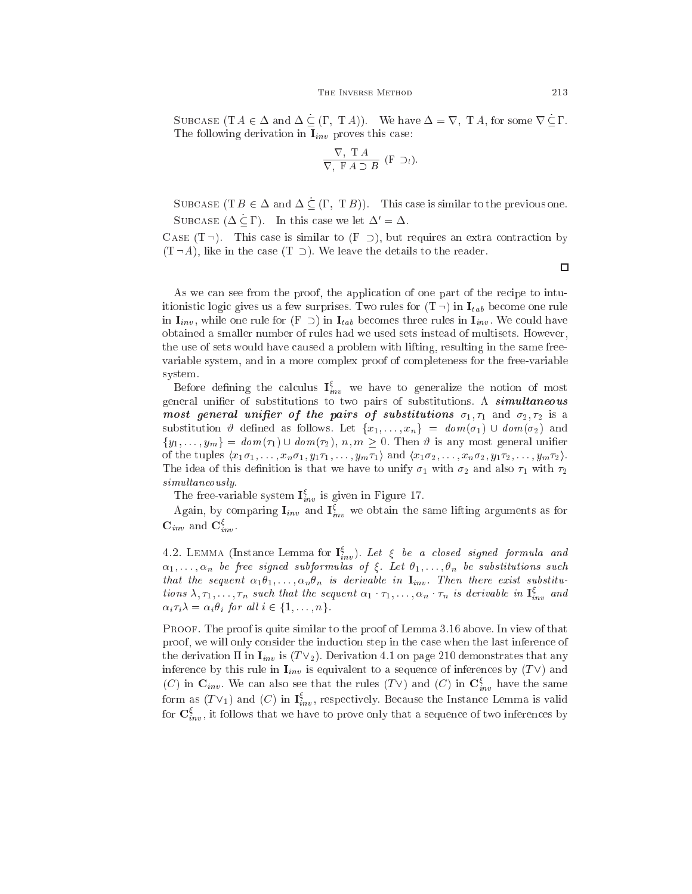#### THE INVERSE METHOD 213

SUBCASE  $(T A \in \Delta \text{ and } \Delta \subseteq (\Gamma, T A))$ . We have  $\Delta = \nabla$ ,  $T A$ , for some  $\nabla \subseteq \Gamma$ . The following derivation in  $I_{inv}$  proves this case:

$$
\frac{\nabla, T A}{\nabla, F A \supset B} (F \supset_l).
$$

SUBCASE (T  $B \in \Delta$  and  $\Delta \subseteq (\Gamma, T B)$ ). This case is similar to the previous one. SUBCASE  $(\Delta \subset \Gamma)$ . In this case we let  $\Delta' = \Delta$ .

CASE  $(T -)$ . This case is similar to  $(F \supset)$ , but requires an extra contraction by  $(T \neg A)$ , like in the case  $(T \supset)$ . We leave the details to the reader.

As we can see from the proof, the application of one part of the recipe to intuitionistic logic gives us a few surprises. Two rules for  $(T<sup>-</sup>)$  in  $I<sub>tab</sub>$  become one rule in  $I_{inv}$ , while one rule for  $(F \supset)$  in  $I_{tab}$  becomes three rules in  $I_{inv}$ . We could have obtained a smaller number of rules had we used sets instead of multisets. However, the use of sets would have caused a problem with lifting, resulting in the same freevariable system, and in a more omplex proof of ompleteness for the free-variable system.

Before defining the calculus  $I_{inv}^{\xi}$  we have to generalize the notion of most general unifier of substitutions to two pairs of substitutions. A **simultaneous** most general unifier of the pairs of substitutions  $\sigma_1, \tau_1$  and  $\sigma_2, \tau_2$  is a substitution  $\vartheta$  defined as follows. Let  $\{x_1,\ldots,x_n\} = dom(\sigma_1) \cup dom(\sigma_2)$  and  $\{y_1, \ldots, y_m\} = \text{dom}(\tau_1) \cup \text{dom}(\tau_2), \ n, m \geq 0.$  Then  $\vartheta$  is any most general unifier of the tuples  $\langle x_1\sigma_1, \ldots, x_n\sigma_1, y_1\tau_1, \ldots, y_m\tau_1 \rangle$  and  $\langle x_1\sigma_2, \ldots, x_n\sigma_2, y_1\tau_2, \ldots, y_m\tau_2 \rangle$ . The idea of this definition is that we have to unify  $\sigma_1$  with  $\sigma_2$  and also  $\tau_1$  with  $\tau_2$ simultaneously.

The free-variable system  $I_{inv}^{\xi}$  is given in Figure 17.

Again, by comparing  $I_{inv}$  and  $I_{inv}^{\xi}$  we obtain the same lifting arguments as for  $\mathbf{C}_{inv}$  and  $\mathbf{C}_{inv}^{\xi}$ .

4.2. LEMMA (Instance Lemma for  $I_{inv}^{\xi}$ ). Let  $\xi$  be a closed signed formula and  $\alpha_1, \ldots, \alpha_n$  be free signed subformulas of  $\xi$ . Let  $\theta_1, \ldots, \theta_n$  be substitutions such that the sequent  $\alpha_1\theta_1,\ldots,\alpha_n\theta_n$  is derivable in  $\mathbf{I}_{inv}$ . Then there exist substitutions  $\lambda, \tau_1, \ldots, \tau_n$  such that the sequent  $\alpha_1 \cdot \tau_1, \ldots, \alpha_n \cdot \tau_n$  is derivable in  $I_{inv}^{\xi}$  and  $\alpha_i \tau_i \lambda = \alpha_i \theta_i$  for all  $i \in \{1, \ldots, n\}.$ 

PROOF. The proof is quite similar to the proof of Lemma 3.16 above. In view of that proof, we will only onsider the indu
tion step in the ase when the last inferen
e of the derivation  $\Pi$  in  $I_{inv}$  is  $(T\vee_2)$ . Derivation 4.1 on page 210 demonstrates that any inference by this rule in  $I_{inv}$  is equivalent to a sequence of inferences by  $(T\vee)$  and (C) in  $\mathbf{C}_{inv}$ . We can also see that the rules (TV) and (C) in  $\mathbf{C}_{inv}^{\xi}$  have the same form as  $(TV_1)$  and  $(C)$  in  $I_{inv}^{\xi}$ , respectively. Because the Instance Lemma is valid for  $\mathbf{C}^\xi_{inv}$ , it follows that we have to prove only that a sequence of two inferences by

 $\Box$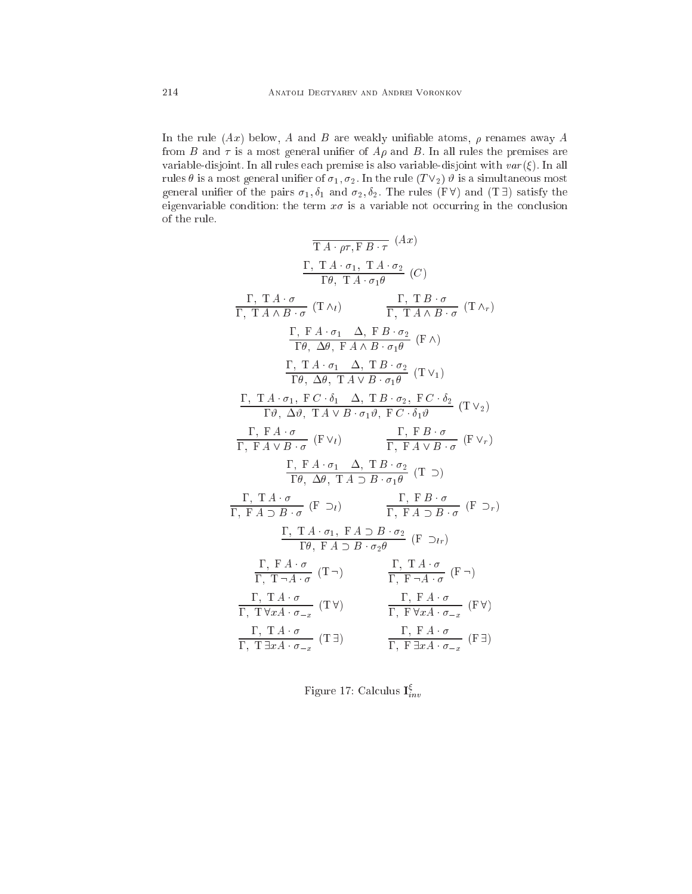In the rule  $(Ax)$  below, A and B are weakly unifiable atoms,  $\rho$  renames away A from B and  $\tau$  is a most general unifier of  $A\rho$  and B. In all rules the premises are variable-disjoint. In all rules each premise is also variable-disjoint with  $var(\xi)$ . In all rules  $\theta$  is a most general unifier of  $\sigma_1, \sigma_2$ . In the rule  $(T\vee_2)$   $\vartheta$  is a simultaneous most general unifier of the pairs  $\sigma_1, \delta_1$  and  $\sigma_2, \delta_2$ . The rules (F $\forall$ ) and (T $\exists$ ) satisfy the eigenvariable condition: the term  $x\sigma$  is a variable not occurring in the conclusion of the rule.

$$
\frac{\Gamma, T A \cdot \sigma, F B \cdot \tau}{}_{\mathcal{I}}(Ax)
$$
\n
$$
\frac{\Gamma, T A \cdot \sigma, T A \cdot \sigma_{2}}{\Gamma \theta, T A \cdot \sigma_{1} \theta} (C)
$$
\n
$$
\frac{\Gamma, T A \cdot \sigma}{\Gamma, T A \land B \cdot \sigma} (T \land_{l}) \qquad \frac{\Gamma, T B \cdot \sigma}{\Gamma, T A \land B \cdot \sigma} (T \land_{r})
$$
\n
$$
\frac{\Gamma, F A \cdot \sigma_{1}}{\Gamma \theta, \Delta \theta, F A \land B \cdot \sigma_{1} \theta} (F \land_{r})
$$
\n
$$
\frac{\Gamma, T A \cdot \sigma_{1}}{\Gamma \theta, \Delta \theta, T A \lor B \cdot \sigma_{1} \theta} (T \lor_{l})
$$
\n
$$
\frac{\Gamma, T A \cdot \sigma_{1}}{\Gamma \theta, \Delta \theta, T A \lor B \cdot \sigma_{1} \theta} (T \lor_{l})
$$
\n
$$
\frac{\Gamma, T A \cdot \sigma_{1}}{\Gamma \theta, \Delta \theta, T A \lor B \cdot \sigma_{1} \theta, F C \cdot \delta_{1} \theta} (T \lor_{2})
$$
\n
$$
\frac{\Gamma, F A \cdot \sigma}{\Gamma, F A \lor B \cdot \sigma} (F \lor_{l}) \qquad \frac{\Gamma, F B \cdot \sigma}{\Gamma, F A \lor B \cdot \sigma} (F \lor_{r})
$$
\n
$$
\frac{\Gamma, F A \cdot \sigma}{\Gamma \theta, \Delta \theta, T A \supset B \cdot \sigma_{1} \theta} (T \supset_{r})
$$
\n
$$
\frac{\Gamma, T A \cdot \sigma}{\Gamma, F A \supset B \cdot \sigma} (F \supset_{l}) \qquad \frac{\Gamma, F B \cdot \sigma}{\Gamma, F A \lor B \cdot \sigma} (F \supset_{r})
$$
\n
$$
\frac{\Gamma, T A \cdot \sigma}{\Gamma \theta, F A \supset B \cdot \sigma_{2} \theta} (F \supset_{lr})
$$
\n
$$
\frac{\Gamma, T A \cdot \sigma}{\Gamma \theta, F A \supset B \cdot \sigma_{2} \theta} (F \supset_{lr})
$$
\n
$$
\frac{\Gamma, T A \cdot \sigma}{\Gamma, T \neg A \cdot \sigma} (T \neg_{l}) \qquad \frac{\Gamma, T A \cdot \sigma}{\Gamma, F \neg A \cdot
$$

Figure 17: Calculus  ${\rm I}^{\xi}_{inv}$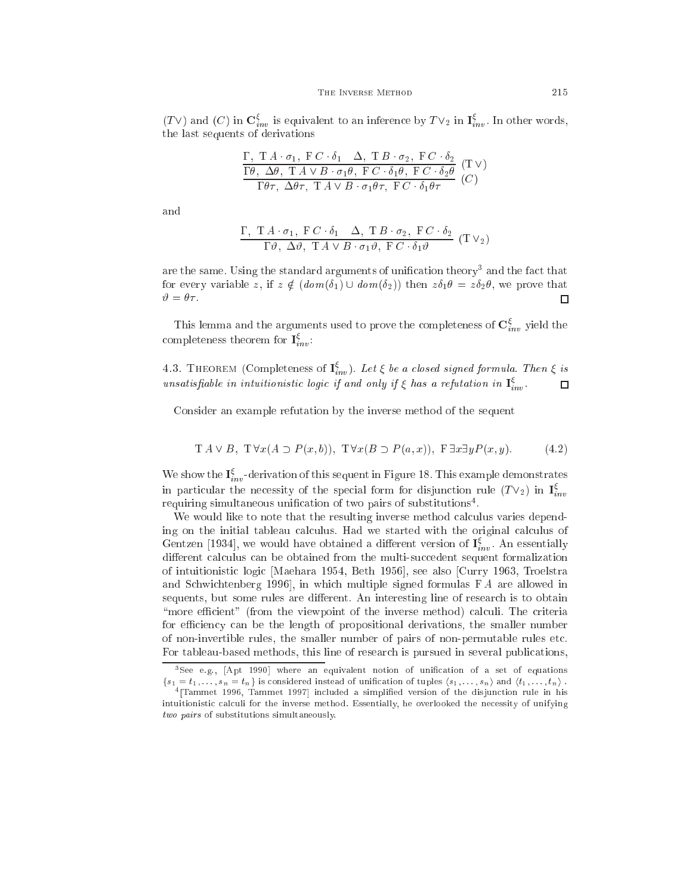$(T\vee)$  and  $(C)$  in  $\mathbf{C}_{inv}^{\xi}$  is equivalent to an inference by  $T\vee_2$  in  $\mathbf{I}_{inv}^{\xi}$ . In other words, the last sequents of derivations

$$
\frac{\Gamma, T A \cdot \sigma_1, F C \cdot \delta_1 \Delta, T B \cdot \sigma_2, F C \cdot \delta_2}{\Gamma \theta, \Delta \theta, T A \vee B \cdot \sigma_1 \theta, F C \cdot \delta_1 \theta, F C \cdot \delta_2 \theta} (T \vee)
$$
  

$$
\frac{\Gamma \theta \tau, \Delta \theta \tau, T A \vee B \cdot \sigma_1 \theta \tau, F C \cdot \delta_1 \theta \tau}{\Gamma \theta \tau, \Delta \theta \tau} (C)
$$

and

$$
\frac{\Gamma, T A \cdot \sigma_1, F C \cdot \delta_1 \Delta, T B \cdot \sigma_2, F C \cdot \delta_2}{\Gamma \vartheta, \Delta \vartheta, T A \vee B \cdot \sigma_1 \vartheta, F C \cdot \delta_1 \vartheta} (T V_2)
$$

are the same. Using the standard arguments of unincation theory' and the fact that for every variable z, if  $z \notin (dom(\delta_1) \cup dom(\delta_2))$  then  $z\delta_1 \theta = z\delta_2 \theta$ , we prove that  $\vartheta = \theta \tau$ . П

This lemma and the arguments used to prove the completeness of  $\mathbf{C}^{\xi}_{inv}$  yield the completeness theorem for  $I_{inv}^{\xi}$ :

4.3. THEOREM (Completeness of  $I_{inv}^{\xi}$ ). Let  $\xi$  be a closed signed formula. Then  $\xi$  is unsatisfiable in intuitionistic logic if and only if  $\xi$  has a refutation in  $I_{inv}^{\xi}$ .  $\Box$ 

Consider an example refutation by the inverse method of the sequent

$$
T A \vee B, T \forall x (A \supset P(x, b)), T \forall x (B \supset P(a, x)), F \exists x \exists y P(x, y). \tag{4.2}
$$

We show the  $I_{inv}^{\xi}$ -derivation of this sequent in Figure 18. This example demonstrates in particular the necessity of the special form for disjunction rule  $(T\vee_2)$  in  $I^{\xi}_i$ requiring simultaneous unification of two pairs of substitutions .

We would like to note that the resulting inverse method calculus varies depending on the initial tableau calculus. Had we started with the original calculus of Gentzen [1934], we would have obtained a different version of  $I_{inv}^{\xi}$ . An essentially different calculus can be obtained from the multi-succedent sequent formalization of intuitionistic logic [Maehara 1954, Beth 1956], see also [Curry 1963, Troelstra and Schwichtenberg 1996, in which multiple signed formulas  $FA$  are allowed in sequents, but some rules are different. An interesting line of research is to obtain "more efficient" (from the viewpoint of the inverse method) calculi. The criteria for efficiency can be the length of propositional derivations, the smaller number of non-invertible rules, the smaller number of pairs of non-permutable rules et
. For tableau-based methods, this line of resear
h is pursued in several publi
ations,

see e.g., pApt 1990] where an equivalent notion of unification of a set of equations.  $\{s_1 = t_1, \ldots, s_n = t_n\}$  is considered instead of unification of tuples  $\langle s_1, \ldots, s_n \rangle$  and  $\langle t_1, \ldots, t_n \rangle$ .

<sup>&</sup>lt;code>Trammet 1996</code>, Tammet 1997] included a simplified version of the disjunction rule in his intuitionistic calculi for the inverse method. Essentially, he overlooked the necessity of unifying two pairs of substitutions simultaneously.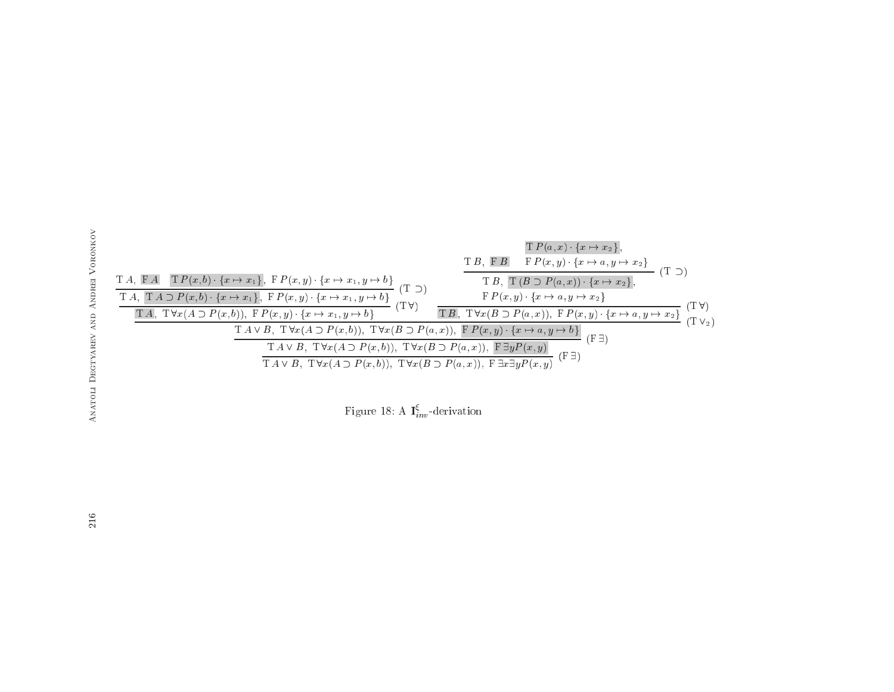

Figure 18: A  $I_{inv}^{\xi}$ -derivation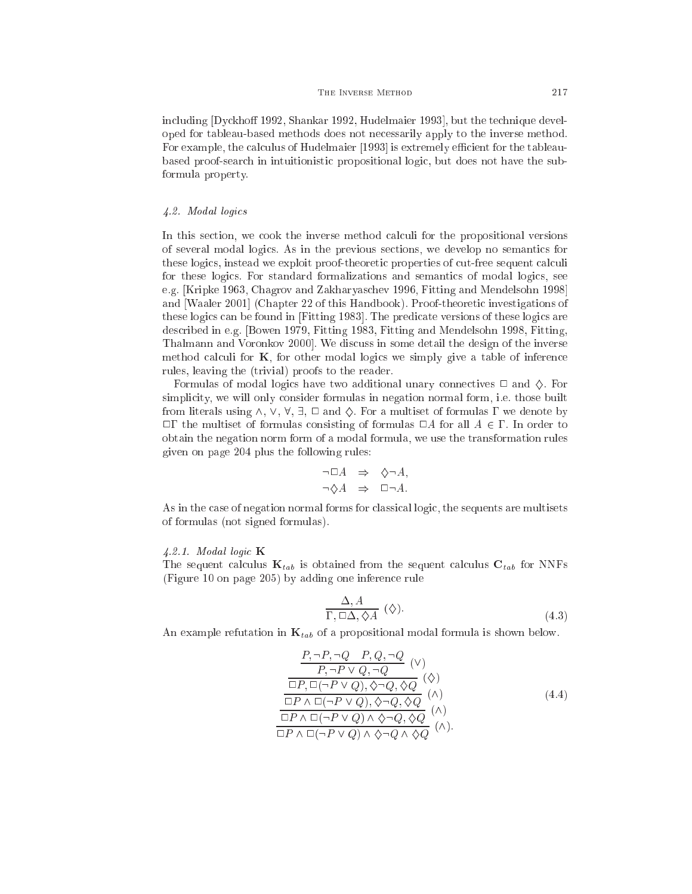including Dyckhoff 1992, Shankar 1992, Hudelmaier 1993, but the technique developed for tableau-based methods does not ne
essarily apply to the inverse method. For example, the calculus of Hudelmaier [1993] is extremely efficient for the tableaubased proof-sear
h in intuitionisti propositional logi
, but does not have the subformula property.

# 4.2. Modal logi
s

In this section, we cook the inverse method calculi for the propositional versions of several modal logi
s. As in the previous se
tions, we develop no semanti
s for these logics, instead we exploit proof-theoretic properties of cut-free sequent calculi for these logics. For standard formalizations and semantics of modal logics, see e.g. [Kripke 1963, Chagrov and Zakharyaschev 1996, Fitting and Mendelsohn 1998] and [Waaler 2001] (Chapter 22 of this Handbook). Proof-theoretic investigations of these logics can be found in [Fitting 1983]. The predicate versions of these logics are des
ribed in e.g. [Bowen 1979, Fitting 1983, Fitting and Mendelsohn 1998, Fitting, Thalmann and Voronkov 2000. We discuss in some detail the design of the inverse method calculi for  $\bf{K}$ , for other modal logics we simply give a table of inference rules, leaving the (trivial) proofs to the reader.

Formulas of modal logics have two additional unary connectives  $\Box$  and  $\Diamond$ . For simplicity, we will only consider formulas in negation normal form, i.e. those built from literals using  $\wedge$ ,  $\vee$ ,  $\forall$ ,  $\exists$ ,  $\square$  and  $\Diamond$ . For a multiset of formulas  $\Gamma$  we denote by  $\Box\Gamma$  the multiset of formulas consisting of formulas  $\Box A$  for all  $A \in \Gamma$ . In order to obtain the negation norm form of a modal formula, we use the transformation rules given on page 204 plus the following rules:

$$
\neg \Box A \Rightarrow \Diamond \neg A,
$$
  

$$
\neg \Diamond A \Rightarrow \Box \neg A.
$$

As in the case of negation normal forms for classical logic, the sequents are multisets of formulas (not signed formulas).

#### $4.2.1.$  Modal logic **K**

The sequent calculus  $\mathbf{K}_{tab}$  is obtained from the sequent calculus  $\mathbf{C}_{tab}$  for NNFs (Figure 10 on page 205) by adding one inferen
e rule

$$
\frac{\Delta, A}{\Gamma, \Box \Delta, \Diamond A} \ (\Diamond).
$$
\n(4.3)

An example refutation in  $\mathbf{K}_{tab}$  of a propositional modal formula is shown below.

$$
\frac{P, \neg P, \neg Q - P, Q, \neg Q}{P, \neg P \lor Q, \neg Q} \quad (\vee)
$$
\n
$$
\frac{\Box P, \Box(\neg P \lor Q), \Diamond \neg Q, \Diamond Q}{\Box P, \Box(\neg P \lor Q), \Diamond \neg Q, \Diamond Q} \quad (\wedge)
$$
\n
$$
\frac{\Box P \land \Box(\neg P \lor Q), \Diamond \neg Q, \Diamond Q}{\Box P \land \Box(\neg P \lor Q) \land \Diamond \neg Q, \Diamond Q} \quad (\wedge)
$$
\n
$$
\Box P \land \Box(\neg P \lor Q) \land \Diamond \neg Q \land \Diamond Q \quad (\wedge).
$$
\n(4.4)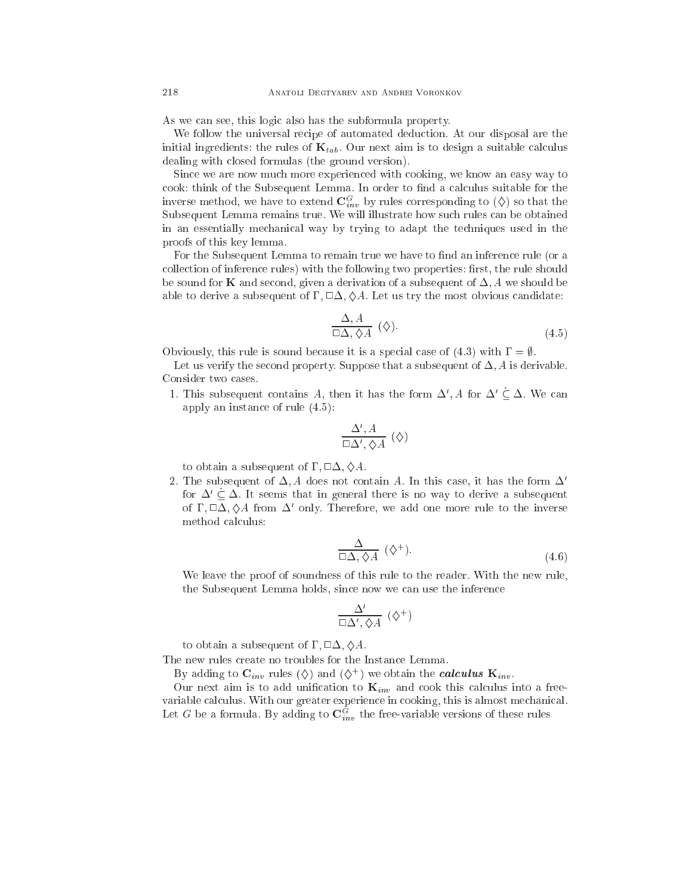As we can see, this logic also has the subformula property.

We follow the universal recipe of automated deduction. At our disposal are the initial ingredients: the rules of  $\mathbf{K}_{tab}$ . Our next aim is to design a suitable calculus dealing with losed formulas (the ground version).

Sin
e we are now mu
h more experien
ed with ooking, we know an easy way to cook: think of the Subsequent Lemma. In order to find a calculus suitable for the inverse method, we have to extend  $\mathbf{C}^G_{inv}$  by rules corresponding to  $(\diamondsuit)$  so that the Subsequent Lemma remains true. We will illustrate how su
h rules an be obtained in an essentially me
hani
al way by trying to adapt the te
hniques used in the proofs of this key lemma.

For the Subsequent Lemma to remain true we have to find an inference rule (or a collection of inference rules) with the following two properties: first, the rule should be sound for **K** and second, given a derivation of a subsequent of  $\Delta$ , A we should be able to derive a subsequent of  $\Gamma$ ,  $\Box \Delta$ ,  $\Diamond A$ . Let us try the most obvious candidate:

$$
\frac{\Delta, A}{\Box \Delta, \Diamond A} (\Diamond). \tag{4.5}
$$

Obviously, this rule is sound because it is a special case of (4.3) with  $\Gamma = \emptyset$ .

Let us verify the second property. Suppose that a subsequent of  $\Delta$ , A is derivable. Consider two ases.

1. This subsequent contains A, then it has the form  $\Delta', A$  for  $\Delta' \subseteq \Delta$ . We can apply an instan
e of rule (4.5):

$$
\frac{\Delta', A}{\Box \Delta', \Diamond A} (\Diamond)
$$

to obtain a subsequent of  $\Gamma$ ,  $\square \Delta$ ,  $\diamondsuit A$ .

2. The subsequent of  $\Delta$ , A does not contain A. In this case, it has the form  $\Delta'$ for  $\Delta' \subset \Delta$ . It seems that in general there is no way to derive a subsequent of  $\Gamma$ ,  $\Box$  $\Delta$ ,  $\Diamond$ A from  $\Delta'$  only. Therefore, we add one more rule to the inverse method calculus:

$$
\frac{\Delta}{\Box \Delta, \Diamond A} (\Diamond^{+}). \tag{4.6}
$$

We leave the proof of soundness of this rule to the reader. With the new rule, the Subsequent Lemma holds, since now we can use the inference

$$
\frac{\Delta'}{\Box \Delta', \Diamond A} \ (\Diamond^+)
$$

to obtain a subsequent of  $\Gamma$ ,  $\Box \Delta$ ,  $\Diamond A$ .

The new rules create no troubles for the Instance Lemma.

By adding to  $C_{inv}$  rules (Q) and (Q+) we obtain the *calcutus*  $\mathbf{N}_{inv}$ .

Our next aim is to add unification to  $\mathbf{K}_{inv}$  and cook this calculus into a freevariable calculus. With our greater experience in cooking, this is almost mechanical. Let G be a formula. By adding to  $\mathbf{C}_{inv}^G$  the free-variable versions of these rules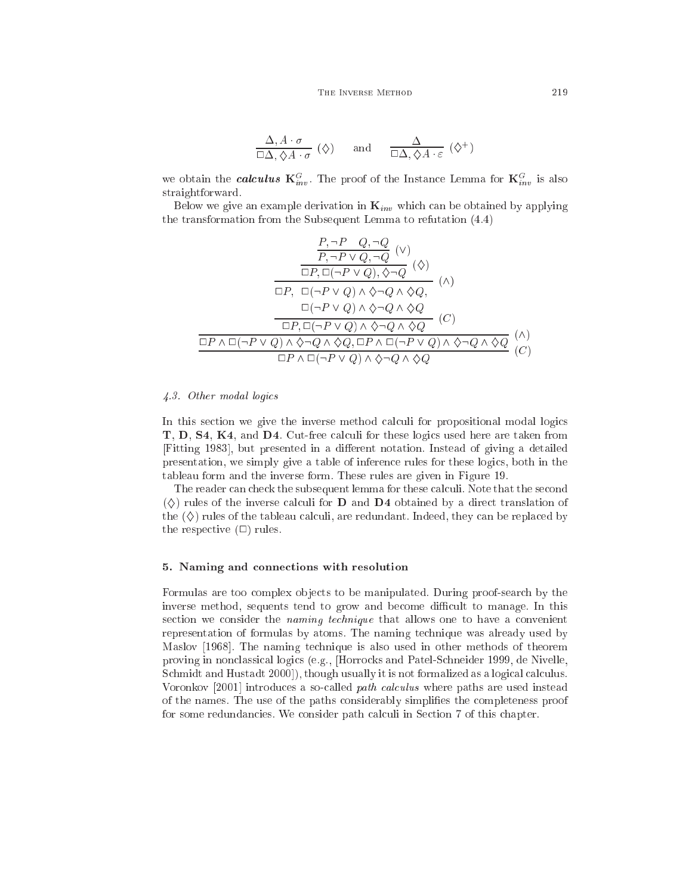$$
\frac{\Delta, A \cdot \sigma}{\Box \Delta, \Diamond A \cdot \sigma} (\Diamond) \quad \text{and} \quad \frac{\Delta}{\Box \Delta, \Diamond A \cdot \varepsilon} (\Diamond^+)
$$

we obtain the *calculus*  $\mathbf{K}_{inv}^G$ . The proof of the Instance Lemma for  $\mathbf{K}_{inv}^G$  is also straightforward.

Below we give an example derivation in  $\mathbf{K}_{inv}$  which can be obtained by applying the transformation from the Subsequent Lemma to refutation (4.4)

$$
\frac{P, \neg P \ Q, \neg Q \ (V)}{\Box P, \neg P \lor Q, \neg Q} \ (\vee)
$$
\n
$$
\frac{\Box P, \Box(\neg P \lor Q), \Diamond \neg Q \ (\Diamond)}{\Box P, \ \Box(\neg P \lor Q) \land \Diamond \neg Q \land \Diamond Q,}
$$
\n
$$
\frac{\Box(\neg P \lor Q) \land \Diamond \neg Q \land \Diamond Q}{\Box P, \ \Box(\neg P \lor Q) \land \Diamond \neg Q \land \Diamond Q} \ (C)
$$
\n
$$
\frac{\Box P, \Box(\neg P \lor Q) \land \Diamond \neg Q \land \Diamond Q}{\Box P \land \Box(\neg P \lor Q) \land \Diamond \neg Q \land \Diamond Q} \ (\Diamond)
$$
\n
$$
\Box P \land \Box(\neg P \lor Q) \land \Diamond \neg Q \land \Diamond Q \ \Diamond Q \ (\Diamond)
$$

#### 4.3. Other modal logi
s

In this section we give the inverse method calculi for propositional modal logics T, D, S4, K4, and D4. Cut-free calculi for these logics used here are taken from [Fitting 1983], but presented in a different notation. Instead of giving a detailed presentation, we simply give a table of inferen
e rules for these logi
s, both in the tableau form and the inverse form. These rules are given in Figure 19.

The reader can check the subsequent lemma for these calculi. Note that the second  $\langle \diamond \rangle$  rules of the inverse calculi for **D** and **D4** obtained by a direct translation of the  $(\diamondsuit)$  rules of the tableau calculi, are redundant. Indeed, they can be replaced by the respective  $(\square)$  rules.

### 5. Naming and onne
tions with resolution

Formulas are too complex objects to be manipulated. During proof-search by the inverse method, sequents tend to grow and become difficult to manage. In this section we consider the *naming technique* that allows one to have a convenient representation of formulas by atoms. The naming te
hnique was already used by Maslov [1968]. The naming technique is also used in other methods of theorem proving in non
lassi
al logi
s (e.g., [Horro
ks and Patel-S
hneider 1999, de Nivelle, Schmidt and Hustadt 2000], though usually it is not formalized as a logical calculus. Voronkov [2001] introduces a so-called *path calculus* where paths are used instead of the names. The use of the paths onsiderably simplies the ompleteness proof for some redundancies. We consider path calculi in Section 7 of this chapter.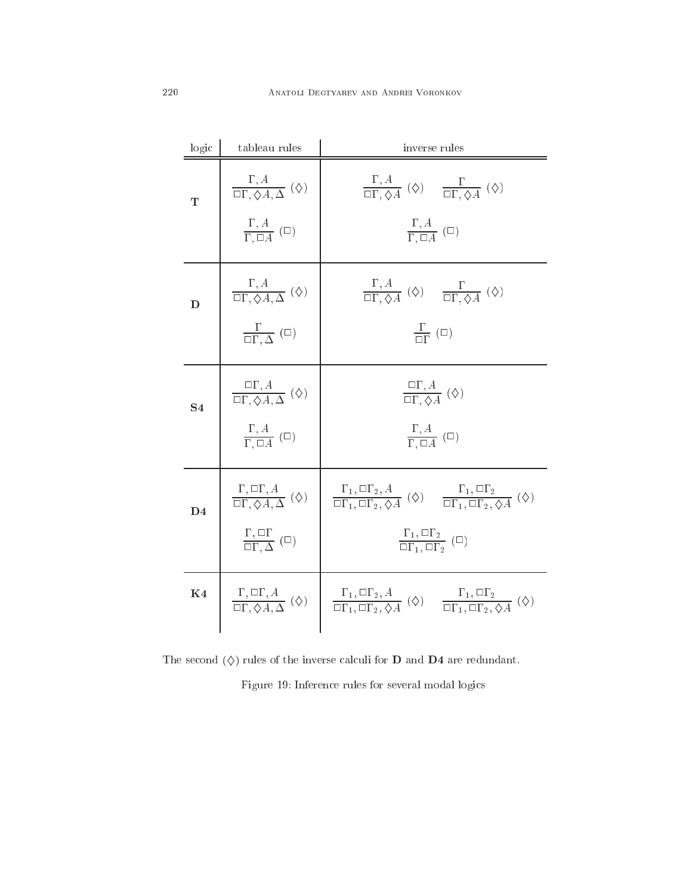| logic          | tableau rules                                                                                                                     | inverse rules                                                                                                                                                                                                                                                                                                                                 |
|----------------|-----------------------------------------------------------------------------------------------------------------------------------|-----------------------------------------------------------------------------------------------------------------------------------------------------------------------------------------------------------------------------------------------------------------------------------------------------------------------------------------------|
| T              | $\Big  \quad \frac{\Gamma, A}{\Box \Gamma, \Diamond A, \Delta} \ (\diamondsuit)$<br>$\frac{\Gamma, A}{\Gamma, \Box A}$ ( $\Box$ ) | $\frac{\Gamma, A}{\Box \Gamma, \Diamond A}$ ( $\diamondsuit$ ) $\frac{\Gamma}{\Box \Gamma, \Diamond A}$ ( $\diamondsuit$ )<br>$\frac{\Gamma, A}{\Gamma, \Box A}$ ( $\Box$ )                                                                                                                                                                   |
| D              | $\frac{\Gamma, A}{\Box \Gamma, \Diamond A, \Delta} (\Diamond)$<br>$\frac{\Gamma}{\Box \Gamma, \Delta}$ ( $\Box$ )                 | $\frac{\Gamma, A}{\Box \Gamma, \Diamond A}$ ( $\diamondsuit$ ) $\frac{\Gamma}{\Box \Gamma, \Diamond A}$ ( $\diamondsuit$ )<br>$\frac{1}{\Box \Gamma}$ ( $\Box$ )                                                                                                                                                                              |
| S <sub>4</sub> | $\frac{\Box \Gamma, A}{\Box \Gamma, \Diamond A, \Delta}$ ( $\diamondsuit$ )<br>$\frac{\Gamma, A}{\Gamma, \Box A}$ ( $\Box$ )      | $\frac{\Box \Gamma, A}{\Box \Gamma \Delta A} (\diamondsuit)$<br>$\frac{\Gamma, A}{\Gamma, \Box A}$ ( $\Box$ )                                                                                                                                                                                                                                 |
| D <sub>4</sub> | $\frac{\Gamma,\Box\Gamma}{\Box\Gamma,\Delta}$ ( $\Box$ )                                                                          | $\frac{\Gamma, \Box \Gamma, A}{\Box \Gamma, \Diamond A, \Delta} (\Diamond) \parallel \frac{\Gamma_1, \Box \Gamma_2, A}{\Box \Gamma_1, \Box \Gamma_2, \Diamond A} (\Diamond) \frac{\Gamma_1, \Box \Gamma_2}{\Box \Gamma_1, \Box \Gamma_2, \Diamond A} (\Diamond)$<br>$\frac{\Gamma_1, \Box \Gamma_2}{\Box \Gamma_1, \Box \Gamma_2}$ ( $\Box$ ) |
| K <sub>4</sub> |                                                                                                                                   | $\frac{\Gamma, \Box \Gamma, A}{\Box \Gamma, \Diamond A, \Delta} (\Diamond) \quad \boxed{\begin{array}{c} \Gamma_1, \Box \Gamma_2, A \\ \Box \Gamma_1, \Box \Gamma_2, \Diamond A \end{array}} (\Diamond) \quad \frac{\Gamma_1, \Box \Gamma_2}{\Box \Gamma_1, \Box \Gamma_2, \Diamond A} (\Diamond)$                                            |

The second  $(\Diamond)$  rules of the inverse calculi for **D** and **D4** are redundant.

Figure 19: Inferen
e rules for several modal logi
s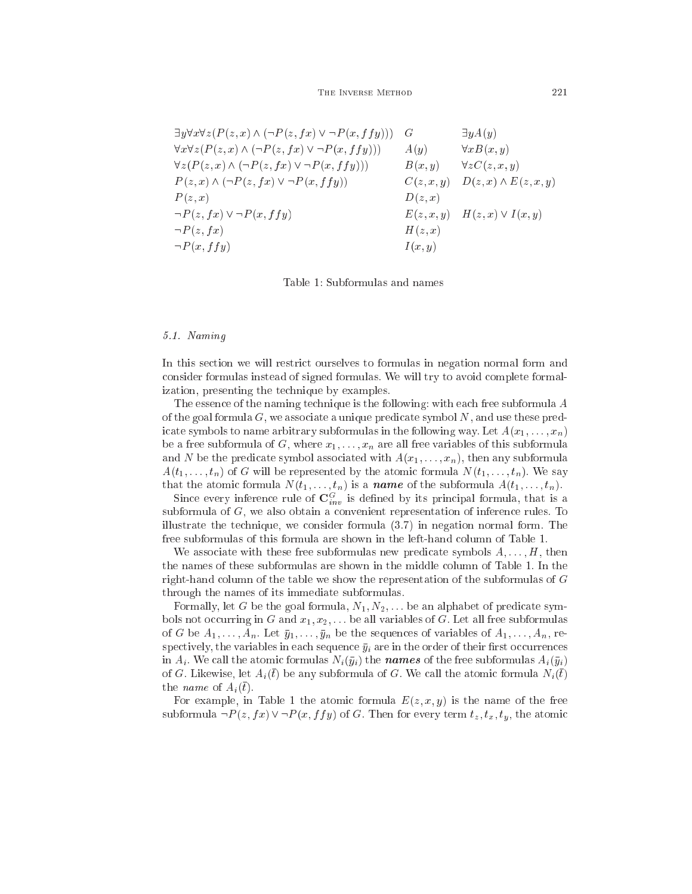THE INVERSE METHOD 221

$$
\exists y \forall x \forall z (P(z, x) \land (\neg P(z, fx) \lor \neg P(x, ffy))) \quad G \qquad \exists y A(y)
$$
  
\n
$$
\forall x \forall z (P(z, x) \land (\neg P(z, fx) \lor \neg P(x, ffy))) \quad A(y) \qquad \forall x B(x, y)
$$
  
\n
$$
\forall z (P(z, x) \land (\neg P(z, fx) \lor \neg P(x, ffy))) \quad B(x, y) \quad \forall z C(z, x, y)
$$
  
\n
$$
P(z, x) \land (\neg P(z, fx) \lor \neg P(x, ffy)) \quad C(z, x, y) \quad D(z, x) \land E(z, x, y)
$$
  
\n
$$
P(z, x) \qquad D(z, x) \quad D(z, x) \lor I(x, y)
$$
  
\n
$$
\neg P(z, fx) \qquad H(z, x) \qquad H(z, x) \lor I(x, y)
$$
  
\n
$$
\neg P(x, ffy) \qquad I(x, y)
$$

Table 1: Subformulas and names

# 5.1. Naming

In this section we will restrict ourselves to formulas in negation normal form and onsider formulas instead of signed formulas. We will try to avoid omplete formalization, presenting the te
hnique by examples.

The essence of the naming technique is the following: with each free subformula A of the goal formula  $G$ , we associate a unique predicate symbol  $N$ , and use these predicate symbols to name arbitrary subformulas in the following way. Let  $A(x_1, \ldots, x_n)$ be a free subformula of G, where  $x_1, \ldots, x_n$  are all free variables of this subformula and N be the predicate symbol associated with  $A(x_1, \ldots, x_n)$ , then any subformula  $A(t_1,\ldots,t_n)$  of G will be represented by the atomic formula  $N(t_1,\ldots,t_n)$ . We say that the atomic formula  $N(t_1,\ldots,t_n)$  is a **name** of the subformula  $A(t_1,\ldots,t_n)$ .

Since every inference rule of  $\mathbf{C}^G_{inv}$  is defined by its principal formula, that is a subformula of G, we also obtain a onvenient representation of inferen
e rules. To illustrate the te
hnique, we onsider formula (3.7) in negation normal form. The free subformulas of this formula are shown in the left-hand olumn of Table 1.

We associate with these free subformulas new predicate symbols  $A, \ldots, H$ , then the names of these subformulas are shown in the middle olumn of Table 1. In the right-hand olumn of the table we show the representation of the subformulas of G through the names of its immediate subformulas.

Formally, let G be the goal formula,  $N_1, N_2, \ldots$  be an alphabet of predicate symbols not occurring in G and  $x_1, x_2, \ldots$  be all variables of G. Let all free subformulas of G be  $A_1, \ldots, A_n$ . Let  $\bar{y}_1, \ldots, \bar{y}_n$  be the sequences of variables of  $A_1, \ldots, A_n$ , respectively, the variables in each sequence  $\bar{y}_i$  are in the order of their first occurrences in  $A_i$ . We call the atomic formulas  $N_i(\bar{y}_i)$  the **names** of the free subformulas  $A_i(\bar{y}_i)$ of G. Likewise, let  $A_i(\bar{t})$  be any subformula of G. We call the atomic formula  $N_i(\bar{t})$ the *name* of  $A_i(\bar{t})$ .

For example, in Table 1 the atomic formula  $E(z, x, y)$  is the name of the free subformula  $\neg P(z, fx) \vee \neg P(x, ffy)$  of G. Then for every term  $t_z, t_x, t_y$ , the atomic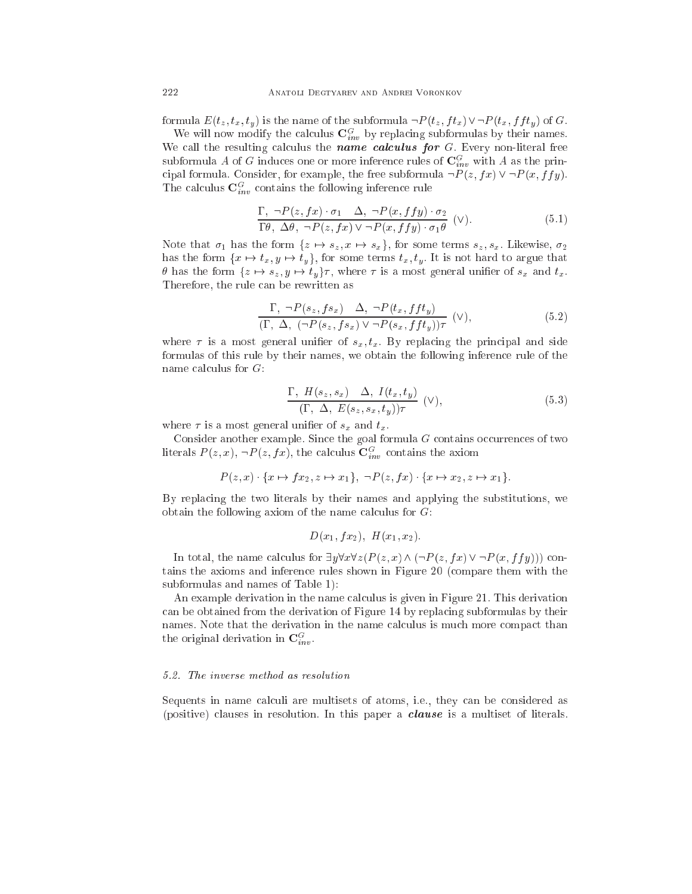formula  $E(t_z, t_x, t_y)$  is the name of the subformula  $\neg P(t_z, ft_x) \vee \neg P(t_x, fft_y)$  of G.

We will now modify the calculus  $\mathbf{C}_{inv}^G$  by replacing subformulas by their names. We call the resulting calculus the name calculus for  $G$ . Every non-literal free subformula A of G induces one or more inference rules of  $\mathbf{C}^G_{inv}$  with A as the principal formula. Consider, for example, the free subformula  $\neg P(z, fx) \vee \neg P(x, ffy)$ . The calculus  $\mathbf{C}^G_{inv}$  contains the following inference rule

$$
\frac{\Gamma, \ \neg P(z, fx) \cdot \sigma_1 \quad \Delta, \ \neg P(x, ffy) \cdot \sigma_2}{\Gamma \theta, \ \Delta \theta, \ \neg P(z, fx) \lor \neg P(x, ffy) \cdot \sigma_1 \theta} \quad (\vee).
$$
\n(5.1)

Note that  $\sigma_1$  has the form  $\{z \mapsto s_z, x \mapsto s_x\}$ , for some terms  $s_z, s_x$ . Likewise,  $\sigma_2$ has the form  $\{x \mapsto t_x, y \mapsto t_y\}$ , for some terms  $t_x, t_y$ . It is not hard to argue that  $\theta$  has the form  $\{z \mapsto s_z, y \mapsto t_y\}\tau$ , where  $\tau$  is a most general unifier of  $s_x$  and  $t_x$ . Therefore, the rule an be rewritten as

$$
\frac{\Gamma, \ \neg P(s_z, fs_x) \ \Delta, \ \neg P(t_x, fft_y)}{(\Gamma, \ \Delta, \ (\neg P(s_z, fs_x) \lor \neg P(s_x, fft_y))\tau} \ (\vee),
$$
\n(5.2)

where  $\tau$  is a most general unifier of  $s_x, t_x$ . By replacing the principal and side formulas of this rule by their names, we obtain the following inferen
e rule of the name calculus for  $G$ :

$$
\frac{\Gamma, H(s_z, s_x) \quad \Delta, I(t_x, t_y)}{(\Gamma, \Delta, E(s_z, s_x, t_y))\tau} \quad (\vee), \tag{5.3}
$$

where  $\tau$  is a most general unifier of  $s_x$  and  $t_x$ .

Consider another example. Since the goal formula  $G$  contains occurrences of two literals  $P(z, x)$ ,  $\neg P(z, fx)$ , the calculus  $\mathbf{C}_{inv}^G$  contains the axiom

$$
P(z,x) \cdot \{x \mapsto fx_2, z \mapsto x_1\}, \ \neg P(z,fx) \cdot \{x \mapsto x_2, z \mapsto x_1\}.
$$

By repla
ing the two literals by their names and applying the substitutions, we obtain the following axiom of the name calculus for  $G$ :

$$
D(x_1, fx_2), H(x_1, x_2).
$$

In total, the name calculus for  $\exists y \forall x \forall z (P(z,x) \land (\neg P(z, fx) \lor \neg P(x, fy)))$  contains the axioms and inferen
e rules shown in Figure 20 (
ompare them with the subformulas and names of Table 1):

An example derivation in the name calculus is given in Figure 21. This derivation an be obtained from the derivation of Figure 14 by repla
ing subformulas by their names. Note that the derivation in the name calculus is much more compact than the original derivation in  $\mathbf{C}^G_{inv}$ .

#### 5.2. The inverse method as resolution

Sequents in name calculi are multisets of atoms, i.e., they can be considered as (positive) clauses in resolution. In this paper a *clause* is a multiset of literals.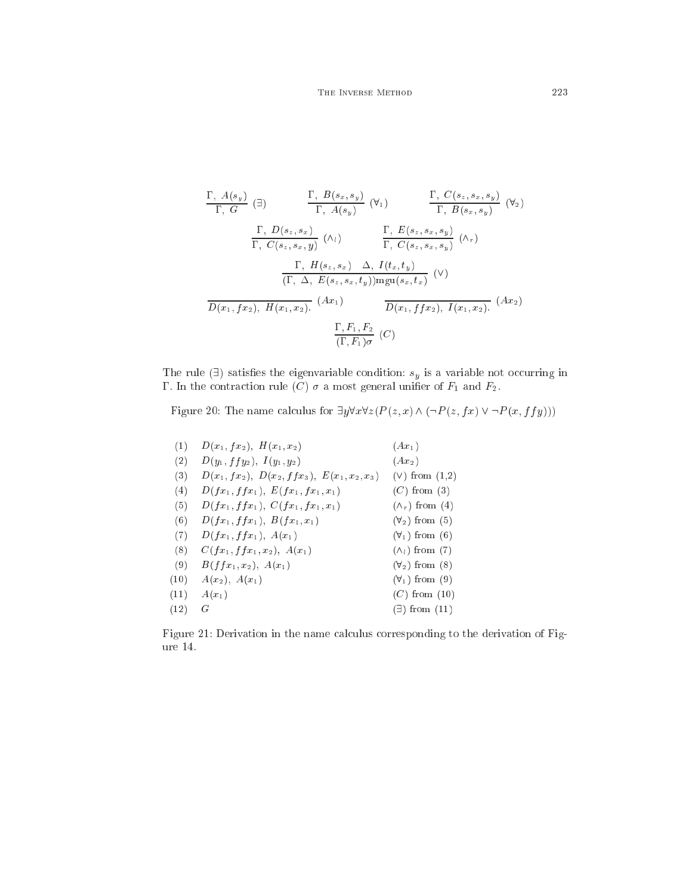$$
\frac{\Gamma, A(s_y)}{\Gamma, G} \quad (\exists) \quad \frac{\Gamma, B(s_x, s_y)}{\Gamma, A(s_y)} \quad (\forall_1) \quad \frac{\Gamma, C(s_z, s_x, s_y)}{\Gamma, B(s_x, s_y)} \quad (\forall_2)
$$
\n
$$
\frac{\Gamma, D(s_z, s_x)}{\Gamma, C(s_z, s_x, y)} \quad (\land_i) \quad \frac{\Gamma, E(s_z, s_x, s_y)}{\Gamma, C(s_z, s_x, s_y)} \quad (\land_r)
$$
\n
$$
\frac{\Gamma, H(s_z, s_x) \quad \Delta, I(t_x, t_y)}{(\Gamma, \Delta, E(s_z, s_x, t_y)) \text{mgu}(s_x, t_x)} \quad (\forall)
$$
\n
$$
\frac{\Gamma, F_1, F_2}{D(x_1, fx_2), H(x_1, x_2)} \quad (Ax_1) \quad \frac{\Gamma, F_1, F_2}{D(x_1, ff x_2), I(x_1, x_2)} \quad (Ax_2)
$$
\n
$$
\frac{\Gamma, F_1, F_2}{(\Gamma, F_1) \sigma} \quad (C)
$$

The rule  $(\exists)$  satisfies the eigenvariable condition:  $s_y$  is a variable not occurring in  $\Gamma$ . In the contraction rule  $(C)$   $\sigma$  a most general unifier of  $F_1$  and  $F_2$ .

Figure 20: The name calculus for  $\exists y \forall x \forall z (P(z,x) \wedge (\neg P(z,fx) \vee \neg P(x,ffy)))$ 

| (1)  | $D(x_1, fx_2), H(x_1, x_2)$                     | $(Ax_1)$                 |
|------|-------------------------------------------------|--------------------------|
| (2)  | $D(y_1, f fy_2), I(y_1, y_2)$                   | $(Ax_2)$                 |
| (3)  | $D(x_1, fx_2), D(x_2, ffx_3), E(x_1, x_2, x_3)$ | $(V)$ from $(1,2)$       |
| (4)  | $D(fx_1, ffx_1), E(fx_1, fx_1, x_1)$            | $(C)$ from $(3)$         |
| (5)  | $D(fx_1, ffx_1), C(fx_1, fx_1, x_1)$            | $(\wedge_r)$ from (4)    |
| (6)  | $D(fx_1, ffx_1), B(fx_1, x_1)$                  | $(\forall_2)$ from $(5)$ |
| (7)  | $D(fx_1, ffx_1), A(x_1)$                        | $(\forall_1)$ from (6)   |
| (8)  | $C(fx_1, ffx_1, x_2), A(x_1)$                   | $(\wedge_l)$ from (7)    |
| (9)  | $B(ffx_1, x_2), A(x_1)$                         | $(\forall_2)$ from $(8)$ |
| (10) | $A(x_2), A(x_1)$                                | $(\forall_1)$ from $(9)$ |
| (11) | $A(x_1)$                                        | $(C)$ from $(10)$        |
| (12) | G                                               | $(\exists)$ from $(11)$  |
|      |                                                 |                          |

Figure 21: Derivation in the name calculus corresponding to the derivation of Figure 14.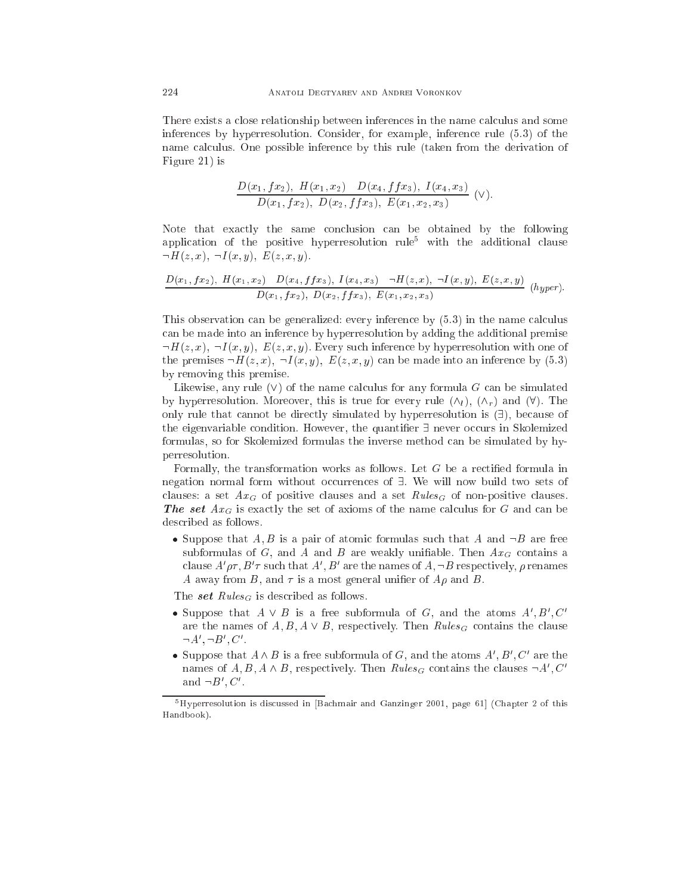There exists a close relationship between inferences in the name calculus and some inferen
es by hyperresolution. Consider, for example, inferen
e rule (5.3) of the name calculus. One possible inference by this rule (taken from the derivation of Figure 21) is

$$
\frac{D(x_1, fx_2), H(x_1, x_2) - D(x_4, ffx_3), I(x_4, x_3)}{D(x_1, fx_2), D(x_2, ffx_3), E(x_1, x_2, x_3)} \quad (V).
$$

Note that exactly the same conclusion can be obtained by the following application of the positive hyperresolution rule<sup>5</sup> with the additional clause  $\neg H(z, x), \neg I(x, y), E(z, x, y).$ 

$$
\frac{D(x_1, fx_2), H(x_1, x_2) - D(x_4, ffx_3), I(x_4, x_3) - H(z, x), -I(x, y), E(z, x, y)}{D(x_1, fx_2), D(x_2, ffx_3), E(x_1, x_2, x_3)} \quad (hyper).
$$

This observation can be generalized: every inference by  $(5.3)$  in the name calculus an be made into an inferen
e by hyperresolution by adding the additional premise  $\neg H(z, x), \neg I(x, y), E(z, x, y)$ . Every such inference by hyperresolution with one of the premises  $\neg H(z, x), \neg I(x, y), E(z, x, y)$  can be made into an inference by (5.3) by removing this premise.

Likewise, any rule  $(V)$  of the name calculus for any formula G can be simulated by hyperresolution. Moreover, this is true for every rule  $(\wedge_l)$ ,  $(\wedge_r)$  and  $(\forall)$ . The only rule that cannot be directly simulated by hyperresolution is  $( \exists )$ , because of the eigenvariable condition. However, the quantifier  $\exists$  never occurs in Skolemized formulas, so for Skolemized formulas the inverse method an be simulated by hyperresolution.

Formally, the transformation works as follows. Let  $G$  be a rectified formula in negation normal form without occurrences of  $\exists$ . We will now build two sets of clauses: a set  $Ax_G$  of positive clauses and a set  $Rules_G$  of non-positive clauses. **The set**  $Ax_G$  is exactly the set of axioms of the name calculus for G and can be des
ribed as follows.

• Suppose that  $A, B$  is a pair of atomic formulas such that A and  $\neg B$  are free subformulas of  $G$ , and  $A$  and  $B$  are weakly unifiable. Then  $Ax_G$  contains a clause  $A' \rho \tau$ ,  $B' \tau$  such that  $A', B'$  are the names of  $A, \neg B$  respectively,  $\rho$  renames A away from B, and  $\tau$  is a most general unifier of  $A\rho$  and B.

The set  $Rules_G$  is described as follows.

- Suppose that  $A \vee B$  is a free subformula of G, and the atoms  $A', B', C'$ are the names of  $A, B, A \vee B$ , respectively. Then  $Rules_G$  contains the clause  $\neg A', \neg B', C'.$
- Suppose that  $A \wedge B$  is a free subformula of G, and the atoms  $A', B', C'$  are the names of  $A, B, A \wedge B$ , respectively. Then  $Rules_G$  contains the clauses  $\neg A', C'$ and  $\neg B', C'$ .

 $5\,\text{Hyp}$ erresolution is discussed in [Bachmair and Ganzinger 2001, page 61] (Chapter 2 of this Handbook).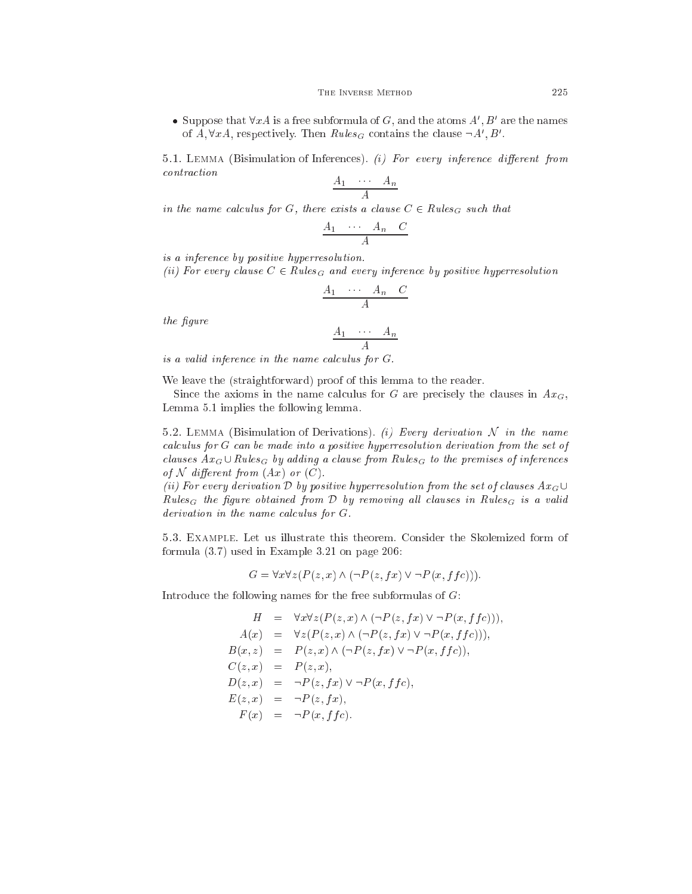• Suppose that  $\forall x \in A$  is a free subformula of G, and the atoms  $A', B'$  are the names of  $A, \forall x A$ , respectively. Then  $Rules_G$  contains the clause  $\neg A', B'$ .

5.1. LEMMA (Bisimulation of Inferences). (i) For every inference different from ontra
tion

$$
\frac{A_1 \cdots A_n}{A}
$$

in the name calculus for G, there exists a clause  $C \in Rules_G$  such that

$$
\begin{array}{ccc}\nA_1 & \cdots & A_n & C \\
\hline\n & A & & \n\end{array}
$$

is a inferen
e by positive hyperresolution.

(ii) For every clause  $C \in Rules_G$  and every inference by positive hyperresolution

$$
\begin{array}{ccc}\nA_1 & \cdots & A_n & C \\
\hline\n & A & \end{array}
$$

the figure

$$
\frac{A_1 \cdots A_n}{A}
$$

is a valid inference in the name calculus for  $G$ .

We leave the (straightforward) proof of this lemma to the reader.

Since the axioms in the name calculus for G are precisely the clauses in  $Ax_G$ , Lemma 5.1 implies the following lemma.

5.2. LEMMA (Bisimulation of Derivations). (i) Every derivation  $\mathcal N$  in the name calculus for G can be made into a positive hyperresolution derivation from the set of clauses  $Ax_G \cup Rules_G$  by adding a clause from  $Rules_G$  to the premises of inferences of N different from  $(Ax)$  or  $(C)$ .

(ii) For every derivation D by positive hyperresolution from the set of clauses  $Ax_G\cup$ Rules<sub>G</sub> the figure obtained from D by removing all clauses in Rules<sub>G</sub> is a valid  $derivation$  in the name calculus for  $G$ .

5.3. Example. Let us illustrate this theorem. Consider the Skolemized form of formula (3.7) used in Example 3.21 on page 206:

 $G = \forall x \forall z (P(z, x) \land (\neg P(z, fx) \lor \neg P(x, f(c))).$ 

Introdu
e the following names for the free subformulas of G:

$$
H = \forall x \forall z (P(z, x) \land (\neg P(z, fx) \lor \neg P(x, ffc))),
$$
  
\n
$$
A(x) = \forall z (P(z, x) \land (\neg P(z, fx) \lor \neg P(x, ffc))),
$$
  
\n
$$
B(x, z) = P(z, x) \land (\neg P(z, fx) \lor \neg P(x, ffc)),
$$
  
\n
$$
C(z, x) = P(z, x),
$$
  
\n
$$
D(z, x) = \neg P(z, fx) \lor \neg P(x, ffc),
$$
  
\n
$$
E(z, x) = \neg P(z, fx),
$$
  
\n
$$
F(x) = \neg P(x, ffc).
$$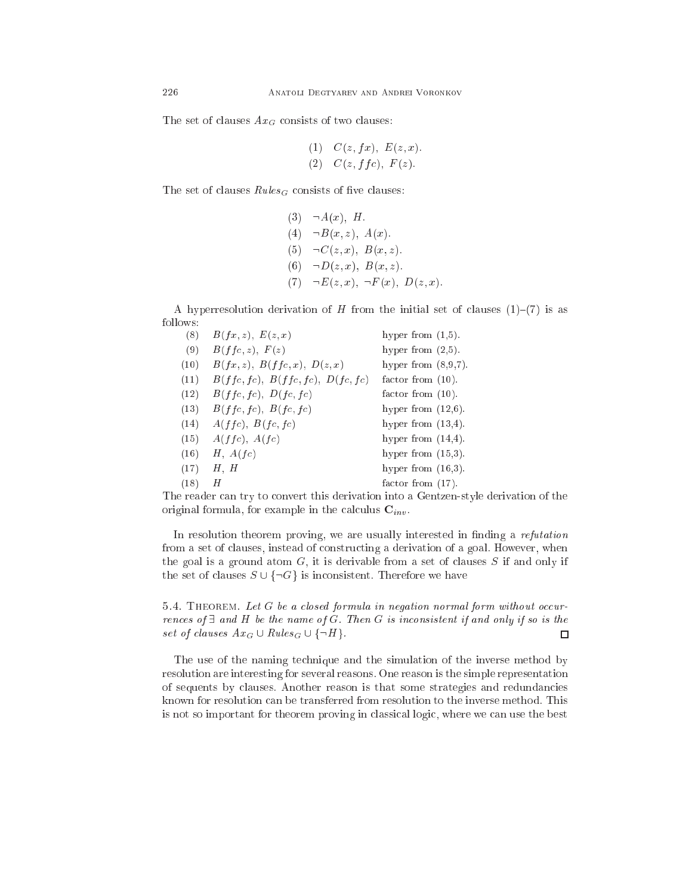The set of clauses  $Ax_G$  consists of two clauses:

(1) 
$$
C(z, fx), E(z, x)
$$
.  
(2)  $C(z, ffc), F(z)$ .

The set of clauses  $Rules_G$  consists of five clauses:

(3) 
$$
\neg A(x)
$$
, H.  
\n(4)  $\neg B(x, z)$ ,  $A(x)$ .  
\n(5)  $\neg C(z, x)$ ,  $B(x, z)$ .  
\n(6)  $\neg D(z, x)$ ,  $B(x, z)$ .  
\n(7)  $\neg E(z, x)$ ,  $\neg F(x)$ ,  $D(z, x)$ .

A hyperresolution derivation of H from the initial set of clauses  $(1)-(7)$  is as follows:

| (8)  | B(fx, z), E(z, x)                    | hyper from $(1,5)$ .   |
|------|--------------------------------------|------------------------|
| (9)  | B(ffc, z), F(z)                      | hyper from $(2,5)$ .   |
| (10) | $B(fx, z)$ , $B(ffc, x)$ , $D(z, x)$ | hyper from $(8,9,7)$ . |
| (11) | B(ffc,fc), B(ffc,fc), D(fc,fc)       | factor from $(10)$ .   |
| (12) | B(ffc,fc), D(fc,fc)                  | factor from $(10)$ .   |
| (13) | B(ffc,fc), B(fc,fc)                  | hyper from $(12,6)$ .  |
| (14) | A(ffc), B(fc, fc)                    | hyper from $(13,4)$ .  |
| (15) | A(ffc), A(fc)                        | hyper from $(14,4)$ .  |
| (16) | H, A(fc)                             | hyper from $(15,3)$ .  |
| (17) | H, H                                 | hyper from $(16,3)$ .  |
| (18) | Η                                    | factor from $(17)$ .   |

The reader can try to convert this derivation into a Gentzen-style derivation of the original formula, for example in the calculus  $\mathbf{C}_{inv}$ .

In resolution theorem proving, we are usually interested in finding a *refutation* from a set of clauses, instead of constructing a derivation of a goal. However, when the goal is a ground atom  $G$ , it is derivable from a set of clauses  $S$  if and only if the set of clauses  $S \cup \{\neg G\}$  is inconsistent. Therefore we have

5.4. THEOREM. Let G be a closed formula in negation normal form without occurrences of  $\exists$  and H be the name of G. Then G is inconsistent if and only if so is the set of clauses  $Ax_G \cup Rules_G \cup \{\neg H\}.$  $\Box$ 

The use of the naming technique and the simulation of the inverse method by resolution are interesting for several reasons. One reason is the simple representation of sequents by lauses. Another reason is that some strategies and redundan
ies known for resolution an be transferred from resolution to the inverse method. This is not so important for theorem proving in lassi
al logi
, where we an use the best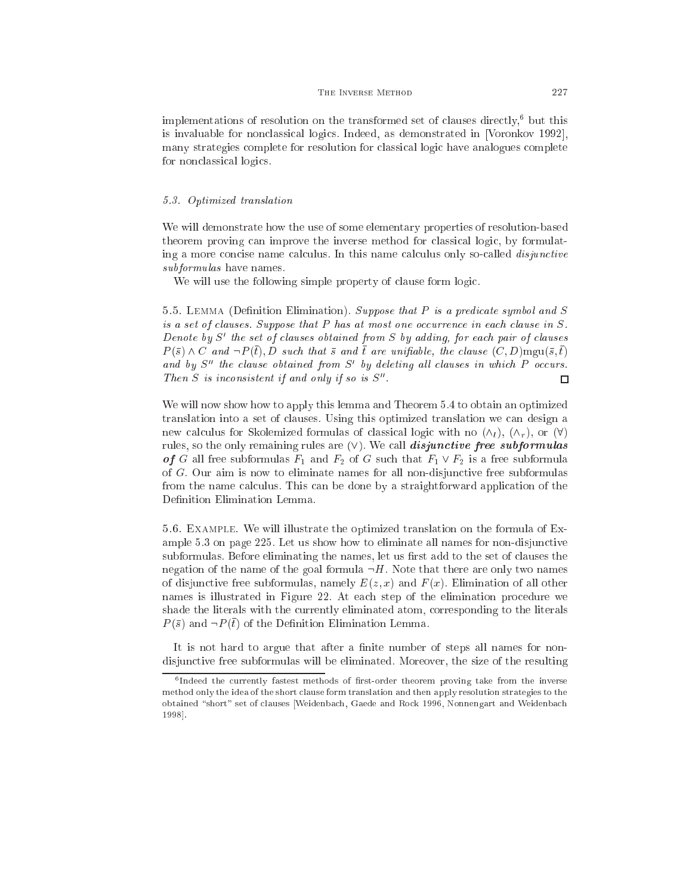#### THE INVERSE METHOD 227

 $\rm{implerin}$  attorns of resolution on the transformed set of clauses directly,  $\rm{p}$  out this is invaluable for nonclassical logics. Indeed, as demonstrated in [Voronkov 1992], many strategies omplete for resolution for lassi
al logi have analogues omplete for non
lassi
al logi
s.

# 5.3. Optimized translation

We will demonstrate how the use of some elementary properties of resolution-based theorem proving can improve the inverse method for classical logic, by formulating a more concise name calculus. In this name calculus only so-called *disjunctive* subformulas have names.

We will use the following simple property of clause form logic.

5.5. LEMMA (Definition Elimination). Suppose that  $P$  is a predicate symbol and  $S$ is a set of clauses. Suppose that  $P$  has at most one occurrence in each clause in  $S$ . Denote by  $S'$  the set of clauses obtained from S by adding, for each pair of clauses  $P(\bar{s}) \wedge C$  and  $\neg P(\bar{t}), D$  such that  $\bar{s}$  and  $\bar{t}$  are unifiable, the clause  $(C, D)$ mgu $(\bar{s}, \bar{t})$ and by  $S''$  the clause obtained from  $S'$  by deleting all clauses in which P occurs. Then S is inconsistent if and only if so is  $S''$ .  $\Box$ 

We will now show how to apply this lemma and Theorem 5.4 to obtain an optimized translation into a set of lauses. Using this optimized translation we an design a new calculus for Skolemized formulas of classical logic with no  $(\wedge_l)$ ,  $(\wedge_r)$ , or  $(\forall)$ rules, so the only remaining rules are  $(V)$ . We call *disjunctive free subformulas* of G all free subformulas  $F_1$  and  $F_2$  of G such that  $F_1 \vee F_2$  is a free subformula of G. Our aim is now to eliminate names for all non-disjun
tive free subformulas from the name calculus. This can be done by a straightforward application of the Definition Elimination Lemma.

5.6. Example. We will illustrate the optimized translation on the formula of Example 5.3 on page 225. Let us show how to eliminate all names for non-disjun
tive subformulas. Before eliminating the names, let us first add to the set of clauses the negation of the name of the goal formula  $\neg H$ . Note that there are only two names of disjunctive free subformulas, namely  $E(z, x)$  and  $F(x)$ . Elimination of all other names is illustrated in Figure 22. At ea
h step of the elimination pro
edure we shade the literals with the urrently eliminated atom, orresponding to the literals  $P(\bar{s})$  and  $\neg P(\bar{t})$  of the Definition Elimination Lemma.

It is not hard to argue that after a finite number of steps all names for nondisjun
tive free subformulas will be eliminated. Moreover, the size of the resulting

tindeed the currently fastest inethods of inst-order theorem proving take from the inverse method only the idea of the short 
lause form translation and then apply resolution strategies to the obtained "short" set of clauses [Weidenbach, Gaede and Rock 1996, Nonnengart and Weidenbach 1998.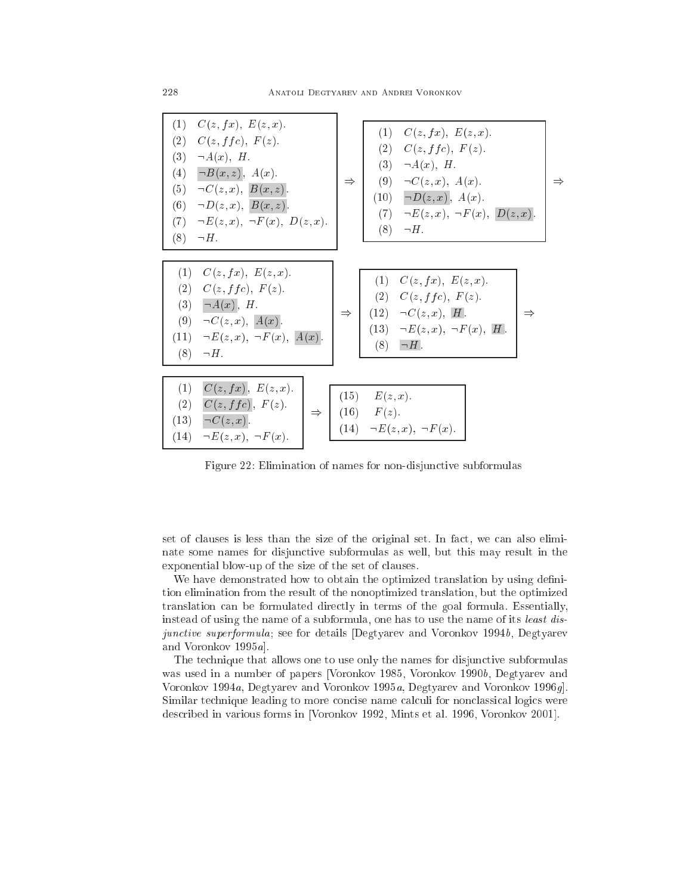$\Rightarrow$ 

| (1) $C(z, fx), E(z, x).$<br>C(z, ffc), F(z).<br>(2)<br>$\neg A(x), H.$<br>(3)<br>(4) $\neg B(x, z)$ , $A(x)$ .<br>(5) $\neg C(z, x), B(x, z).$<br>(6) $\neg D(z, x), B(x, z).$<br>(7) $\neg E(z, x), \neg F(x), D(z, x).$<br>$(8) \quad \neg H.$ | (1) $C(z, fx), E(z, x).$<br>(2) $C(z, ffc), F(z)$ .<br>(3) $\neg A(x)$ , H.<br>(9) $\neg C(z, x), A(x)$ .<br>$\Rightarrow$<br>$(10) \quad \neg D(z, x), \; A(x).$<br>(7) $\neg E(z, x), \neg F(x), D(z, x).$<br>$(8) \quad \neg H.$ |
|--------------------------------------------------------------------------------------------------------------------------------------------------------------------------------------------------------------------------------------------------|-------------------------------------------------------------------------------------------------------------------------------------------------------------------------------------------------------------------------------------|
| $(1)$ $C(z, fx), E(z, x).$<br>(2) $C(z, ffc), F(z)$ .<br>(3) $\neg A(x)$ , H.<br>(9) $\neg C(z, x), \, A(x)$ .<br>$(11) \quad \neg E(z, x), \ \neg F(x), \ A(x).$<br>$(8) \quad \neg H.$                                                         | $(1)$ $C(z, fx), E(z, x).$<br>(2) $C(z, ffc), F(z)$ .<br>$(12) \quad \neg C(z,x), \; H.$<br>$\Rightarrow$ 1<br>(13) $\neg E(z, x), \neg F(x), H$ .<br>$(8) \quad \Box H.$                                                           |
| C(z,fx), E(z,x).<br>(1)<br>C(z, ffc), F(z).<br>(2)<br>$\Rightarrow$  <br>$(13) \quad \neg C(z,x)$ .<br>$(14) \quad \neg E(z, x), \ \neg F(x).$                                                                                                   | $(15)$ $E(z, x)$ .<br>$(16)$ $F(z)$ .<br>(14) $\neg E(z, x), \neg F(x)$ .                                                                                                                                                           |

Figure 22: Elimination of names for non-disjunctive subformulas

set of clauses is less than the size of the original set. In fact, we can also eliminate some names for disjun
tive subformulas as well, but this may result in the exponential blow-up of the size of the set of lauses.

We have demonstrated how to obtain the optimized translation by using definition elimination from the result of the nonoptimized translation, but the optimized translation an be formulated dire
tly in terms of the goal formula. Essentially, instead of using the name of a subformula, one has to use the name of its least disjunctive superformula; see for details [Degtyarev and Voronkov 1994b, Degtyarev and Voronkov  $1995a$ .

The technique that allows one to use only the names for disjunctive subformulas was used in a number of papers [Voronkov 1985, Voronkov 1990b, Degtyarev and Voronkov 1994a, Degtyarev and Voronkov 1995a, Degtyarev and Voronkov 1996g. Similar technique leading to more concise name calculi for nonclassical logics were described in various forms in [Voronkov 1992, Mints et al. 1996, Voronkov 2001].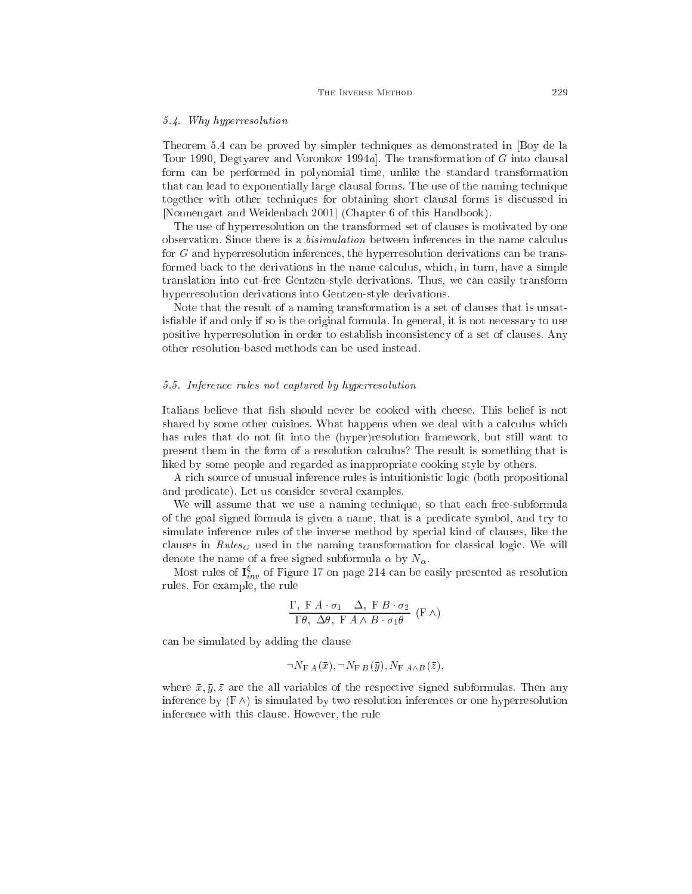#### 5.4. Why hyperresolution

Theorem 5.4 an be proved by simpler te
hniques as demonstrated in [Boy de la Tour 1990, Degtyarev and Voronkov 1994a. The transformation of  $G$  into clausal form an be performed in polynomial time, unlike the standard transformation that can lead to exponentially large clausal forms. The use of the naming technique together with other techniques for obtaining short clausal forms is discussed in [Nonnengart and Weidenbach 2001] (Chapter 6 of this Handbook).

The use of hyperresolution on the transformed set of lauses is motivated by one observation. Since there is a *bisimulation* between inferences in the name calculus for G and hyperresolution inferen
es, the hyperresolution derivations an be transformed back to the derivations in the name calculus, which, in turn, have a simple translation into ut-free Gentzen-style derivations. Thus, we an easily transform hyperresolution derivations into Gentzen-style derivations.

Note that the result of a naming transformation is a set of lauses that is unsatis fiable if and only if so is the original formula. In general, it is not necessary to use positive hyperresolution in order to establish inconsistency of a set of clauses. Any other resolution-based methods an be used instead.

### 5.5. Inferen
e rules not aptured by hyperresolution

Italians believe that fish should never be cooked with cheese. This belief is not shared by some other cuisines. What happens when we deal with a calculus which has rules that do not fit into the (hyper)resolution framework, but still want to present them in the form of a resolution calculus? The result is something that is liked by some people and regarded as inappropriate ooking style by others.

A ri
h sour
e of unusual inferen
e rules is intuitionisti logi (both propositional and predi
ate). Let us onsider several examples.

We will assume that we use a naming technique, so that each free-subformula of the goal signed formula is given a name, that is a predi
ate symbol, and try to simulate inferen
e rules of the inverse method by spe
ial kind of lauses, like the clauses in  $Rules_G$  used in the naming transformation for classical logic. We will denote the name of a free signed subformula  $\alpha$  by  $N_{\alpha}$ .

Most rules of  $I_{inv}^{\xi}$  of Figure 17 on page 214 can be easily presented as resolution rules. For example, the rule

$$
\frac{\Gamma, \ F A \cdot \sigma_1 \quad \Delta, \ F B \cdot \sigma_2}{\Gamma \theta, \ \Delta \theta, \ F A \wedge B \cdot \sigma_1 \theta} \ (F \wedge)
$$

an be simulated by adding the lause

$$
\neg N_{\mathrm{F}\,A}(\bar{x}), \neg N_{\mathrm{F}\,B}(\bar{y}), N_{\mathrm{F}\,A \wedge B}(\bar{z}),
$$

where  $\bar{x}, \bar{y}, \bar{z}$  are the all variables of the respective signed subformulas. Then any inference by  $(F \wedge)$  is simulated by two resolution inferences or one hyperresolution inferen
e with this lause. However, the rule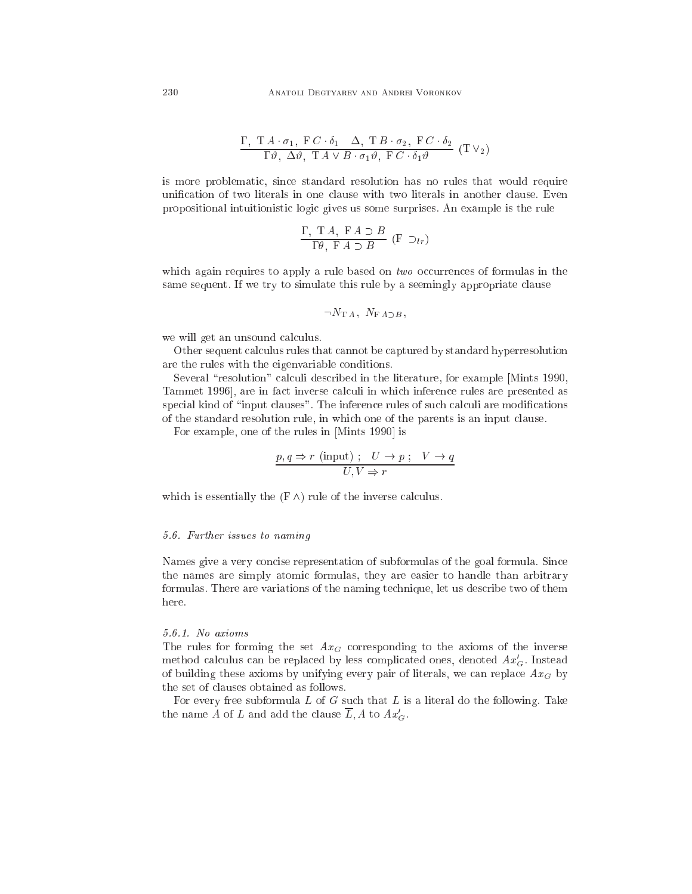$$
\frac{\Gamma, T A \cdot \sigma_1, F C \cdot \delta_1 \Delta, T B \cdot \sigma_2, F C \cdot \delta_2}{\Gamma \vartheta, \Delta \vartheta, T A \vee B \cdot \sigma_1 \vartheta, F C \cdot \delta_1 \vartheta} (T V_2)
$$

is more problemati
, sin
e standard resolution has no rules that would require unification of two literals in one clause with two literals in another clause. Even propositional intuitionisti logi gives us some surprises. An example is the rule

$$
\frac{\Gamma, T A, F A \supset B}{\Gamma \theta, F A \supset B} (F \supset_{lr})
$$

which again requires to apply a rule based on  $two$  occurrences of formulas in the same sequent. If we try to simulate this rule by a seemingly appropriate clause

$$
\neg N_{\mathrm{T} A}, N_{\mathrm{F} A \supset B},
$$

we will get an unsound calculus.

Other sequent calculus rules that cannot be captured by standard hyperresolution are the rules with the eigenvariable onditions.

Several "resolution" calculi described in the literature, for example [Mints 1990, Tammet 1996, are in fact inverse calculi in which inference rules are presented as special kind of "input clauses". The inference rules of such calculi are modifications of the standard resolution rule, in whi
h one of the parents is an input lause.

For example, one of the rules in [Mints 1990] is

$$
\frac{p, q \Rightarrow r \text{ (input)} : U \to p : V \to q}{U, V \Rightarrow r}
$$

which is essentially the  $(F \wedge)$  rule of the inverse calculus.

#### 5.6. Further issues to naming

Names give a very concise representation of subformulas of the goal formula. Since the names are simply atomi formulas, they are easier to handle than arbitrary formulas. There are variations of the naming te
hnique, let us des
ribe two of them here.

# 5.6.1. No axioms

The rules for forming the set  $Ax_G$  corresponding to the axioms of the inverse method calculus can be replaced by less complicated ones, denoted  $\mathit{AT}_G.$  Instead of building these axioms by unifying every pair of literals, we can replace  $Ax_G$  by the set of lauses obtained as follows.

For every free subformula  $L$  of  $G$  such that  $L$  is a literal do the following. Take the name A of L and add the clause L, A to  $Ax'_G$ .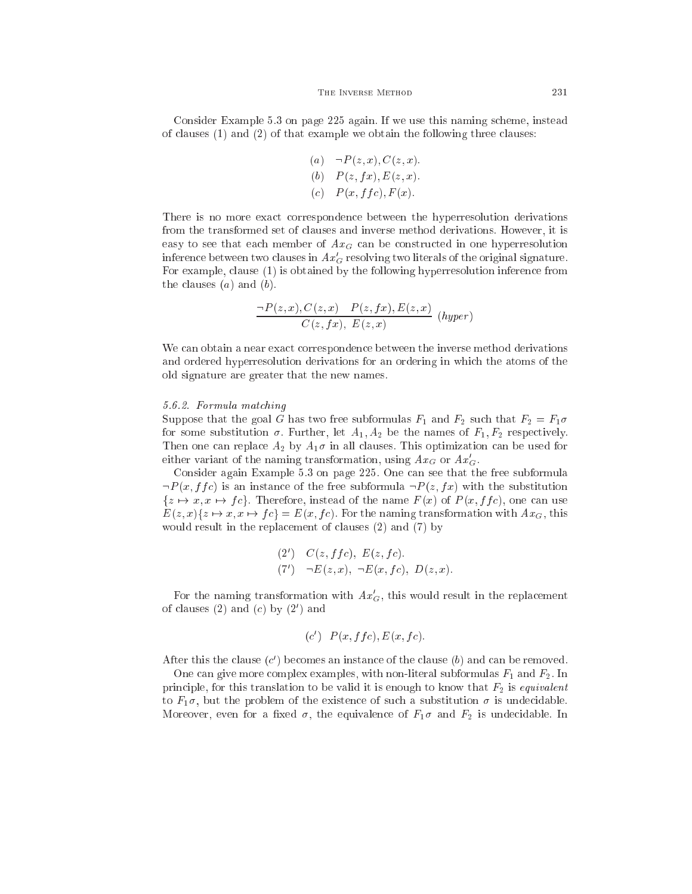Consider Example 5.3 on page 225 again. If we use this naming s
heme, instead of lauses (1) and (2) of that example we obtain the following three lauses:

\n- (a) 
$$
\neg P(z, x), C(z, x)
$$
.
\n- (b)  $P(z, fx), E(z, x)$ .
\n- (c)  $P(x, ffc), F(x)$ .
\n

There is no more exa
t orresponden
e between the hyperresolution derivations from the transformed set of lauses and inverse method derivations. However, it is easy to see that each member of  $A x_G$  can be constructed in one hyperresolution inference between two clauses in  $\left.A x_{G}\right.$  resolving two literals of the original signature. For example, clause (1) is obtained by the following hyperresolution inference from the clauses  $(a)$  and  $(b)$ .

$$
\frac{\neg P(z,x), C(z,x) - P(z,fx), E(z,x)}{C(z,fx), E(z,x)} \quad (hyper)
$$

We can obtain a near exact correspondence between the inverse method derivations and ordered hyperresolution derivations for an ordering in which the atoms of the old signature are greater that the new names.

#### 5.6.2. Formula mat
hing

Suppose that the goal G has two free subformulas  $F_1$  and  $F_2$  such that  $F_2 = F_1 \sigma$ for some substitution  $\sigma$ . Further, let  $A_1, A_2$  be the names of  $F_1, F_2$  respectively. Then one can replace  $A_2$  by  $A_1\sigma$  in all clauses. This optimization can be used for either variant of the naming transformation, using  $\textit{Ax}_G$  or  $\textit{Ax}_G$ .

Consider again Example 5.3 on page 225. One an see that the free subformula  $\neg P(x, f f c)$  is an instance of the free subformula  $\neg P(z, f x)$  with the substitution  $\{z \mapsto x, x \mapsto fc\}$ . Therefore, instead of the name  $F(x)$  of  $P(x, ffc)$ , one can use  $E(z, x) \{ z \mapsto x, x \mapsto fc\} = E(x, fc)$ . For the naming transformation with  $Ax_G$ , this would result in the replacement of clauses (2) and (7) by

(2') 
$$
C(z, ffc), E(z, fc).
$$
  
(7')  $\neg E(z, x), \neg E(x, fc), D(z, x).$ 

For the naming transformation with  $Ax_G$ , this would result in the replacement of clauses (2) and (c) by (2) and

$$
(c') P(x, ffc), E(x, fc).
$$

After this the clause  $(c')$  becomes an instance of the clause  $(b)$  and can be removed.

One can give more complex examples, with non-literal subformulas  $F_1$  and  $F_2$ . In principle, for this translation to be valid it is enough to know that  $F_2$  is *equivalent* to  $F_1\sigma$ , but the problem of the existence of such a substitution  $\sigma$  is undecidable. Moreover, even for a fixed  $\sigma$ , the equivalence of  $F_1\sigma$  and  $F_2$  is undecidable. In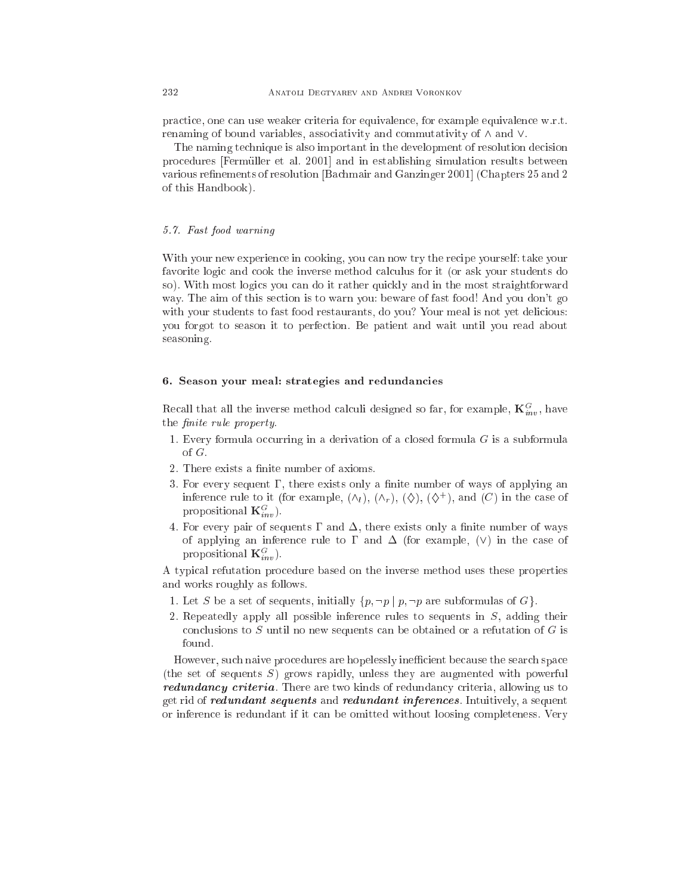pra
ti
e, one an use weaker riteria for equivalen
e, for example equivalen
e w.r.t. renaming of bound variables, associativity and commutativity of  $\wedge$  and  $\vee$ .

The naming te
hnique is also important in the development of resolution de
ision procedures [Fermüller et al. 2001] and in establishing simulation results between various refinements of resolution [Bachmair and Ganzinger 2001] (Chapters 25 and 2) of this Handbook).

# 5.7. Fast food warning

With your new experience in cooking, you can now try the recipe yourself: take your favorite logic and cook the inverse method calculus for it (or ask your students do so). With most logi
s you an do it rather qui
kly and in the most straightforward way. The aim of this se
tion is to warn you: beware of fast food! And you don't go with your students to fast food restaurants, do you? Your meal is not yet delicious: you forgot to season it to perfe
tion. Be patient and wait until you read about seasoning.

# 6. Season your meal: strategies and redundan
ies

Recall that all the inverse method calculi designed so far, for example,  $\mathbf{K}_{inv}^G$ , have the *finite* rule property.

- 1. Every formula occurring in a derivation of a closed formula  $G$  is a subformula of G.
- 2. There exists a finite number of axioms.
- 3. For every sequent  $\Gamma$ , there exists only a finite number of ways of applying an inference rule to it (for example,  $(\wedge_l)$ ,  $(\wedge_r)$ ,  $(\diamondsuit)$ ,  $(\diamondsuit^+)$ , and  $(C)$  in the case of propositional  $\mathbf{K}_{inv}^G$ ).
- 4. For every pair of sequents  $\Gamma$  and  $\Delta$ , there exists only a finite number of ways of applying an inference rule to  $\Gamma$  and  $\Delta$  (for example, (V) in the case of propositional  $\mathbf{K}_{inv}^G$ ).

A typi
al refutation pro
edure based on the inverse method uses these properties and works roughly as follows.

- 1. Let S be a set of sequents, initially  $\{p, \neg p \mid p, \neg p \text{ are subformulas of } G\}.$
- 2. Repeatedly apply all possible inferen
e rules to sequents in S, adding their conclusions to  $S$  until no new sequents can be obtained or a refutation of  $G$  is found.

However, such naive procedures are hopelessly inefficient because the search space (the set of sequents S) grows rapidly, unless they are augmented with powerful redundancy criteria. There are two kinds of redundancy criteria, allowing us to get rid of redundant sequents and redundant inferences. Intuitively, a sequent or inferen
e is redundant if it an be omitted without loosing ompleteness. Very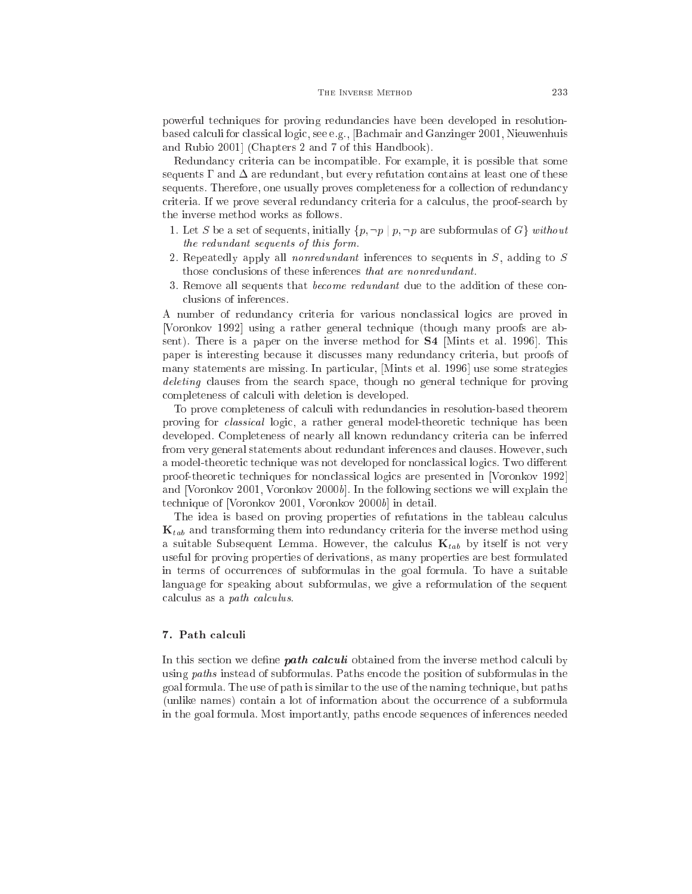powerful te
hniques for proving redundan
ies have been developed in resolutionbased al
uli for lassi
al logi
, see e.g., [Ba
hmair and Ganzinger 2001, Nieuwenhuis and Rubio 2001 (Chapters 2 and 7 of this Handbook).

Redundancy criteria can be incompatible. For example, it is possible that some sequents  $\Gamma$  and  $\Delta$  are redundant, but every refutation contains at least one of these sequents. Therefore, one usually proves completeness for a collection of redundancy criteria. If we prove several redundancy criteria for a calculus, the proof-search by the inverse method works as follows.

- 1. Let S be a set of sequents, initially  $\{p, \neg p \mid p, \neg p \text{ are subformulas of } G\}$  without the redundant sequents of this form.
- 2. Repeatedly apply all nonredundant inferen
es to sequents in S, adding to S those conclusions of these inferences that are nonredundant.
- 3. Remove all sequents that *become redundant* due to the addition of these conlusions of inferen
es.

A number of redundan
y riteria for various non
lassi
al logi
s are proved in [Voronkov 1992] using a rather general technique (though many proofs are absent). There is a paper on the inverse method for **S4** [Mints et al. 1996]. This paper is interesting because it discusses many redundancy criteria, but proofs of many statements are missing. In particular, [Mints et al. 1996] use some strategies deleting clauses from the search space, though no general technique for proving completeness of calculi with deletion is developed.

To prove completeness of calculi with redundancies in resolution-based theorem proving for *classical* logic, a rather general model-theoretic technique has been developed. Completeness of nearly all known redundancy criteria can be inferred from very general statements about redundant inferen
es and lauses. However, su
h a model-theoretic technique was not developed for nonclassical logics. Two different proof-theoretic techniques for nonclassical logics are presented in [Voronkov 1992] and [Voronkov 2001, Voronkov 2000b]. In the following sections we will explain the technique of [Voronkov 2001, Voronkov 2000b] in detail.

The idea is based on proving properties of refutations in the tableau calculus  $\mathbf{K}_{tab}$  and transforming them into redundancy criteria for the inverse method using a suitable Subsequent Lemma. However, the calculus  $\mathbf{K}_{tab}$  by itself is not very useful for proving properties of derivations, as many properties are best formulated in terms of occurrences of subformulas in the goal formula. To have a suitable language for speaking about subformulas, we give a reformulation of the sequent calculus as a *path calculus*.

# 7. Path calculi

In this section we define **path calculi** obtained from the inverse method calculi by using *paths* instead of subformulas. Paths encode the position of subformulas in the goal formula. The use of path is similar to the use of the naming technique, but paths (unlike names) ontain a lot of information about the o

urren
e of a subformula in the goal formula. Most importantly, paths en
ode sequen
es of inferen
es needed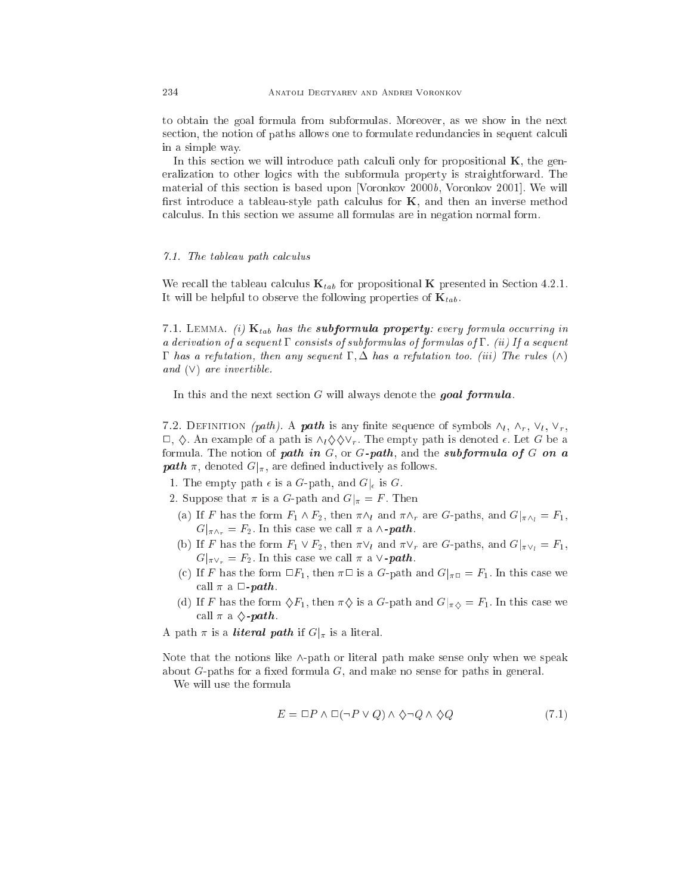to obtain the goal formula from subformulas. Moreover, as we show in the next section, the notion of paths allows one to formulate redundancies in sequent calculi in a simple way.

In this section we will introduce path calculi only for propositional  $K$ , the generalization to other logi
s with the subformula property is straightforward. The material of this section is based upon [Voronkov 2000 $b$ , Voronkov 2001]. We will first introduce a tableau-style path calculus for  $K$ , and then an inverse method al
ulus. In this se
tion we assume all formulas are in negation normal form.

# 7.1. The tableau path calculus

We recall the tableau calculus  $\mathbf{K}_{tab}$  for propositional **K** presented in Section 4.2.1. It will be helpful to observe the following properties of  $\mathbf{K}_{tab}$ .

7.1. LEMMA. (i)  $\mathbf{K}_{tab}$  has the subformula property: every formula occurring in a derivation of a sequent  $\Gamma$  consists of subformulas of formulas of  $\Gamma$ . (ii) If a sequent  $\Gamma$  has a refutation, then any sequent  $\Gamma, \Delta$  has a refutation too. (iii) The rules  $(\wedge)$ and  $(V)$  are invertible.

In this and the next section  $G$  will always denote the goal formula.

7.2. DEFINITION (path). A **path** is any finite sequence of symbols  $\wedge_l$ ,  $\wedge_r$ ,  $\vee_l$ ,  $\vee_r$ ,  $\Box$ ,  $\diamondsuit$ . An example of a path is  $\wedge_{l}\diamondsuit\Diamond\vee_{r}$ . The empty path is denoted  $\epsilon$ . Let G be a formula. The notion of path in  $G$ , or  $G$ -path, and the subformula of  $G$  on a **path**  $\pi$ , denoted  $G|_{\pi}$ , are defined inductively as follows.

- 1. The empty path  $\epsilon$  is a G-path, and  $G|_{\epsilon}$  is G.
- 2. Suppose that  $\pi$  is a G-path and  $G|_{\pi} = F$ . Then
	- (a) If F has the form  $F_1 \wedge F_2$ , then  $\pi \wedge_l$  and  $\pi \wedge_r$  are G-paths, and  $G|_{\pi \wedge_l} = F_1$ ,  $G|_{\pi \wedge_r} = F_2$ . In this case we call  $\pi$  a  $\wedge$ -path.
	- (b) If F has the form  $F_1 \vee F_2$ , then  $\pi \vee_l$  and  $\pi \vee_r$  are G-paths, and  $G|_{\pi \vee_l} = F_1$ ,  $G|_{\pi \vee_r} = F_2$ . In this case we call  $\pi$  a  $\vee$ -**path**.
	- (c) If F has the form  $\Box F_1$ , then  $\pi\Box$  is a G-path and  $G|_{\pi\Box} = F_1$ . In this case we call  $\pi$  a  $\Box$ -path.
	- (d) If F has the form  $\Diamond F_1$ , then  $\pi \Diamond$  is a G-path and  $G|_{\pi \Diamond} = F_1$ . In this case we call  $\pi$  a  $\Diamond$ -path.

A path  $\pi$  is a *literal path* if  $G|_{\pi}$  is a literal.

Note that the notions like  $\wedge$ -path or literal path make sense only when we speak about  $G$ -paths for a fixed formula  $G$ , and make no sense for paths in general.

We will use the formula

$$
E = \Box P \land \Box(\neg P \lor Q) \land \Diamond \neg Q \land \Diamond Q \tag{7.1}
$$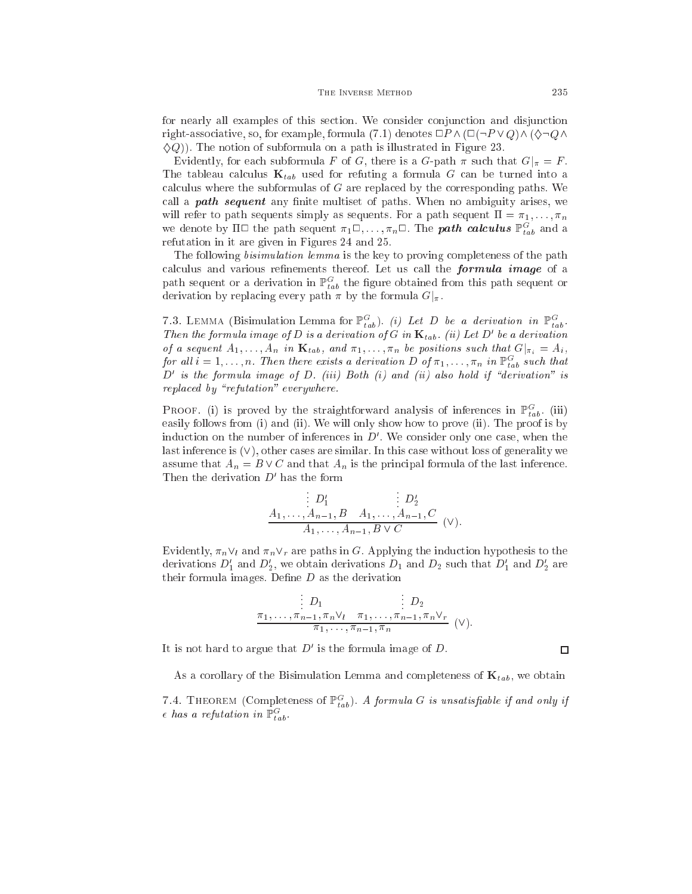for nearly all examples of this se
tion. We onsider onjun
tion and disjun
tion right-associative, so, for example, formula (7.1) denotes  $\Box P \wedge (\Box(\neg P \vee Q) \wedge (\Diamond \neg Q \wedge$  $\langle \Diamond Q \rangle$ ). The notion of subformula on a path is illustrated in Figure 23.

Evidently, for each subformula F of G, there is a G-path  $\pi$  such that  $G|_{\pi} = F$ . The tableau calculus  $\mathbf{K}_{tab}$  used for refuting a formula G can be turned into a calculus where the subformulas of G are replaced by the corresponding paths. We call a **path sequent** any finite multiset of paths. When no ambiguity arises, we will refer to path sequents simply as sequents. For a path sequent  $\Pi = \pi_1, \ldots, \pi_n$ we denote by  $\Pi \Box$  the path sequent  $\pi_1 \Box, \ldots, \pi_n \Box$ . The **path calculus**  $\mathbb{P}^G_{tab}$  and a refutation in it are given in Figures 24 and 25.

The following *bisimulation lemma* is the key to proving completeness of the path calculus and various refinements thereof. Let us call the formula image of a path sequent or a derivation in  $\mathbb{P}^G_{tab}$  the figure obtained from this path sequent or derivation by replacing every path  $\pi$  by the formula  $G|_{\pi}$ .

7.3. LEMMA (Bisimulation Lemma for  $\mathbb{P}^G_{tab}$ ). (i) Let D be a derivation in  $\mathbb{P}^G_{tab}$ . Then the formula image of D is a derivation of G in  $\mathbf{K}_{tab}$ . (ii) Let D' be a derivation of a sequent  $A_1, \ldots, A_n$  in  $\mathbf{K}_{tab}$ , and  $\pi_1, \ldots, \pi_n$  be positions such that  $G|_{\pi_i} = A_i$ , for all  $i = 1, \ldots, n$ . Then there exists a derivation D of  $\pi_1, \ldots, \pi_n$  in  $\mathbb{P}^G_{tab}$  such that  $D'$  is the formula image of  $D$ . (iii) Both (i) and (ii) also hold if "derivation" is replaced by "refutation" everywhere.

PROOF. (i) is proved by the straightforward analysis of inferences in  $\mathbb{P}^{G}_{tab}$ . (iii) easily follows from (i) and (ii). We will only show how to prove (ii). The proof is by induction on the number of inferences in  $D'$ . We consider only one case, when the last inference is  $(V)$ , other cases are similar. In this case without loss of generality we assume that  $A_n = B \vee C$  and that  $A_n$  is the principal formula of the last inference. Then the derivation  $D'$  has the form

$$
\frac{D'_1}{A_1, \dots, A_{n-1}, B \quad A_1, \dots, A_{n-1}, C} \quad (\vee).
$$
\n
$$
\frac{A_1, \dots, A_{n-1}, B \lor C}{A_1, \dots, A_{n-1}, B \lor C} \quad (\vee).
$$

Evidently,  $\pi_n \vee_l$  and  $\pi_n \vee_r$  are paths in G. Applying the induction hypothesis to the derivations  $D'_1$  and  $D'_2$ , we obtain derivations  $D_1$  and  $D_2$  such that  $D'_1$  and  $D'_2$  are their formula images. Define  $D$  as the derivation

$$
\frac{D_1}{\pi_1,\ldots,\pi_{n-1},\pi_n\vee\iota \quad \pi_1,\ldots,\pi_{n-1},\pi_n\vee\iota \quad} \quad (\vee).
$$

It is not hard to argue that  $D'$  is the formula image of  $D$ .

As a corollary of the Bisimulation Lemma and completeness of  $\mathbf{K}_{tab}$ , we obtain

7.4. THEOREM (Completeness of  $\mathbb{P}^G_{tab}$ ). A formula G is unsatisfiable if and only if  $\epsilon$  has a refutation in  $\mathbb{P}^G_{tab}$ .

 $\Box$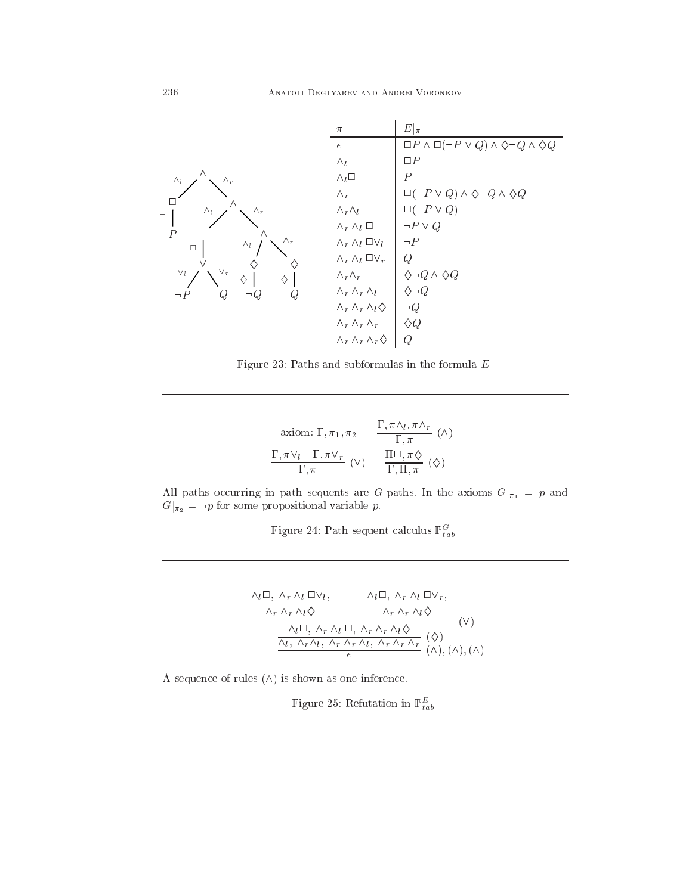

Figure 23: Paths and subformulas in the formula  $E$ 

axiom: 
$$
\Gamma
$$
,  $\pi_1$ ,  $\pi_2$   $\frac{\Gamma, \pi \wedge_l, \pi \wedge_r}{\Gamma, \pi}$  ( $\wedge$ )  
\n $\frac{\Gamma, \pi \vee_l \Gamma, \pi \vee_r}{\Gamma, \pi}$  ( $\vee$ )  $\frac{\Pi \Box, \pi \diamondsuit}{\Gamma, \Pi, \pi}$  ( $\diamond$ )

All paths occurring in path sequents are G-paths. In the axioms  $G|_{\pi_1} = p$  and  $G|_{\pi_2} = \neg p$  for some propositional variable p.

Figure 24: Path sequent calculus  $\mathbb{P}^G_{tab}$ 

$$
\begin{array}{ccc}\n\wedge_{l}\Box, \wedge_{r} \wedge_{l}\Box\lor_{l}, & \wedge_{l}\Box, \wedge_{r} \wedge_{l}\Box\lor_{r}, \\
\wedge_{r} \wedge_{r} \wedge_{l}\Diamond & \wedge_{r} \wedge_{r} \wedge_{l}\Diamond \\
\hline\n\wedge_{l}\Box, \wedge_{r} \wedge_{l}\Box, \wedge_{r} \wedge_{r} \wedge_{l}\Diamond \\
\hline\n\wedge_{l}, \wedge_{r} \wedge_{l}, \wedge_{r} \wedge_{r} \wedge_{l}, \wedge_{r} \wedge_{r} \wedge_{r} \\
\hline\n\epsilon & (\wedge), (\wedge), (\wedge)\n\end{array}
$$

A sequence of rules  $(\wedge)$  is shown as one inference.

Figure 25: Refutation in  $\mathbb{P}^E_{tab}$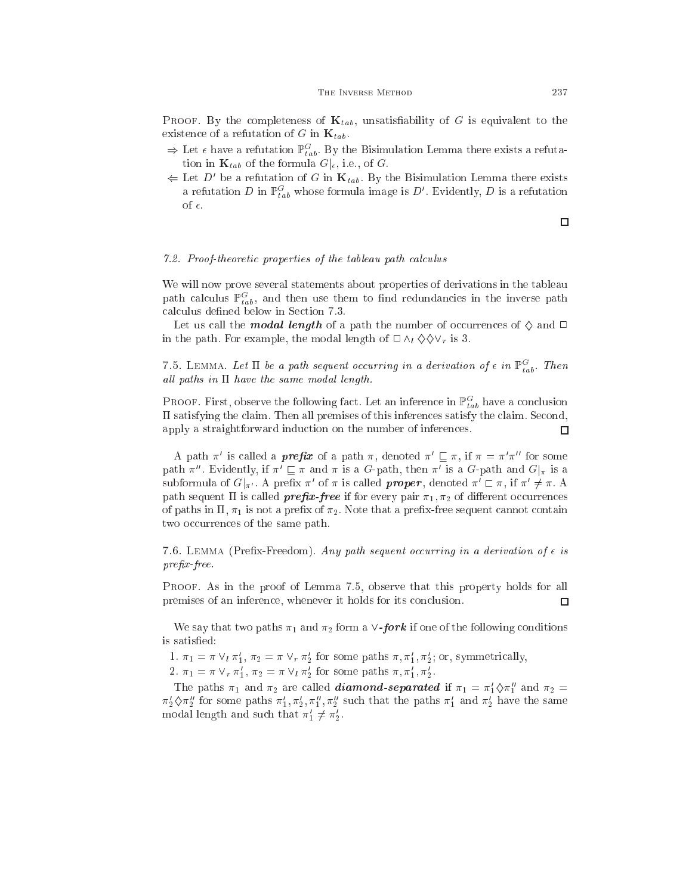**PROOF.** By the completeness of  $\mathbf{K}_{tab}$ , unsatisfiability of G is equivalent to the existence of a refutation of G in  $\mathbf{K}_{tab}$ .

- $\Rightarrow$  Let  $\epsilon$  have a refutation  $\mathbb{P}_{tab}^G$ . By the Bisimulation Lemma there exists a refutation in  $\mathbf{K}_{tab}$  of the formula  $G|_{\epsilon}$ , i.e., of G.
- $\Leftarrow$  Let D' be a refutation of G in  $\mathbf{K}_{tab}$ . By the Bisimulation Lemma there exists a refutation D in  $\mathbb{P}^G_{tab}$  whose formula image is D'. Evidently, D is a refutation of  $\epsilon$ .

#### $\Box$

# 7.2. Proof-theoretic properties of the tableau path calculus

We will now prove several statements about properties of derivations in the tableau path calculus  $\mathbb{P}_{tab}^G$ , and then use them to find redundancies in the inverse path calculus defined below in Section 7.3.

Let us call the **modal length** of a path the number of occurrences of  $\diamond$  and  $\Box$ in the path. For example, the modal length of  $\Box \wedge_l \Diamond \Diamond \vee_r$  is 3.

7.5. LEMMA. Let  $\Pi$  be a path sequent occurring in a derivation of  $\epsilon$  in  $\mathbb{P}^G_{tab}$ . Then all paths in  $\Pi$  have the same modal length.

PROOF. First, observe the following fact. Let an inference in  $\mathbb{P}^G_{tab}$  have a conclusion II satisfying the claim. Then all premises of this inferences satisfy the claim. Second, apply a straightforward indu
tion on the number of inferen
es.  $\Box$ 

A path  $\pi$  is called a *prefix* of a path  $\pi$ , denoted  $\pi$   $\sqsubseteq$   $\pi$ , if  $\pi$   $\equiv$   $\pi$   $\pi$  for some path  $\pi''$ . Evidently, if  $\pi' \sqsubset \pi$  and  $\pi$  is a G-path, then  $\pi'$  is a G-path and  $G|_{\pi}$  is a subformula of  $G|_{\pi'}$ . A prefix  $\pi'$  of  $\pi$  is called **proper**, denoted  $\pi' \sqsubset \pi$ , if  $\pi' \neq \pi$ . A path sequent  $\Pi$  is called **prefix-free** if for every pair  $\pi_1, \pi_2$  of different occurrences of paths in  $\Pi$ ,  $\pi_1$  is not a prefix of  $\pi_2$ . Note that a prefix-free sequent cannot contain two occurrences of the same path.

7.6. LEMMA (Prefix-Freedom). Any path sequent occurring in a derivation of  $\epsilon$  is  $prefix-free$ .

PROOF. As in the proof of Lemma 7.5, observe that this property holds for all premises of an inference, whenever it holds for its conclusion. □

We say that two paths  $\pi_1$  and  $\pi_2$  form a  $\vee$ -fork if one of the following conditions is satisfied:

1.  $\pi_1 = \pi \vee_l \pi_1$ ,  $\pi_2 = \pi \vee_r \pi_2$  for some paths  $\pi, \pi_1, \pi_2$ ; or, symmetrically,

2.  $\pi_1 = \pi \vee_r \pi_1$ ,  $\pi_2 = \pi \vee_l \pi_2$  for some paths  $\pi, \pi_1, \pi_2$ .

The paths  $\pi_1$  and  $\pi_2$  are called **diamond-separated** if  $\pi_1 = \pi_1 \sqrt{\pi_1}$  and  $\pi_2 =$  $\pi_2 \sqrt{\pi_2}$  for some paths  $\pi_1, \pi_2, \pi_1, \pi_2$  such that the paths  $\pi_1$  and  $\pi_2$  have the same modal length and such that  $\pi_1 \neq \pi_2$ .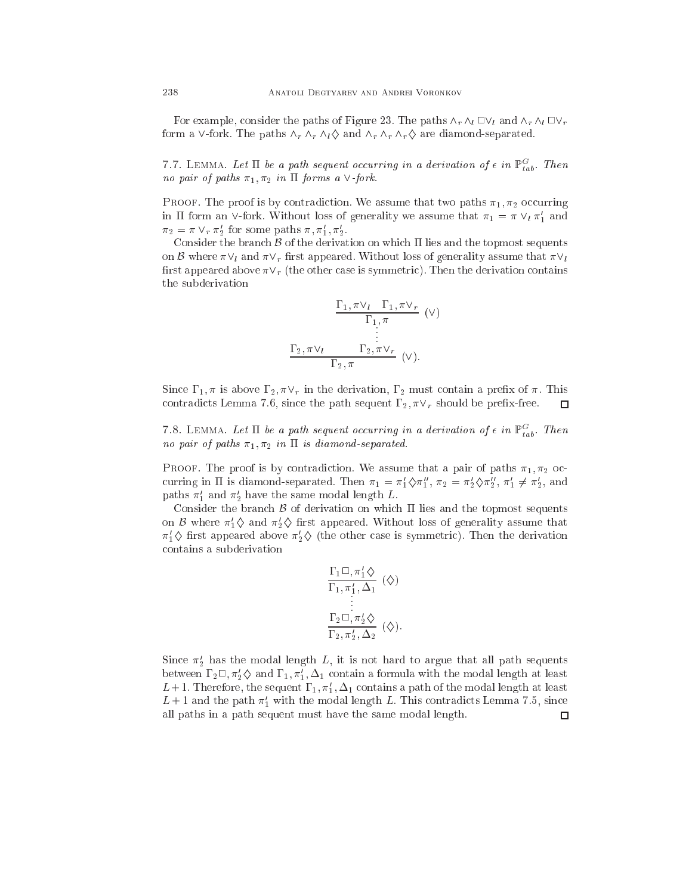For example, consider the paths of Figure 23. The paths  $\wedge_r \wedge_l \Box \vee_l$  and  $\wedge_r \wedge_l \Box \vee_r$ form a  $\vee$ -fork. The paths  $\wedge_r \wedge_r \wedge_l \Diamond$  and  $\wedge_r \wedge_r \wedge_r \Diamond$  are diamond-separated.

7.7. LEMMA. Let  $\Pi$  be a path sequent occurring in a derivation of  $\epsilon$  in  $\mathbb{P}^G_{tab}$ . Then no pair of paths  $\pi_1, \pi_2$  in  $\Pi$  forms a  $\vee$ -fork.

PROOF. The proof is by contradiction. We assume that two paths  $\pi_1, \pi_2$  occurring in 11 form an V-fork. Without loss of generality we assume that  $\pi_1 = \pi \vee_l \pi_1$  and  $\pi_2 = \pi \vee_r \pi_2$  for some paths  $\pi, \pi_1, \pi_2$ .

Consider the branch  $\beta$  of the derivation on which  $\Pi$  lies and the topmost sequents on B where  $\pi \vee_l$  and  $\pi \vee_r$  first appeared. Without loss of generality assume that  $\pi \vee_l$ first appeared above  $\pi V_r$  (the other case is symmetric). Then the derivation contains the subderivation

$$
\frac{\Gamma_1, \pi \vee_l \Gamma_1, \pi \vee_r}{\Gamma_1, \pi} \quad (\vee)
$$

$$
\vdots
$$

$$
\frac{\Gamma_2, \pi \vee_l \Gamma_2, \pi \vee_r}{\Gamma_2, \pi} \quad (\vee).
$$

Since  $\Gamma_1, \pi$  is above  $\Gamma_2, \pi \vee_r$  in the derivation,  $\Gamma_2$  must contain a prefix of  $\pi$ . This contradicts Lemma 7.6, since the path sequent  $\Gamma_2, \pi \vee_r$  should be prefix-free.  $\Box$ 

7.8. LEMMA. Let  $\Pi$  be a path sequent occurring in a derivation of  $\epsilon$  in  $\mathbb{P}^G_{tab}$ . Then no pair of paths  $\pi_1, \pi_2$  in  $\Pi$  is diamond-separated.

PROOF. The proof is by contradiction. We assume that a pair of paths  $\pi_1, \pi_2$  occurring in II is diamond-separated. Then  $\pi_1 = \pi_1 \diamondsuit \pi_1$ ,  $\pi_2 = \pi_2 \diamondsuit \pi_2$ ,  $\pi_1 \neq \pi_2$ , and paths  $\pi'_1$  and  $\pi'_2$  have the same modal length L.

Consider the branch  $\beta$  of derivation on which  $\Pi$  lies and the topmost sequents on  $\beta$  where  $\pi_1' \diamondsuit$  and  $\pi_2' \diamondsuit$  first appeared. Without loss of generality assume that  $\pi_1 \diamondsuit$  first appeared above  $\pi_2 \diamondsuit$  (the other case is symmetric). Then the derivation ontains a subderivation

$$
\frac{\Gamma_1 \Box, \pi'_1 \Diamond}{\Gamma_1, \pi'_1, \Delta_1} (\Diamond)
$$
  
 
$$
\vdots
$$
  
 
$$
\frac{\Gamma_2 \Box, \pi'_2 \Diamond}{\Gamma_2, \pi'_2, \Delta_2} (\Diamond).
$$

Since  $\pi'_2$  has the modal length L, it is not hard to argue that all path sequents between  $1_2 \sqcup, \pi_2 \lozenge$  and  $1_1, \pi_1, \Delta_1$  contain a formula with the modal length at least L+1. Therefore, the sequent  $\Gamma_1, \pi'_1, \Delta_1$  contains a path of the modal length at least  $L+1$  and the path  $\pi'_1$  with the modal length L. This contradicts Lemma 7.5, since all paths in a path sequent must have the same modal length. $\Box$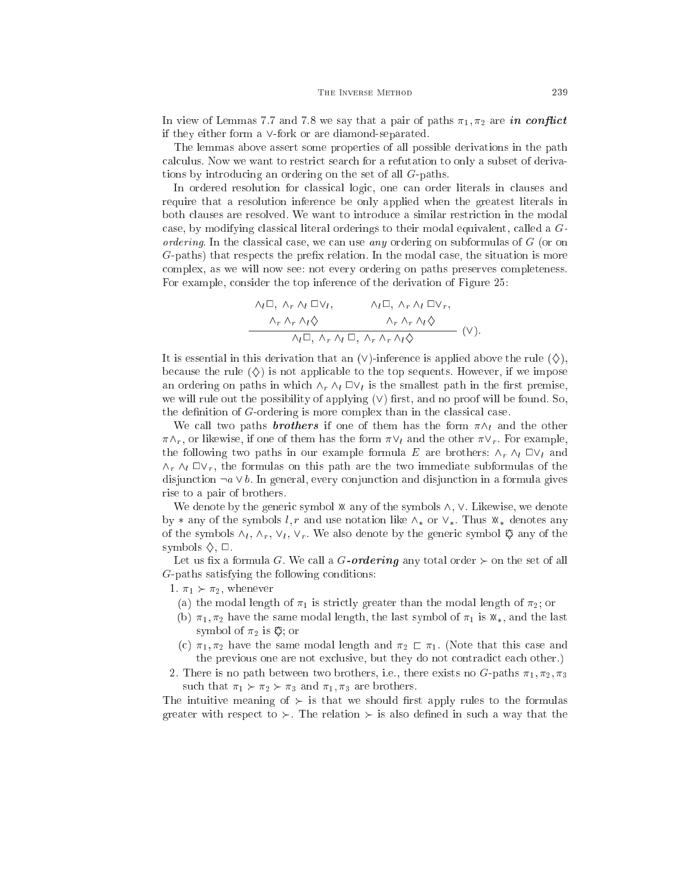In view of Lemmas 7.7 and 7.8 we say that a pair of paths  $\pi_1, \pi_2$  are in conflict if they either form a  $\vee$ -fork or are diamond-separated.

The lemmas above assert some properties of all possible derivations in the path calculus. Now we want to restrict search for a refutation to only a subset of derivations by introducing an ordering on the set of all G-paths.

In ordered resolution for lassi
al logi
, one an order literals in lauses and require that a resolution inferen
e be only applied when the greatest literals in both lauses are resolved. We want to introdu
e a similar restri
tion in the modal case, by modifying classical literal orderings to their modal equivalent, called a  $G$ ordering. In the classical case, we can use any ordering on subformulas of  $G$  (or on G-paths) that respects the prefix relation. In the modal case, the situation is more omplex, as we will now see: not every ordering on paths preserves ompleteness. For example, onsider the top inferen
e of the derivation of Figure 25:

$$
\begin{array}{ccc}\n\wedge_l \Box, \ \wedge_r \wedge_l \ \Box \vee_l, & \wedge_l \Box, \ \wedge_r \wedge_l \ \Box \vee_r, \\
\wedge_r \wedge_r \wedge_l \diamondsuit & \wedge_r \wedge_r \wedge_l \diamondsuit \\
\wedge_l \Box, \ \wedge_r \wedge_l \ \Box, \ \wedge_r \wedge_r \wedge_l \diamondsuit & \end{array} \quad (\vee).
$$

It is essential in this derivation that an  $(V)$ -inference is applied above the rule  $(\diamondsuit)$ . because the rule  $(\diamondsuit)$  is not applicable to the top sequents. However, if we impose an ordering on paths in which  $\wedge_r \wedge_l \square \vee_l$  is the smallest path in the first premise, we will rule out the possibility of applying  $(V)$  first, and no proof will be found. So, the definition of  $G$ -ordering is more complex than in the classical case.

We call two paths **brothers** if one of them has the form  $\pi \wedge_l$  and the other  $\pi \wedge_r$ , or likewise, if one of them has the form  $\pi \vee_l$  and the other  $\pi \vee_r$ . For example, the following two paths in our example formula E are brothers:  $\wedge_r \wedge_l \Box \vee_l$  and  $\wedge_r \wedge_l \square \vee_r$ , the formulas on this path are the two immediate subformulas of the disjunction  $\neg a \vee b$ . In general, every conjunction and disjunction in a formula gives rise to a pair of brothers.

We denote by the generic symbol  $\mathcal X$  any of the symbols  $\wedge$ ,  $\vee$ . Likewise, we denote by  $*$  any of the symbols l, r and use notation like  $\wedge_*$  or  $\vee_*$ . Thus  $\mathbb{X}_*$  denotes any of the symbols  $\wedge_l$ ,  $\wedge_r$ ,  $\vee_l$ ,  $\vee_r$ . We also denote by the generic symbol  $\otimes$  any of the symbols  $\Diamond$ ,  $\Box$ .

Let us fix a formula G. We call a G-ordering any total order  $\succ$  on the set of all G-paths satisfying the following onditions:

- 1.  $\pi_1 \succ \pi_2$ , whenever
	- (a) the modal length of  $\pi_1$  is strictly greater than the modal length of  $\pi_2$ ; or
	- (b)  $\pi_1, \pi_2$  have the same modal length, the last symbol of  $\pi_1$  is  $\mathfrak{X}_*$ , and the last symbol of  $\pi_2$  is  $\heartsuit$ ; or
	- (c)  $\pi_1, \pi_2$  have the same modal length and  $\pi_2 \rightharpoondown \pi_1$ . (Note that this case and the previous one are not exclusive, but they do not contradict each other.)
- 2. There is no path between two brothers, i.e., there exists no G-paths  $\pi_1, \pi_2, \pi_3$ such that  $\pi_1 \succ \pi_2 \succ \pi_3$  and  $\pi_1, \pi_3$  are brothers.

The intuitive meaning of  $\succ$  is that we should first apply rules to the formulas greater with respect to  $\succ$ . The relation  $\succ$  is also defined in such a way that the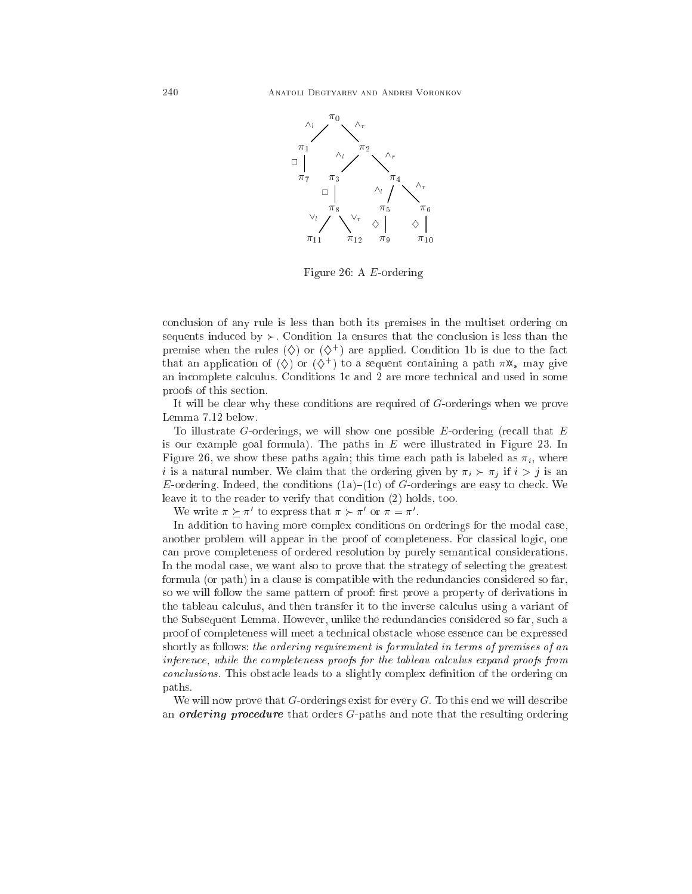

Figure 26: A E-ordering

on
lusion of any rule is less than both its premises in the multiset ordering on sequents induced by  $\succ$ . Condition 1a ensures that the conclusion is less than the premise when the rules  $(\diamondsuit)$  or  $(\diamondsuit^+$  are applied. Condition 1b is due to the fact that an application of  $(\forall)$  or  $(\forall)$  ) to a sequent containing a path  $\pi$ x  $_*$  may give an incomplete calculus. Conditions 1c and 2 are more technical and used in some proofs of this se
tion.

It will be lear why these onditions are required of G-orderings when we prove Lemma 7.12 below.

To illustrate G-orderings, we will show one possible  $E$ -ordering (recall that  $E$ is our example goal formula). The paths in  $E$  were illustrated in Figure 23. In Figure 26, we show these paths again; this time each path is labeled as  $\pi_i$ , where i is a natural number. We claim that the ordering given by  $\pi_i \succ \pi_j$  if  $i > j$  is an E-ordering. Indeed, the conditions  $(1a)$ – $(1c)$  of G-orderings are easy to check. We leave it to the reader to verify that condition (2) holds, too.

We write  $\pi \succ \pi$  to express that  $\pi \succ \pi$  or  $\pi = \pi$ .

In addition to having more complex conditions on orderings for the modal case, another problem will appear in the proof of ompleteness. For lassi
al logi
, one an prove ompleteness of ordered resolution by purely semanti
al onsiderations. In the modal case, we want also to prove that the strategy of selecting the greatest formula (or path) in a clause is compatible with the redundancies considered so far, so we will follow the same pattern of proof: first prove a property of derivations in the tableau calculus, and then transfer it to the inverse calculus using a variant of the Subsequent Lemma. However, unlike the redundancies considered so far, such a proof of ompleteness will meet a te
hni
al obsta
le whose essen
e an be expressed shortly as follows: the ordering requirement is formulated in terms of premises of an inference, while the completeness proofs for the tableau calculus expand proofs from conclusions. This obstacle leads to a slightly complex definition of the ordering on paths.

We will now prove that  $G$ -orderings exist for every  $G$ . To this end we will describe an *ordering procedure* that orders G-paths and note that the resulting ordering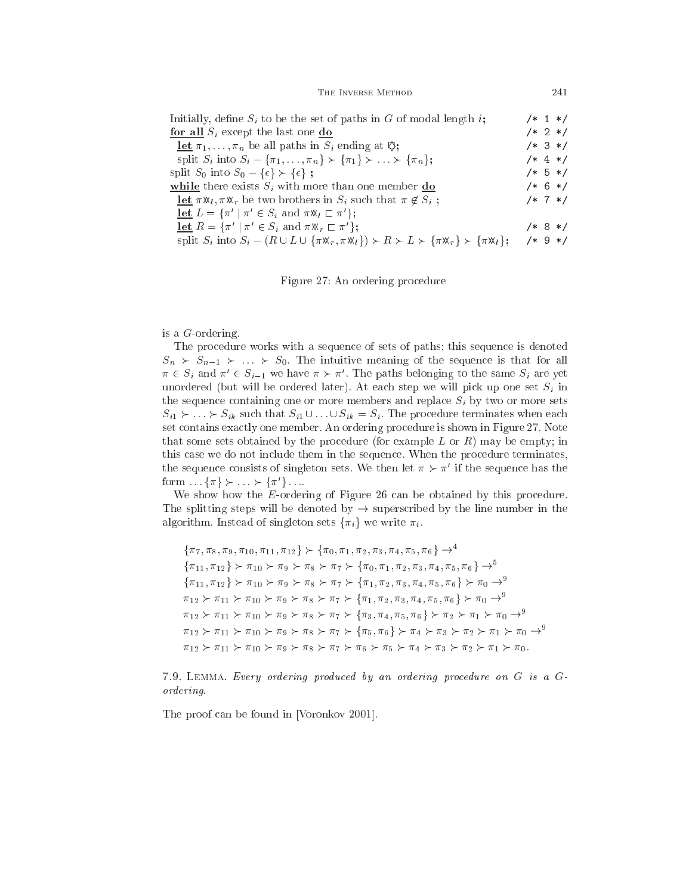THE INVERSE METHOD 241

| Initially, define $S_i$ to be the set of paths in G of modal length i;                                                                                                                                   |            |  | $/* 1 * /$ |
|----------------------------------------------------------------------------------------------------------------------------------------------------------------------------------------------------------|------------|--|------------|
| for all $S_i$ except the last one $\mathbf{do}$                                                                                                                                                          |            |  | $/* 2 */$  |
| <b>let</b> $\pi_1, \ldots, \pi_n$ be all paths in $S_i$ ending at $\mathfrak{S}_i$ ;                                                                                                                     |            |  | $/* 3 * /$ |
| split $S_i$ into $S_i - {\pi_1, \ldots, \pi_n} \succ {\pi_1} \succ \ldots \succ {\pi_n};$                                                                                                                |            |  | $/* 4 */$  |
| split $S_0$ into $S_0 - {\epsilon} \succ {\epsilon}$ ;                                                                                                                                                   |            |  | $/* 5 */$  |
| while there exists $S_i$ with more than one member do                                                                                                                                                    |            |  | $/* 6 * /$ |
| <b>let</b> $\pi \mathcal{R}_l$ , $\pi \mathcal{R}_r$ be two brothers in $S_i$ such that $\pi \notin S_i$ ;                                                                                               |            |  | $/* 7 */$  |
| <b>let</b> $L = \{\pi' \mid \pi' \in S_i \text{ and } \pi \mathfrak{A}_l \sqsubset \pi'\};$                                                                                                              |            |  |            |
| <b>let</b> $R = \{\pi' \mid \pi' \in S_i \text{ and } \pi \mathbb{X}_r \sqsubset \pi'\};$                                                                                                                |            |  | $/* 8 */$  |
| split $S_i$ into $S_i - (R \cup L \cup {\lbrace \pi \mathfrak{M}_r, \pi \mathfrak{M}_l \rbrace}) \succ R \succ L \succ {\lbrace \pi \mathfrak{M}_r \rbrace} \succ {\lbrace \pi \mathfrak{M}_l \rbrace};$ | $/* 9 * /$ |  |            |

Figure 27: An ordering pro
edure

# is a G-ordering.

The procedure works with a sequence of sets of paths; this sequence is denoted  $S_n$   $\succ$   $S_{n-1}$   $\succ$   $\ldots$   $\succ$   $S_0$ . The intuitive meaning of the sequence is that for all  $\pi \in S_i$  and  $\pi' \in S_{i-1}$  we have  $\pi \succ \pi'$ . The paths belonging to the same  $S_i$  are yet unordered (but will be ordered later). At each step we will pick up one set  $S_i$  in the sequence containing one or more members and replace  $S_i$  by two or more sets  $S_{i1} \succ \ldots \succ S_{ik}$  such that  $S_{i1} \cup \ldots \cup S_{ik} = S_i$ . The procedure terminates when each set contains exactly one member. An ordering procedure is shown in Figure 27. Note that some sets obtained by the procedure (for example L or R) may be empty; in this ase we do not in
lude them in the sequen
e. When the pro
edure terminates, the sequence consists of singleton sets. We then let  $\pi \succ \pi^*$  if the sequence has the  $\text{form} \dots \{ \pi \} \succ \dots \succ \{ \pi \} \dots$ 

We show how the *E*-ordering of Figure 26 can be obtained by this procedure. The splitting steps will be denoted by  $\rightarrow$  superscribed by the line number in the algorithm. Instead of singleton sets  $\{\pi_i\}$  we write  $\pi_i$ .

 $\{\pi_7, \pi_8, \pi_9, \pi_{10}, \pi_{11}, \pi_{12}\}$   $\succ$   $\{\pi_0, \pi_1, \pi_2, \pi_3, \pi_4, \pi_5, \pi_6\}$   $\rightarrow$   $\rightarrow$  ${\pi_{11}, \pi_{12}} \succ \pi_{10} \succ \pi_{9} \succ \pi_{8} \succ \pi_{7} \succ {\pi_{0}, \pi_{1}, \pi_{2}, \pi_{3}, \pi_{4}, \pi_{5}, \pi_{6}} \rightarrow^{5}$  ${\pi_{11}, \pi_{12}} \succ \pi_{10} \succ \pi_{9} \succ \pi_{8} \succ \pi_{7} \succ {\pi_{1}, \pi_{2}, \pi_{3}, \pi_{4}, \pi_{5}, \pi_{6}} \succ \pi_{0} \rightarrow^{9}$  $\pi_{12} \succ \pi_{11} \succ \pi_{10} \succ \pi_9 \succ \pi_8 \succ \pi_7 \succ \{\pi_1, \pi_2, \pi_3, \pi_4, \pi_5, \pi_6\} \succ \pi_0 \rightarrow^9$  $\pi_{12} \succ \pi_{11} \succ \pi_{10} \succ \pi_{9} \succ \pi_{8} \succ \pi_{7} \succ \{\pi_{3}, \pi_{4}, \pi_{5}, \pi_{6}\} \succ \pi_{2} \succ \pi_{1} \succ \pi_{0} \rightarrow^{9}$  $\pi_{12} \succ \pi_{11} \succ \pi_{10} \succ \pi_9 \succ \pi_8 \succ \pi_7 \succ {\pi_5, \pi_6} \succ \pi_4 \succ \pi_3 \succ \pi_2 \succ \pi_1 \succ \pi_0 \rightarrow^9$  $\pi_{12} \succ \pi_{11} \succ \pi_{10} \succ \pi_{9} \succ \pi_{8} \succ \pi_{7} \succ \pi_{6} \succ \pi_{5} \succ \pi_{4} \succ \pi_{3} \succ \pi_{2} \succ \pi_{1} \succ \pi_{0}.$ 

7.9. LEMMA. Every ordering produced by an ordering procedure on G is a Gordering.

The proof can be found in [Voronkov 2001].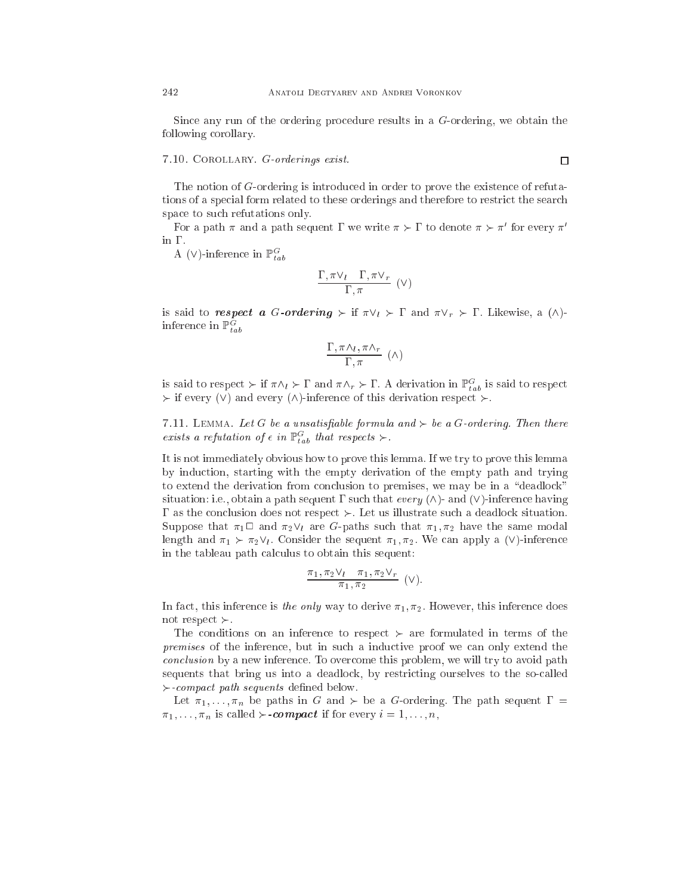Sin
e any run of the ordering pro
edure results in a G-ordering, we obtain the following orollary.

# 7.10. Corollary. G-orderings exist.

The notion of G-ordering is introdu
ed in order to prove the existen
e of refutations of a special form related to these orderings and therefore to restrict the search spa
e to su
h refutations only.

For a path  $\pi$  and a path sequent I we write  $\pi \succ 1$  to denote  $\pi \succ \pi$  for every  $\pi$ in  $\Gamma$ .

A ( $\vee$ )-inference in  $\mathbb{P}^G_{tab}$ 

$$
\frac{\Gamma,\pi\vee_l\quadGamma,\pi\vee_r}{\Gamma,\pi}\,\,(\vee)
$$

is said to respect a G-ordering  $\succ$  if  $\pi \vee_l \succ \Gamma$  and  $\pi \vee_r \succ \Gamma$ . Likewise, a  $(\wedge)$ inference in  $\mathbb{P}^G_{tab}$ 

$$
\frac{\Gamma,\pi\Lambda_l,\pi\Lambda_r}{\Gamma,\pi}~(\wedge)
$$

is said to respect  $\succ$  if  $\pi \wedge_l \succ \Gamma$  and  $\pi \wedge_r \succ \Gamma$ . A derivation in  $\mathbb{P}^G_{tab}$  is said to respect if every (i) come they (i)) and the come of the derivation respectively.

7.11. LEMMA. Let G be a unsatisfiable formula and  $\succ$  be a G-ordering. Then there exists a refutation of  $\epsilon$  in  $\mathbb{P}^G_{tab}$  that respects  $\succ$ .

It is not immediately obvious how to prove this lemma. If we try to prove this lemma by indu
tion, starting with the empty derivation of the empty path and trying to extend the derivation from conclusion to premises, we may be in a "deadlock" situation: i.e., obtain a path sequent  $\Gamma$  such that every  $(\wedge)$ - and  $(\vee)$ -inference having  $\Gamma$  as the conclusion does not respect  $\succ$ . Let us illustrate such a deadlock situation. Suppose that  $\pi_1 \square$  and  $\pi_2 \vee_l$  are G-paths such that  $\pi_1, \pi_2$  have the same modal length and  $\pi_1 \succ \pi_2 \vee_l$ . Consider the sequent  $\pi_1, \pi_2$ . We can apply a ( $\vee$ )-inference in the tableau path calculus to obtain this sequent:

$$
\frac{\pi_1, \pi_2 \vee_l \pi_1, \pi_2 \vee_r}{\pi_1, \pi_2} \quad (\vee).
$$

In fact, this inference is the only way to derive  $\pi_1, \pi_2$ . However, this inference does not respect  $\succ$ .

The conditions on an inference to respect  $\succ$  are formulated in terms of the premises of the inference, but in such a inductive proof we can only extend the conclusion by a new inference. To overcome this problem, we will try to avoid path sequents that bring us into a deadlock, by restricting ourselves to the so-called  $\succ$ -compact path sequents defined below.

Let  $\pi_1, \ldots, \pi_n$  be paths in G and  $\succ$  be a G-ordering. The path sequent  $\Gamma =$  $\pi_1, \ldots, \pi_n$  is called  $\succ$ -compact if for every  $i = 1, \ldots, n$ ,

 $\Box$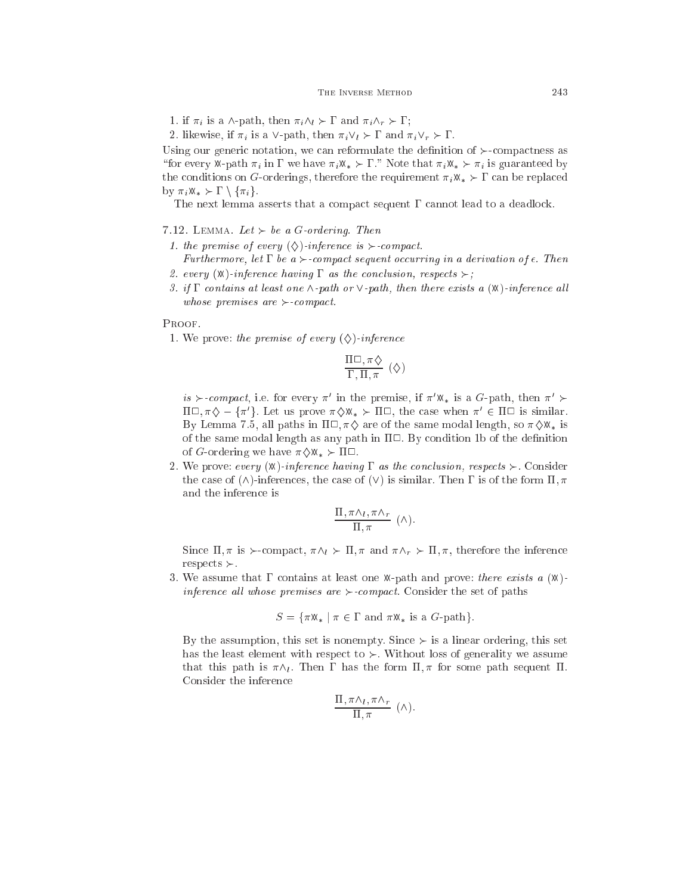1. if  $\pi_i$  is a  $\wedge$ -path, then  $\pi_i \wedge_l \succ \Gamma$  and  $\pi_i \wedge_r \succ \Gamma$ ;

2. likewise, if  $\pi_i$  is a  $\vee$ -path, then  $\pi_i \vee_l \succ \Gamma$  and  $\pi_i \vee_r \succ \Gamma$ .

Using our generic notation, we can reformulate the definition of  $\succ$ -compactness as "for every X-path  $\pi_i$  in  $\Gamma$  we have  $\pi_i X_* \succ \Gamma$ ." Note that  $\pi_i X_* \succ \pi_i$  is guaranteed by the conditions on G-orderings, therefore the requirement  $\pi_i \mathfrak{M}_* \succ \Gamma$  can be replaced by  $\pi_i \mathbb{X}_* \succ \Gamma \setminus \{\pi_i\}.$ 

The next lemma asserts that a compact sequent  $\Gamma$  cannot lead to a deadlock.

- 7.12. LEMMA. Let  $\succ$  be a G-ordering. Then
- 1. the premise of every  $(\diamondsuit)$ -inference is  $\succ$ -compact.
- Furthermore, let  $\Gamma$  be a  $\succ$ -compact sequent occurring in a derivation of  $\epsilon$ . Then 2. every  $(\mathbb{X})$ -inference having  $\Gamma$  as the conclusion, respects  $\succ$ ;
- 3. if  $\Gamma$  contains at least one  $\wedge$ -path or  $\vee$ -path, then there exists a  $(\mathbb{X})$ -inference all whose premises are  $\succ$ -compact.

#### PROOF.

1. We prove: the premise of every  $(\diamondsuit)$ -inference

$$
\frac{\Pi \Box, \pi \Diamond}{\Gamma, \Pi, \pi} (\Diamond)
$$

is  $\succ$ -compact, i.e. for every  $\pi'$  in the premise, if  $\pi' \mathbb{X}_*$  is a G-path, then  $\pi' \succ$  $\Pi \cup_{\gamma} \pi \diamondsuit - \{\pi \rangle$ . Let us prove  $\pi \diamondsuit \mathbb{X}_* \succ \Pi \cup$ , the case when  $\pi \in \Pi \cup$  is similar. By Lemma 7.5, all paths in  $\Pi \Box$ ,  $\pi \Diamond$  are of the same modal length, so  $\pi \Diamond \mathbb{X}_*$  is of the same modal length as any path in  $\Pi\Box$ . By condition 1b of the definition of G-ordering we have  $\pi \diamondsuit \mathbb{X}_* \succ \Pi \square$ .

2. We prove: every  $(\mathbb{X})$ -inference having  $\Gamma$  as the conclusion, respects  $\succ$ . Consider the case of  $(\wedge)$ -inferences, the case of  $(\vee)$  is similar. Then  $\Gamma$  is of the form  $\Pi$ ,  $\pi$ and the inferen
e is

$$
\frac{\Pi, \pi \wedge_l, \pi \wedge_r}{\Pi, \pi} \; (\wedge).
$$

Since  $\Pi$ ,  $\pi$  is  $\succ$ -compact,  $\pi \wedge_l \succ \Pi$ ,  $\pi$  and  $\pi \wedge_r \succ \Pi$ ,  $\pi$ , therefore the inference  $respects \succ$ .

3. We assume that  $\Gamma$  contains at least one X-path and prove: there exists a  $(X)$ inference all whose premises are  $\succ$ -compact. Consider the set of paths

$$
S = \{ \pi \mathfrak{M} * \mid \pi \in \Gamma \text{ and } \pi \mathfrak{M} * \text{ is a } G \text{-path} \}.
$$

By the assumption, this set is nonempty. Since  $\succ$  is a linear ordering, this set has the least element with respect to  $\succ$ . Without loss of generality we assume that this path is  $\pi \wedge_l$ . Then  $\Gamma$  has the form  $\Pi$ ,  $\pi$  for some path sequent  $\Pi$ . Consider the inferen
e

$$
\frac{\Pi, \pi \wedge_l, \pi \wedge_r}{\Pi, \pi} \; (\wedge).
$$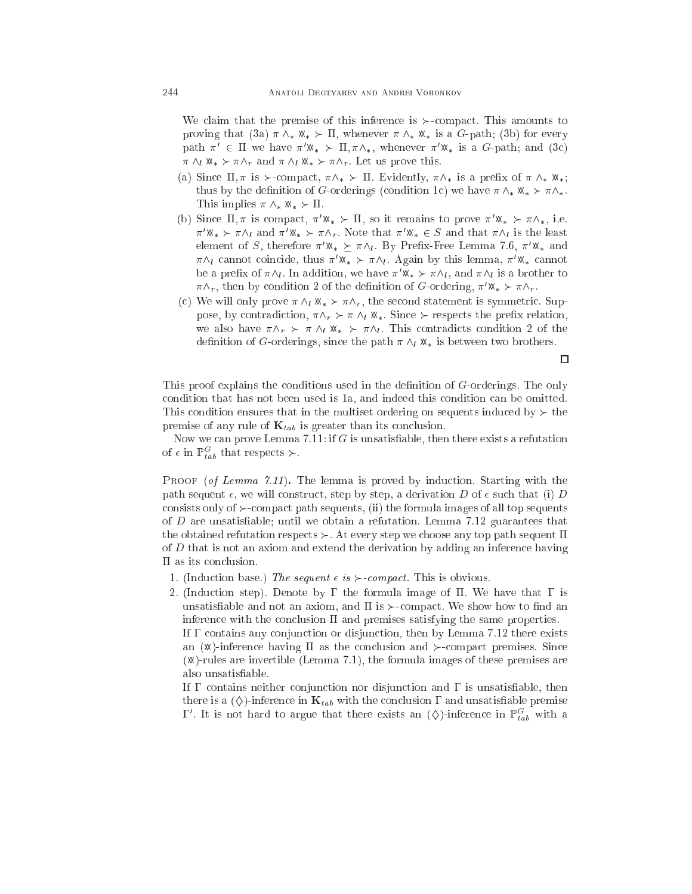We claim that the premise of this inference is  $\succ$ -compact. This amounts to proving that (3a)  $\pi \wedge_* \mathbb{X}_* \succ \Pi$ , whenever  $\pi \wedge_* \mathbb{X}_*$  is a G-path; (3b) for every path  $\pi' \in \Pi$  we have  $\pi' \mathbb{X}_* \succ \Pi, \pi \wedge_*$ , whenever  $\pi' \mathbb{X}_*$  is a G-path; and (3c)  $\pi \wedge_l \mathbb{X}_* \succ \pi \wedge_r$  and  $\pi \wedge_l \mathbb{X}_* \succ \pi \wedge_r$ . Let us prove this.

- (a) Since  $\Pi$ ,  $\pi$  is  $\succ$ -compact,  $\pi \wedge_* \succ \Pi$ . Evidently,  $\pi \wedge_*$  is a prefix of  $\pi \wedge_* \mathfrak{M}_*$ ; thus by the definition of G-orderings (condition 1c) we have  $\pi \wedge_* \mathcal{X}_* \succ \pi \wedge_*$ . I his implies  $\pi \wedge_* \mathbb{X}_* \succ \Pi$ .
- (b) Since  $\Pi, \pi$  is compact,  $\pi \times_{\ast} \Sigma \Pi$ , so it remains to prove  $\pi \times_{\ast} \Sigma \pi \wedge_{\ast}$ , i.e.  $\pi' \mathbb{X}_* \succ \pi \wedge_l$  and  $\pi' \mathbb{X}_* \succ \pi \wedge_r$ . Note that  $\pi' \mathbb{X}_* \in S$  and that  $\pi \wedge_l$  is the least element of S, therefore  $\pi' \mathcal{X}_* \geq \pi \Lambda_l$ . By Prefix-Free Lemma 7.6,  $\pi' \mathcal{X}_*$  and  $\pi \wedge_l$  cannot coincide, thus  $\pi^* \mathbb{X}_* \succ \pi \wedge_l$ . Again by this lemma,  $\pi^* \mathbb{X}_*$  cannot be a prenx of  $\pi \wedge_l$ . In addition, we have  $\pi^* \mathcal{R}_* \succ \pi \wedge_l$ , and  $\pi \wedge_l$  is a brother to  $\pi \wedge_r$ , then by condition 2 of the definition of G-ordering,  $\pi' \mathfrak{X}_* \succ \pi \wedge_r$ .
- (c) We will only prove  $\pi \wedge_l \mathbb{X}_* \succ \pi \wedge_r$ , the second statement is symmetric. Suppose, by contradiction,  $\pi \wedge_r \succ \pi \wedge_l \mathbb{X}_*$ . Since  $\succ$  respects the prefix relation, we also have  $\pi \wedge_r \succ \pi \wedge_l \mathbb{X}_* \succ \pi \wedge_l$ . This contradicts condition 2 of the definition of G-orderings, since the path  $\pi \wedge_l \mathbb{X}_*$  is between two brothers.

 $\Box$ 

This proof explains the conditions used in the definition of G-orderings. The only ondition that has not been used is 1a, and indeed this ondition an be omitted. This condition ensures that in the multiset ordering on sequents induced by  $\succ$  the premise of any rule of  $\mathbf{K}_{tab}$  is greater than its conclusion.

Now we can prove Lemma 7.11: if  $G$  is unsatisfiable, then there exists a refutation of  $\epsilon$  in  $\mathbb{P}^G_{tab}$  that respects  $\succ$ .

PROOF (of Lemma 7.11). The lemma is proved by induction. Starting with the path sequent  $\epsilon$ , we will construct, step by step, a derivation D of  $\epsilon$  such that (i) D consists only of  $\succ$ -compact path sequents, (ii) the formula images of all top sequents of  $D$  are unsatisfiable; until we obtain a refutation. Lemma 7.12 guarantees that the obtained refutation respects  $\succ$ . At every step we choose any top path sequent  $\Pi$ of  $D$  that is not an axiom and extend the derivation by adding an inference having as its on
lusion.

1. (Induction base.) The sequent  $\epsilon$  is  $\succ$ -compact. This is obvious.

also unsatisable.

2. (Induction step). Denote by  $\Gamma$  the formula image of  $\Pi$ . We have that  $\Gamma$  is unsatisfiable and not an axiom, and  $\Pi$  is  $\succ$ -compact. We show how to find an inference with the conclusion  $\Pi$  and premises satisfying the same properties. If  $\Gamma$  contains any conjunction or disjunction, then by Lemma 7.12 there exists an  $(\mathbb{X})$ -inference having  $\Pi$  as the conclusion and  $\succ$ -compact premises. Since  $(\mathbb{X})$ -rules are invertible (Lemma 7.1), the formula images of these premises are

If  $\Gamma$  contains neither conjunction nor disjunction and  $\Gamma$  is unsatisfiable, then there is a  $(\Diamond)$ -inference in  $\mathbf{K}_{tab}$  with the conclusion  $\Gamma$  and unsatisfiable premise  $\Gamma'$ . It is not hard to argue that there exists an  $(\diamondsuit)$ -inference in  $\mathbb{P}^G_{tab}$  with a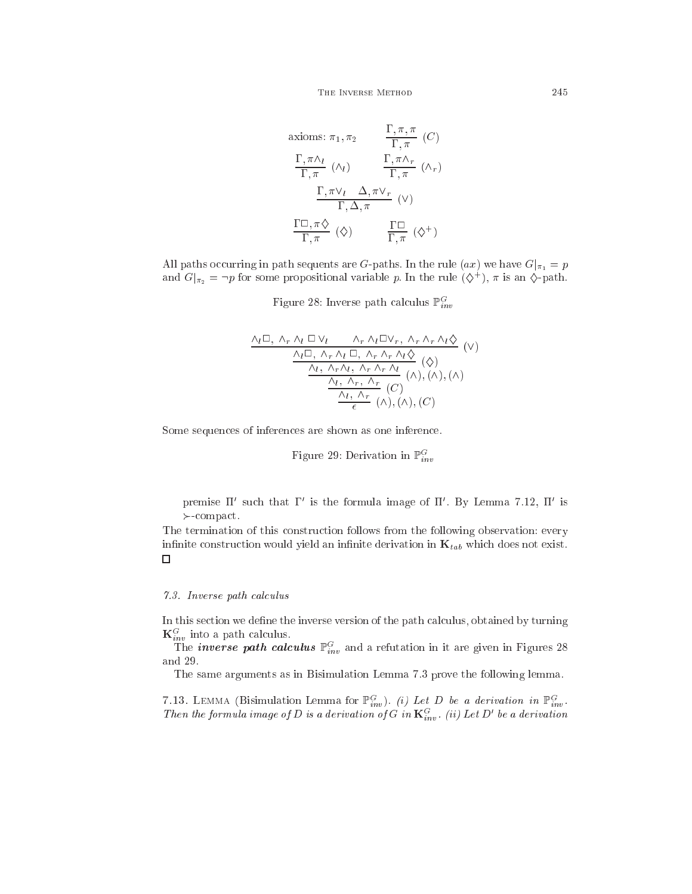THE INVERSE METHOD 245

axioms: 
$$
\pi_1, \pi_2
$$
  $\frac{\Gamma, \pi, \pi}{\Gamma, \pi}$  (*C*)  
\n $\frac{\Gamma, \pi \wedge_l}{\Gamma, \pi}$  ( $\wedge_l$ )  $\frac{\Gamma, \pi \wedge_r}{\Gamma, \pi}$  ( $\wedge_r$ )  
\n $\frac{\Gamma, \pi \vee_l \Delta, \pi \vee_r}{\Gamma, \Delta, \pi}$  ( $\vee$ )  
\n $\frac{\Gamma \square, \pi \diamondsuit}{\Gamma, \pi}$  ( $\diamond$ )  $\frac{\Gamma \square}{\Gamma, \pi}$  ( $\diamond$ <sup>+</sup>)

All paths occurring in path sequents are G-paths. In the rule  $(ax)$  we have  $G|_{\pi_1} = p$ and  $G|_{\pi_2} = \neg p$  for some propositional variable p. In the rule  $(\diamondsuit^+)$ ,  $\pi$  is an  $\diamondsuit$ -path.

Figure 28: Inverse path calculus  $\mathbb{P}_{inv}^G$ 

$$
\frac{\Lambda_l \Box, \ \Lambda_r \Lambda_l \ \Box \ \lor_l \qquad \Lambda_r \ \Lambda_l \Box \lor_r, \ \Lambda_r \ \Lambda_r \ \Lambda_l \Diamond}{\Lambda_l \Box, \ \Lambda_r \ \Lambda_l \ \Box, \ \Lambda_r \ \Lambda_r \ \Lambda_l \Diamond} \ (\lor)
$$
\n
$$
\frac{\Lambda_l \ \Lambda_r \ \Lambda_l, \ \Lambda_r \ \Lambda_r \ \Lambda_l}{\Lambda_l, \ \Lambda_r, \ \Lambda_r \ \Lambda_r} \ (\Diamond), (\land), (\land)
$$
\n
$$
\frac{\Lambda_l, \ \Lambda_r}{\epsilon} \ (\land), (\land), (C)
$$

Some sequences of inferences are shown as one inference.

Figure 29: Derivation in  $\mathbb{P}^G_{inv}$ 

premise II such that I is the formula image of II. By Lemma 7.12, II is ompa
t.

The termination of this onstru
tion follows from the following observation: every infinite construction would yield an infinite derivation in  $\mathbf{K}_{tab}$  which does not exist.  $\Box$ 

## 7.3. Inverse path calculus

In this section we define the inverse version of the path calculus, obtained by turning

 $\mathbf{K}_{inv}^G$  into a path calculus.<br>The *inverse path calculus*  $\mathbb{P}_{inv}^G$  and a refutation in it are given in Figures 28 and 29.

The same arguments as in Bisimulation Lemma 7.3 prove the following lemma.

7.13. LEMMA (Bisimulation Lemma for  $\mathbb{P}_{inv}^G$ ). *(i) Let D be a derivation in*  $\mathbb{P}_{inv}^G$ .<br>Then the formula image of D is a derivation of G in  $\mathbf{K}_{inv}^G$ . *(ii) Let D' be a derivation*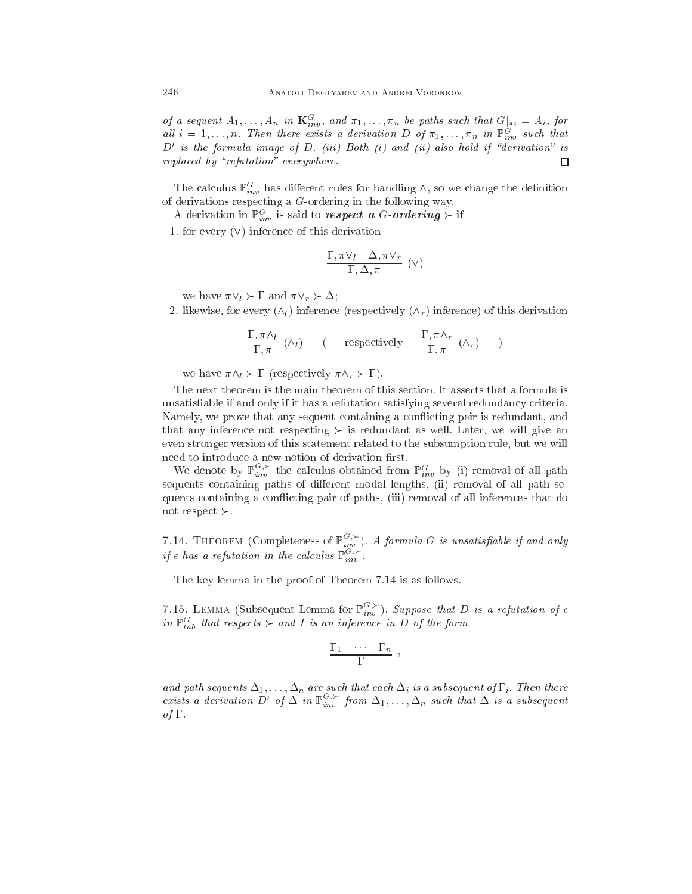of a sequent  $A_1, \ldots, A_n$  in  $\mathbf{K}_{inv}^G$ , and  $\pi_1, \ldots, \pi_n$  be paths such that  $G|_{\pi_i} = A_i$ , for all  $i = 1, \ldots, n$ . Then there exists a derivation D of  $\pi_1, \ldots, \pi_n$  in  $\mathbb{P}_{inv}^G$  such that  $D'$  is the formula image of D. (iii) Both (i) and (ii) also hold if "derivation" is replaced by "refutation" everywhere.  $\Box$ 

The calculus  $\mathbb{P}_{inv}^G$  has different rules for handling  $\wedge$ , so we change the definition of derivations respe
ting a G-ordering in the following way.

A derivation in  $\mathbb{P}_{inv}^G$  is said to respect a G-ordering  $\succ$  if

1. for every  $(V)$  inference of this derivation

$$
\frac{\Gamma, \pi \vee_l \Delta, \pi \vee_r}{\Gamma, \Delta, \pi} \quad (\vee)
$$

we have  $\pi \vee_l \succ \Gamma$  and  $\pi \vee_r \succ \Delta$ ;

2. likewise, for every  $(\wedge_l)$  inference (respectively  $(\wedge_r)$  inference) of this derivation

$$
\frac{\Gamma, \pi \Lambda_l}{\Gamma, \pi} \ (\Lambda_l) \qquad (\text{respectively} \qquad \frac{\Gamma, \pi \Lambda_r}{\Gamma, \pi} \ (\Lambda_r) )
$$

we have  $\pi \wedge_l \succ \Gamma$  (respectively  $\pi \wedge_r \succ \Gamma$ ).

The next theorem is the main theorem of this section. It asserts that a formula is unsatisfiable if and only if it has a refutation satisfying several redundancy criteria. Namely, we prove that any sequent containing a conflicting pair is redundant, and that any inference not respecting  $\succ$  is redundant as well. Later, we will give an even stronger version of this statement related to the subsumption rule, but we will need to introduce a new notion of derivation first.

We denote by  $\mathbb{P}_{inv}^{G,\succ}$  the calculus obtained from  $\mathbb{P}_{inv}^G$  by (i) removal of all path sequents containing paths of different modal lengths, (ii) removal of all path sequents ontaining a on
i
ting pair of paths, (iii) removal of all inferen
es that do not respect  $\succ$ .

7.14. THEOREM (Completeness of  $\mathbb{P}_{inv}^{G,\succ}$ ). A formula G is unsatisfiable if and only if  $\epsilon$  has a refutation in the calculus  $\mathbb{P}_{inv}^{G,\succ}$ .

The key lemma in the proof of Theorem 7.14 is as follows.

7.15. LEMMA (Subsequent Lemma for  $\mathbb{P}_{inv}^{G,\succ}$ ). Suppose that D is a refutation of  $\epsilon$ in  $\mathbb{P}^G_{tab}$  that respects  $\succ$  and I is an inference in D of the form

$$
\frac{\Gamma_1 \cdots \Gamma_n}{\Gamma} \; ,
$$

and path sequents  $\Delta_1,\ldots,\Delta_n$  are such that each  $\Delta_i$  is a subsequent of  $1$  ; Then there exists a derivation D' of  $\Delta$  in  $\mathbb{P}_{inv}^{G,\succ}$  from  $\Delta_1,\ldots,\Delta_n$  such that  $\Delta$  is a subsequent of  $\Gamma$ .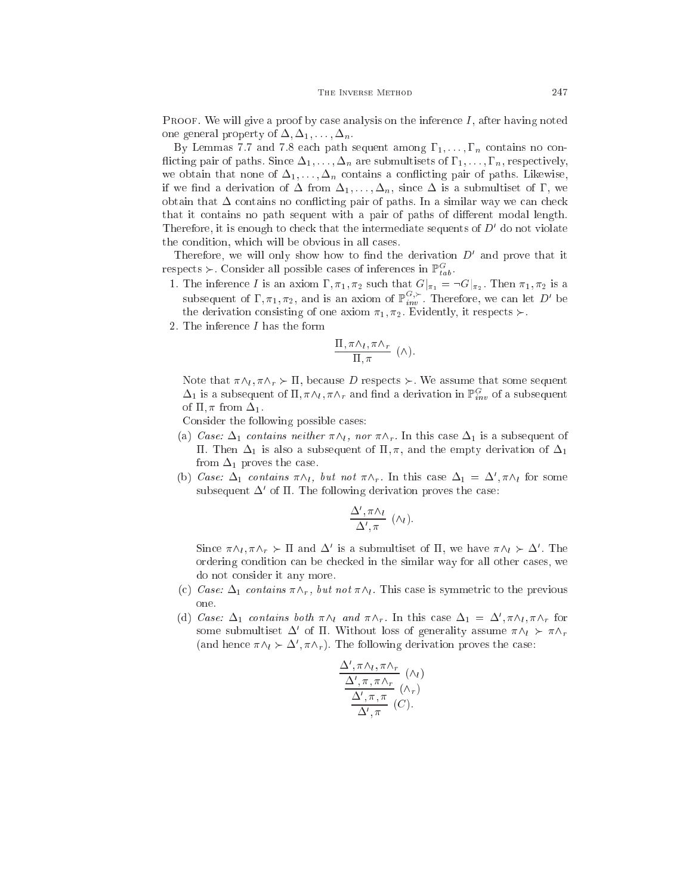**PROOF.** We will give a proof by case analysis on the inference  $I$ , after having noted one general property of  $\Delta, \Delta_1, \ldots, \Delta_n$ .

By Lemmas 7.7 and 7.8 each path sequent among  $\Gamma_1, \ldots, \Gamma_n$  contains no conflicting pair of paths. Since  $\Delta_1, \ldots, \Delta_n$  are submultisets of  $\Gamma_1, \ldots, \Gamma_n$ , respectively, we obtain that none of  $\Delta_1, \ldots, \Delta_n$  contains a conflicting pair of paths. Likewise, if we find a derivation of  $\Delta$  from  $\Delta_1, \ldots, \Delta_n$ , since  $\Delta$  is a submultiset of  $\Gamma$ , we obtain that  $\Delta$  contains no conflicting pair of paths. In a similar way we can check that it contains no path sequent with a pair of paths of different modal length. Therefore, it is enough to check that the intermediate sequents of  $D'$  do not violate the ondition, whi
h will be obvious in all ases.

Therefore, we will only show how to find the derivation  $D'$  and prove that it respects  $\succ$ . Consider all possible cases of inferences in  $\mathbb{P}^G_{tab}$ .

- 1. The inference I is an axiom  $\Gamma, \pi_1, \pi_2$  such that  $G|_{\pi_1} = \neg G|_{\pi_2}$ . Then  $\pi_1, \pi_2$  is a subsequent of  $\Gamma, \pi_1, \pi_2$ , and is an axiom of  $\mathbb{P}_{inv}^{G,\succ}$ . Therefore, we can let D' be the derivation consisting of one axiom  $\pi_1, \pi_2$ . Evidently, it respects  $\succ$ .
- 2. The inferen
e I has the form

$$
\frac{\Pi, \pi \wedge_l, \pi \wedge_r}{\Pi, \pi} \quad (\wedge).
$$

Note that  $\pi \wedge_l , \pi \wedge_r \succ \Pi$ , because D respects  $\succ$ . We assume that some sequent  $\Delta_1$  is a subsequent of  $\Pi$ ,  $\pi \wedge_l$ ,  $\pi \wedge_r$  and find a derivation in  $\mathbb{P}_{inv}^G$  of a subsequent of  $\Pi$ ,  $\pi$  from  $\Delta_1$ .

Consider the following possible ases:

- (a) Case:  $\Delta_1$  contains neither  $\pi \wedge_l$ , nor  $\pi \wedge_r$ . In this case  $\Delta_1$  is a subsequent of II. Then  $\Delta_1$  is also a subsequent of  $\Pi$ ,  $\pi$ , and the empty derivation of  $\Delta_1$ from  $\Delta_1$  proves the case.
- (b) Case:  $\Delta_1$  contains  $\pi \wedge_l$ , but not  $\pi \wedge_r$ . In this case  $\Delta_1 = \Delta$ ,  $\pi \wedge_l$  for some subsequent  $\Delta$  of II. The following derivation proves the case:

$$
\frac{\Delta', \pi \wedge_l}{\Delta', \pi} \; (\wedge_l).
$$

Since  $\pi \wedge_l, \pi \wedge_r \succ \Pi$  and  $\Delta$  is a submultiset of  $\Pi$ , we have  $\pi \wedge_l \succ \Delta$ . The ordering ondition an be he
ked in the similar way for all other ases, we do not onsider it any more.

- (c) Case:  $\Delta_1$  contains  $\pi \wedge_r$ , but not  $\pi \wedge_l$ . This case is symmetric to the previous one.
- (d) Case:  $\Delta_1$  contains both  $\pi \wedge_l$  and  $\pi \wedge_r$ . In this case  $\Delta_1 = \Delta', \pi \wedge_l, \pi \wedge_r$  for some submultiset  $\Delta^c$  of II. Without loss of generality assume  $\pi \wedge_l \succ \pi \wedge_r$ (and hence  $\pi \wedge_l \succ \Delta$ ,  $\pi \wedge_r$ ). The following derivation proves the case:

$$
\frac{\Delta', \pi \wedge_l, \pi \wedge_r}{\Delta', \pi, \pi \wedge_r} \quad (\wedge_l)
$$

$$
\frac{\Delta', \pi, \pi}{\Delta', \pi} \quad (\wedge_r)
$$

$$
\Delta', \pi
$$

$$
(C).
$$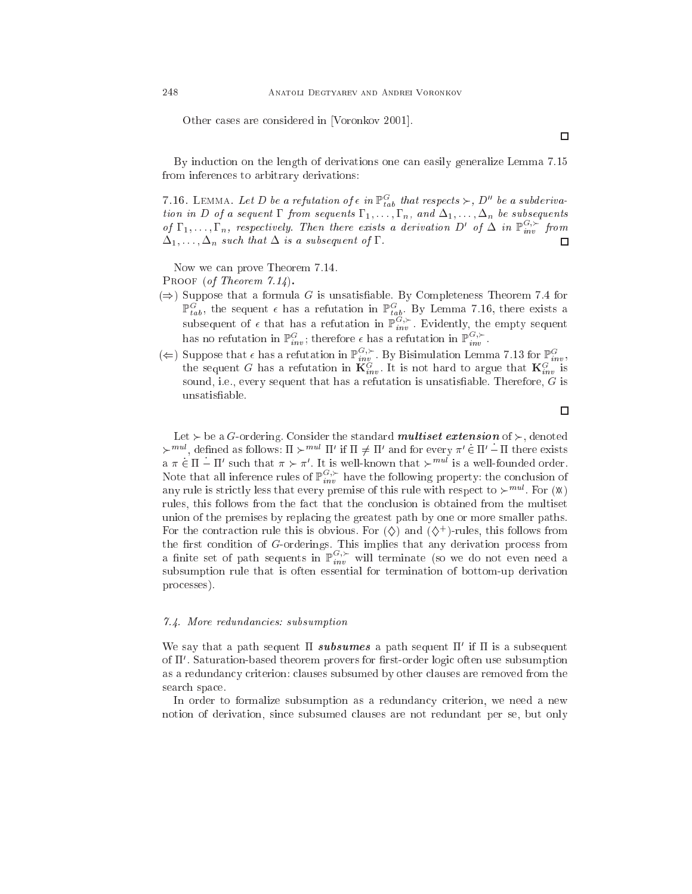Other cases are considered in [Voronkov 2001].

By indu
tion on the length of derivations one an easily generalize Lemma 7.15 from inferen
es to arbitrary derivations:

7.16. LEMMA. Let D be a refutation of  $\epsilon$  in  $\mathbb{P}^G_{tab}$  that respects  $\succ$ , D'' be a subderivation in D of a sequent  $\Gamma$  from sequents  $\Gamma_1, \ldots, \Gamma_n$ , and  $\Delta_1, \ldots, \Delta_n$  be subsequents of  $\Gamma_1,\ldots,\Gamma_n$ , respectively. Then there exists a derivation D' of  $\Delta$  in  $\mathbb{P}_{inv}^{G,\succ}$  from  $\Delta_1, \ldots, \Delta_n$  such that  $\Delta$  is a subsequent of  $\Gamma$ .  $\Box$ 

Now we can prove Theorem 7.14. PROOF (of Theorem 7.14).

- $(\Rightarrow)$  Suppose that a formula G is unsatisfiable. By Completeness Theorem 7.4 for  $\mathbb{P}^G_{tab}$ , the sequent  $\epsilon$  has a refutation in  $\mathbb{P}^G_{tab}$ . By Lemma 7.16, there exists a subsequent of  $\epsilon$  that has a refutation in  $\mathbb{P}_{inv}^{G,\succ}$ . Evidently, the empty sequent has no refutation in  $\mathbb{P}_{inv}^{G}$ ; therefore  $\epsilon$  has a refutation in  $\mathbb{P}_{inv}^{G,\succ}$ .
- ( $\Leftarrow$ ) Suppose that  $\epsilon$  has a refutation in  $\mathbb{P}_{inv}^{G,\succ}$ . By Bisimulation Lemma 7.13 for  $\mathbb{P}_{inv}^G$ , the sequent G has a refutation in  $\mathbf{K}_{inv}^{G}$ . It is not hard to argue that  $\mathbf{K}_{inv}^G$  is sound, i.e., every sequent that has a refutation is unsatisfiable. Therefore,  $G$  is unsatisable.

 $\Box$ 

Let  $\succ$  be a G-ordering. Consider the standard *multiset extension* of  $\succ$ , denoted  $\succ$   $\cdots$   $\cdots$ , defined as follows:  $\Pi \succ \cdots$   $\Pi$  if  $\Pi \neq \Pi$  and for every  $\pi \in \Pi$  –  $\Pi$  there exists  $a \pi \in \Pi - \Pi'$  such that  $\pi \succ \pi'$  . It is well-known that  $\succ$  . Is a well-founded order. Note that all inference rules of  $\mathbb{P}_{inv}^{G,\succ}$  have the following property: the conclusion of any rule is strictly less that every premise of this rule with respect to  $\succ$  . For  $(M)$ rules, this follows from the fact that the conclusion is obtained from the multiset union of the premises by repla
ing the greatest path by one or more smaller paths. For the contraction rule this is obvious. For  $(\diamondsuit)$  and  $(\diamondsuit$  )-rules, this follows from the first condition of G-orderings. This implies that any derivation process from a finite set of path sequents in  $\mathbb{P}_{inv}^{G,\succ}$  will terminate (so we do not even need a subsumption rule that is often essential for termination of bottom-up derivation pro
esses).

#### 7.4. More redundan
ies: subsumption

We say that a path sequent II  $\mathit{su}$  or  $\mathit{uu}$  a path sequent II ii ii is a subsequent or if . Saturation-based theorem provers for hrst-order logic often use subsumption as a redundan
y riterion: lauses subsumed by other lauses are removed from the sear
h spa
e.

In order to formalize subsumption as a redundancy criterion, we need a new notion of derivation, sin
e subsumed lauses are not redundant per se, but only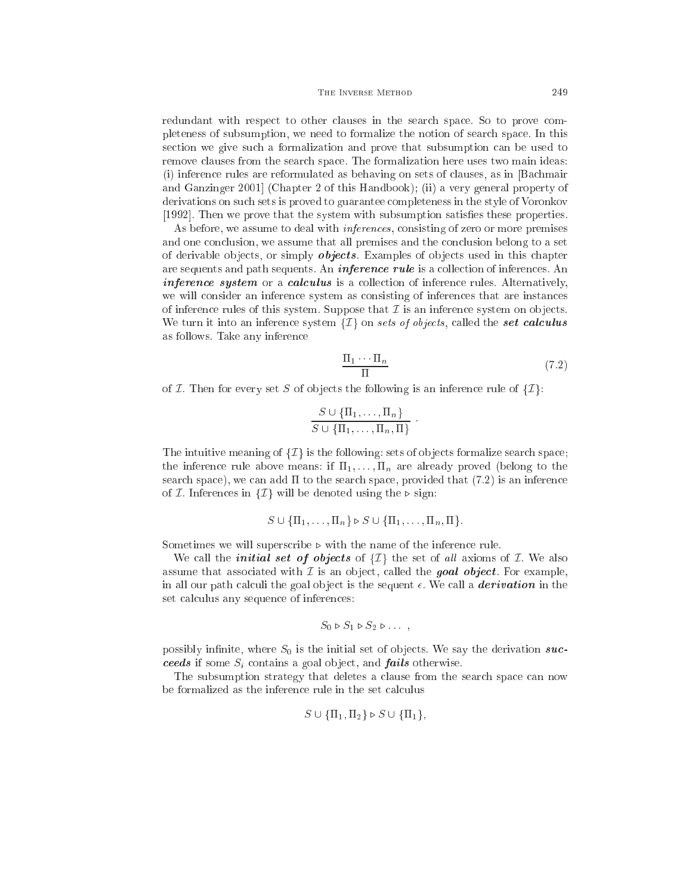redundant with respect to other clauses in the search space. So to prove completeness of subsumption, we need to formalize the notion of sear
h spa
e. In this se
tion we give su
h a formalization and prove that subsumption an be used to remove lauses from the sear
h spa
e. The formalization here uses two main ideas: (i) inferen
e rules are reformulated as behaving on sets of lauses, as in [Ba
hmair and Ganzinger 2001 (Chapter 2 of this Handbook); (ii) a very general property of derivations on su
h sets is proved to guarantee ompleteness in the style of Voronkov [1992]. Then we prove that the system with subsumption satisfies these properties.

As before, we assume to deal with *inferences*, consisting of zero or more premises and one conclusion, we assume that all premises and the conclusion belong to a set of derivable objects, or simply *objects*. Examples of objects used in this chapter are sequents and path sequents. An *inference rule* is a collection of inferences. An *inference system* or a *calculus* is a collection of inference rules. Alternatively, we will onsider an inferen
e system as onsisting of inferen
es that are instan
es of inference rules of this system. Suppose that  $\mathcal I$  is an inference system on objects. We turn it into an inference system  $\{\mathcal{I}\}\$  on sets of objects, called the set calculus as follows. Take any inferen
e

$$
\frac{\Pi_1 \cdots \Pi_n}{\Pi} \tag{7.2}
$$

:

of  $I$ . Then for every set S of objects the following is an inference rule of  $\{I\}$ :

$$
\frac{S \cup \{\Pi_1, \dots, \Pi_n\}}{S \cup \{\Pi_1, \dots, \Pi_n, \Pi\}}
$$

The intuitive meaning of  $\{\mathcal{I}\}\$  is the following: sets of objects formalize search space; the inference rule above means: if  $\Pi_1, \ldots, \Pi_n$  are already proved (belong to the search space), we can add  $\Pi$  to the search space, provided that  $(7.2)$  is an inference of *I*. Inferences in  $\{I\}$  will be denoted using the  $\triangleright$  sign:

$$
S \cup \{\Pi_1, \ldots, \Pi_n\} \triangleright S \cup \{\Pi_1, \ldots, \Pi_n, \Pi\}.
$$

Sometimes we will superscribe  $\triangleright$  with the name of the inference rule.

We call the *initial set of objects* of  $\{\mathcal{I}\}\$  the set of all axioms of  $\mathcal{I}$ . We also assume that associated with  $\mathcal I$  is an object, called the **goal object**. For example, in all our path calculi the goal object is the sequent  $\epsilon$ . We call a **derivation** in the set calculus any sequence of inferences:

$$
S_0 \triangleright S_1 \triangleright S_2 \triangleright \ldots ,
$$

possibly infinite, where  $S_0$  is the initial set of objects. We say the derivation succeeds if some  $S_i$  contains a goal object, and *fails* otherwise.

The subsumption strategy that deletes a clause from the search space can now be formalized as the inference rule in the set calculus

$$
S \cup \{\Pi_1, \Pi_2\} \triangleright S \cup \{\Pi_1\},\
$$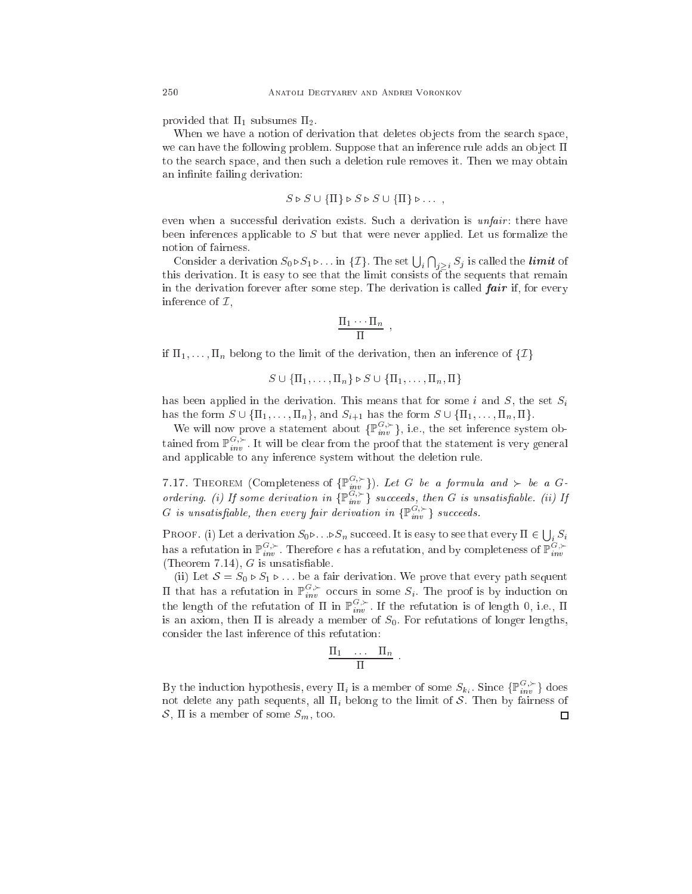provided that  $\Pi_1$  subsumes  $\Pi_2$ .

When we have a notion of derivation that deletes objects from the search space, we can have the following problem. Suppose that an inference rule adds an object  $\Pi$ to the sear
h spa
e, and then su
h a deletion rule removes it. Then we may obtain an infinite failing derivation:

$$
S \triangleright S \cup \{\Pi\} \triangleright S \triangleright S \cup \{\Pi\} \triangleright \ldots ,
$$

even when a successful derivation exists. Such a derivation is *unfair*: there have been inferences applicable to S but that were never applied. Let us formalize the notion of fairness.

Consider a derivation  $S_0 \triangleright S_1 \triangleright \ldots$  in  $\{\mathcal{I}\}\)$ . The set  $\bigcup_i \bigcap_{j>i} S_j$  is called the *limit* of this derivation. It is easy to see that the limit consists of the sequents that remain in the derivation forever after some step. The derivation is called  $fair$  if, for every inference of  $\mathcal{I},$ 

$$
\frac{\Pi_1 \cdots \Pi_n}{\Pi}
$$

;

if  $\Pi_1, \ldots, \Pi_n$  belong to the limit of the derivation, then an inference of  $\{\mathcal{I}\}\$ 

$$
S \cup \{\Pi_1, \ldots, \Pi_n\} \triangleright S \cup \{\Pi_1, \ldots, \Pi_n, \Pi\}
$$

has been applied in the derivation. This means that for some i and  $S$ , the set  $S_i$ has the form  $S \cup \{\Pi_1, \ldots, \Pi_n\}$ , and  $S_{i+1}$  has the form  $S \cup \{\Pi_1, \ldots, \Pi_n, \Pi\}$ .

We will now prove a statement about  $\{\mathbb{P}_{inv}^{\tilde{G},\succ}\}\$ , i.e., the set inference system obtained from  $\mathbb{P}_{inv}^{G,\succ}$ . It will be clear from the proof that the statement is very general and appli
able to any inferen
e system without the deletion rule.

7.17. THEOREM (Completeness of  $\{\mathbb{P}_{inv}^{G,\succ}\}\)$ ). Let G be a formula and  $\succ$  be a Gordering. (i) If some derivation in  $\{ \mathbb{P}_{inv}^{G,\succ} \}$  succeeds, then G is unsatisfiable. (ii) If G is unsatisfiable, then every fair derivation in  $\{ \mathbb{P}_{inv}^{G, \succ} \}$  succeeds.

PROOF. (i) Let a derivation  $S_0 \triangleright \ldots \triangleright S_n$  succeed. It is easy to see that every  $\Pi \in \bigcup_i S_i$ has a refutation in  $\mathbb{P}_{inv}^{G,\succ}$ . Therefore  $\epsilon$  has a refutation, and by completeness of  $\mathbb{P}_{inv}^{G,\succ}$ (Theorem 7.14),  $G$  is unsatisfiable.

(ii) Let  $S = S_0 \triangleright S_1 \triangleright \dots$  be a fair derivation. We prove that every path sequent II that has a refutation in  $\mathbb{P}_{inv}^{G,\succ}$  occurs in some  $S_i$ . The proof is by induction on the length of the refutation of  $\Pi$  in  $\mathbb{P}_{inv}^{G,\succ}$ . If the refutation is of length 0, i.e.,  $\Pi$ is an axiom, then  $\Pi$  is already a member of  $S_0$ . For refutations of longer lengths, onsider the last inferen
e of this refutation:

$$
\frac{\Pi_1 \cdots \Pi_n}{\Pi}.
$$

By the induction hypothesis, every  $\Pi_i$  is a member of some  $S_{k_i}$ . Since  $\{\mathbb{P}_{inv}^{G,\succ}\}\)$  does not delete any path sequents, all  $\Pi_i$  belong to the limit of S. Then by fairness of S,  $\Pi$  is a member of some  $S_m$ , too.  $\Box$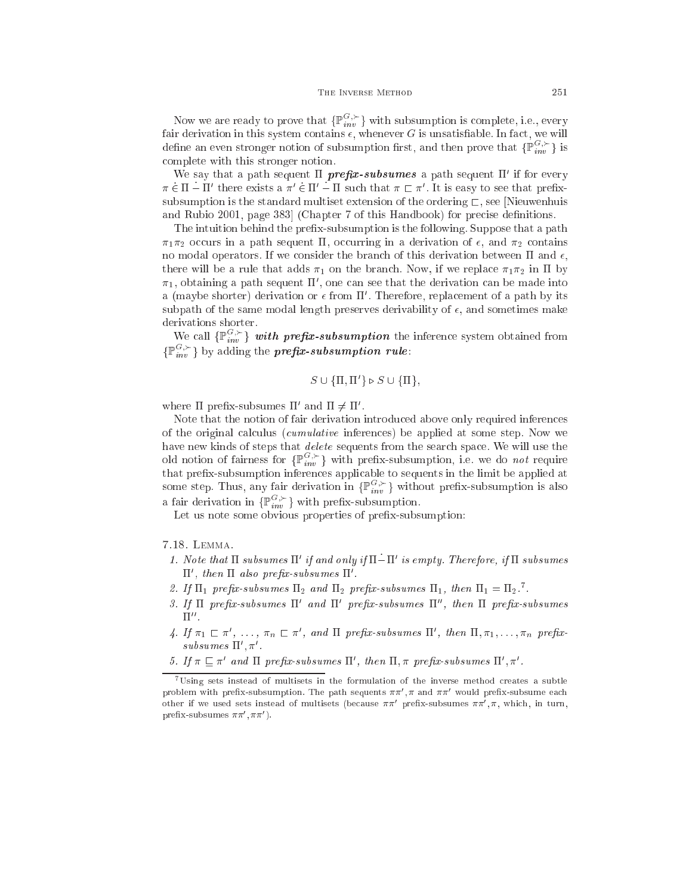Now we are ready to prove that  $\{ \mathbb{P}_{inv}^G \}$  with subsumption is complete, i.e., every fair derivation in this system contains  $\epsilon$ , whenever G is unsatisfiable. In fact, we will define an even stronger notion of subsumption first, and then prove that  $\{\mathbb{P}_{inv}^{G,\succ}\}$  is omplete with this stronger notion.

We say that a path sequent II  $prepx$ -subsumes a path sequent II if for every  $\pi \in \Pi = \Pi$  there exists a  $\pi \in \Pi$  –  $\Pi$  such that  $\pi \sqsubset \pi$  . It is easy to see that prenxsubsumption is the standard multiset extension of the ordering  $\Gamma$ , see [Nieuwenhuis and Rubio 2001, page 383 (Chapter 7 of this Handbook) for precise definitions.

The intuition behind the prefix-subsumption is the following. Suppose that a path  $\pi_1 \pi_2$  occurs in a path sequent II, occurring in a derivation of  $\epsilon$ , and  $\pi_2$  contains no modal operators. If we consider the branch of this derivation between  $\Pi$  and  $\epsilon$ , there will be a rule that adds  $\pi_1$  on the branch. Now, if we replace  $\pi_1 \pi_2$  in  $\Pi$  by  $\pi_1,$  obtaining a path sequent II , one can see that the derivation can be made into a (maybe shorter) derivation or  $\epsilon$  from  $\Pi$  . Therefore, replacement of a path by its subpath of the same modal length preserves derivability of  $\epsilon$ , and sometimes make derivations shorter.

We call  $\{ \mathbb{P}_{inv}^{\tilde{G},\succ} \}$  with prefix-subsumption the inference system obtained from  $\{\mathbb{P}^{G,\succ}_{inv}\}$  by adding the **prefix-subsumption rule**:

$$
S \cup \{\Pi, \Pi'\} \triangleright S \cup \{\Pi\},\
$$

where  $\pi$  prenx-subsumes  $\pi$  and  $\pi \neq \pi$ .

Note that the notion of fair derivation introdu
ed above only required inferen
es of the original calculus (*cumulative* inferences) be applied at some step. Now we have new kinds of steps that *delete* sequents from the search space. We will use the old notion of fairness for  $\{ \mathbb{P}_{inv}^{G,\succ} \}$  with prefix-subsumption, i.e. we do *not* require that prex-subsumption inferen
es appli
able to sequents in the limit be applied at some step. Thus, any fair derivation in  $\{\mathbb{P}_{inv}^{G,\succ}\}\$  without prefix-subsumption is also a fair derivation in  $\{ \mathbb{P}_{inv}^{G,\succ} \}$  with prefix-subsumption.

Let us note some obvious properties of prefix-subsumption:

7.18. Lemma.

- 1. Note that  $\Pi$  subsumes  $\Pi$  if and only if  $\Pi- \Pi$  is empty. Therefore, if  $\Pi$  subsumes <sup>0</sup> , then also prex-subsumes <sup>0</sup> .
- z. 11  $\mu_1$  prepx-subsumes  $\mu_2$  and  $\mu_2$  prepx-subsumes  $\mu_1$ , then  $\mu_1 = \mu_2$ .
- $\beta$ . If  $11$  prepx-subsumes  $11$  and  $11$  prepx-subsumes  $11$  , then  $11$  prepx-subsumes  $\Pi''$ .
- 4. If  $\pi_1 \sqsubset \pi', \ldots, \pi_n \sqsubset \pi'$ , and  $\pi$  prefix-subsumes  $\pi_1, \pi_2, \ldots, \pi_n$  prefix $subsumes$   $\mathbf{H}^{\dagger}, \pi^{\dagger}$ .
- $\beta$ . If  $\pi \sqsubseteq \pi$  and  $\pi$  prefix-subsumes  $\pi$ , then  $\pi, \pi$  prefix-subsumes  $\pi, \pi$ .

 $7$ Using sets instead of multisets in the formulation of the inverse method creates a subtle problem with prenx-subsumption. The path sequents  $\pi\pi$  ,  $\pi$  and  $\pi\pi$  -would prenx-subsume each other if we used sets instead of multisets (because  $\pi\pi$  -prefix-subsumes  $\pi\pi$ ,  $\pi$ , which, in turn, prenx-subsumes  $\pi \pi$ ,  $\pi \pi$ ).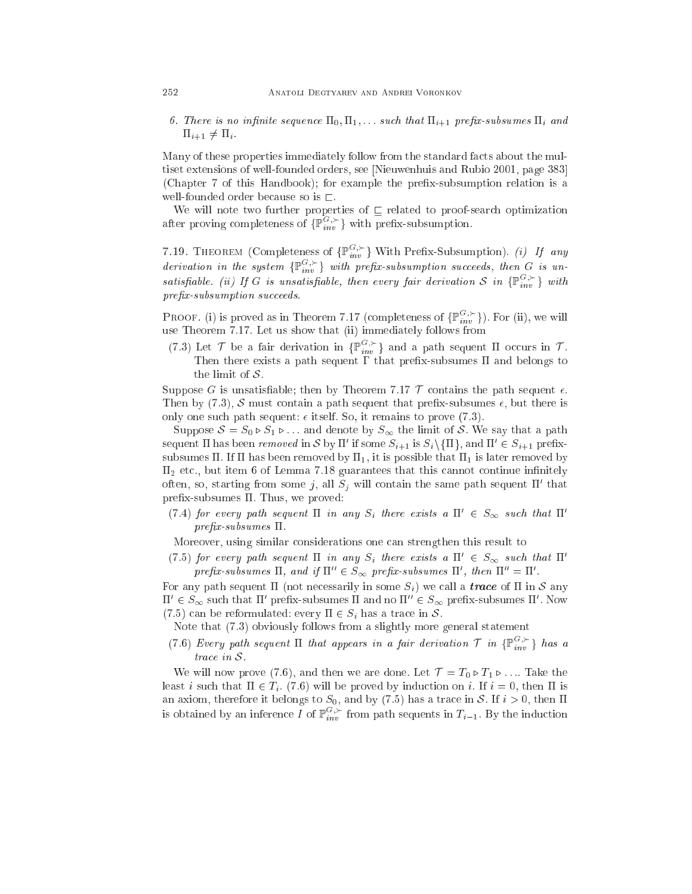6. There is no infinite sequence  $\Pi_0, \Pi_1, \ldots$  such that  $\Pi_{i+1}$  prefix-subsumes  $\Pi_i$  and  $\Pi_{i+1} \neq \Pi_i$ .

Many of these properties immediately follow from the standard facts about the multiset extensions of well-founded orders, see [Nieuwenhuis and Rubio 2001, page 383] (Chapter 7 of this Handbook); for example the prefix-subsumption relation is a well-founded order because so is  $\sqsubset$ .

will not the two further properties of values of values of properties of properties of  $\sim$ after proving completeness of  $\{\mathbb{P}_{inv}^{G,\succ}\}\$  with prefix-subsumption.

7.19. THEOREM (Completeness of  $\{\mathbb{P}_{inv}^{G,\succ}\}\$  With Prefix-Subsumption). (i) If any derivation in the system  $\{\mathbb{P}_{inv}^{G,\succ}\}\$  with prefix-subsumption succeeds, then G is unsatisfiable. (ii) If G is unsatisfiable, then every fair derivation S in  $\{\mathbb{P}_{inv}^{G,\succ}\}\$  with prefix-subsumption succeeds.

PROOF. (i) is proved as in Theorem 7.17 (completeness of  $\{\mathbb{P}_{inv}^{G,\succ}\}\)$ . For (ii), we will use Theorem 7.17. Let us show that  $\{11\}$  immediately follows from the second

(7.3) Let  $\mathcal T$  be a fair derivation in  $\{\mathbb P_{inv}^{G,\succ}\}\$  and a path sequent  $\Pi$  occurs in  $\mathcal T$ . Then there exists a path sequent  $\Gamma$  that prefix-subsumes  $\Pi$  and belongs to the limit of  $S$ .

Suppose G is unsatisfiable; then by Theorem 7.17  $\mathcal T$  contains the path sequent  $\epsilon$ . Then by (7.3), S must contain a path sequent that prefix-subsumes  $\epsilon$ , but there is only one such path sequent:  $\epsilon$  itself. So, it remains to prove (7.3).

Suppose  $S = S_0 \triangleright S_1 \triangleright \ldots$  and denote by  $S_{\infty}$  the limit of S. We say that a path sequent  $\Pi$  has been removed in S by  $\Pi'$  if some  $S_{i+1}$  is  $S_i \setminus \{\Pi\}$ , and  $\Pi' \in S_{i+1}$  prefixsubsumes  $\Pi$ . If  $\Pi$  has been removed by  $\Pi_1$ , it is possible that  $\Pi_1$  is later removed by  $\Pi_2$  etc., but item 6 of Lemma 7.18 guarantees that this cannot continue infinitely often, so, starting from some j, all  $S_j$  will contain the same path sequent  $\Pi'$  that  $prefix-subsumes \Pi$ . Thus, we proved:

(7.4) for every path sequent  $\Pi$  in any  $S_i$  there exists a  $\Pi' \in S_{\infty}$  such that  $\Pi'$  $prefix\text{-}subsumes \ \Pi.$ 

Moreover, using similar onsiderations one an strengthen this result to

(7.5) for every path sequent  $\Pi$  in any  $S_i$  there exists a  $\Pi' \in S_{\infty}$  such that  $\Pi'$ prefix-subsumes  $\Pi$ , and if  $\Pi'' \in S_{\infty}$  prefix-subsumes  $\Pi'$ , then  $\Pi'' = \Pi'$ .

For any path sequent  $\Pi$  (not necessarily in some  $S_i$ ) we call a *trace* of  $\Pi$  in S any  $\Pi' \in S_{\infty}$  such that  $\Pi'$  prefix-subsumes  $\Pi$  and no  $\Pi'' \in S_{\infty}$  prefix-subsumes  $\Pi'$ . Now (7.5) can be reformulated: every  $\Pi \in S_i$  has a trace in S.

Note that (7.3) obviously follows from a slightly more general statement

(7.6) Every path sequent  $\Pi$  that appears in a fair derivation  $\mathcal T$  in  $\{\mathbb P^{G, \succ}_{inv}\}$  has a trace in S.

We will now prove (7.6), and then we are done. Let  $\mathcal{T} = T_0 \triangleright T_1 \triangleright \ldots$  Take the least i such that  $\Pi \in T_i$ . (7.6) will be proved by induction on i. If  $i = 0$ , then  $\Pi$  is an axiom, therefore it belongs to  $S_0$ , and by (7.5) has a trace in S. If  $i > 0$ , then  $\Pi$ is obtained by an inference I of  $\mathbb{P}_{inv}^{G,\succ}$  from path sequents in  $T_{i-1}$ . By the induction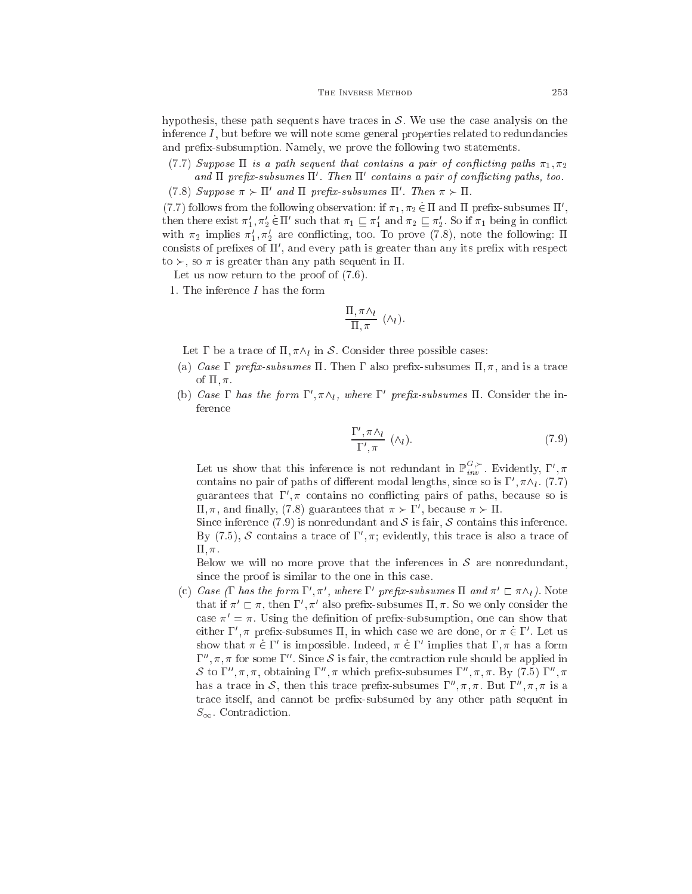hypothesis, these path sequents have traces in  $S$ . We use the case analysis on the inferen
e I , but before we will note some general properties related to redundan
ies and prex-subsumption. Namely, we prove the following two statements.

(7.7) Suppose  $\Pi$  is a path sequent that contains a pair of conflicting paths  $\pi_1, \pi_2$ ana ii prepx-subsumes ii . Then ii contains a pair of conficting paths, too.

(*A*) Suppose  $\pi > 11$  and  $11$  prenx-subsumes  $11$  . Then  $\pi > 11$ .

(7.7) follows from the following observation: if  $\pi_1, \pi_2 \in \Pi$  and  $\Pi$  prefix-subsumes  $\Pi$  , then there exist  $\pi_1, \pi_2 \in \Pi$  such that  $\pi_1 \sqsubseteq \pi_1$  and  $\pi_2 \sqsubseteq \pi_2$ . So if  $\pi_1$  being in conflict with  $\pi_2$  implies  $\pi_1, \pi_2$  are conflicting, too. To prove (7.8), note the following: H consists of prefixes of II , and every path is greater than any its prefix with respect to  $\succ$ , so  $\pi$  is greater than any path sequent in  $\Pi$ .

Let us now return to the proof of  $(7.6)$ .

1. The inferen
e I has the form

$$
\frac{\Pi, \pi \wedge_l}{\Pi, \pi} (\wedge_l).
$$

Let  $\Gamma$  be a trace of  $\Pi$ ,  $\pi \wedge_l$  in S. Consider three possible cases:

- (a) Case  $\Gamma$  prefix-subsumes  $\Pi$ . Then  $\Gamma$  also prefix-subsumes  $\Pi$ ,  $\pi$ , and is a trace of  $\Pi$ ,  $\pi$ .
- (b) Case 1 has the form  $1^{\prime}$ ,  $\pi \wedge \iota$ , where  $1^{\prime}$  prefix-subsumes 11. Consider the inferen
e

$$
\frac{\Gamma', \pi \wedge_l}{\Gamma', \pi} \quad (\wedge_l). \tag{7.9}
$$

Let us show that this inference is not redundant in  $\mathbb{P}_{inv}^{G,\succ}$ . Evidently,  $\Gamma', \pi$ contains no pair of paths of different modal lengths, since so is  $1^{\circ}, \pi \wedge \iota_{\iota}$  (1.1) guarantees that  $\Gamma, \pi$  contains no conflicting pairs of paths, because so is  $\mu, \pi$ , and finally, (*i*.8) guarantees that  $\pi \succ \mu$ , because  $\pi \succ \mu$ .

Since inference (7.9) is nonredundant and  $S$  is fair,  $S$  contains this inference. By  $(7.5)$ ,  $\delta$  contains a trace of  $\Gamma$  ,  $\pi$ ; evidently, this trace is also a trace of  $\Pi$ ,  $\pi$ .

Below we will no more prove that the inferences in  $S$  are nonredundant, since the proof is similar to the one in this case.

(c) Case (1 has the form  $1^{\circ}, \pi^{\circ}$ , where 1 prefix-subsumes 11 and  $\pi^{\circ} \sqsubset \pi \wedge_l$ ). Note that if  $\pi^* \sqsubset \pi,$  then  $1^-, \pi^*$  also prefix-subsumes  $\Pi, \pi.$  So we only consider the case  $\pi' = \pi$ . Using the definition of prefix-subsumption, one can show that either  $1^{\circ}, \pi$  prenx-subsumes 11, in which case we are done, or  $\pi \in 1^{\circ}$ . Let us show that  $\pi \in I$  is impossible. Indeed,  $\pi \in I$  implies that  $1$ ,  $\pi$  has a form  $1^-,\pi,\pi$  for some  $1^-$  . Since  $\mathcal S$  is fair, the contraction rule should be applied in  $S$  to  $1^-$ ,  $\pi$ ,  $\pi$ , obtaining  $1^-$ ,  $\pi$  which prenx-subsumes  $1^-$ ,  $\pi$ ,  $\pi$ . By (7.5)  $1^-$ ,  $\pi$ has a trace in S, then this trace prefix-subsumes  $\Gamma'', \pi, \pi$ . But  $\Gamma'', \pi, \pi$  is a trace itself, and cannot be prefix-subsumed by any other path sequent in  $S_{\infty}$ . Contradiction.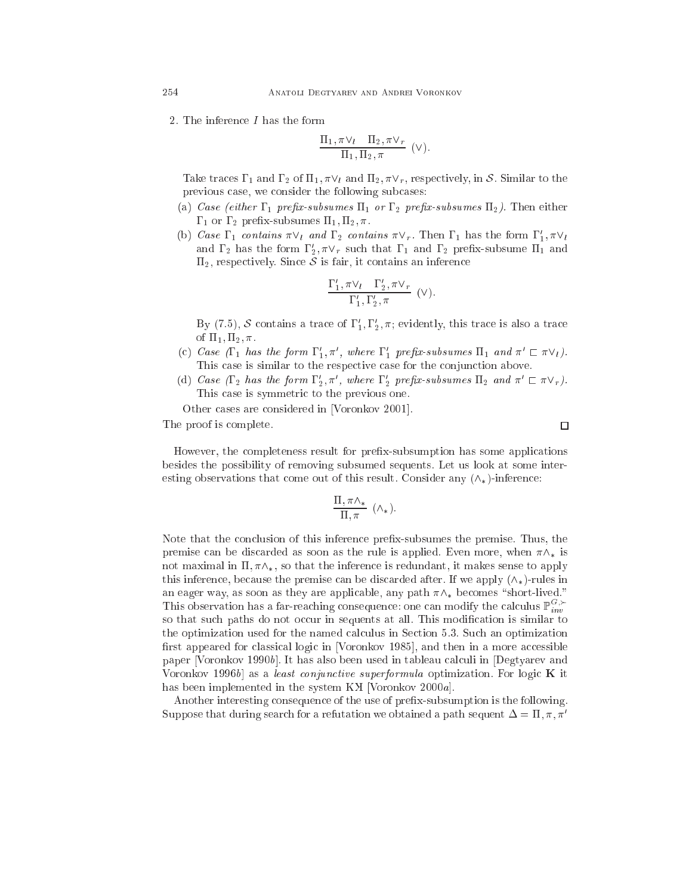2. The inferen
e I has the form

$$
\frac{\Pi_1, \pi \vee_l \quad \Pi_2, \pi \vee_r}{\Pi_1, \Pi_2, \pi} \quad (\vee).
$$

Take traces  $\Gamma_1$  and  $\Gamma_2$  of  $\Pi_1, \pi \vee_l$  and  $\Pi_2, \pi \vee_r$ , respectively, in S. Similar to the previous case, we consider the following subcases:

- (a) Case (either  $\Gamma_1$  prefix-subsumes  $\Pi_1$  or  $\Gamma_2$  prefix-subsumes  $\Pi_2$ ). Then either  $\Gamma_1$  or  $\Gamma_2$  prefix-subsumes  $\Pi_1, \Pi_2, \pi$ .
- (b) Case  $1_1$  contains  $\pi \vee_l$  and  $1_2$  contains  $\pi \vee_r$ . Then  $1_1$  has the form  $1_1, \pi \vee_l$ and  $1_2$  has the form  $1_2, \pi \vee_r$  such that  $1_1$  and  $1_2$  prenx-subsume  $11_1$  and  $\Pi_2$ , respectively. Since S is fair, it contains an inference

$$
\frac{\Gamma_1', \pi \vee_l \Gamma_2', \pi \vee_r}{\Gamma_1', \Gamma_2', \pi} \quad (\vee).
$$

By (7.5),  $\delta$  contains a trace of  $1_1^{\circ}, 1_2^{\circ}, \pi$ ; evidently, this trace is also a trace of  $\Pi_1, \Pi_2, \pi$ .

- (c) Case (1 <sub>1</sub> has the form  $1_{1}, \pi$ , where  $1_{1}$  prefix-subsumes  $11_{1}$  and  $\pi \in \pi \vee \iota$ ). This case is similar to the respective case for the conjunction above.
- (d) Case (1<sub>2</sub> has the form  $1_2, \pi'$ , where  $1_2$  prefix-subsumes  $11_2$  and  $\pi' \sqsubset \pi \vee_r$ ). This ase is symmetri to the previous one.
- Other cases are considered in [Voronkov 2001].

The proof is omplete.

□

However, the completeness result for prefix-subsumption has some applications besides the possibility of removing subsumed sequents. Let us look at some interesting observations that come out of this result. Consider any  $(\wedge_*)$ -inference:

$$
\frac{\Pi, \pi \wedge_*}{\Pi, \pi} \ (\wedge_*).
$$

Note that the on
lusion of this inferen
e prex-subsumes the premise. Thus, the premise can be discarded as soon as the rule is applied. Even more, when  $\pi \wedge_*$  is not maximal in  $\Pi$ ,  $\pi \wedge_*$ , so that the inference is redundant, it makes sense to apply this inference, because the premise can be discarded after. If we apply  $(\wedge_*)$ -rules in an eager way, as soon as they are applicable, any path  $\pi \wedge_*$  becomes "short-lived." This observation has a far-reaching consequence: one can modify the calculus  $\mathbb{P}_{inv}^{G, \succ}$ so that such paths do not occur in sequents at all. This modification is similar to the optimization used for the named calculus in Section 5.3. Such an optimization first appeared for classical logic in [Voronkov 1985], and then in a more accessible paper [Voronkov 1990b]. It has also been used in tableau calculi in [Degtyarev and Voronkov 1996b) as a least conjunctive superformula optimization. For logic  $\bf{K}$  it has been implemented in the system  $\rm{K}X$  [Voronkov 2000a].

Another interesting consequence of the use of prefix-subsumption is the following. Suppose that during search for a refutation we obtained a path sequent  $\Delta = \Pi, \pi, \pi'$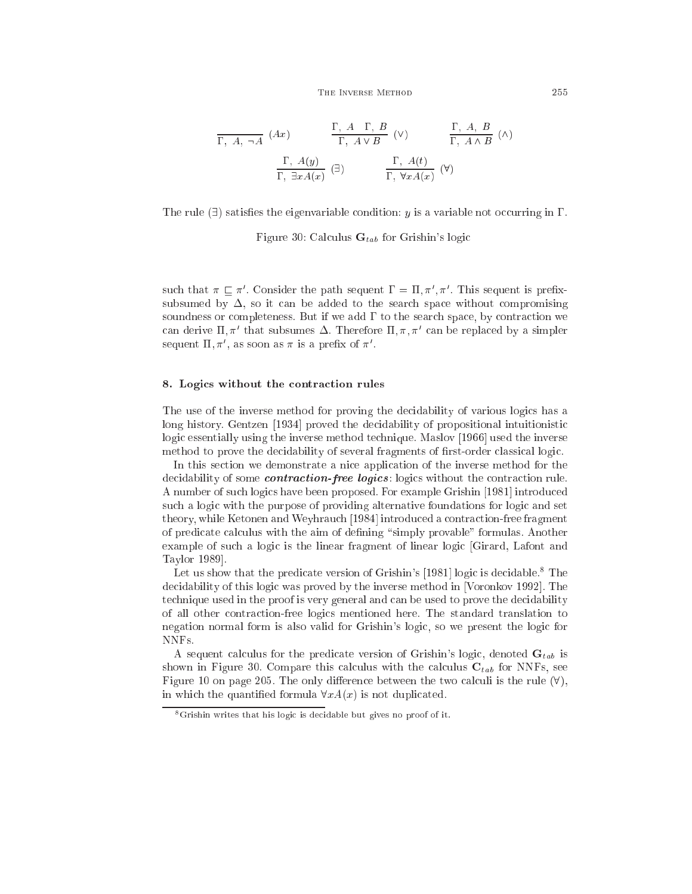$$
\frac{\Gamma, A, \neg A \quad (Ax)}{\Gamma, A \lor B} \quad (\vee) \qquad \frac{\Gamma, A, B}{\Gamma, A \land B} \quad (\wedge)
$$
\n
$$
\frac{\Gamma, A(y)}{\Gamma, \exists x A(x)} \quad (\exists) \qquad \frac{\Gamma, A(t)}{\Gamma, \forall x A(x)} \quad (\forall)
$$

The rule  $(\exists)$  satisfies the eigenvariable condition: y is a variable not occurring in  $\Gamma$ .

Figure 30: Calculus  $\mathbf{G}_{tab}$  for Grishin's logic

such that  $\pi \sqsubseteq \pi$ . Consider the path sequent  $1 = 11, \pi, \pi$ . This sequent is prefixsubsumed by  $\Delta$ , so it can be added to the search space without compromising soundness or completeness. But if we add  $\Gamma$  to the search space, by contraction we can derive  $\mathfrak{u},\pi^{\cdot}$  that subsumes  $\Delta.$  Inerefore  $\mathfrak{u},\pi,\pi^{\cdot}$  can be replaced by a simpler sequent  $\mathfrak{u}, \pi',$  as soon as  $\pi$  is a prenx of  $\pi'$ .

## 8. Logi
s without the ontra
tion rules

The use of the inverse method for proving the decidability of various logics has a long history. Gentzen [1934] proved the decidability of propositional intuitionistic logic essentially using the inverse method technique. Maslov [1966] used the inverse method to prove the decides bility of several fragments of first-order classical logic.

In this section we demonstrate a nice application of the inverse method for the decidability of some *contraction-free logics*: logics without the contraction rule. A number of such logics have been proposed. For example Grishin [1981] introduced such a logic with the purpose of providing alternative foundations for logic and set theory, while Ketonen and Weyhrauch [1984] introduced a contraction-free fragment of predicate calculus with the aim of defining "simply provable" formulas. Another example of such a logic is the linear fragment of linear logic [Girard, Lafont and Taylor 1989.

Let us show that the predicate version of Grishin's [1981] logic is decidable.<sup>8</sup> The decidability of this logic was proved by the inverse method in [Voronkov 1992]. The technique used in the proof is very general and can be used to prove the decidability of all other ontra
tion-free logi
s mentioned here. The standard translation to negation normal form is also valid for Grishin's logic, so we present the logic for NNFs.

A sequent calculus for the predicate version of Grishin's logic, denoted  $\mathbf{G}_{tab}$  is shown in Figure 30. Compare this calculus with the calculus  $C_{tab}$  for NNFs, see Figure 10 on page 205. The only difference between the two calculi is the rule  $(\forall)$ , in which the quantified formula  $\forall x A(x)$  is not duplicated.

 $8$ Grishin writes that his logic is decidable but gives no proof of it.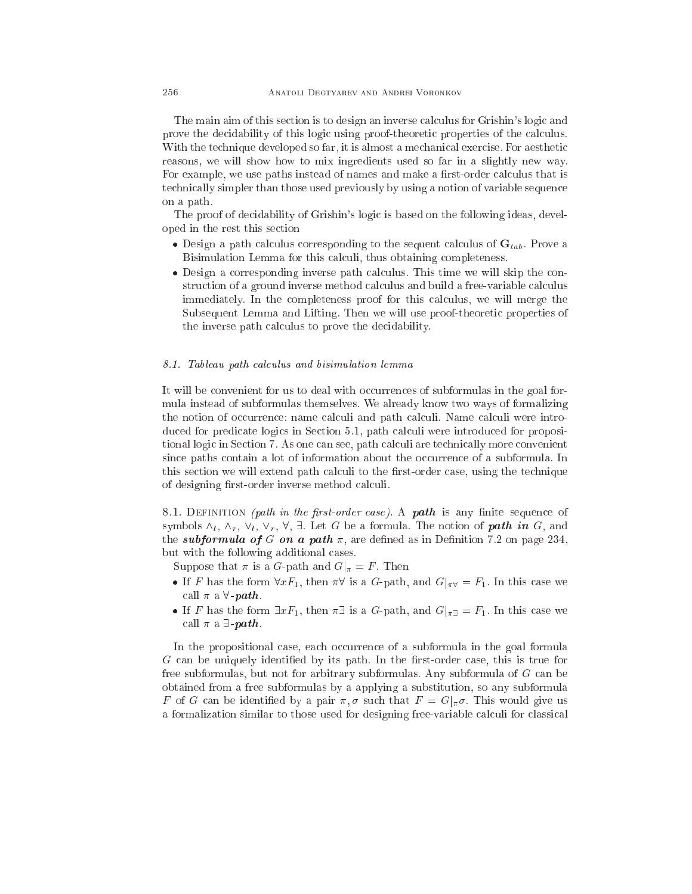The main aim of this section is to design an inverse calculus for Grishin's logic and prove the decidability of this logic using proof-theoretic properties of the calculus. With the technique developed so far, it is almost a mechanical exercise. For aesthetic reasons, we will show how to mix ingredients used so far in a slightly new way. For example, we use paths instead of names and make a first-order calculus that is te
hni
ally simpler than those used previously by using a notion of variable sequen
e on a path.

The proof of decidability of Grishin's logic is based on the following ideas, developed in the rest this se
tion

- orresponding to the sequence of the sequence of the sequence are sequently to the sequence of  $\mathbb{P}_\theta(\theta)$  . Prove are Bisimulation Lemma for this calculi, thus obtaining completeness.
- orresponding in the second inverse path inverse will send the state will send the state of the state of the state of the state of the state of the state of the state of the state of the state of the state of the state of t struction of a ground inverse method calculus and build a free-variable calculus immediately. In the completeness proof for this calculus, we will merge the Subsequent Lemma and Lifting. Then we will use proof-theoretic properties of the inverse path calculus to prove the decidability.

### 8.1. Tableau path calculus and bisimulation lemma

It will be convenient for us to deal with occurrences of subformulas in the goal formula instead of subformulas themselves. We already know two ways of formalizing the notion of occurrence: name calculi and path calculi. Name calculi were introduced for predicate logics in Section 5.1, path calculi were introduced for propositional logic in Section 7. As one can see, path calculi are technically more convenient since paths contain a lot of information about the occurrence of a subformula. In this section we will extend path calculi to the first-order case, using the technique of designing first-order inverse method calculi.

8.1. DEFINITION (path in the first-order case). A path is any finite sequence of symbols  $\wedge_l$ ,  $\wedge_r$ ,  $\vee_l$ ,  $\vee_r$ ,  $\forall$ ,  $\exists$ . Let G be a formula. The notion of **path in** G, and the *subformula of G on a path*  $\pi$ , are defined as in Definition 7.2 on page 234, but with the following additional ases.

Suppose that  $\pi$  is a G-path and  $G|_{\pi} = F$ . Then

- If F has the form  $\forall x F_1$ , then  $\pi \forall$  is a G-path, and  $G|_{\pi \forall x = F_1$ . In this case we call  $\pi$  a  $\forall$ -path.
- If F has the form  $\exists x F_1$ , then  $\pi \exists$  is a G-path, and  $G|_{\pi \exists} = F_1$ . In this case we call  $\pi$  a  $\exists$ -path.

In the propositional case, each occurrence of a subformula in the goal formula G can be uniquely identified by its path. In the first-order case, this is true for free subformulas, but not for arbitrary subformulas. Any subformula of  $G$  can be obtained from a free subformulas by a applying a substitution, so any subformula F of G can be identified by a pair  $\pi, \sigma$  such that  $F = G|_{\pi}\sigma$ . This would give us a formalization similar to those used for designing free-variable calculi for classical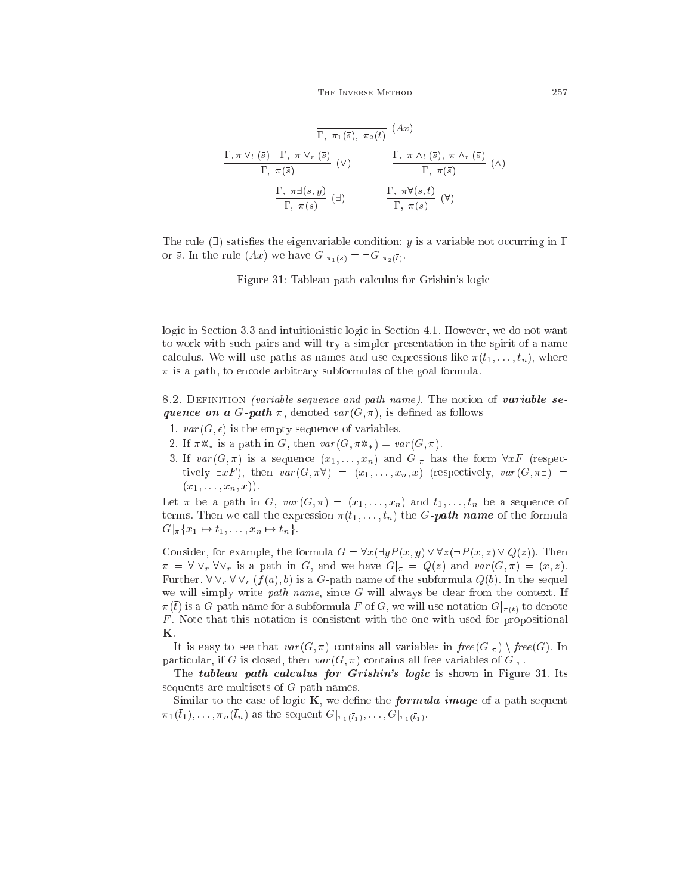$$
\frac{\Gamma, \pi \vee_l (\bar{s}) \Gamma, \pi \vee_r (\bar{s})}{\Gamma, \pi(\bar{s})} (Ax)
$$
\n
$$
\frac{\Gamma, \pi \vee_l (\bar{s}) \Gamma, \pi \vee_r (\bar{s})}{\Gamma, \pi(\bar{s})} (V)
$$
\n
$$
\frac{\Gamma, \pi \wedge_l (\bar{s}), \pi \wedge_r (\bar{s})}{\Gamma, \pi(\bar{s})} (A)
$$
\n
$$
\frac{\Gamma, \pi \exists (\bar{s}, y)}{\Gamma, \pi(\bar{s})} (\exists)
$$
\n
$$
\frac{\Gamma, \pi \forall (\bar{s}, t)}{\Gamma, \pi(\bar{s})} (V)
$$

The rule  $(\exists)$  satisfies the eigenvariable condition: y is a variable not occurring in  $\Gamma$ or  $\bar{s}$ . In the rule  $(Ax)$  we have  $G|_{\pi_1(\bar{s})} = \neg G|_{\pi_2(\bar{t})}$ .

Figure 31: Tableau path calculus for Grishin's logic

logic in Section 3.3 and intuitionistic logic in Section 4.1. However, we do not want to work with su
h pairs and will try a simpler presentation in the spirit of a name calculus. We will use paths as names and use expressions like  $\pi(t_1,\ldots,t_n)$ , where  $\pi$  is a path, to encode arbitrary subformulas of the goal formula.

8.2. DEFINITION (variable sequence and path name). The notion of variable sequence on a G-path  $\pi$ , denoted  $var(G, \pi)$ , is defined as follows

- 1.  $var(G, \epsilon)$  is the empty sequence of variables.
- 2. If  $\pi \mathfrak{M}_*$  is a path in G, then  $var(G, \pi \mathfrak{M}_*) = var(G, \pi)$ .
- 3. If  $var(G, \pi)$  is a sequence  $(x_1, \ldots, x_n)$  and  $G|_{\pi}$  has the form  $\forall x F$  (respectively  $\exists x F$ ), then  $var(G, \pi \forall) = (x_1, \ldots, x_n, x)$  (respectively,  $var(G, \pi \exists) =$  $(x_1, \ldots, x_n, x)$ .

Let  $\pi$  be a path in G,  $var(G, \pi) = (x_1, \ldots, x_n)$  and  $t_1, \ldots, t_n$  be a sequence of terms. Then we call the expression  $\pi(t_1, \ldots, t_n)$  the G-**path name** of the formula  $G|_{\pi}\{x_1 \mapsto t_1, \ldots, x_n \mapsto t_n\}.$ 

Consider, for example, the formula  $G = \forall x (\exists y P(x, y) \lor \forall z (\neg P(x, z) \lor Q(z))$ . Then  $\pi = \forall \vee_r \forall \vee_r$  is a path in G, and we have  $G|_{\pi} = Q(z)$  and  $var(G, \pi) = (x, z)$ . Further,  $\forall \vee_r \forall \vee_r (f(a), b)$  is a G-path name of the subformula  $Q(b)$ . In the sequel we will simply write *path name*, since G will always be clear from the context. If  $\pi(\bar{t})$  is a G-path name for a subformula F of G, we will use notation  $G|_{\pi(\bar{t})}$  to denote F . Note that this notation is onsistent with the one with used for propositional K.

It is easy to see that  $var(G, \pi)$  contains all variables in  $free(G|_{\pi}) \setminus free(G)$ . In particular, if G is closed, then  $var(G, \pi)$  contains all free variables of  $G|_{\pi}$ .

The *tableau* path calculus for Grishin's logic is shown in Figure 31. Its sequents are multisets of G-path names.

Similar to the case of logic  $K$ , we define the *formula image* of a path sequent  $\pi_1(t_1), \ldots, \pi_n(t_n)$  as the sequent  $G|_{\pi_1(\bar{t}_1)}, \ldots, G|_{\pi_1(\bar{t}_1)}.$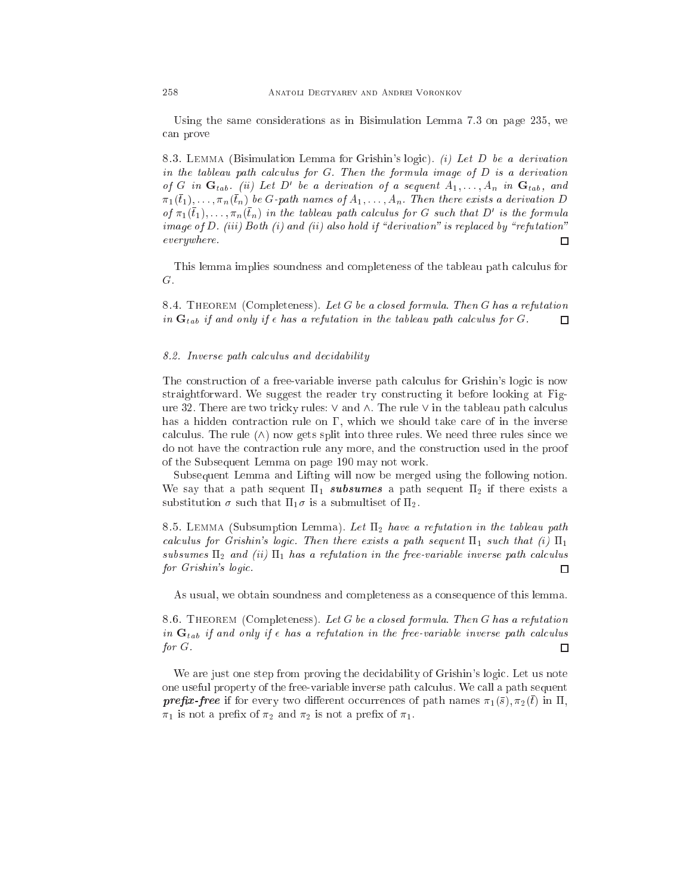Using the same onsiderations as in Bisimulation Lemma 7.3 on page 235, we an prove

8.3. LEMMA (Bisimulation Lemma for Grishin's logic). (i) Let D be a derivation in the tableau path calculus for  $G$ . Then the formula image of  $D$  is a derivation of G in  $\mathbf{G}_{tab}$ . (ii) Let D' be a derivation of a sequent  $A_1, \ldots, A_n$  in  $\mathbf{G}_{tab}$ , and  $\pi_1(t_1), \ldots, \pi_n(t_n)$  be G-path names of  $A_1, \ldots, A_n$ . Then there exists a derivation D of  $\pi_1(t_1), \ldots, \pi_n(t_n)$  in the tableau path calculus for G such that D' is the formula image of  $D$ . (iii) Both (i) and (ii) also hold if "derivation" is replaced by "refutation" everywhere.  $\Box$ 

This lemma implies soundness and completeness of the tableau path calculus for G.

8.4. THEOREM (Completeness). Let G be a closed formula. Then G has a refutation in  $\mathbf{G}_{tab}$  if and only if  $\epsilon$  has a refutation in the tableau path calculus for G.  $\Box$ 

### 8.2. Inverse path calculus and decidability

The construction of a free-variable inverse path calculus for Grishin's logic is now straightforward. We suggest the reader try onstru
ting it before looking at Figure 32. There are two tricky rules:  $\vee$  and  $\wedge$ . The rule  $\vee$  in the tableau path calculus has a hidden contraction rule on  $\Gamma$ , which we should take care of in the inverse calculus. The rule  $(\wedge)$  now gets split into three rules. We need three rules since we do not have the ontra
tion rule any more, and the onstru
tion used in the proof of the Subsequent Lemma on page 190 may not work.

Subsequent Lemma and Lifting will now be merged using the following notion. We say that a path sequent  $\Pi_1$  subsumes a path sequent  $\Pi_2$  if there exists a substitution  $\sigma$  such that  $\Pi_1 \sigma$  is a submultiset of  $\Pi_2$ .

8.5. LEMMA (Subsumption Lemma). Let  $\Pi_2$  have a refutation in the tableau path calculus for Grishin's logic. Then there exists a path sequent  $\Pi_1$  such that (i)  $\Pi_1$ subsumes  $\Pi_2$  and (ii)  $\Pi_1$  has a refutation in the free-variable inverse path calculus for Grishin's logi
.  $\Box$ 

As usual, we obtain soundness and ompleteness as a onsequen
e of this lemma.

8.6. THEOREM (Completeness). Let G be a closed formula. Then G has a refutation in  $G_{tab}$  if and only if  $\epsilon$  has a refutation in the free-variable inverse path calculus for G.  $\Box$ 

We are just one step from proving the decidability of Grishin's logic. Let us note one useful property of the free-variable inverse path calculus. We call a path sequent **prefix-free** if for every two different occurrences of path names  $\pi_1(\bar{s}), \pi_2(\bar{t})$  in  $\Pi$ ,  $\pi_1$  is not a prefix of  $\pi_2$  and  $\pi_2$  is not a prefix of  $\pi_1$ .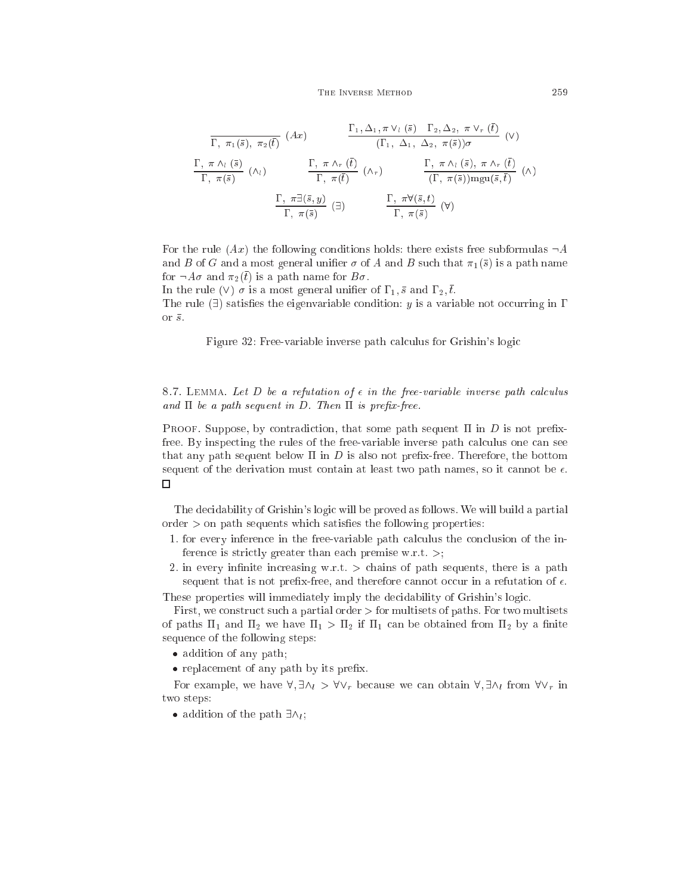$$
\frac{\Gamma_{1}, \Delta_{1}, \pi \vee_{l} (\bar{s}) \quad \Gamma_{2}, \Delta_{2}, \pi \vee_{r} (t)}{\Gamma_{1}, \Delta_{1}, \Delta_{2}, \pi(\bar{s})) \sigma} \quad (\vee)
$$
\n
$$
\frac{\Gamma_{1}, \pi \wedge_{l} (\bar{s})}{\Gamma_{1}, \pi(\bar{s})} \quad (\wedge_{l}) \qquad \frac{\Gamma_{1}, \pi \wedge_{r} (\bar{t})}{\Gamma_{1}, \pi(\bar{t})} \quad (\wedge_{r}) \qquad \frac{\Gamma_{1}, \pi \wedge_{l} (\bar{s}) \wedge \pi \wedge_{r} (\bar{t})}{\Gamma_{1}, \pi(\bar{s})) \text{mgu}(\bar{s}, \bar{t})} \quad (\wedge)
$$
\n
$$
\frac{\Gamma_{1}, \pi \exists (\bar{s}, y)}{\Gamma_{1}, \pi(\bar{s})} \quad (\exists) \qquad \frac{\Gamma_{1}, \pi \forall (\bar{s}, t)}{\Gamma_{1}, \pi(\bar{s})} \quad (\forall)
$$

For the rule  $(Ax)$  the following conditions holds: there exists free subformulas  $\neg A$ and B of G and a most general unifier  $\sigma$  of A and B such that  $\pi_1(\bar{s})$  is a path name for  $\neg A\sigma$  and  $\pi_2(t)$  is a path name for  $B\sigma$ .

In the rule (V)  $\sigma$  is a most general unifier of  $\Gamma_1$ ,  $\bar{s}$  and  $\Gamma_2$ ,  $\bar{t}$ . The rule  $(\exists)$  satisfies the eigenvariable condition: y is a variable not occurring in  $\Gamma$ or  $\bar{s}$ .

Figure 32: Free-variable inverse path calculus for Grishin's logic

8.7. LEMMA. Let D be a refutation of  $\epsilon$  in the free-variable inverse path calculus and  $\Pi$  be a path sequent in D. Then  $\Pi$  is prefix-free.

**PROOF.** Suppose, by contradiction, that some path sequent  $\Pi$  in  $D$  is not prefixfree. By inspecting the rules of the free-variable inverse path calculus one can see that any path sequent below  $\Pi$  in  $D$  is also not prefix-free. Therefore, the bottom sequent of the derivation must contain at least two path names, so it cannot be  $\epsilon$ .  $\Box$ 

The decidability of Grishin's logic will be proved as follows. We will build a partial  $\alpha$  order  $>$  on path sequents which satisfies the following properties:

- 1. for every inference in the free-variable path calculus the conclusion of the inference is strictly greater than each premise w.r.t.  $\geq$ ;
- 2. in every infinite increasing w.r.t.  $>$  chains of path sequents, there is a path sequent that is not prefix-free, and therefore cannot occur in a refutation of  $\epsilon$ .

These properties will immediately imply the decidability of Grishin's logic.

First, we construct such a partial order  $>$  for multisets of paths. For two multisets of paths  $\Pi_1$  and  $\Pi_2$  we have  $\Pi_1 > \Pi_2$  if  $\Pi_1$  can be obtained from  $\Pi_2$  by a finite sequen
e of the following steps:

addition of any path of any path  $\mathcal{A}$ 

replacement of any path of the present of the second

For example, we have  $\forall$ ,  $\exists \wedge_l > \forall \vee_r$  because we can obtain  $\forall$ ,  $\exists \wedge_l$  from  $\forall \vee_r$  in two steps:

addition of the path  $\exists \forall i$ ;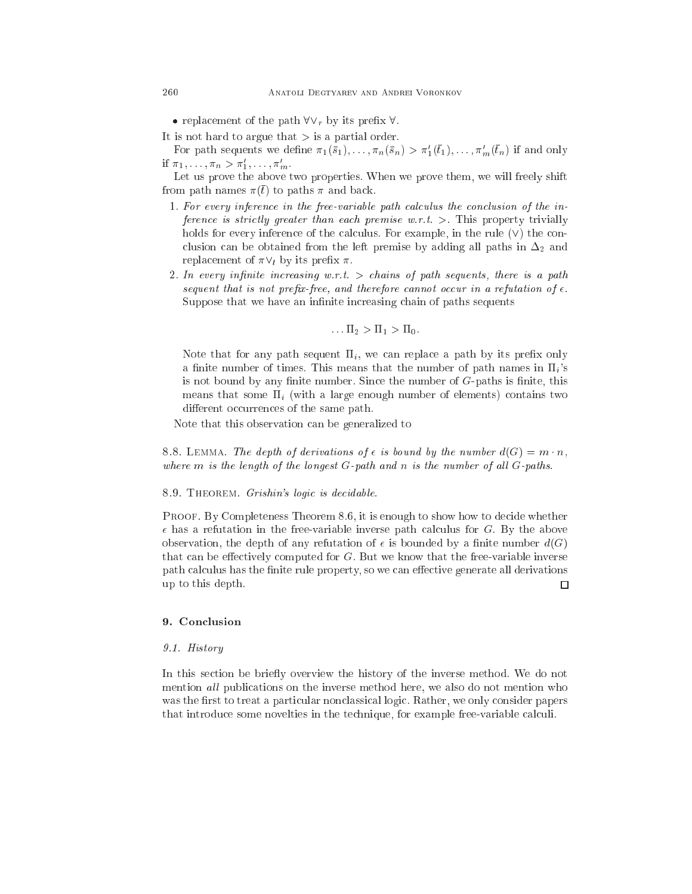$\bullet$  replacement of the path  $\mathbf{v} \cdot \mathbf{r}$  by rus premix  $\mathbf{v}$ .

It is not hard to argue that  $>$  is a partial order.

For path sequents we define  $\pi_1(\bar{s}_1), \ldots, \pi_n(\bar{s}_n) > \pi'_1(t_1), \ldots, \pi'_m(t_n)$  if and only if  $\pi_1, \ldots, \pi_n > \pi'_1, \ldots, \pi'_m$ .

Let us prove the above two properties. When we prove them, we will freely shift from path names  $\pi(t)$  to paths  $\pi$  and back.

- 1. For every inference in the free-variable path calculus the conclusion of the inference is strictly greater than each premise  $w.r.t. >$ . This property trivially holds for every inference of the calculus. For example, in the rule  $(V)$  the conclusion can be obtained from the left premise by adding all paths in  $\Delta_2$  and replacement of  $\pi \vee_l$  by its prefix  $\pi$ .
- 2. In every infinite increasing w.r.t. > chains of path sequents, there is a path sequent that is not prefix-free, and therefore cannot occur in a refutation of  $\epsilon$ . Suppose that we have an infinite increasing chain of paths sequents

$$
\ldots \Pi_2 > \Pi_1 > \Pi_0.
$$

Note that for any path sequent  $\Pi_i$ , we can replace a path by its prefix only a finite number of times. This means that the number of path names in  $\Pi_i$ 's is not bound by any finite number. Since the number of  $G$ -paths is finite, this means that some  $\Pi_i$  (with a large enough number of elements) contains two different occurrences of the same path.

Note that this observation an be generalized to

8.8. LEMMA. The depth of derivations of  $\epsilon$  is bound by the number  $d(G) = m \cdot n$ , where  $m$  is the length of the longest  $G$ -path and  $n$  is the number of all  $G$ -paths.

### 8.9. THEOREM. Grishin's logic is decidable.

PROOF. By Completeness Theorem 8.6, it is enough to show how to decide whether  $\epsilon$  has a refutation in the free-variable inverse path calculus for G. By the above observation, the depth of any refutation of  $\epsilon$  is bounded by a finite number  $d(G)$ that can be effectively computed for  $G$ . But we know that the free-variable inverse path calculus has the finite rule property, so we can effective generate all derivations up to this depth. □

### 9. Con
lusion

### 9.1. History

In this section be briefly overview the history of the inverse method. We do not mention all publications on the inverse method here, we also do not mention who was the first to treat a particular nonclassical logic. Rather, we only consider papers that introduce some novel ties in the technique, for example free-variable calculi.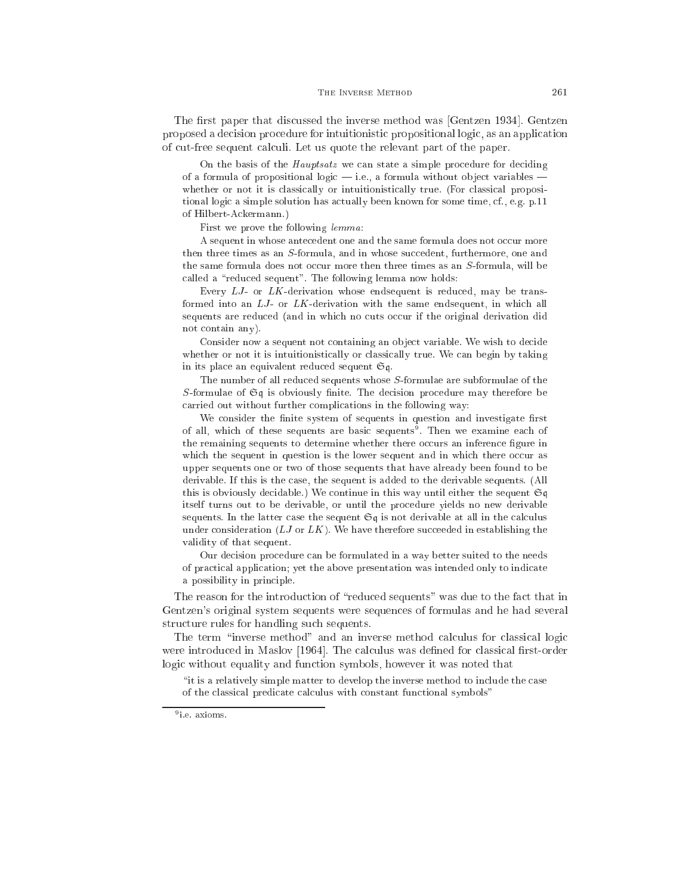The first paper that discussed the inverse method was [Gentzen 1934]. Gentzen proposed a de
ision pro
edure for intuitionisti propositional logi
, as an appli
ation of cut-free sequent calculi. Let us quote the relevant part of the paper.

On the basis of the *Hauptsatz* we can state a simple procedure for deciding of a formula of propositional logic  $-$  i.e., a formula without object variables  $$ whether or not it is classically or intuitionistically true. (For classical propositional logi a simple solution has a
tually been known for some time, f., e.g. p.11 of Hilbert-A
kermann.)

First we prove the following lemma:

A sequent in whose antecedent one and the same formula does not occur more then three times as an S-formula, and in whose succedent, furthermore, one and the same formula does not occur more then three times as an S-formula, will be called a "reduced sequent". The following lemma now holds:

Every  $LJ$ - or  $LK$ -derivation whose endsequent is reduced, may be transformed into an LJ- or LK-derivation with the same endsequent, in which all sequents are reduced (and in which no cuts occur if the original derivation did not ontain any).

Consider now a sequent not containing an object variable. We wish to decide whether or not it is intuitionistically or classically true. We can begin by taking in its pla
e an equivalent redu
ed sequent Sq.

The number of all redu
ed sequents whose S-formulae are subformulae of the S-formulae of  $\mathfrak{S}$ q is obviously finite. The decision procedure may therefore be arried out without further ompli
ations in the following way:

We consider the finite system of sequents in question and investigate first of all, which of these sequents are basic sequents . Then we examine each of the remaining sequents to determine whether there occurs an inference figure in which the sequent in question is the lower sequent and in which there occur as upper sequents one or two of those sequents that have already been found to be derivable. If this is the case, the sequent is added to the derivable sequents. (All this is obviously decidable.) We continue in this way until either the sequent  $\mathfrak{S}q$ itself turns out to be derivable, or until the pro
edure yields no new derivable sequents. In the latter case the sequent  $\mathfrak{S}q$  is not derivable at all in the calculus under consideration  $(LJ \text{ or } LK)$ . We have therefore succeeded in establishing the validity of that sequent.

Our de
ision pro
edure an be formulated in a way better suited to the needs of pra
ti
al appli
ation; yet the above presentation was intended only to indi
ate a possibility in prin
iple.

The reason for the introduction of "reduced sequents" was due to the fact that in Gentzen's original system sequents were sequen
es of formulas and he had several structure rules for handling such sequents.

The term "inverse method" and an inverse method calculus for classical logic were introduced in Maslov [1964]. The calculus was defined for classical first-order logic without equality and function symbols, however it was noted that

"it is a relatively simple matter to develop the inverse method to include the case of the classical predicate calculus with constant functional symbols"

<sup>9</sup> i.e. axioms.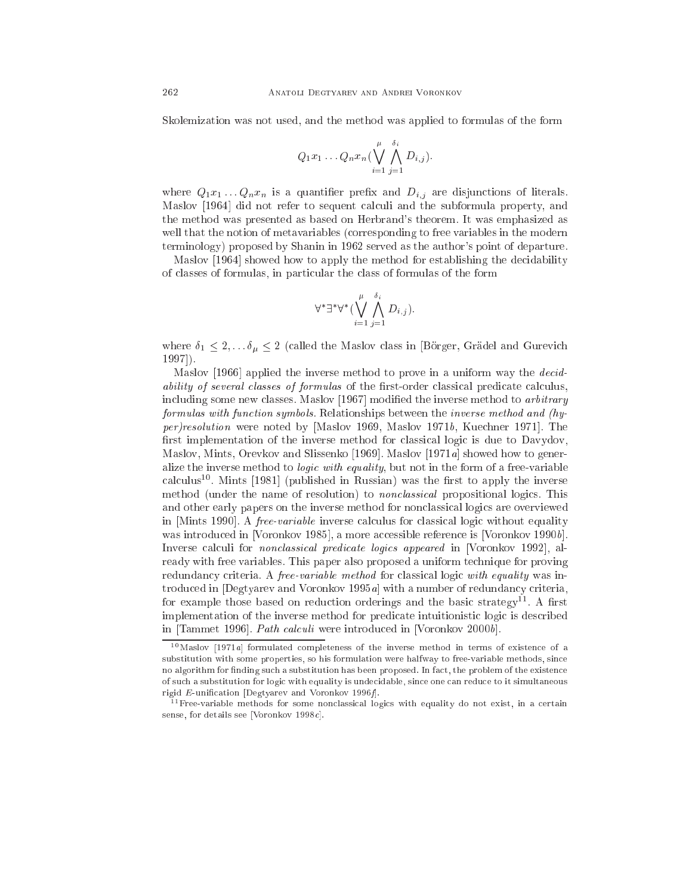Skolemization was not used, and the method was applied to formulas of the form

$$
Q_1x_1 \ldots Q_nx_n \Big(\bigvee_{i=1}^{\mu} \bigwedge_{j=1}^{\delta_i} D_{i,j}\Big).
$$

where  $Q_1x_1...Q_nx_n$  is a quantifier prefix and  $D_{i,j}$  are disjunctions of literals. Maslov [1964] did not refer to sequent calculi and the subformula property, and the method was presented as based on Herbrand's theorem. It was emphasized as well that the notion of metavariables (
orresponding to free variables in the modern terminology) proposed by Shanin in 1962 served as the author's point of departure.

Maslov [1964] showed how to apply the method for establishing the decidability of lasses of formulas, in parti
ular the lass of formulas of the form

$$
\forall^* \exists^* \forall^* (\bigvee_{i=1}^{\mu} \bigwedge_{j=1}^{\delta_i} D_{i,j}).
$$

where  $\delta_1 \leq 2, \ldots, \delta_\mu \leq 2$  (called the Maslov class in [Börger, Grädel and Gurevich  $1997$ .

Maslov [1966] applied the inverse method to prove in a uniform way the *decid*ability of several classes of formulas of the first-order classical predicate calculus, including some new classes. Maslov [1967] modified the inverse method to *arbitrary* formulas with fun
tion symbols. Relationships between the inverse method and (hy $per/resolution$  were noted by [Maslov 1969, Maslov 1971 $b$ , Kuechner 1971]. The first implementation of the inverse method for classical logic is due to Davydov, Maslov, Mints, Orevkov and Slissenko [1969]. Maslov [1971a] showed how to generalize the inverse method to *logic with equality*, but not in the form of a free-variable calculus – Mints [1981] (published in Russian) was the first to apply the inverse method (under the name of resolution) to *nonclassical* propositional logics. This and other early papers on the inverse method for non
lassi
al logi
s are overviewed in [Mints 1990]. A *free-variable* inverse calculus for classical logic without equality was introduced in [Voronkov 1985], a more accessible reference is [Voronkov 1990b]. Inverse calculi for *nonclassical predicate logics appeared* in [Voronkov 1992], already with free variables. This paper also proposed a uniform te
hnique for proving redundancy criteria. A *free-variable method* for classical logic with equality was introduced in [Degtyarev and Voronkov 1995a] with a number of redundancy criteria, for example those based on reduction orderings and the basic strategy . A first implementation of the inverse method for predicate intuitionistic logic is described in [Tammet 1996]. *Path calculi* were introduced in [Voronkov 2000b].

 $10$ Maslov [1971a] formulated completeness of the inverse method in terms of existence of a substitution with some properties, so his formulation were halfway to free-variable methods, sin
e no algorithm for finding such a substitution has been proposed. In fact, the problem of the existence of such a substitution for logic with equality is undecidable, since one can reduce to it simultaneous rigid  $E$ -unification [Degtyarev and Voronkov 1996 $f$ ].

<sup>&</sup>lt;sup>11</sup> Free-variable methods for some nonclassical logics with equality do not exist, in a certain sense, for details see [Voronkov 1998 $c$ ].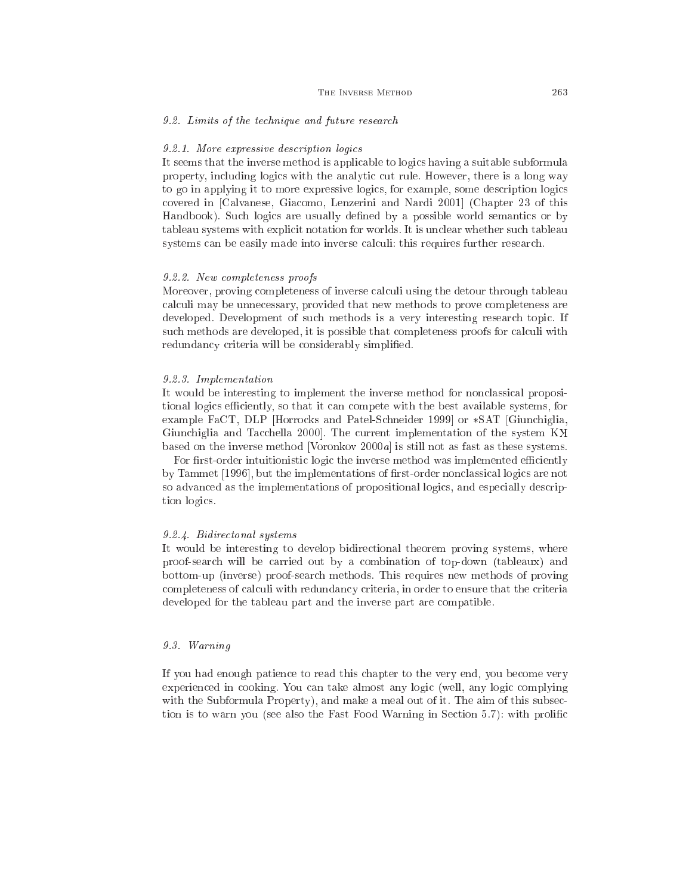### 9.2. Limits of the te
hnique and future resear
h

### 9.2.1. More expressive description logics

It seems that the inverse method is appli
able to logi
s having a suitable subformula property, including logics with the analytic cut rule. However, there is a long way to go in applying it to more expressive logics, for example, some description logics covered in [Calvanese, Giacomo, Lenzerini and Nardi 2001] (Chapter 23 of this Handbook). Such logics are usually defined by a possible world semantics or by tableau systems with explicit notation for worlds. It is unclear whether such tableau systems can be easily made into inverse calculi: this requires further research.

### 9.2.2. New ompleteness proofs

Moreover, proving completeness of inverse calculi using the detour through tableau al
uli may be unne
essary, provided that new methods to prove ompleteness are developed. Development of such methods is a very interesting research topic. If such methods are developed, it is possible that completeness proofs for calculi with redundancy criteria will be considerably simplified.

### 9.2.3. Implementation

It would be interesting to implement the inverse method for non
lassi
al propositional logics efficiently, so that it can compete with the best available systems, for example FaCT, DLP Horrocks and Patel-Schneider 1999 or  $\ast$ SAT Giunchiglia, Giunchiglia and Tacchella 2000. The current implementation of the system KX based on the inverse method [Voronkov  $2000a$ ] is still not as fast as these systems.

For first-order intuitionistic logic the inverse method was implemented efficiently by Tammet [1996], but the implementations of first-order nonclassical logics are not so advanced as the implementations of propositional logics, and especially description logi
s.

### 9.2.4. Bidire
tonal systems

It would be interesting to develop bidire
tional theorem proving systems, where proof-sear
h will be arried out by a ombination of top-down (tableaux) and bottom-up (inverse) proof-sear
h methods. This requires new methods of proving completeness of calculi with redundancy criteria, in order to ensure that the criteria developed for the tableau part and the inverse part are ompatible.

### 9.3. Warning

If you had enough patien
e to read this hapter to the very end, you be
ome very experienced in cooking. You can take almost any logic (well, any logic complying with the Subformula Property), and make a meal out of it. The aim of this subsection is to warn you (see also the Fast Food Warning in Section 5.7): with prolific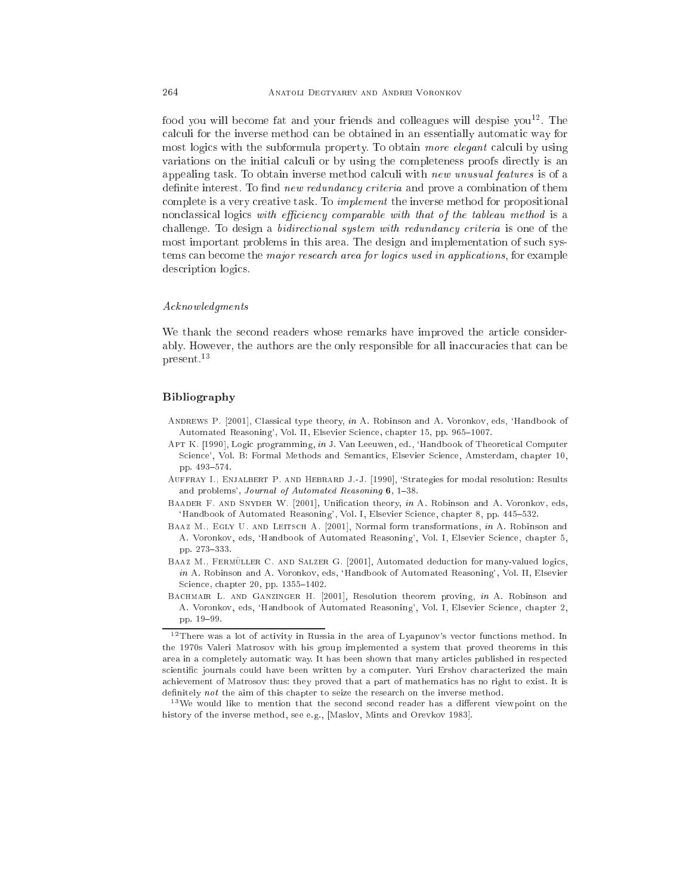rood you will become fat and your friends and colleagues will despise you\*\*. The al
uli for the inverse method an be obtained in an essentially automati way for most logics with the subformula property. To obtain more elegant calculi by using variations on the initial calculi or by using the completeness proofs directly is an appealing task. To obtain inverse method calculi with new unusual features is of a definite interest. To find *new redundancy criteria* and prove a combination of them complete is a very creative task. To *implement* the inverse method for propositional nonclassical logics with efficiency comparable with that of the tableau method is a challenge. To design a *bidirectional system with redundancy criteria* is one of the most important problems in this area. The design and implementation of such systems can become the *major research area for logics used in applications*, for example description logics.

### Acknowledgments

We thank the second readers whose remarks have improved the article considerably. However, the authors are the only responsible for all inaccuracies that can be present.13

## Bibliography

- ANDREWS P. [2001], Classical type theory, in A. Robinson and A. Voronkov, eds, 'Handbook of Automated Reasoning', Vol. II, Elsevier Science, chapter 15, pp. 965-1007.
- APT K. [1990], Logic programming, in J. Van Leeuwen, ed., 'Handbook of Theoretical Computer Science', Vol. B: Formal Methods and Semantics, Elsevier Science, Amsterdam, chapter 10, pp. 493-574.
- AUFFRAY I., ENJALBERT P. AND HEBRARD J.-J. [1990], 'Strategies for modal resolution: Results and problems', Journal of Automated Reasoning  $6$ , 1-38.
- BAADER F. AND SNYDER W. [2001], Unification theory, in A. Robinson and A. Voronkov, eds, 'Handbook of Automated Reasoning', Vol. I, Elsevier Science, chapter 8, pp. 445-532.
- BAAZ M., EGLY U. AND LEITSCH A. [2001], Normal form transformations, in A. Robinson and A. Voronkov, eds, 'Handbook of Automated Reasoning', Vol. I, Elsevier Science, chapter 5, pp. 273-333.
- BAAZ M., FERMÜLLER C. AND SALZER G. [2001], Automated deduction for many-valued logics, in A. Robinson and A. Voronkov, eds, 'Handbook of Automated Reasoning', Vol. II, Elsevier Science, chapter 20, pp. 1355-1402.
- BACHMAIR L. AND GANZINGER H. [2001], Resolution theorem proving, in A. Robinson and A. Voronkov, eds, 'Handbook of Automated Reasoning', Vol. I, Elsevier Science, chapter 2, pp. 19-99.

<sup>&</sup>lt;sup>12</sup> There was a lot of activity in Russia in the area of Lyapunov's vector functions method. In the 1970s Valeri Matrosov with his group implemented a system that proved theorems in this area in a ompletely automati way. It has been shown that many arti
les published in respe
ted scientific journals could have been written by a computer. Yuri Ershov characterized the main achievement of Matrosov thus: they proved that a part of mathematics has no right to exist. It is definitely not the aim of this chapter to seize the research on the inverse method.

<sup>&</sup>lt;sup>13</sup>We would like to mention that the second second reader has a different viewpoint on the history of the inverse method, see e.g., [Maslov, Mints and Orevkov 1983].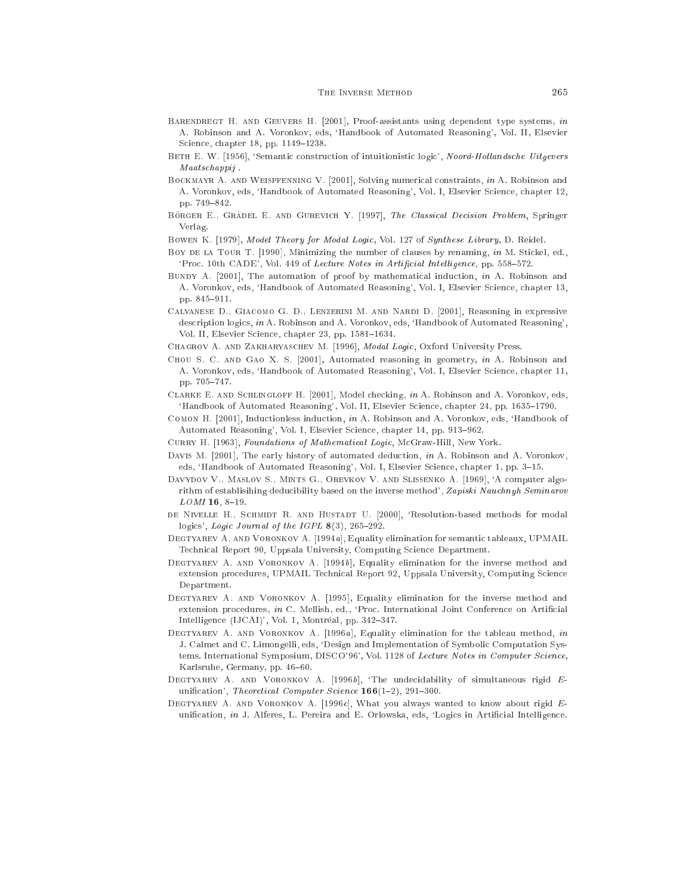- BARENDREGT H. AND GEUVERS H.  $[2001]$ , Proof-assistants using dependent type systems, in A. Robinson and A. Voronkov, eds, `Handbook of Automated Reasoning', Vol. II, Elsevier Science, chapter 18, pp. 1149-1238.
- BETH E. W. [1956], 'Semantic construction of intuitionistic logic', Noord-Hollandsche Uitgevers Maatschappii. maatsa maanaan jiraa jiraa
- BOCKMAYR A. AND WEISPFENNING V. [2001], Solving numerical constraints, in A. Robinson and A. Voronkov, eds, 'Handbook of Automated Reasoning', Vol. I, Elsevier Science, chapter 12, pp. 749-842. pp. 749{842.
- BÖRGER E., GRÄDEL E. AND GUREVICH Y. [1997], The Classical Decision Problem, Springer Verlag.
- BOWEN K. [1979], Model Theory for Modal Logic, Vol. 127 of Synthese Library, D. Reidel.
- Boy DE LA TOUR T. [1990], Minimizing the number of clauses by renaming, in M. Stickel, ed., 'Proc. 10th CADE', Vol. 449 of Lecture Notes in Artificial Intelligence, pp. 558-572.
- BUNDY A.  $[2001]$ , The automation of proof by mathematical induction, in A. Robinson and A. Voronkov, eds, `Handbook of Automated Reasoning', Vol. I, Elsevier S
ien
e, hapter 13, pp. 845-911.
- CALVANESE D., GIACOMO G. D., LENZERINI M. AND NARDI D. [2001], Reasoning in expressive description logics, in A. Robinson and A. Voronkov, eds, 'Handbook of Automated Reasoning', Vol. II, Elsevier Science, chapter 23, pp. 1581-1634.
- CHAGROV A. AND ZAKHARYASCHEV M. [1996], Modal Logic, Oxford University Press.
- CHOU S. C. AND GAO X. S. [2001], Automated reasoning in geometry, in A. Robinson and A. Voronkov, eds, 'Handbook of Automated Reasoning', Vol. I, Elsevier Science, chapter 11, pp. 705-747.
- CLARKE E. AND SCHLINGLOFF H. [2001], Model checking, in A. Robinson and A. Voronkov, eds, 'Handbook of Automated Reasoning', Vol. II, Elsevier Science, chapter 24, pp. 1635-1790.
- COMON H. [2001], Inductionless induction, in A. Robinson and A. Voronkov, eds, 'Handbook of Automated Reasoning', Vol. I, Elsevier Science, chapter 14, pp. 913-962.
- CURRY H. [1963], Foundations of Mathematical Logic, McGraw-Hill, New York.
- DAVIS M. [2001], The early history of automated deduction, in A. Robinson and A. Voronkov, eds, 'Handbook of Automated Reasoning', Vol. I, Elsevier Science, chapter 1, pp. 3-15.
- DAVYDOV V., MASLOV S., MINTS G., OREVKOV V. AND SLISSENKO A. [1969], 'A computer algorithm of establisihing deducibility based on the inverse method', Zapiski Nauchnyh Seminarov  $LOMI$  16, 8-19.
- DE NIVELLE H., SCHMIDT R. AND HUSTADT U. [2000], 'Resolution-based methods for modal logics', Logic Journal of the IGPL  $8(3)$ , 265-292.
- DEGTYAREV A. AND VORONKOV A. [1994a], Equality elimination for semantic tableaux, UPMAIL Technical Report 90, Uppsala University, Computing Science Department.
- DEGTYAREV A. AND VORONKOV A.  $[1994b]$ , Equality elimination for the inverse method and extension procedures, UPMAIL Technical Report 92, Uppsala University, Computing Science Department.
- DEGTYAREV A. AND VORONKOV A. [1995], Equality elimination for the inverse method and extension procedures, in C. Mellish, ed., 'Proc. International Joint Conference on Artificial Intelligence (IJCAI)', Vol. 1, Montréal, pp. 342-347.
- DEGTYAREV A. AND VORONKOV A. [1996a], Equality elimination for the tableau method, in J. Calmet and C. Limongelli, eds, `Design and Implementation of Symboli Computation Systems. International Symposium, DISCO'96', Vol. 1128 of Lecture Notes in Computer Science, Karlsruhe, Germany, pp. 46-60.
- DEGTYAREV A. AND VORONKOV A. [1996b], 'The undecidability of simultaneous rigid  $E$ unification', Theoretical Computer Science  $166(1-2)$ , 291-300.
- DEGTYAREV A. AND VORONKOV A. [1996 $c$ ], What you always wanted to know about rigid Eunification, in J. Alferes, L. Pereira and E. Orlowska, eds, 'Logics in Artificial Intelligence.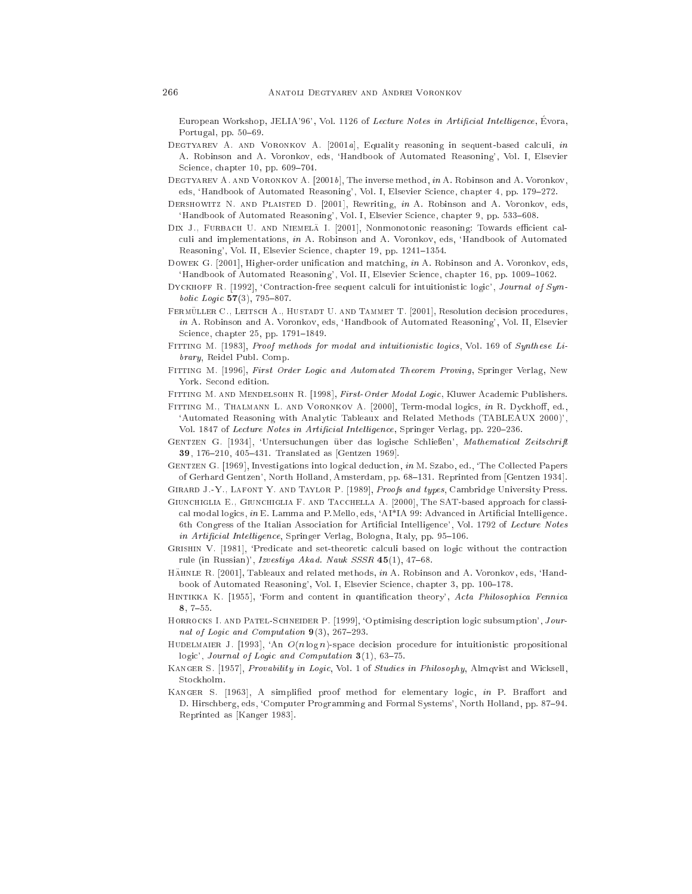European Workshop, JELIA'96', Vol. 1126 of Lecture Notes in Artificial Intelligence, Evora, Portugal, pp. 50-69.

- DEGTYAREV A. AND VORONKOV A. [2001a], Equality reasoning in sequent-based calculi, in A. Robinson and A. Voronkov, eds, `Handbook of Automated Reasoning', Vol. I, Elsevier Science, chapter 10, pp. 609-704.
- DEGTYAREV A. AND VORONKOV A.  $[2001b]$ , The inverse method, in A. Robinson and A. Voronkov, eds, 'Handbook of Automated Reasoning', Vol. I, Elsevier Science, chapter 4, pp. 179-272.
- DERSHOWITZ N. AND PLAISTED D. [2001], Rewriting, in A. Robinson and A. Voronkov, eds, 'Handbook of Automated Reasoning', Vol. I, Elsevier Science, chapter 9, pp. 533-608.
- DIX J., FURBACH U. AND NIEMELÄ I. [2001], Nonmonotonic reasoning: Towards efficient calculi and implementations, in A. Robinson and A. Voronkov, eds, 'Handbook of Automated Reasoning', Vol. II, Elsevier Science, chapter 19, pp. 1241-1354.
- Dowek G. [2001], Higher-order unification and matching, *in* A. Robinson and A. Voronkov, eds, 'Handbook of Automated Reasoning', Vol. II, Elsevier Science, chapter 16, pp. 1009-1062.
- DYCKHOFF R. [1992], 'Contraction-free sequent calculi for intuitionistic logic', Journal of Symbolic Logic  $57(3)$ , 795-807.
- FERMÜLLER C., LEITSCH A., HUSTADT U. AND TAMMET T. [2001], Resolution decision procedures, in A. Robinson and A. Voronkov, eds, 'Handbook of Automated Reasoning', Vol. II, Elsevier Science, chapter 25, pp. 1791-1849.
- FITTING M. [1983], Proof methods for modal and intuitionistic logics, Vol. 169 of Synthese Library, Reidel Publ. Comp.
- FITTING M. [1996], First Order Logic and Automated Theorem Proving, Springer Verlag, New York. Second edition.
- FITTING M. AND MENDELSOHN R. [1998], First-Order Modal Logic, Kluwer Academic Publishers.
- FITTING M., THALMANN L. AND VORONKOV A. [2000], Term-modal logics, in R. Dyckhoff, ed., 'Automated Reasoning with Analytic Tableaux and Related Methods (TABLEAUX 2000)', Vol. 1847 of Lecture Notes in Artificial Intelligence, Springer Verlag, pp. 220-236.
- GENTZEN G. [1934], 'Untersuchungen über das logische Schließen', Mathematical Zeitschrift 39, 176-210, 405-431. Translated as [Gentzen 1969].
- GENTZEN G. [1969], Investigations into logical deduction, in M. Szabo, ed., 'The Collected Papers of Gerhard Gentzen', North Holland, Amsterdam, pp. 68-131. Reprinted from [Gentzen 1934].

GIRARD J.-Y., LAFONT Y. AND TAYLOR P. [1989], Proofs and types, Cambridge University Press.

- GIUNCHIGLIA E., GIUNCHIGLIA F. AND TACCHELLA A. [2000], The SAT-based approach for classical modal logics, in E. Lamma and P.Mello, eds, 'AI\*IA 99: Advanced in Artificial Intelligence. 6th Congress of the Italian Association for Artificial Intelligence', Vol. 1792 of Lecture Notes in Artificial Intelligence, Springer Verlag, Bologna, Italy, pp. 95-106.
- ate at the set-theoretic contract contract contracts the set-theoretic contracts that the contract contracts rule (in Russian)', Izvestiya Akad. Nauk SSSR  $45(1)$ , 47-68.
- HÄHNLE R. [2001], Tableaux and related methods, in A. Robinson and A. Voronkov, eds, 'Handbook of Automated Reasoning', Vol. I, Elsevier Science, chapter 3, pp. 100-178.
- HINTIKKA K. [1955], 'Form and content in quantification theory', Acta Philosophica Fennica 8, 7-55.
- HORROCKS I. AND PATEL-SCHNEIDER P. [1999], 'Optimising description logic subsumption', Journal of Logic and Computation  $9(3)$ , 267-293.
- HUDELMAIER J. [1993], 'An  $O(n \log n)$ -space decision procedure for intuitionistic propositional logic', Journal of Logic and Computation  $3(1)$ , 63-75.
- KANGER S. [1957], Provability in Logic, Vol. 1 of Studies in Philosophy, Almqvist and Wicksell, Stockholm.
- KANGER S. [1963], A simplified proof method for elementary logic, in P. Braffort and D. Hirschberg, eds, 'Computer Programming and Formal Systems', North Holland, pp. 87-94. Reprinted as [Kanger 1983].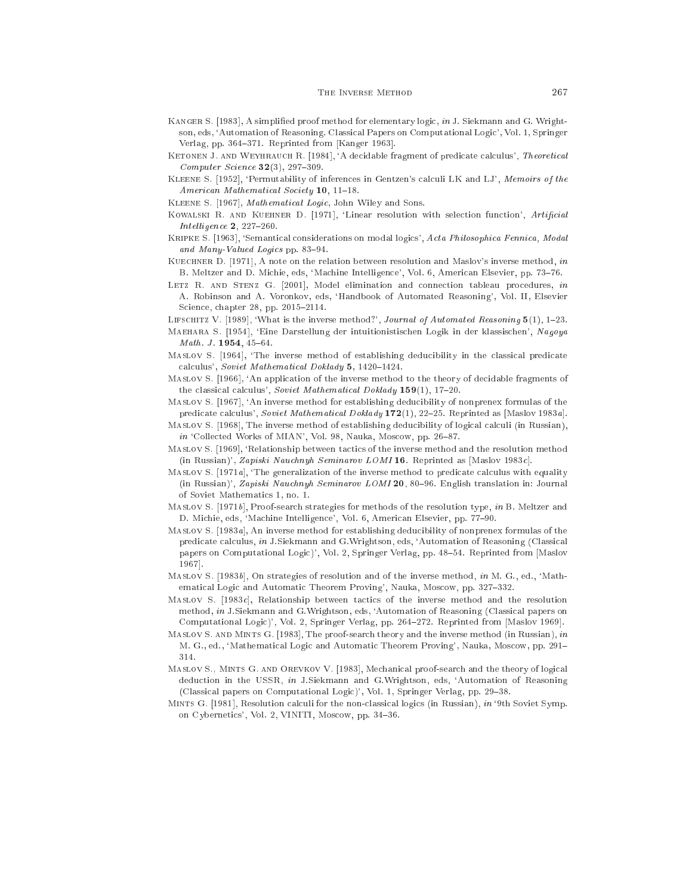- KANGER S. [1983], A simplified proof method for elementary logic, in J. Siekmann and G. Wrightson, eds, 'Automation of Reasoning. Classical Papers on Computational Logic', Vol. 1, Springer Verlag, pp. 364-371. Reprinted from [Kanger 1963].
- KETONEN J. AND WEYHRAUCH R. [1984], 'A decidable fragment of predicate calculus', Theoretical  $Computer\, Science\,32(3), 297-309.$
- KLEENE S. [1952], 'Permutability of inferences in Gentzen's calculi LK and LJ', Memoirs of the American Mathematical Society 10, 11-18.
- KLEENE S. [1967], *Mathematical Logic*, John Wiley and Sons.
- KOWALSKI R. AND KUEHNER D. [1971], 'Linear resolution with selection function', Artificial Intelligence  $2, 227-260.$
- KRIPKE S. [1963], 'Semantical considerations on modal logics', Acta Philosophica Fennica, Modal and Many-Valued Logics pp. 83-94.
- KUECHNER D. [1971], A note on the relation between resolution and Maslov's inverse method, in B. Meltzer and D. Michie, eds, 'Machine Intelligence', Vol. 6, American Elsevier, pp. 73-76.
- LETZ R. AND STENZ G. [2001], Model elimination and connection tableau procedures, in A. Robinson and A. Voronkov, eds, `Handbook of Automated Reasoning', Vol. II, Elsevier Science, chapter 28, pp. 2015-2114.
- LIFSCHITZ V. [1989], 'What is the inverse method?', Journal of Automated Reasoning  $5(1)$ , 1-23.
- MAEHARA S. [1954], 'Eine Darstellung der intuitionistischen Logik in der klassischen', Nagoya  $Math. J. 1954. 45-64.$
- MASLOV S. [1964], 'The inverse method of establishing deducibility in the classical predicate calculus', Soviet Mathematical Doklady 5, 1420-1424.
- MASLOV S. [1966], 'An application of the inverse method to the theory of decidable fragments of the classical calculus', Soviet Mathematical Doklady  $159(1)$ , 17-20.
- MASLOV S. [1967], 'An inverse method for establishing deducibility of nonprenex formulas of the predicate calculus', Soviet Mathematical Doklady 172(1), 22-25. Reprinted as [Maslov 1983a].
- Maslov S. [1968], The inverse method of establishing deducibility of logical calculi (in Russian), in 'Collected Works of MIAN', Vol. 98, Nauka, Moscow, pp. 26-87.
- Maslov S. [1969], 'Relationship between tactics of the inverse method and the resolution method (in Russian)', Zapiski Nauchnyh Seminarov LOMI 16. Reprinted as [Maslov 1983c].
- MASLOV S.  $[1971a]$ , 'The generalization of the inverse method to predicate calculus with equality (in Russian)', Zapiski Nauchnyh Seminarov LOMI 20, 80-96. English translation in: Journal of Soviet Mathemati
s 1, no. 1.
- MASLOV S. [1971b], Proof-search strategies for methods of the resolution type, in B. Meltzer and D. Michie, eds, 'Machine Intelligence', Vol. 6, American Elsevier, pp. 77-90.
- MasLov S. [1983a], An inverse method for establishing deducibility of nonprenex formulas of the predicate calculus, in J.Siekmann and G.Wrightson, eds, 'Automation of Reasoning (Classical papers on Computational Logic)', Vol. 2, Springer Verlag, pp. 48-54. Reprinted from [Maslov <u>- - - - 1</u>
- MASLOV S. [1983b], On strategies of resolution and of the inverse method, in M. G., ed., 'Mathematical Logic and Automatic Theorem Proving', Nauka, Moscow, pp. 327-332.
- MasLov S. [1983*c*], Relationship between tactics of the inverse method and the resolution method, in J.Siekmann and G.Wrightson, eds, 'Automation of Reasoning (Classical papers on Computational Logic)', Vol. 2, Springer Verlag, pp. 264-272. Reprinted from [Maslov 1969].
- MASLOV S. AND MINTS G. [1983], The proof-search theory and the inverse method (in Russian), in M. G., ed., 'Mathematical Logic and Automatic Theorem Proving', Nauka, Moscow, pp. 291-314
- MASLOV S., MINTS G. AND OREVKOV V. [1983], Mechanical proof-search and the theory of logical dedu
tion in the USSR, in J.Siekmann and G.Wrightson, eds, `Automation of Reasoning (Classical papers on Computational Logic)', Vol. 1, Springer Verlag, pp. 29-38.
- MINTS G. [1981], Resolution calculi for the non-classical logics (in Russian), in '9th Soviet Symp. on Cybernetics', Vol. 2, VINITI, Moscow, pp. 34-36.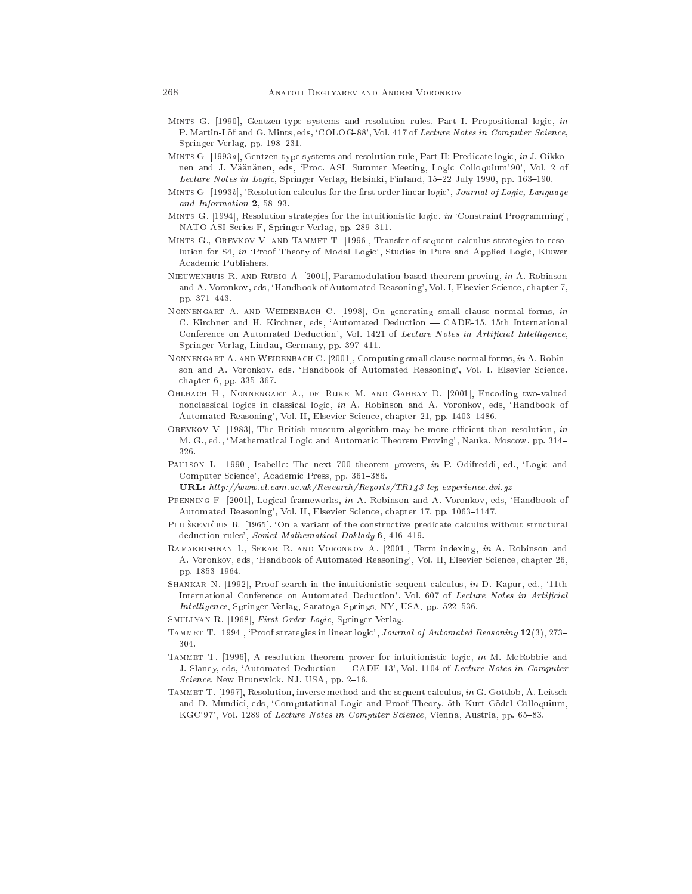- MINTS G.  $[1990]$ , Gentzen-type systems and resolution rules. Part I. Propositional logic, in P. Martin-Löf and G. Mints, eds, 'COLOG-88', Vol. 417 of Lecture Notes in Computer Science, Springer Verlag, pp. 198-231.
- MINTS G. [1993a], Gentzen-type systems and resolution rule, Part II: Predicate logic, in J. Oikkonen and J. Väänänen, eds, 'Proc. ASL Summer Meeting, Logic Colloquium'90', Vol. 2 of Lecture Notes in Logic, Springer Verlag, Helsinki, Finland, 15-22 July 1990, pp. 163-190.
- MINTS G. [1993b], 'Resolution calculus for the first order linear logic', Journal of Logic, Language and Information  $2, 58-93.$
- MINTS G. [1994], Resolution strategies for the intuitionistic logic, in 'Constraint Programming', NATO ASI Series F, Springer Verlag, pp. 289-311.
- MINTS G., OREVKOV V. AND TAMMET T. [1996], Transfer of sequent calculus strategies to resolution for S4, in 'Proof Theory of Modal Logic', Studies in Pure and Applied Logic, Kluwer Academic Publishers.
- NIEUWENHUIS R. AND RUBIO A. [2001], Paramodulation-based theorem proving, in A. Robinson and A. Voronkov, eds, 'Handbook of Automated Reasoning', Vol. I, Elsevier Science, chapter 7, pp. 371-443. pp. 371{443.
- NONNENGART A. AND WEIDENBACH C. [1998], On generating small clause normal forms, in C. Kirchner and H. Kirchner, eds, 'Automated Deduction - CADE-15. 15th International Conference on Automated Deduction', Vol. 1421 of Lecture Notes in Artificial Intelligence, Springer Verlag, Lindau, Germany, pp. 397-411.
- NONNENGART A. AND WEIDENBACH C. [2001], Computing small clause normal forms, in A. Robinson and A. Voronkov, eds, 'Handbook of Automated Reasoning', Vol. I, Elsevier Science, chapter 6, pp. 335-367.
- OHLBACH H., NONNENGART A., DE RIJKE M. AND GABBAY D. [2001], Encoding two-valued nonclassical logics in classical logic, in A. Robinson and A. Voronkov, eds, 'Handbook of Automated Reasoning', Vol. II, Elsevier Science, chapter 21, pp. 1403-1486.
- OREVKOV V. [1983], The British museum algorithm may be more efficient than resolution, in M. G., ed., 'Mathematical Logic and Automatic Theorem Proving', Nauka, Moscow, pp. 314-326.
- PAULSON L. [1990], Isabelle: The next 700 theorem provers, in P. Odifreddi, ed., 'Logic and Computer Science', Academic Press, pp. 361-386.
	- URL: http://www.cl.cam.ac.uk/Research/Reports/TR143-lcp-experience.dvi.gz
- PFENNING F. [2001], Logical frameworks, in A. Robinson and A. Voronkov, eds, 'Handbook of Automated Reasoning', Vol. II, Elsevier Science, chapter 17, pp. 1063-1147.
- PLIUŠKEVIČIUS R. [1965], 'On a variant of the constructive predicate calculus without structural deduction rules', Soviet Mathematical Doklady 6, 416-419.
- RAMAKRISHNAN I., SEKAR R. AND VORONKOV A. [2001], Term indexing, in A. Robinson and A. Voronkov, eds, 'Handbook of Automated Reasoning', Vol. II, Elsevier Science, chapter 26, pp. 1853-1964.
- SHANKAR N. [1992], Proof search in the intuitionistic sequent calculus, in D. Kapur, ed., '11th International Conference on Automated Deduction', Vol. 607 of Lecture Notes in Artificial Intelligence, Springer Verlag, Saratoga Springs, NY, USA, pp. 522-536.
- SMULLYAN R. [1968], First-Order Logic, Springer Verlag.
- TAMMET T. [1994], 'Proof strategies in linear logic', Journal of Automated Reasoning 12(3), 273-304.
- TAMMET T. [1996], A resolution theorem prover for intuitionistic logic, in M. McRobbie and J. Slaney, eds, 'Automated Deduction - CADE-13', Vol. 1104 of Lecture Notes in Computer Science, New Brunswick, NJ, USA, pp. 2-16.
- TAMMET T. [1997], Resolution, inverse method and the sequent calculus, in G. Gottlob, A. Leitsch and D. Mundici, eds, 'Computational Logic and Proof Theory. 5th Kurt Gödel Colloquium, KGC'97', Vol. 1289 of Lecture Notes in Computer Science, Vienna, Austria, pp. 65-83.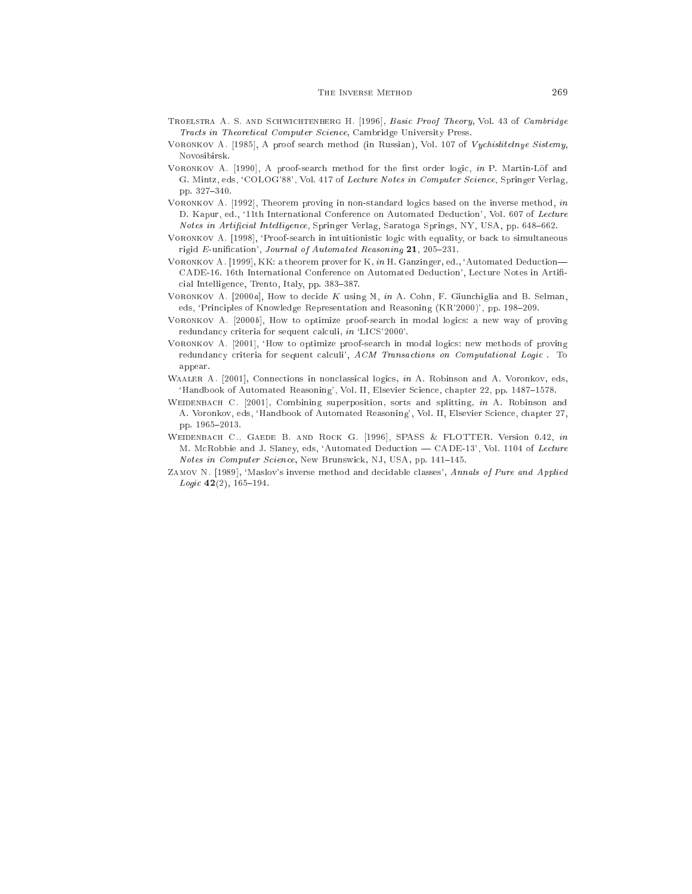- TROELSTRA A. S. AND SCHWICHTENBERG H. [1996], Basic Proof Theory, Vol. 43 of Cambridge Tracts in Theoretical Computer Science, Cambridge University Press.
- VORONKOV A. [1985], A proof search method (in Russian), Vol. 107 of Vychislitelnye Sistemy, Novosibirsk.
- VORONKOV A. [1990], A proof-search method for the first order logic, in P. Martin-Löf and G. Mintz, eds, 'COLOG'88', Vol. 417 of Lecture Notes in Computer Science, Springer Verlag, pp. 327-340.
- VORONKOV A. [1992], Theorem proving in non-standard logics based on the inverse method, in D. Kapur, ed., '11th International Conference on Automated Deduction', Vol. 607 of Lecture Notes in Artificial Intelligence, Springer Verlag, Saratoga Springs, NY, USA, pp. 648-662.
- VORONKOV A. [1998], 'Proof-search in intuitionistic logic with equality, or back to simultaneous rigid  $E$ -unification', Journal of Automated Reasoning 21, 205-231.
- VORONKOV A. [1999], KK: a theorem prover for K, in H. Ganzinger, ed., 'Automated Deduction-CADE-16. 16th International Conference on Automated Deduction', Lecture Notes in Artificial Intelligence, Trento, Italy, pp. 383-387.
- VORONKOV A. 2000a, How to decide K using  $\mathcal{H}$ , in A. Cohn, F. Giunchiglia and B. Selman, eds, 'Principles of Knowledge Representation and Reasoning (KR'2000)', pp. 198-209.
- VORONKOV A.  $[2000b]$ , How to optimize proof-search in modal logics: a new way of proving redundancy criteria for sequent calculi, in 'LICS'2000'.
- VORONKOV A. [2001], 'How to optimize proof-search in modal logics: new methods of proving redundancy criteria for sequent calculi', ACM Transactions on Computational Logic. To appear. appear.
- WAALER A. [2001], Connections in nonclassical logics, in A. Robinson and A. Voronkov, eds, 'Handbook of Automated Reasoning', Vol. II, Elsevier Science, chapter 22, pp. 1487-1578.
- WEIDENBACH C. [2001], Combining superposition, sorts and splitting, in A. Robinson and A. Voronkov, eds, `Handbook of Automated Reasoning', Vol. II, Elsevier S
ien
e, hapter 27, pp. 1965-2013.
- WEIDENBACH C., GAEDE B. AND ROCK G. [1996], SPASS & FLOTTER. Version 0.42, in M. McRobbie and J. Slaney, eds, 'Automated Deduction — CADE-13', Vol. 1104 of Lecture Notes in Computer Science, New Brunswick, NJ, USA, pp. 141-145.
- ZAMOV N. [1989], 'Maslov's inverse method and decidable classes', Annals of Pure and Applied  $Logic 42(2), 165-194.$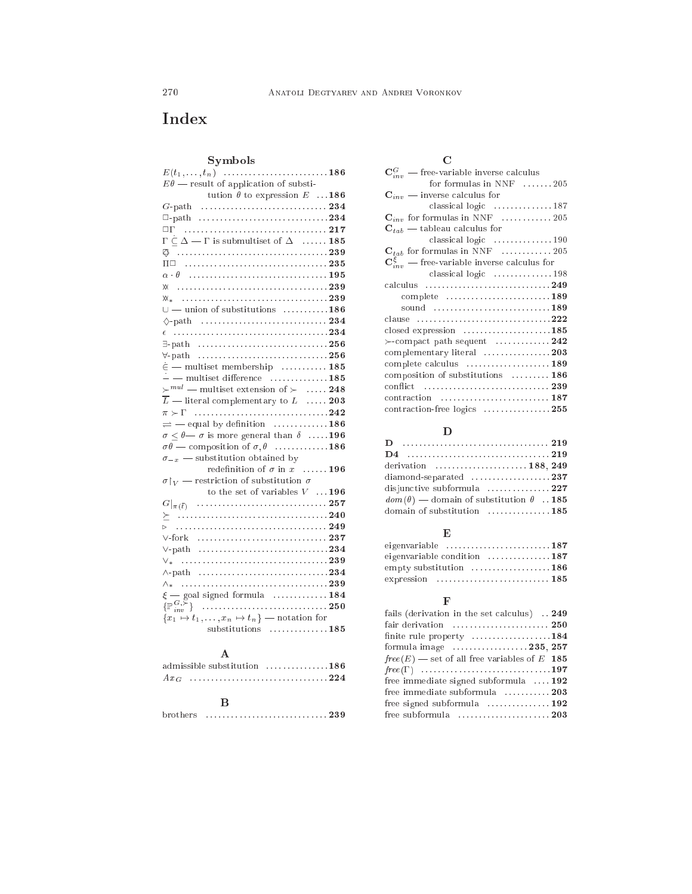# Index

## Symbols

| $E\theta$ — result of application of substi-                      |
|-------------------------------------------------------------------|
| tution $\theta$ to expression E  186                              |
|                                                                   |
|                                                                   |
|                                                                   |
| $\Gamma \subset \Delta$ — $\Gamma$ is submultiset of $\Delta$ 185 |
|                                                                   |
|                                                                   |
|                                                                   |
|                                                                   |
|                                                                   |
| $\cup$ — union of substitutions 186                               |
|                                                                   |
|                                                                   |
|                                                                   |
|                                                                   |
| $\dot{\epsilon}$ - multiset membership  185                       |
| $--$ multiset difference  185                                     |
| $\succ^{mul}$ — multiset extension of $\succ$ 248                 |
| $\overline{L}$ — literal complementary to $L$ 203                 |
|                                                                   |
| $\rightleftharpoons$ - equal by definition  186                   |
| $\sigma < \theta$ o is more general than $\delta$ 196             |
| $\sigma\theta$ — composition of $\sigma, \theta$ 186              |
| $\sigma_{-x}$ — substitution obtained by                          |
| redefinition of $\sigma$ in $x$ 196                               |
| $\sigma _V$ — restriction of substitution $\sigma$                |
| to the set of variables $V \quad \dots {\bf 196}$                 |
|                                                                   |
|                                                                   |
|                                                                   |
|                                                                   |
| $\vee$ -path 234                                                  |
|                                                                   |
|                                                                   |
|                                                                   |
| $\xi$ — goal signed formula  184                                  |
|                                                                   |
| ${x_1 \mapsto t_1, \ldots, x_n \mapsto t_n}$ - notation for       |
| substitutions 185                                                 |

## A

| admissible substitution $\dots\dots\dots\dots$ 186 $'$ |  |     |  |  |  |  |  |  |
|--------------------------------------------------------|--|-----|--|--|--|--|--|--|
|                                                        |  |     |  |  |  |  |  |  |
|                                                        |  |     |  |  |  |  |  |  |
|                                                        |  | - R |  |  |  |  |  |  |

| brothers |  |  |
|----------|--|--|
|----------|--|--|

| $\mathbf{C}_{inv}^G$ — free-variable inverse calculus         |
|---------------------------------------------------------------|
| for formulas in NNF 205                                       |
| ${\bf C}_{inv}$ — inverse calculus for                        |
| classical logic  187                                          |
| $\mathbf{C}_{inv}$ for formulas in NNF  205                   |
| $\mathbf{C}_{tab}$ — tableau calculus for                     |
| classical logic $\ldots \ldots \ldots \ldots 190$             |
| $\mathbf{C}_{tab}$ for formulas in NNF  205                   |
| $\mathbf{C}_{inv}^{\xi}$ — free-variable inverse calculus for |
| classical logic $\dots \dots \dots \dots 198$                 |
| calculus 249                                                  |
| complete 189                                                  |
| sound 189                                                     |
| clause                                                        |
| closed expression $\dots\dots\dots\dots\dots\dots$ 185        |
| $\succ$ -compact path sequent 242                             |
| complementary literal 203                                     |
| complete calculus  189                                        |
| composition of substitutions  186                             |
|                                                               |
|                                                               |
| contraction-free logics 255                                   |

## D

| derivation  188, 249                                  |  |
|-------------------------------------------------------|--|
| $diamond$ - $237$                                     |  |
| disjunctive subformula 227                            |  |
| $dom(\theta)$ — domain of substitution $\theta$ . 185 |  |
| domain of substitution 185                            |  |

## E

| eigenvariable 187                                  |  |
|----------------------------------------------------|--|
| eigenvariable condition $\dots\dots\dots\dots 187$ |  |
| empty substitution 186                             |  |
|                                                    |  |

## F

| fails (derivation in the set calculus)  249                     |
|-----------------------------------------------------------------|
| fair derivation $\ldots \ldots \ldots \ldots \ldots \ldots$ 250 |
| finite rule property 184                                        |
| formula image $\dots \dots \dots \dots \dots 235, 257$          |
| $free(E)$ — set of all free variables of E 185                  |
|                                                                 |
| free immediate signed subformula $\dots$ 192                    |
| free immediate subformula 203                                   |
| free signed subformula $\dots\dots\dots\dots\dots$ 192          |
| free subformula $\ldots, \ldots, \ldots, \ldots, 203$           |
|                                                                 |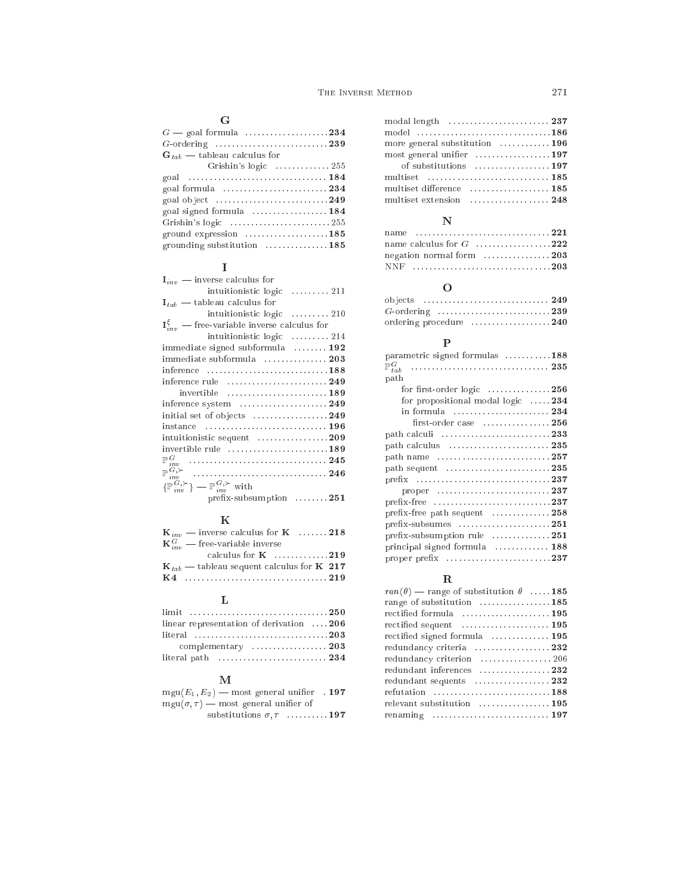## G

| $G$ — goal formula $\dots \dots \dots \dots \dots \dots 234$              |
|---------------------------------------------------------------------------|
|                                                                           |
| $G_{tab}$ — tableau calculus for                                          |
| Grishin's logic $\dots \dots \dots \dots 255$                             |
|                                                                           |
| goal formula  234                                                         |
| goal object $\ldots \ldots \ldots \ldots \ldots \ldots \ldots \ldots 249$ |
| goal signed formula $\dots\dots\dots\dots\dots$ 184                       |
|                                                                           |
| ground expression $\dots\dots\dots\dots\dots185$                          |
| grounding substitution  185                                               |

## I

| $I_{inv}$ — inverse calculus for                                   |
|--------------------------------------------------------------------|
| intuitionistic logic  211                                          |
| $I_{tab}$ — tableau calculus for                                   |
| intuitionistic logic  210                                          |
| $\mathbf{I}_{inv}^{\xi}$ — free-variable inverse calculus for      |
| intuitionistic logic  214                                          |
| immediate signed subformula $\dots \dots \dots$ 192                |
| immediate subformula  203                                          |
| inference 188                                                      |
| inference rule  249                                                |
| invertible  189                                                    |
| inference system $\dots\dots\dots\dots\dots\dots$ 249              |
| initial set of objects  249                                        |
|                                                                    |
| intuitionistic sequent 209                                         |
| invertible rule 189                                                |
|                                                                    |
|                                                                    |
| $\{\mathbb{P}^{G,\succ}_{inv}\} = \mathbb{P}^{G,\succ}_{inv}$ with |
| profix subsumption<br>951                                          |

## K

| $\mathbf{K}_{inv}$ — inverse calculus for $\mathbf{K}$ 218 |  |
|------------------------------------------------------------|--|
| ${\bf K}_{inv}^G$ — free-variable inverse                  |  |
| calculus for $K$ 219                                       |  |
| $K_{tab}$ — tableau sequent calculus for K 217             |  |
|                                                            |  |

prex-subsumption . . . . . . . . <sup>251</sup>

## L

| linear representation of derivation 206                            |  |
|--------------------------------------------------------------------|--|
| literal 203                                                        |  |
| complementary  203                                                 |  |
| literal path $\ldots, \ldots, \ldots, \ldots, \ldots, \ldots, 234$ |  |

## M

| $mgu(E_1, E_2)$ — most general unifier 197    |  |
|-----------------------------------------------|--|
| $mgu(\sigma, \tau)$ — most general unifier of |  |
| substitutions $\sigma, \tau$ 197              |  |

| model 186                      |  |
|--------------------------------|--|
| more general substitution  196 |  |
| most general unifier 197       |  |
| of substitutions  197          |  |
|                                |  |
| multiset difference            |  |
| multiset extension  248        |  |
|                                |  |

## N

| negation normal form 203 |  |
|--------------------------|--|
|                          |  |

## O

| ordering procedure 240 |  |
|------------------------|--|

## P

| parametric signed formulas 188                                              |  |
|-----------------------------------------------------------------------------|--|
| $\mathbb{P}^G$<br>tab                                                       |  |
| path                                                                        |  |
| for first-order logic $\ldots \ldots \ldots \ldots 256$                     |  |
| for propositional modal logic 234                                           |  |
| in formula 234                                                              |  |
| first-order case $\dots\dots\dots\dots\dots256$                             |  |
|                                                                             |  |
| path calculus $\ldots, \ldots, \ldots, \ldots, \ldots, 235$                 |  |
| path name 257                                                               |  |
| path sequent $\dots\dots\dots\dots\dots\dots\dots235$                       |  |
|                                                                             |  |
| proper $\ldots \ldots \ldots \ldots \ldots \ldots \ldots \ldots \ldots 237$ |  |
|                                                                             |  |
| prefix-free path sequent $\dots\dots\dots\dots258$                          |  |
|                                                                             |  |
| prefix-subsumption rule 251                                                 |  |
| principal signed formula  188                                               |  |
| proper prefix 237                                                           |  |
|                                                                             |  |

| R                                                        |  |
|----------------------------------------------------------|--|
| $ran(\theta)$ — range of substitution $\theta$ 185       |  |
| range of substitution 185                                |  |
| rectified formula  195                                   |  |
| $rectified$ sequent $\dots\dots\dots\dots\dots\dots$ 195 |  |
| rectified signed formula $\dots\dots\dots\dots\dots$     |  |
| redundancy criteria  232                                 |  |
| redundancy criterion  206                                |  |
| redundant inferences 232                                 |  |
| redundant sequents $\ldots, \ldots, \ldots, 232$         |  |
| refutation 188                                           |  |
| relevant substitution 195                                |  |
|                                                          |  |
|                                                          |  |